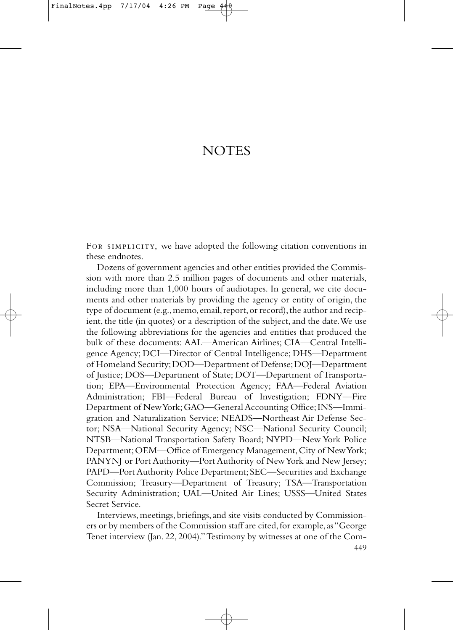# **NOTES**

FOR SIMPLICITY, we have adopted the following citation conventions in these endnotes.

Dozens of government agencies and other entities provided the Commission with more than 2.5 million pages of documents and other materials, including more than 1,000 hours of audiotapes. In general, we cite documents and other materials by providing the agency or entity of origin, the type of document (e.g., memo, email, report, or record), the author and recipient, the title (in quotes) or a description of the subject, and the date.We use the following abbreviations for the agencies and entities that produced the bulk of these documents: AAL—American Airlines; CIA—Central Intelligence Agency; DCI—Director of Central Intelligence; DHS—Department of Homeland Security;DOD—Department of Defense;DOJ—Department of Justice; DOS—Department of State; DOT—Department of Transportation; EPA—Environmental Protection Agency; FAA—Federal Aviation Administration; FBI—Federal Bureau of Investigation; FDNY—Fire Department of New York;GAO—General Accounting Office;INS—Immigration and Naturalization Service; NEADS—Northeast Air Defense Sector; NSA—National Security Agency; NSC—National Security Council; NTSB—National Transportation Safety Board; NYPD—New York Police Department; OEM—Office of Emergency Management, City of New York; PANYNJ or Port Authority—Port Authority of New York and New Jersey; PAPD—Port Authority Police Department; SEC—Securities and Exchange Commission; Treasury—Department of Treasury; TSA—Transportation Security Administration; UAL—United Air Lines; USSS—United States Secret Service.

Interviews, meetings, briefings, and site visits conducted by Commissioners or by members of the Commission staff are cited,for example,as "George Tenet interview (Jan. 22, 2004)."Testimony by witnesses at one of the Com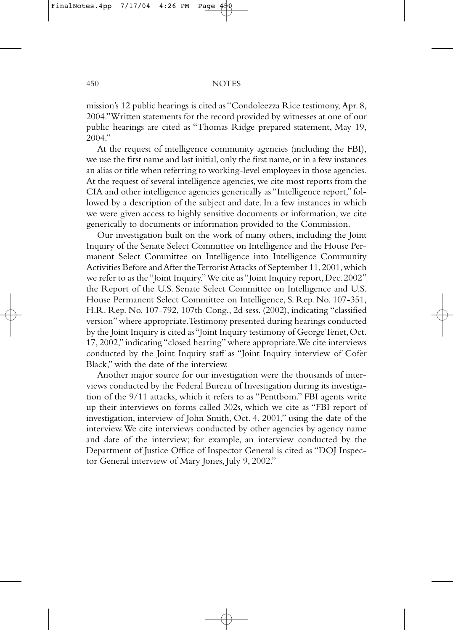mission's 12 public hearings is cited as "Condoleezza Rice testimony, Apr. 8, 2004."Written statements for the record provided by witnesses at one of our public hearings are cited as "Thomas Ridge prepared statement, May 19,  $2004$ "

At the request of intelligence community agencies (including the FBI), we use the first name and last initial,only the first name,or in a few instances an alias or title when referring to working-level employees in those agencies. At the request of several intelligence agencies, we cite most reports from the CIA and other intelligence agencies generically as "Intelligence report," followed by a description of the subject and date. In a few instances in which we were given access to highly sensitive documents or information, we cite generically to documents or information provided to the Commission.

Our investigation built on the work of many others, including the Joint Inquiry of the Senate Select Committee on Intelligence and the House Permanent Select Committee on Intelligence into Intelligence Community Activities Before and After the Terrorist Attacks of September 11, 2001, which we refer to as the "Joint Inquiry." We cite as "Joint Inquiry report, Dec. 2002" the Report of the U.S. Senate Select Committee on Intelligence and U.S. House Permanent Select Committee on Intelligence, S. Rep. No. 107-351, H.R. Rep. No. 107-792, 107th Cong., 2d sess. (2002), indicating "classified version" where appropriate. Testimony presented during hearings conducted by the Joint Inquiry is cited as "Joint Inquiry testimony of George Tenet,Oct. 17, 2002," indicating "closed hearing" where appropriate.We cite interviews conducted by the Joint Inquiry staff as "Joint Inquiry interview of Cofer Black," with the date of the interview.

Another major source for our investigation were the thousands of interviews conducted by the Federal Bureau of Investigation during its investigation of the 9/11 attacks, which it refers to as "Penttbom." FBI agents write up their interviews on forms called 302s, which we cite as "FBI report of investigation, interview of John Smith, Oct. 4, 2001," using the date of the interview.We cite interviews conducted by other agencies by agency name and date of the interview; for example, an interview conducted by the Department of Justice Office of Inspector General is cited as "DOJ Inspector General interview of Mary Jones, July 9, 2002."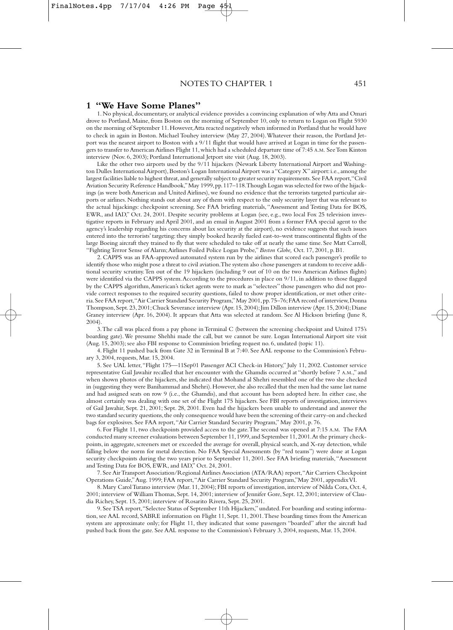#### **1 "We Have Some Planes"**

1. No physical, documentary, or analytical evidence provides a convincing explanation of why Atta and Omari drove to Portland, Maine, from Boston on the morning of September 10, only to return to Logan on Flight 5930 on the morning of September 11.However,Atta reacted negatively when informed in Portland that he would have to check in again in Boston. Michael Touhey interview (May 27, 2004).Whatever their reason, the Portland Jetport was the nearest airport to Boston with a 9/11 flight that would have arrived at Logan in time for the passengers to transfer to American Airlines Flight 11,which had a scheduled departure time of 7:45 A.M. See Tom Kinton interview (Nov. 6, 2003); Portland International Jetport site visit (Aug. 18, 2003).

Like the other two airports used by the 9/11 hijackers (Newark Liberty International Airport and Washington Dulles International Airport), Boston's Logan International Airport was a "Category X" airport: i.e., among the largest facilities liable to highest threat,and generally subject to greater security requirements.See FAA report,"Civil Aviation Security Reference Handbook,"May 1999,pp.117–118.Though Logan was selected for two of the hijackings (as were both American and United Airlines), we found no evidence that the terrorists targeted particular airports or airlines. Nothing stands out about any of them with respect to the only security layer that was relevant to the actual hijackings: checkpoint screening. See FAA briefing materials, "Assessment and Testing Data for BOS, EWR, and IAD," Oct. 24, 2001. Despite security problems at Logan (see, e.g., two local Fox 25 television investigative reports in February and April 2001, and an email in August 2001 from a former FAA special agent to the agency's leadership regarding his concerns about lax security at the airport), no evidence suggests that such issues entered into the terrorists' targeting: they simply booked heavily fueled east-to-west transcontinental flights of the large Boeing aircraft they trained to fly that were scheduled to take off at nearly the same time. See Matt Carroll, "Fighting Terror Sense of Alarm;Airlines Foiled Police Logan Probe," *Boston Globe,* Oct. 17, 2001, p. B1.

2. CAPPS was an FAA-approved automated system run by the airlines that scored each passenger's profile to identify those who might pose a threat to civil aviation.The system also chose passengers at random to receive additional security scrutiny.Ten out of the 19 hijackers (including 9 out of 10 on the two American Airlines flights) were identified via the CAPPS system. According to the procedures in place on 9/11, in addition to those flagged by the CAPPS algorithm,American's ticket agents were to mark as "selectees" those passengers who did not provide correct responses to the required security questions, failed to show proper identification, or met other criteria.See FAA report,"Air Carrier Standard Security Program,"May 2001,pp.75–76;FAA record of interview,Donna Thompson,Sept.23,2001;Chuck Severance interview (Apr.15,2004);Jim Dillon interview (Apr.15,2004);Diane Graney interview (Apr. 16, 2004). It appears that Atta was selected at random. See Al Hickson briefing (June 8, 2004).

3.The call was placed from a pay phone in Terminal C (between the screening checkpoint and United 175's boarding gate).We presume Shehhi made the call, but we cannot be sure. Logan International Airport site visit (Aug. 15, 2003); see also FBI response to Commission briefing request no. 6, undated (topic 11).

4. Flight 11 pushed back from Gate 32 in Terminal B at 7:40. See AAL response to the Commission's February 3, 2004, requests, Mar. 15, 2004.

5. See UAL letter,"Flight 175—11Sep01 Passenger ACI Check-in History," July 11, 2002. Customer service representative Gail Jawahir recalled that her encounter with the Ghamdis occurred at "shortly before 7 A.M.," and when shown photos of the hijackers, she indicated that Mohand al Shehri resembled one of the two she checked in (suggesting they were Banihammad and Shehri). However, she also recalled that the men had the same last name and had assigned seats on row 9 (i.e., the Ghamdis), and that account has been adopted here. In either case, she almost certainly was dealing with one set of the Flight 175 hijackers. See FBI reports of investigation, interviews of Gail Jawahir, Sept. 21, 2001; Sept. 28, 2001. Even had the hijackers been unable to understand and answer the two standard security questions,the only consequence would have been the screening of their carry-on and checked bags for explosives. See FAA report,"Air Carrier Standard Security Program," May 2001, p. 76.

6. For Flight 11, two checkpoints provided access to the gate.The second was opened at 7:15 A.M. The FAA conducted many screener evaluations between September 11,1999, and September 11, 2001. At the primary checkpoints, in aggregate, screeners met or exceeded the average for overall, physical search, and X-ray detection, while falling below the norm for metal detection. No FAA Special Assessments (by "red teams") were done at Logan security checkpoints during the two years prior to September 11, 2001. See FAA briefing materials, "Assessment and Testing Data for BOS, EWR, and IAD," Oct. 24, 2001.

7. See Air Transport Association/Regional Airlines Association (ATA/RAA) report,"Air Carriers Checkpoint Operations Guide,"Aug. 1999; FAA report,"Air Carrier Standard Security Program,"May 2001, appendix VI.

8. Mary Carol Turano interview (Mar. 11, 2004); FBI reports of investigation, interview of Nilda Cora, Oct. 4, 2001; interview of William Thomas, Sept. 14, 2001; interview of Jennifer Gore, Sept. 12, 2001; interview of Claudia Richey, Sept. 15, 2001; interview of Rosarito Rivera, Sept. 25, 2001.

9. See TSA report,"Selectee Status of September 11th Hijackers," undated. For boarding and seating information, see AAL record, SABRE information on Flight 11, Sept. 11, 2001.These boarding times from the American system are approximate only; for Flight 11, they indicated that some passengers "boarded" after the aircraft had pushed back from the gate. See AAL response to the Commission's February 3, 2004, requests, Mar. 15, 2004.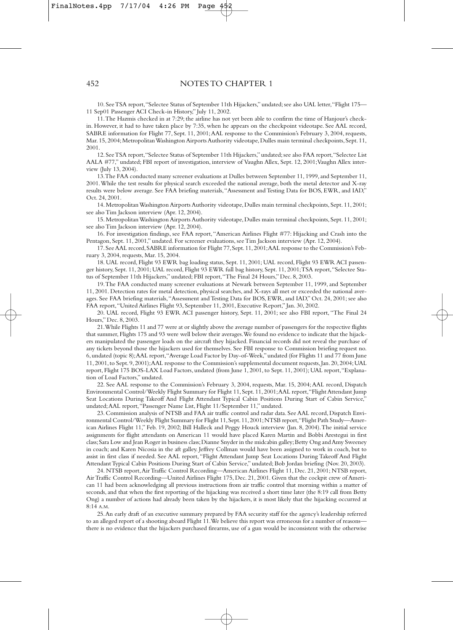10. See TSA report,"Selectee Status of September 11th Hijackers," undated; see also UAL letter,"Flight 175— 11 Sep01 Passenger ACI Check-in History," July 11, 2002.

11.The Hazmis checked in at 7:29; the airline has not yet been able to confirm the time of Hanjour's checkin. However, it had to have taken place by 7:35, when he appears on the checkpoint videotape. See AAL record, SABRE information for Flight 77, Sept. 11, 2001;AAL response to the Commission's February 3, 2004, requests, Mar. 15, 2004; Metropolitan Washington Airports Authority videotape, Dulles main terminal checkpoints, Sept. 11, 2001.

12.See TSA report,"Selectee Status of September 11th Hijackers,"undated;see also FAA report,"Selectee List AALA #77," undated; FBI report of investigation, interview of Vaughn Allex, Sept. 12, 2001;Vaughn Allex interview (July 13, 2004).

13.The FAA conducted many screener evaluations at Dulles between September 11, 1999, and September 11, 2001.While the test results for physical search exceeded the national average, both the metal detector and X-ray results were below average. See FAA briefing materials,"Assessment and Testing Data for BOS, EWR, and IAD," Oct. 24, 2001.

14. Metropolitan Washington Airports Authority videotape, Dulles main terminal checkpoints, Sept. 11, 2001; see also Tim Jackson interview (Apr. 12, 2004).

15. Metropolitan Washington Airports Authority videotape, Dulles main terminal checkpoints, Sept. 11, 2001; see also Tim Jackson interview (Apr. 12, 2004).

16. For investigation findings, see FAA report,"American Airlines Flight #77: Hijacking and Crash into the Pentagon, Sept. 11, 2001," undated. For screener evaluations, see Tim Jackson interview (Apr. 12, 2004).

17.See AAL record,SABRE information for Flight 77,Sept.11,2001;AAL response to the Commission's February 3, 2004, requests, Mar. 15, 2004.

18. UAL record, Flight 93 EWR bag loading status, Sept. 11, 2001; UAL record, Flight 93 EWR ACI passenger history, Sept. 11, 2001; UAL record, Flight 93 EWR full bag history, Sept. 11, 2001;TSA report,"Selectee Status of September 11th Hijackers," undated; FBI report,"The Final 24 Hours," Dec. 8, 2003.

19.The FAA conducted many screener evaluations at Newark between September 11, 1999, and September 11, 2001. Detection rates for metal detection, physical searches, and X-rays all met or exceeded the national averages. See FAA briefing materials,"Assessment and Testing Data for BOS, EWR, and IAD," Oct. 24, 2001; see also FAA report,"United Airlines Flight 93, September 11, 2001, Executive Report," Jan. 30, 2002.

20. UAL record, Flight 93 EWR ACI passenger history, Sept. 11, 2001; see also FBI report, "The Final 24 Hours," Dec. 8, 2003.

21.While Flights 11 and 77 were at or slightly above the average number of passengers for the respective flights that summer, Flights 175 and 93 were well below their averages.We found no evidence to indicate that the hijackers manipulated the passenger loads on the aircraft they hijacked. Financial records did not reveal the purchase of any tickets beyond those the hijackers used for themselves. See FBI response to Commission briefing request no. 6,undated (topic 8);AAL report,"Average Load Factor by Day-of-Week,"undated (for Flights 11 and 77 from June 11,2001,to Sept.9,2001);AAL response to the Commission's supplemental document requests,Jan.20,2004;UAL report, Flight 175 BOS-LAX Load Factors, undated (from June 1, 2001, to Sept. 11, 2001); UAL report,"Explanation of Load Factors," undated.

22. See AAL response to the Commission's February 3, 2004, requests, Mar. 15, 2004; AAL record, Dispatch Environmental Control/Weekly Flight Summary for Flight 11,Sept.11,2001;AAL report,"Flight Attendant Jump Seat Locations During Takeoff And Flight Attendant Typical Cabin Positions During Start of Cabin Service," undated;AAL report,"Passenger Name List, Flight 11/September 11," undated.

23. Commission analysis of NTSB and FAA air traffic control and radar data. See AAL record, Dispatch Environmental Control/Weekly Flight Summary for Flight 11,Sept.11,2001;NTSB report,"Flight Path Study—American Airlines Flight 11," Feb. 19, 2002; Bill Halleck and Peggy Houck interview (Jan. 8, 2004).The initial service assignments for flight attendants on American 11 would have placed Karen Martin and Bobbi Arestegui in first class;Sara Low and Jean Roger in business class;Dianne Snyder in the midcabin galley;Betty Ong and Amy Sweeney in coach; and Karen Nicosia in the aft galley. Jeffrey Collman would have been assigned to work in coach, but to assist in first class if needed. See AAL report, "Flight Attendant Jump Seat Locations During Takeoff And Flight Attendant Typical Cabin Positions During Start of Cabin Service," undated; Bob Jordan briefing (Nov. 20, 2003).

24. NTSB report,Air Traffic Control Recording—American Airlines Flight 11, Dec. 21, 2001; NTSB report, Air Traffic Control Recording—United Airlines Flight 175, Dec. 21, 2001. Given that the cockpit crew of American 11 had been acknowledging all previous instructions from air traffic control that morning within a matter of seconds, and that when the first reporting of the hijacking was received a short time later (the 8:19 call from Betty Ong) a number of actions had already been taken by the hijackers, it is most likely that the hijacking occurred at 8:14 A.M.

25.An early draft of an executive summary prepared by FAA security staff for the agency's leadership referred to an alleged report of a shooting aboard Flight 11.We believe this report was erroneous for a number of reasons there is no evidence that the hijackers purchased firearms, use of a gun would be inconsistent with the otherwise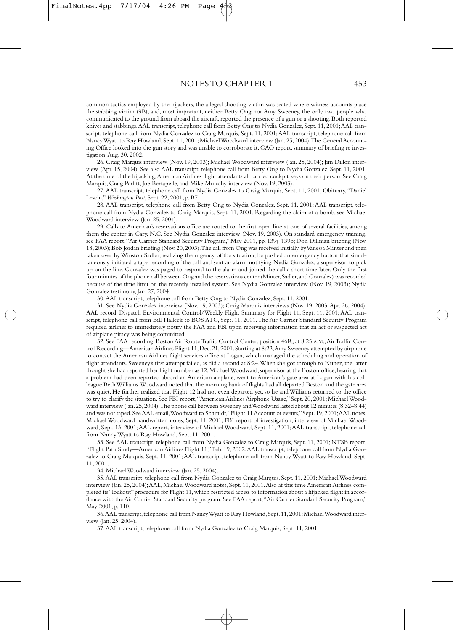common tactics employed by the hijackers, the alleged shooting victim was seated where witness accounts place the stabbing victim (9B), and, most important, neither Betty Ong nor Amy Sweeney, the only two people who communicated to the ground from aboard the aircraft, reported the presence of a gun or a shooting. Both reported knives and stabbings.AAL transcript, telephone call from Betty Ong to Nydia Gonzalez, Sept. 11, 2001;AAL transcript, telephone call from Nydia Gonzalez to Craig Marquis, Sept. 11, 2001;AAL transcript, telephone call from Nancy Wyatt to Ray Howland,Sept.11,2001;Michael Woodward interview (Jan.25,2004).The General Accounting Office looked into the gun story and was unable to corroborate it. GAO report, summary of briefing re investigation,Aug. 30, 2002.

26. Craig Marquis interview (Nov. 19, 2003); Michael Woodward interview (Jan. 25, 2004); Jim Dillon interview (Apr. 15, 2004). See also AAL transcript, telephone call from Betty Ong to Nydia Gonzalez, Sept. 11, 2001. At the time of the hijacking,American Airlines flight attendants all carried cockpit keys on their person. See Craig Marquis, Craig Parfitt, Joe Bertapelle, and Mike Mulcahy interview (Nov. 19, 2003).

27.AAL transcript, telephone call from Nydia Gonzalez to Craig Marquis, Sept. 11, 2001; Obituary,"Daniel Lewin," *Washington Post*, Sept. 22, 2001, p. B7.

28. AAL transcript, telephone call from Betty Ong to Nydia Gonzalez, Sept. 11, 2001; AAL transcript, telephone call from Nydia Gonzalez to Craig Marquis, Sept. 11, 2001. Regarding the claim of a bomb, see Michael Woodward interview (Jan. 25, 2004).

29. Calls to American's reservations office are routed to the first open line at one of several facilities, among them the center in Cary, N.C. See Nydia Gonzalez interview (Nov. 19, 2003). On standard emergency training, see FAA report, "Air Carrier Standard Security Program," May 2001, pp. 139j-139o; Don Dillman briefing (Nov. 18,2003);Bob Jordan briefing (Nov.20,2003).The call from Ong was received initially by Vanessa Minter and then taken over by Winston Sadler; realizing the urgency of the situation, he pushed an emergency button that simultaneously initiated a tape recording of the call and sent an alarm notifying Nydia Gonzalez, a supervisor, to pick up on the line. Gonzalez was paged to respond to the alarm and joined the call a short time later. Only the first four minutes of the phone call between Ong and the reservations center (Minter,Sadler,and Gonzalez) was recorded because of the time limit on the recently installed system. See Nydia Gonzalez interview (Nov. 19, 2003); Nydia Gonzalez testimony, Jan. 27, 2004.

30.AAL transcript, telephone call from Betty Ong to Nydia Gonzalez, Sept. 11, 2001.

31. See Nydia Gonzalez interview (Nov. 19, 2003); Craig Marquis interviews (Nov. 19, 2003;Apr. 26, 2004); AAL record, Dispatch Environmental Control/Weekly Flight Summary for Flight 11, Sept. 11, 2001; AAL transcript, telephone call from Bill Halleck to BOS ATC, Sept. 11, 2001.The Air Carrier Standard Security Program required airlines to immediately notify the FAA and FBI upon receiving information that an act or suspected act of airplane piracy was being committed.

32. See FAA recording, Boston Air Route Traffic Control Center, position 46R, at 8:25 A.M.;Air Traffic Control Recording—American Airlines Flight 11, Dec. 21, 2001. Starting at 8:22, Amy Sweeney attempted by airphone to contact the American Airlines flight services office at Logan, which managed the scheduling and operation of flight attendants. Sweeney's first attempt failed, as did a second at 8:24.When she got through to Nunez, the latter thought she had reported her flight number as 12. Michael Woodward, supervisor at the Boston office, hearing that a problem had been reported aboard an American airplane, went to American's gate area at Logan with his colleague Beth Williams.Woodward noted that the morning bank of flights had all departed Boston and the gate area was quiet. He further realized that Flight 12 had not even departed yet, so he and Williams returned to the office to try to clarify the situation. See FBI report,"American Airlines Airphone Usage," Sept. 20, 2001; Michael Woodward interview (Jan.25,2004).The phone call between Sweeney and Woodward lasted about 12 minutes (8:32–8:44) and was not taped.See AAL email,Woodward to Schmidt,"Flight 11 Account of events,"Sept.19,2001;AAL notes, Michael Woodward handwritten notes, Sept. 11, 2001; FBI report of investigation, interview of Michael Woodward, Sept. 13, 2001;AAL report, interview of Michael Woodward, Sept. 11, 2001;AAL transcript, telephone call from Nancy Wyatt to Ray Howland, Sept. 11, 2001.

33. See AAL transcript, telephone call from Nydia Gonzalez to Craig Marquis, Sept. 11, 2001; NTSB report, "Flight Path Study—American Airlines Flight 11," Feb. 19, 2002.AAL transcript, telephone call from Nydia Gonzalez to Craig Marquis, Sept. 11, 2001;AAL transcript, telephone call from Nancy Wyatt to Ray Howland, Sept. 11, 2001.

34. Michael Woodward interview (Jan. 25, 2004).

35.AAL transcript, telephone call from Nydia Gonzalez to Craig Marquis, Sept. 11, 2001; Michael Woodward interview (Jan. 25, 2004);AAL, Michael Woodward notes, Sept. 11, 2001.Also at this time American Airlines completed its "lockout"procedure for Flight 11,which restricted access to information about a hijacked flight in accordance with the Air Carrier Standard Security program. See FAA report,"Air Carrier Standard Security Program," May 2001, p. 110.

36.AAL transcript,telephone call from Nancy Wyatt to Ray Howland,Sept.11,2001;Michael Woodward interview (Jan. 25, 2004).

37.AAL transcript, telephone call from Nydia Gonzalez to Craig Marquis, Sept. 11, 2001.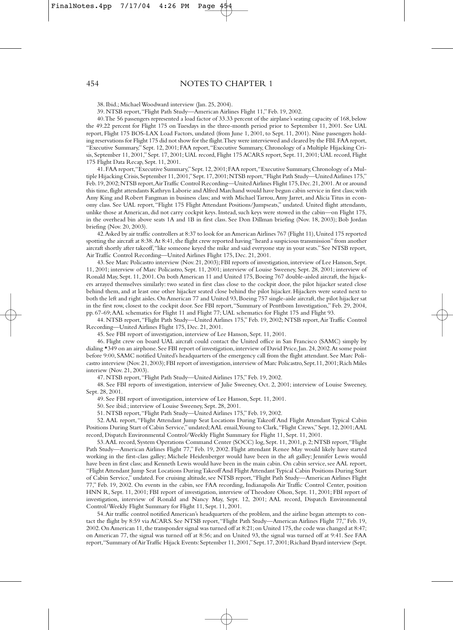38. Ibid.; Michael Woodward interview (Jan. 25, 2004).

39. NTSB report,"Flight Path Study—American Airlines Flight 11," Feb. 19, 2002.

40.The 56 passengers represented a load factor of 33.33 percent of the airplane's seating capacity of 168, below the 49.22 percent for Flight 175 on Tuesdays in the three-month period prior to September 11, 2001. See UAL report, Flight 175 BOS-LAX Load Factors, undated (from June 1, 2001, to Sept. 11, 2001). Nine passengers holding reservations for Flight 175 did not show for the flight.They were interviewed and cleared by the FBI.FAA report, "Executive Summary," Sept. 12, 2001; FAA report,"Executive Summary, Chronology of a Multiple Hijacking Crisis, September 11, 2001," Sept. 17, 2001; UAL record, Flight 175 ACARS report, Sept. 11, 2001; UAL record, Flight 175 Flight Data Recap, Sept. 11, 2001.

41.FAA report,"Executive Summary,"Sept.12,2001;FAA report,"Executive Summary,Chronology of a Multiple Hijacking Crisis, September 11, 2001," Sept. 17, 2001; NTSB report, "Flight Path Study—United Airlines 175," Feb. 19, 2002; NTSB report, Air Traffic Control Recording—United Airlines Flight 175, Dec. 21, 2001. At or around this time,flight attendants Kathryn Laborie and Alfred Marchand would have begun cabin service in first class;with Amy King and Robert Fangman in business class; and with Michael Tarrou,Amy Jarret, and Alicia Titus in economy class. See UAL report,"Flight 175 Flight Attendant Positions/Jumpseats," undated. United flight attendants, unlike those at American, did not carry cockpit keys. Instead, such keys were stowed in the cabin—on Flight 175, in the overhead bin above seats 1A and 1B in first class. See Don Dillman briefing (Nov. 18, 2003); Bob Jordan briefing (Nov. 20, 2003).

42. Asked by air traffic controllers at 8:37 to look for an American Airlines 767 (Flight 11), United 175 reported spotting the aircraft at 8:38. At 8:41,the flight crew reported having "heard a suspicious transmission"from another aircraft shortly after takeoff,"like someone keyed the mike and said everyone stay in your seats." See NTSB report, Air Traffic Control Recording—United Airlines Flight 175, Dec. 21, 2001.

43. See Marc Policastro interview (Nov. 21, 2003); FBI reports of investigation, interview of Lee Hanson, Sept. 11, 2001; interview of Marc Policastro, Sept. 11, 2001; interview of Louise Sweeney, Sept. 28, 2001; interview of Ronald May, Sept. 11, 2001. On both American 11 and United 175, Boeing 767 double-aisled aircraft, the hijackers arrayed themselves similarly: two seated in first class close to the cockpit door, the pilot hijacker seated close behind them, and at least one other hijacker seated close behind the pilot hijacker. Hijackers were seated next to both the left and right aisles. On American 77 and United 93, Boeing 757 single-aisle aircraft, the pilot hijacker sat in the first row, closest to the cockpit door. See FBI report,"Summary of Penttbom Investigation," Feb. 29, 2004, pp. 67-69;AAL schematics for Flight 11 and Flight 77; UAL schematics for Flight 175 and Flight 93.

44. NTSB report,"Flight Path Study—United Airlines 175," Feb. 19, 2002; NTSB report,Air Traffic Control Recording—United Airlines Flight 175, Dec. 21, 2001.

45. See FBI report of investigation, interview of Lee Hanson, Sept. 11, 2001.

46. Flight crew on board UAL aircraft could contact the United office in San Francisco (SAMC) simply by dialing \*349 on an airphone. See FBI report of investigation, interview of David Price, Jan. 24, 2002. At some point before 9:00, SAMC notified United's headquarters of the emergency call from the flight attendant. See Marc Policastro interview (Nov.21,2003);FBI report of investigation,interview of Marc Policastro,Sept.11,2001;Rich Miles interiew (Nov. 21, 2003).

47. NTSB report,"Flight Path Study—United Airlines 175," Feb. 19, 2002.

48. See FBI reports of investigation, interview of Julie Sweeney, Oct. 2, 2001; interview of Louise Sweeney, Sept. 28, 2001.

49. See FBI report of investigation, interview of Lee Hanson, Sept. 11, 2001.

50. See ibid.; interview of Louise Sweeney, Sept. 28, 2001.

51. NTSB report,"Flight Path Study—United Airlines 175," Feb. 19, 2002.

52. AAL report,"Flight Attendant Jump Seat Locations During Takeoff And Flight Attendant Typical Cabin Positions During Start of Cabin Service," undated;AAL email,Young to Clark,"Flight Crews," Sept. 12, 2001;AAL record, Dispatch Environmental Control/Weekly Flight Summary for Flight 11, Sept. 11, 2001.

53.AAL record, System Operations Command Center (SOCC) log, Sept. 11, 2001, p. 2; NTSB report,"Flight Path Study—American Airlines Flight 77," Feb. 19, 2002. Flight attendant Renee May would likely have started working in the first-class galley; Michele Heidenberger would have been in the aft galley; Jennifer Lewis would have been in first class; and Kenneth Lewis would have been in the main cabin. On cabin service, see AAL report, "Flight Attendant Jump Seat Locations During Takeoff And Flight Attendant Typical Cabin Positions During Start of Cabin Service," undated. For cruising altitude, see NTSB report,"Flight Path Study—American Airlines Flight 77," Feb. 19, 2002. On events in the cabin, see FAA recording, Indianapolis Air Traffic Control Center, position HNN R, Sept. 11, 2001; FBI report of investigation, interview of Theodore Olson, Sept. 11, 2001; FBI report of investigation, interview of Ronald and Nancy May, Sept. 12, 2001; AAL record, Dispatch Environmental Control/Weekly Flight Summary for Flight 11, Sept. 11, 2001.

54.Air traffic control notified American's headquarters of the problem, and the airline began attempts to contact the flight by 8:59 via ACARS. See NTSB report,"Flight Path Study—American Airlines Flight 77," Feb. 19, 2002. On American 11, the transponder signal was turned off at 8:21; on United 175, the code was changed at 8:47; on American 77, the signal was turned off at 8:56; and on United 93, the signal was turned off at 9:41. See FAA report,"Summary of Air Traffic Hijack Events:September 11,2001,"Sept.17,2001;Richard Byard interview (Sept.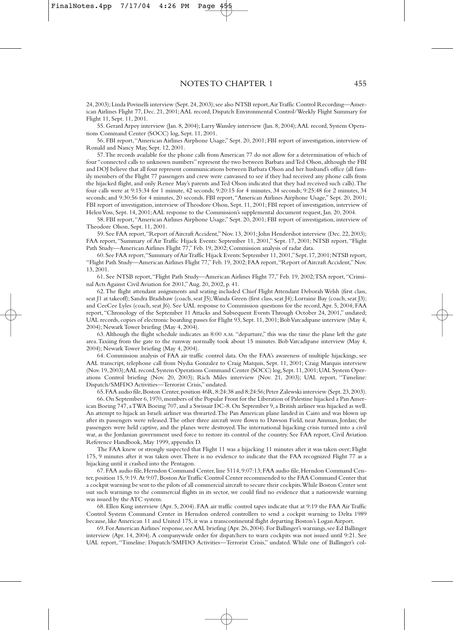24,2003);Linda Povinelli interview (Sept.24,2003);see also NTSB report,Air Traffic Control Recording—American Airlines Flight 77, Dec. 21, 2001;AAL record, Dispatch Environmental Control/Weekly Flight Summary for Flight 11, Sept. 11, 2001.

55. Gerard Arpey interview (Jan. 8, 2004); Larry Wansley interview (Jan. 8, 2004);AAL record, System Operations Command Center (SOCC) log, Sept. 11, 2001.

56. FBI report,"American Airlines Airphone Usage," Sept. 20, 2001; FBI report of investigation, interview of Ronald and Nancy May, Sept. 12, 2001.

57.The records available for the phone calls from American 77 do not allow for a determination of which of four "connected calls to unknown numbers" represent the two between Barbara and Ted Olson, although the FBI and DOJ believe that all four represent communications between Barbara Olson and her husband's office (all family members of the Flight 77 passengers and crew were canvassed to see if they had received any phone calls from the hijacked flight, and only Renee May's parents and Ted Olson indicated that they had received such calls).The four calls were at 9:15:34 for 1 minute, 42 seconds; 9:20:15 for 4 minutes, 34 seconds; 9:25:48 for 2 minutes, 34 seconds; and 9:30:56 for 4 minutes, 20 seconds. FBI report,"American Airlines Airphone Usage," Sept. 20, 2001; FBI report of investigation, interview of Theodore Olson, Sept. 11, 2001; FBI report of investigation, interview of Helen Voss, Sept. 14, 2001;AAL response to the Commission's supplemental document request, Jan. 20, 2004.

58. FBI report,"American Airlines Airphone Usage," Sept. 20, 2001; FBI report of investigation, interview of Theodore Olson, Sept. 11, 2001.

59. See FAA report,"Report of Aircraft Accident," Nov. 13, 2001; John Hendershot interview (Dec. 22, 2003); FAA report,"Summary of Air Traffic Hijack Events: September 11, 2001," Sept. 17, 2001; NTSB report,"Flight Path Study—American Airlines Flight 77," Feb. 19, 2002; Commission analysis of radar data.

60.See FAA report,"Summary of Air Traffic Hijack Events:September 11,2001,"Sept.17,2001;NTSB report, "Flight Path Study—American Airlines Flight 77," Feb. 19, 2002; FAA report,"Report of Aircraft Accident," Nov. 13, 2001.

61. See NTSB report,"Flight Path Study—American Airlines Flight 77," Feb. 19, 2002;TSA report,"Criminal Acts Against Civil Aviation for 2001,"Aug. 20, 2002, p. 41.

62.The flight attendant assignments and seating included Chief Flight Attendant Deborah Welsh (first class, seat J1 at takeoff); Sandra Bradshaw (coach, seat J5);Wanda Green (first class, seat J4); Lorraine Bay (coach, seat J3); and CeeCee Lyles (coach, seat J6). See UAL response to Commission questions for the record,Apr. 5, 2004; FAA report,"Chronology of the September 11 Attacks and Subsequent Events Through October 24, 2001," undated; UAL records, copies of electronic boarding passes for Flight 93, Sept. 11, 2001; Bob Varcadipane interview (May 4, 2004); Newark Tower briefing (May 4, 2004).

63.Although the flight schedule indicates an 8:00 A.M. "departure," this was the time the plane left the gate area.Taxiing from the gate to the runway normally took about 15 minutes. Bob Varcadipane interview (May 4, 2004); Newark Tower briefing (May 4, 2004).

64. Commission analysis of FAA air traffic control data. On the FAA's awareness of multiple hijackings, see AAL transcript, telephone call from Nydia Gonzalez to Craig Marquis, Sept. 11, 2001; Craig Marquis interview (Nov.19,2003);AAL record,System Operations Command Center (SOCC) log,Sept.11,2001;UAL System Operations Control briefing (Nov. 20, 2003); Rich Miles interview (Nov. 21, 2003); UAL report, "Timeline: Dispatch/SMFDO Activities—Terrorist Crisis," undated.

65.FAA audio file,Boston Center,position 46R,8:24:38 and 8:24:56;Peter Zalewski interview (Sept.23,2003).

66. On September 6, 1970, members of the Popular Front for the Liberation of Palestine hijacked a Pan American Boeing 747, a TWA Boeing 707, and a Swissair DC-8. On September 9, a British airliner was hijacked as well. An attempt to hijack an Israeli airliner was thwarted.The Pan American plane landed in Cairo and was blown up after its passengers were released.The other three aircraft were flown to Dawson Field, near Amman, Jordan; the passengers were held captive, and the planes were destroyed.The international hijacking crisis turned into a civil war, as the Jordanian government used force to restore its control of the country. See FAA report, Civil Aviation Reference Handbook, May 1999, appendix D.

The FAA knew or strongly suspected that Flight 11 was a hijacking 11 minutes after it was taken over; Flight 175, 9 minutes after it was taken over.There is no evidence to indicate that the FAA recognized Flight 77 as a hijacking until it crashed into the Pentagon.

67.FAA audio file,Herndon Command Center,line 5114,9:07:13;FAA audio file,Herndon Command Center,position 15,9:19. At 9:07,Boston Air Traffic Control Center recommended to the FAA Command Center that a cockpit warning be sent to the pilots of all commercial aircraft to secure their cockpits.While Boston Center sent out such warnings to the commercial flights in its sector, we could find no evidence that a nationwide warning was issued by the ATC system.

68. Ellen King interview (Apr. 5, 2004). FAA air traffic control tapes indicate that at 9:19 the FAA Air Traffic Control System Command Center in Herndon ordered controllers to send a cockpit warning to Delta 1989 because, like American 11 and United 175, it was a transcontinental flight departing Boston's Logan Airport.

69. For American Airlines' response, see AAL briefing (Apr. 26, 2004). For Ballinger's warnings, see Ed Ballinger interview (Apr. 14, 2004). A companywide order for dispatchers to warn cockpits was not issued until 9:21. See UAL report, "Timeline: Dispatch/SMFDO Activities—Terrorist Crisis," undated. While one of Ballinger's col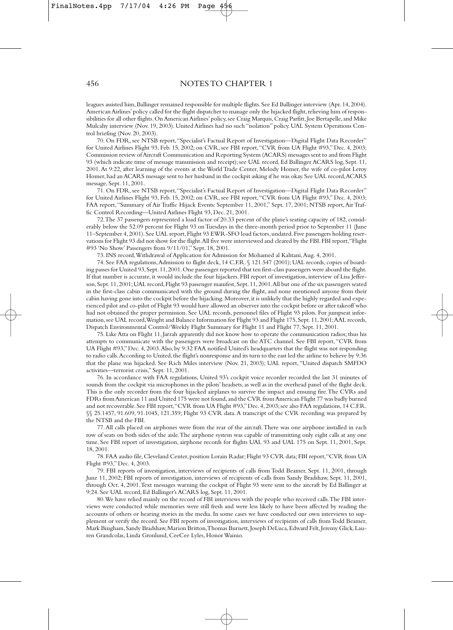leagues assisted him,Ballinger remained responsible for multiple flights.See Ed Ballinger interview (Apr.14,2004). American Airlines'policy called for the flight dispatcher to manage only the hijacked flight,relieving him of responsibilities for all other flights. On American Airlines' policy, see Craig Marquis, Craig Parfitt, Joe Bertapelle, and Mike Mulcahy interview (Nov. 19, 2003). United Airlines had no such "isolation" policy. UAL System Operations Control briefing (Nov. 20, 2003).

70. On FDR, see NTSB report,"Specialist's Factual Report of Investigation—Digital Flight Data Recorder" for United Airlines Flight 93, Feb. 15, 2002; on CVR, see FBI report,"CVR from UA Flight #93," Dec. 4, 2003; Commission review of Aircraft Communication and Reporting System (ACARS) messages sent to and from Flight 93 (which indicate time of message transmission and receipt); see UAL record, Ed Ballinger ACARS log, Sept. 11, 2001.At 9:22, after learning of the events at the World Trade Center, Melody Homer, the wife of co-pilot Leroy Homer, had an ACARS message sent to her husband in the cockpit asking if he was okay. See UAL record, ACARS message, Sept. 11, 2001.

71. On FDR, see NTSB report,"Specialist's Factual Report of Investigation—Digital Flight Data Recorder" for United Airlines Flight 93, Feb. 15, 2002; on CVR, see FBI report,"CVR from UA Flight #93," Dec. 4, 2003; FAA report,"Summary of Air Traffic Hijack Events: September 11, 2001," Sept. 17, 2001; NTSB report,Air Traffic Control Recording—United Airlines Flight 93, Dec. 21, 2001.

72.The 37 passengers represented a load factor of 20.33 percent of the plane's seating capacity of 182, considerably below the 52.09 percent for Flight 93 on Tuesdays in the three-month period prior to September 11 (June 11–September 4,2001).See UAL report,Flight 93 EWR-SFO load factors,undated.Five passengers holding reservations for Flight 93 did not show for the flight.All five were interviewed and cleared by the FBI.FBI report,"Flight #93 'No Show' Passengers from 9/11/01," Sept. 18, 2001.

73. INS record,Withdrawal of Application for Admission for Mohamed al Kahtani,Aug. 4, 2001.

74. See FAA regulations,Admission to flight deck, 14 C.F.R. § 121.547 (2001); UAL records, copies of boarding passes for United 93,Sept.11,2001.One passenger reported that ten first-class passengers were aboard the flight. If that number is accurate, it would include the four hijackers. FBI report of investigation, interview of Lisa Jefferson,Sept.11,2001;UAL record,Flight 93 passenger manifest,Sept.11,2001.All but one of the six passengers seated in the first-class cabin communicated with the ground during the flight, and none mentioned anyone from their cabin having gone into the cockpit before the hijacking. Moreover, it is unlikely that the highly regarded and experienced pilot and co-pilot of Flight 93 would have allowed an observer into the cockpit before or after takeoff who had not obtained the proper permission. See UAL records, personnel files of Flight 93 pilots. For jumpseat information,see UAL record,Weight and Balance Information for Flight 93 and Flight 175,Sept.11,2001;AAL records, Dispatch Environmental Control/Weekly Flight Summary for Flight 11 and Flight 77, Sept. 11, 2001.

75. Like Atta on Flight 11, Jarrah apparently did not know how to operate the communication radios; thus his attempts to communicate with the passengers were broadcast on the ATC channel. See FBI report,"CVR from UA Flight #93," Dec. 4, 2003.Also, by 9:32 FAA notified United's headquarters that the flight was not responding to radio calls. According to United, the flight's nonresponse and its turn to the east led the airline to believe by 9:36 that the plane was hijacked. See Rich Miles interview (Nov. 21, 2003); UAL report, "United dispatch SMFDO activities—terrorist crisis," Sept. 11, 2001.

76. In accordance with FAA regulations, United 93's cockpit voice recorder recorded the last 31 minutes of sounds from the cockpit via microphones in the pilots' headsets, as well as in the overhead panel of the flight deck. This is the only recorder from the four hijacked airplanes to survive the impact and ensuing fire.The CVRs and FDRs from American 11 and United 175 were not found,and the CVR from American Flight 77 was badly burned and not recoverable. See FBI report, "CVR from UA Flight #93," Dec. 4, 2003; see also FAA regulations, 14 C.F.R. §§ 25.1457, 91.609, 91.1045, 121.359; Flight 93 CVR data.A transcript of the CVR recording was prepared by the NTSB and the FBI.

77.All calls placed on airphones were from the rear of the aircraft.There was one airphone installed in each row of seats on both sides of the aisle. The airphone system was capable of transmitting only eight calls at any one time. See FBI report of investigation, airphone records for flights UAL 93 and UAL 175 on Sept. 11, 2001, Sept. 18, 2001.

78. FAA audio file, Cleveland Center, position Lorain Radar; Flight 93 CVR data; FBI report, "CVR from UA Flight #93," Dec. 4, 2003.

79. FBI reports of investigation, interviews of recipients of calls from Todd Beamer, Sept. 11, 2001, through June 11, 2002; FBI reports of investigation, interviews of recipients of calls from Sandy Bradshaw, Sept. 11, 2001, through Oct. 4, 2001.Text messages warning the cockpit of Flight 93 were sent to the aircraft by Ed Ballinger at 9:24. See UAL record, Ed Ballinger's ACARS log, Sept. 11, 2001.

80.We have relied mainly on the record of FBI interviews with the people who received calls.The FBI interviews were conducted while memories were still fresh and were less likely to have been affected by reading the accounts of others or hearing stories in the media. In some cases we have conducted our own interviews to supplement or verify the record. See FBI reports of investigation, interviews of recipients of calls from Todd Beamer, Mark Bingham,Sandy Bradshaw,Marion Britton,Thomas Burnett,Joseph DeLuca,Edward Felt,Jeremy Glick,Lauren Grandcolas, Linda Gronlund, CeeCee Lyles, Honor Wainio.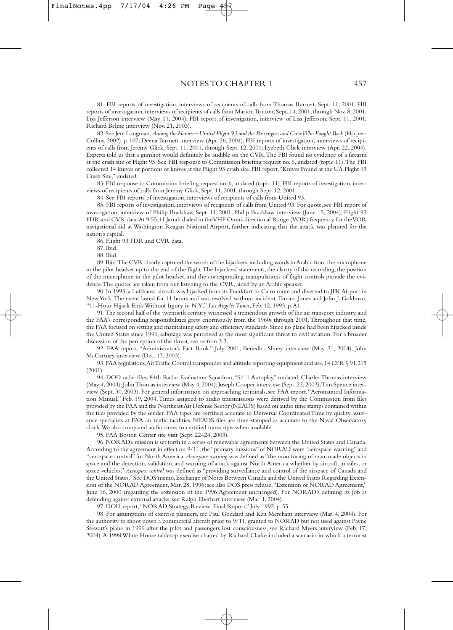81. FBI reports of investigation, interviews of recipients of calls from Thomas Burnett, Sept. 11, 2001; FBI reports of investigation, interviews of recipients of calls from Marion Britton, Sept. 14, 2001, through Nov. 8, 2001; Lisa Jefferson interview (May 11, 2004); FBI report of investigation, interview of Lisa Jefferson, Sept. 11, 2001; Richard Belme interview (Nov. 21, 2003).

82.See Jere Longman,*Among the Heroes—United Flight 93 and the Passengers and Crew Who Fought Back* (Harper-Collins, 2002), p. 107; Deena Burnett interview (Apr. 26, 2004); FBI reports of investigation, interviews of recipients of calls from Jeremy Glick, Sept. 11, 2001, through Sept. 12, 2001; Lyzbeth Glick interview (Apr. 22, 2004). Experts told us that a gunshot would definitely be audible on the CVR.The FBI found no evidence of a firearm at the crash site of Flight 93. See FBI response to Commission briefing request no. 6, undated (topic 11).The FBI collected 14 knives or portions of knives at the Flight 93 crash site. FBI report,"Knives Found at the UA Flight 93 Crash Site," undated.

83. FBI response to Commission briefing request no. 6, undated (topic 11); FBI reports of investigation, interviews of recipients of calls from Jeremy Glick, Sept. 11, 2001, through Sept. 12, 2001.

84. See FBI reports of investigation, interviews of recipients of calls from United 93.

85. FBI reports of investigation, interviews of recipients of calls from United 93. For quote, see FBI report of investigation, interview of Philip Bradshaw, Sept. 11, 2001; Philip Bradshaw interview (June 15, 2004); Flight 93 FDR and CVR data.At 9:55:11 Jarrah dialed in the VHF Omni-directional Range (VOR) frequency for the VOR navigational aid at Washington Reagan National Airport, further indicating that the attack was planned for the nation's capital.

86. Flight 93 FDR and CVR data.

87. Ibid.

88. Ibid.

89.Ibid.The CVR clearly captured the words of the hijackers,including words in Arabic from the microphone in the pilot headset up to the end of the flight.The hijackers' statements, the clarity of the recording, the position of the microphone in the pilot headset, and the corresponding manipulations of flight controls provide the evidence.The quotes are taken from our listening to the CVR, aided by an Arabic speaker.

90. In 1993, a Lufthansa aircraft was hijacked from its Frankfurt to Cairo route and diverted to JFK Airport in New York.The event lasted for 11 hours and was resolved without incident.Tamara Jones and John J. Goldman, "11-Hour Hijack Ends Without Injury in N.Y.," *Los Angeles Times*, Feb. 12, 1993, p.A1.

91.The second half of the twentieth century witnessed a tremendous growth of the air transport industry, and the FAA's corresponding responsibilities grew enormously from the 1960s through 2001.Throughout that time, the FAA focused on setting and maintaining safety and efficiency standards.Since no plane had been hijacked inside the United States since 1991, sabotage was perceived as the most significant threat to civil aviation. For a broader discussion of the perception of the threat, see section 3.3.

92. FAA report, "Administrator's Fact Book," July 2001; Benedict Sliney interview (May 21, 2004); John McCartney interview (Dec. 17, 2003).

93.FAA regulations,Air Traffic Control transponder and altitude reporting equipment and use,14 CFR § 91.215 (2001).

94. DOD radar files, 84th Radar Evaluation Squadron,"9/11 Autoplay," undated; Charles Thomas interview (May 4, 2004); John Thomas interview (May 4, 2004); Joseph Cooper interview (Sept. 22, 2003); Tim Spence interview (Sept. 30, 2003). For general information on approaching terminals, see FAA report,"Aeronautical Information Manual," Feb. 19, 2004.Times assigned to audio transmissions were derived by the Commission from files provided by the FAA and the Northeast Air Defense Sector (NEADS) based on audio time stamps contained within the files provided by the sender. FAA tapes are certified accurate to Universal Coordinated Time by quality assurance specialists at FAA air traffic facilities. NEADS files are time-stamped as accurate to the Naval Observatory clock.We also compared audio times to certified transcripts when available.

95. FAA Boston Center site visit (Sept. 22–24, 2003).

96. NORAD's mission is set forth in a series of renewable agreements between the United States and Canada. According to the agreement in effect on 9/11, the "primary missions" of NORAD were "aerospace warning" and "aerospace control" for North America.*Aerospace warning* was defined as "the monitoring of man-made objects in space and the detection, validation, and warning of attack against North America whether by aircraft, missiles, or space vehicles." *Aerospace control* was defined as "providing surveillance and control of the airspace of Canada and the United States." See DOS memo, Exchange of Notes Between Canada and the United States Regarding Extension of the NORAD Agreement, Mar. 28, 1996; see also DOS press release,"Extension of NORAD Agreement," June 16, 2000 (regarding the extension of the 1996 Agreement unchanged). For NORAD's defining its job as defending against external attacks, see Ralph Eberhart interview (Mar. 1, 2004).

97. DOD report,"NORAD Strategy Review: Final Report," July 1992, p. 55.

98. For assumptions of exercise planners, see Paul Goddard and Ken Merchant interview (Mar. 4, 2004). For the authority to shoot down a commercial aircraft prior to 9/11, granted to NORAD but not used against Payne Stewart's plane in 1999 after the pilot and passengers lost consciousness, see Richard Myers interview (Feb. 17, 2004).A 1998 White House tabletop exercise chaired by Richard Clarke included a scenario in which a terrorist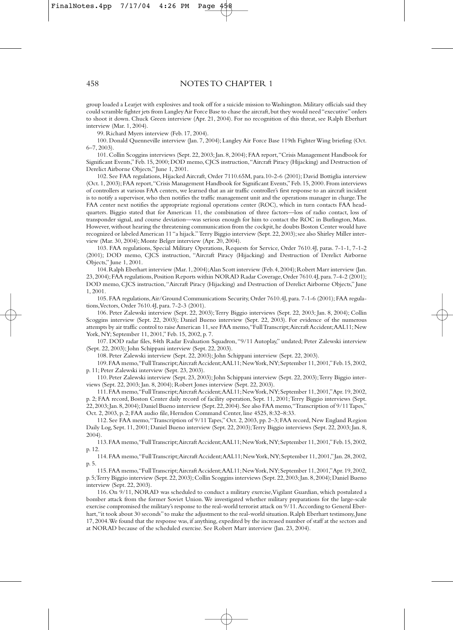group loaded a Learjet with explosives and took off for a suicide mission to Washington. Military officials said they could scramble fighter jets from Langley Air Force Base to chase the aircraft, but they would need "executive" orders to shoot it down. Chuck Green interview (Apr. 21, 2004). For no recognition of this threat, see Ralph Eberhart interview (Mar. 1, 2004).

99. Richard Myers interview (Feb. 17, 2004).

100. Donald Quenneville interview (Jan. 7, 2004); Langley Air Force Base 119th Fighter Wing briefing (Oct. 6–7, 2003).

101. Collin Scoggins interviews (Sept. 22, 2003; Jan. 8, 2004); FAA report,"Crisis Management Handbook for Significant Events," Feb. 15, 2000; DOD memo, CJCS instruction,"Aircraft Piracy (Hijacking) and Destruction of Derelict Airborne Objects," June 1, 2001.

102. See FAA regulations, Hijacked Aircraft, Order 7110.65M, para.10-2-6 (2001); David Bottiglia interview (Oct. 1, 2003); FAA report,"Crisis Management Handbook for Significant Events," Feb. 15, 2000. From interviews of controllers at various FAA centers, we learned that an air traffic controller's first response to an aircraft incident is to notify a supervisor, who then notifies the traffic management unit and the operations manager in charge.The FAA center next notifies the appropriate regional operations center (ROC), which in turn contacts FAA headquarters. Biggio stated that for American 11, the combination of three factors—loss of radio contact, loss of transponder signal, and course deviation—was serious enough for him to contact the ROC in Burlington, Mass. However, without hearing the threatening communication from the cockpit, he doubts Boston Center would have recognized or labeled American 11 "a hijack." Terry Biggio interview (Sept. 22, 2003); see also Shirley Miller interview (Mar. 30, 2004); Monte Belger interview (Apr. 20, 2004).

103. FAA regulations, Special Military Operations, Requests for Service, Order 7610.4J, paras. 7-1-1, 7-1-2 (2001); DOD memo, CJCS instruction, "Aircraft Piracy (Hijacking) and Destruction of Derelict Airborne Objects," June 1, 2001.

104.Ralph Eberhart interview (Mar.1,2004);Alan Scott interview (Feb.4,2004);Robert Marr interview (Jan. 23,2004);FAA regulations,Position Reports within NORAD Radar Coverage,Order 7610.4J,para.7-4-2 (2001); DOD memo, CJCS instruction,"Aircraft Piracy (Hijacking) and Destruction of Derelict Airborne Objects," June 1, 2001.

105. FAA regulations,Air/Ground Communications Security, Order 7610.4J, para. 7-1-6 (2001); FAA regulations,Vectors, Order 7610.4J, para. 7-2-3 (2001).

106. Peter Zalewski interview (Sept. 22, 2003);Terry Biggio interviews (Sept. 22, 2003; Jan. 8, 2004); Collin Scoggins interview (Sept. 22, 2003); Daniel Bueno interview (Sept. 22, 2003). For evidence of the numerous attempts by air traffic control to raise American 11, see FAA memo, "Full Transcript; Aircraft Accident; AAL11; New York, NY; September 11, 2001," Feb. 15, 2002, p. 7.

107. DOD radar files, 84th Radar Evaluation Squadron,"9/11 Autoplay," undated; Peter Zalewski interview (Sept. 22, 2003); John Schippani interview (Sept. 22, 2003).

108. Peter Zalewski interview (Sept. 22, 2003); John Schippani interview (Sept. 22, 2003).

109.FAA memo,"Full Transcript;Aircraft Accident;AAL11;New York,NY;September 11,2001,"Feb.15,2002, p. 11; Peter Zalewski interview (Sept. 23, 2003).

110. Peter Zalewski interview (Sept. 23, 2003); John Schippani interview (Sept. 22, 2003);Terry Biggio interviews (Sept. 22, 2003; Jan. 8, 2004); Robert Jones interview (Sept. 22, 2003).

111.FAA memo,"Full Transcript;Aircraft Accident;AAL11;New York,NY;September 11,2001,"Apr.19,2002, p. 2; FAA record, Boston Center daily record of facility operation, Sept. 11, 2001;Terry Biggio interviews (Sept. 22,2003;Jan.8,2004);Daniel Bueno interview (Sept.22,2004).See also FAA memo,"Transcription of 9/11 Tapes," Oct. 2, 2003, p. 2; FAA audio file, Herndon Command Center, line 4525, 8:32–8:33.

112. See FAA memo,"Transcription of 9/11 Tapes," Oct. 2, 2003, pp. 2–3; FAA record, New England Region Daily Log, Sept. 11, 2001; Daniel Bueno interview (Sept. 22, 2003); Terry Biggio interviews (Sept. 22, 2003; Jan. 8, 2004).

113.FAA memo,"Full Transcript;Aircraft Accident;AAL11;New York,NY;September 11,2001,"Feb.15,2002, p. 12.

114.FAA memo,"Full Transcript;Aircraft Accident;AAL11;New York,NY;September 11,2001,"Jan.28,2002, p. 5.

115.FAA memo,"Full Transcript;Aircraft Accident;AAL11;New York,NY;September 11,2001,"Apr.19,2002, p. 5;Terry Biggio interview (Sept. 22, 2003); Collin Scoggins interviews (Sept. 22, 2003; Jan. 8, 2004); Daniel Bueno interview (Sept. 22, 2003).

116. On 9/11, NORAD was scheduled to conduct a military exercise,Vigilant Guardian, which postulated a bomber attack from the former Soviet Union.We investigated whether military preparations for the large-scale exercise compromised the military's response to the real-world terrorist attack on 9/11. According to General Eberhart, "it took about 30 seconds" to make the adjustment to the real-world situation. Ralph Eberhart testimony, June 17, 2004.We found that the response was, if anything, expedited by the increased number of staff at the sectors and at NORAD because of the scheduled exercise. See Robert Marr interview (Jan. 23, 2004).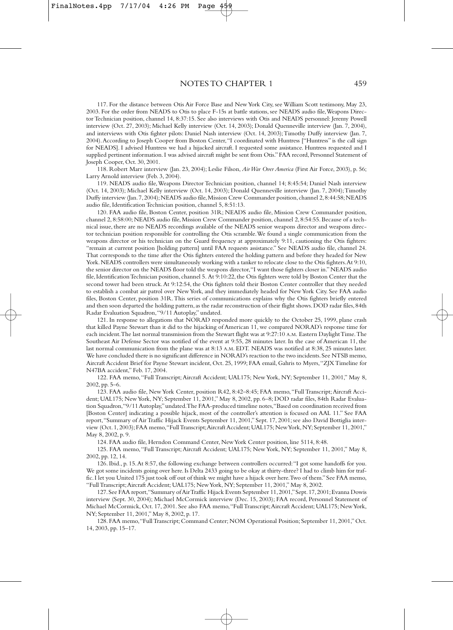117. For the distance between Otis Air Force Base and New York City, see William Scott testimony, May 23, 2003. For the order from NEADS to Otis to place F-15s at battle stations, see NEADS audio file,Weapons Director Technician position, channel 14, 8:37:15. See also interviews with Otis and NEADS personnel: Jeremy Powell interview (Oct. 27, 2003); Michael Kelly interview (Oct. 14, 2003); Donald Quenneville interview (Jan. 7, 2004), and interviews with Otis fighter pilots: Daniel Nash interview (Oct. 14, 2003);Timothy Duffy interview (Jan. 7, 2004).According to Joseph Cooper from Boston Center,"I coordinated with Huntress ["Huntress" is the call sign for NEADS]. I advised Huntress we had a hijacked aircraft. I requested some assistance. Huntress requested and I supplied pertinent information. I was advised aircraft might be sent from Otis." FAA record, Personnel Statement of Joseph Cooper, Oct. 30, 2001.

118. Robert Marr interview (Jan. 23, 2004); Leslie Filson, *Air War Over America* (First Air Force, 2003), p. 56; Larry Arnold interview (Feb. 3, 2004).

119. NEADS audio file,Weapons Director Technician position, channel 14; 8:45:54; Daniel Nash interview (Oct. 14, 2003); Michael Kelly interview (Oct. 14, 2003); Donald Quenneville interview (Jan. 7, 2004);Timothy Duffy interview (Jan.7, 2004); NEADS audio file, Mission Crew Commander position, channel 2, 8:44:58; NEADS audio file, Identification Technician position, channel 5, 8:51:13.

120. FAA audio file, Boston Center, position 31R; NEADS audio file, Mission Crew Commander position, channel 2, 8:58:00; NEADS audio file, Mission Crew Commander position, channel 2, 8:54:55. Because of a technical issue, there are no NEADS recordings available of the NEADS senior weapons director and weapons director technician position responsible for controlling the Otis scramble.We found a single communication from the weapons director or his technician on the Guard frequency at approximately 9:11, cautioning the Otis fighters: "remain at current position [holding pattern] until FAA requests assistance." See NEADS audio file, channel 24. That corresponds to the time after the Otis fighters entered the holding pattern and before they headed for New York.NEADS controllers were simultaneously working with a tanker to relocate close to the Otis fighters.At 9:10, the senior director on the NEADS floor told the weapons director,"I want those fighters closer in."NEADS audio file, Identification Technician position, channel 5. At 9:10:22, the Otis fighters were told by Boston Center that the second tower had been struck.At 9:12:54, the Otis fighters told their Boston Center controller that they needed to establish a combat air patrol over New York, and they immediately headed for New York City. See FAA audio files, Boston Center, position 31R.This series of communications explains why the Otis fighters briefly entered and then soon departed the holding pattern, as the radar reconstruction of their flight shows. DOD radar files, 84th Radar Evaluation Squadron,"9/11 Autoplay," undated.

121. In response to allegations that NORAD responded more quickly to the October 25, 1999, plane crash that killed Payne Stewart than it did to the hijacking of American 11, we compared NORAD's response time for each incident.The last normal transmission from the Stewart flight was at 9:27:10 A.M. Eastern Daylight Time.The Southeast Air Defense Sector was notified of the event at 9:55, 28 minutes later. In the case of American 11, the last normal communication from the plane was at 8:13 A.M. EDT. NEADS was notified at 8:38, 25 minutes later. We have concluded there is no significant difference in NORAD's reaction to the two incidents. See NTSB memo, Aircraft Accident Brief for Payne Stewart incident, Oct. 25, 1999; FAA email, Gahris to Myers,"ZJX Timeline for N47BA accident," Feb. 17, 2004.

122. FAA memo,"Full Transcript; Aircraft Accident; UAL175; New York, NY; September 11, 2001," May 8, 2002, pp. 5–6.

123. FAA audio file, New York Center, position R42, 8:42–8:45; FAA memo,"Full Transcript;Aircraft Accident; UAL175; New York, NY; September 11, 2001," May 8, 2002, pp. 6–8; DOD radar files, 84th Radar Evaluation Squadron,"9/11 Autoplay,"undated.The FAA-produced timeline notes,"Based on coordination received from [Boston Center] indicating a possible hijack, most of the controller's attention is focused on AAL 11." See FAA report,"Summary of Air Traffic Hijack Events September 11, 2001," Sept. 17, 2001; see also David Bottiglia interview (Oct. 1, 2003); FAA memo, "Full Transcript; Aircraft Accident; UAL175; New York, NY; September 11, 2001," May 8, 2002, p. 9.

124. FAA audio file, Herndon Command Center, New York Center position, line 5114, 8:48.

125. FAA memo,"Full Transcript; Aircraft Accident; UAL175; New York, NY; September 11, 2001," May 8, 2002, pp. 12, 14.

126. Ibid., p. 15.At 8:57, the following exchange between controllers occurred:"I got some handoffs for you. We got some incidents going over here. Is Delta 2433 going to be okay at thirty-three? I had to climb him for traffic.I let you United 175 just took off out of think we might have a hijack over here.Two of them."See FAA memo, "Full Transcript;Aircraft Accident; UAL175; New York, NY; September 11, 2001," May 8, 2002.

127.See FAA report,"Summary of Air Traffic Hijack Events September 11,2001,"Sept.17,2001;Evanna Dowis interview (Sept. 30, 2004); Michael McCormick interview (Dec. 15, 2003); FAA record, Personnel Statement of Michael McCormick, Oct. 17, 2001. See also FAA memo,"Full Transcript;Aircraft Accident; UAL175; New York, NY; September 11, 2001," May 8, 2002, p. 17.

128. FAA memo,"Full Transcript; Command Center; NOM Operational Position; September 11, 2001," Oct. 14, 2003, pp. 15–17.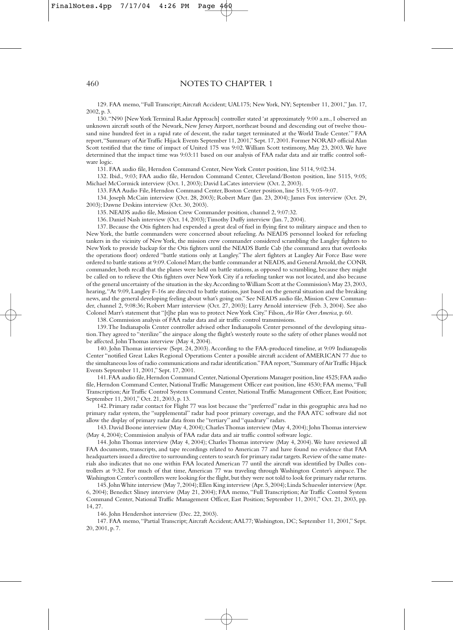## 460 NOTES TO CHAPTER 1

129. FAA memo,"Full Transcript; Aircraft Accident; UAL175; New York, NY; September 11, 2001," Jan. 17, 2002, p. 3.

130."N90 [New York Terminal Radar Approach] controller stated 'at approximately 9:00 a.m., I observed an unknown aircraft south of the Newark, New Jersey Airport, northeast bound and descending out of twelve thousand nine hundred feet in a rapid rate of descent, the radar target terminated at the World Trade Center.'" FAA report,"Summary of Air Traffic Hijack Events September 11, 2001," Sept. 17, 2001. Former NORAD official Alan Scott testified that the time of impact of United 175 was 9:02.William Scott testimony, May 23, 2003.We have determined that the impact time was 9:03:11 based on our analysis of FAA radar data and air traffic control software logic.

131. FAA audio file, Herndon Command Center, New York Center position, line 5114, 9:02:34.

132. Ibid., 9:03; FAA audio file, Herndon Command Center, Cleveland/Boston position, line 5115, 9:05; Michael McCormick interview (Oct. 1, 2003); David LaCates interview (Oct. 2, 2003).

133. FAA Audio File, Herndon Command Center, Boston Center position, line 5115, 9:05–9:07.

134. Joseph McCain interview (Oct. 28, 2003); Robert Marr (Jan. 23, 2004); James Fox interview (Oct. 29, 2003); Dawne Deskins interview (Oct. 30, 2003).

135. NEADS audio file, Mission Crew Commander position, channel 2, 9:07:32.

136. Daniel Nash interview (Oct. 14, 2003);Timothy Duffy interview (Jan. 7, 2004).

137. Because the Otis fighters had expended a great deal of fuel in flying first to military airspace and then to New York, the battle commanders were concerned about refueling. As NEADS personnel looked for refueling tankers in the vicinity of New York, the mission crew commander considered scrambling the Langley fighters to New York to provide backup for the Otis fighters until the NEADS Battle Cab (the command area that overlooks the operations floor) ordered "battle stations only at Langley."The alert fighters at Langley Air Force Base were ordered to battle stations at 9:09.Colonel Marr,the battle commander at NEADS,and General Arnold,the CONR commander, both recall that the planes were held on battle stations, as opposed to scrambling, because they might be called on to relieve the Otis fighters over New York City if a refueling tanker was not located, and also because of the general uncertainty of the situation in the sky.According to William Scott at the Commission's May 23,2003, hearing,"At 9:09, Langley F-16s are directed to battle stations, just based on the general situation and the breaking news, and the general developing feeling about what's going on." See NEADS audio file, Mission Crew Commander, channel 2, 9:08:36; Robert Marr interview (Oct. 27, 2003); Larry Arnold interview (Feb. 3, 2004). See also Colonel Marr's statement that "[t]he plan was to protect New York City." Filson,*Air War Over America*, p. 60.

138. Commission analysis of FAA radar data and air traffic control transmissions.

139.The Indianapolis Center controller advised other Indianapolis Center personnel of the developing situation.They agreed to "sterilize" the airspace along the flight's westerly route so the safety of other planes would not be affected. John Thomas interview (May 4, 2004).

140. John Thomas interview (Sept. 24, 2003).According to the FAA-produced timeline, at 9:09 Indianapolis Center "notified Great Lakes Regional Operations Center a possible aircraft accident of AMERICAN 77 due to the simultaneous loss of radio communications and radar identification."FAA report,"Summary of Air Traffic Hijack Events September 11, 2001," Sept. 17, 2001.

141.FAA audio file,Herndon Command Center,National Operations Manager position,line 4525;FAA audio file, Herndon Command Center, National Traffic Management Officer east position, line 4530; FAA memo,"Full Transcription;Air Traffic Control System Command Center, National Traffic Management Officer, East Position; September 11, 2001," Oct. 21, 2003, p. 13.

142. Primary radar contact for Flight 77 was lost because the "preferred" radar in this geographic area had no primary radar system, the "supplemental" radar had poor primary coverage, and the FAA ATC software did not allow the display of primary radar data from the "tertiary" and "quadrary" radars.

143. David Boone interview (May 4, 2004); Charles Thomas interview (May 4, 2004); John Thomas interview (May 4, 2004); Commission analysis of FAA radar data and air traffic control software logic.

144. John Thomas interview (May 4, 2004); Charles Thomas interview (May 4, 2004).We have reviewed all FAA documents, transcripts, and tape recordings related to American 77 and have found no evidence that FAA headquarters issued a directive to surrounding centers to search for primary radar targets.Review of the same materials also indicates that no one within FAA located American 77 until the aircraft was identified by Dulles controllers at 9:32. For much of that time, American 77 was traveling through Washington Center's airspace. The Washington Center's controllers were looking for the flight, but they were not told to look for primary radar returns.

145.John White interview (May 7,2004);Ellen King interview (Apr.5,2004);Linda Schuessler interview (Apr. 6, 2004); Benedict Sliney interview (May 21, 2004); FAA memo,"Full Transcription; Air Traffic Control System Command Center, National Traffic Management Officer, East Position; September 11, 2001," Oct. 21, 2003, pp. 14, 27.

146. John Hendershot interview (Dec. 22, 2003).

147. FAA memo,"Partial Transcript; Aircraft Accident; AAL77;Washington, DC; September 11, 2001," Sept. 20, 2001, p. 7.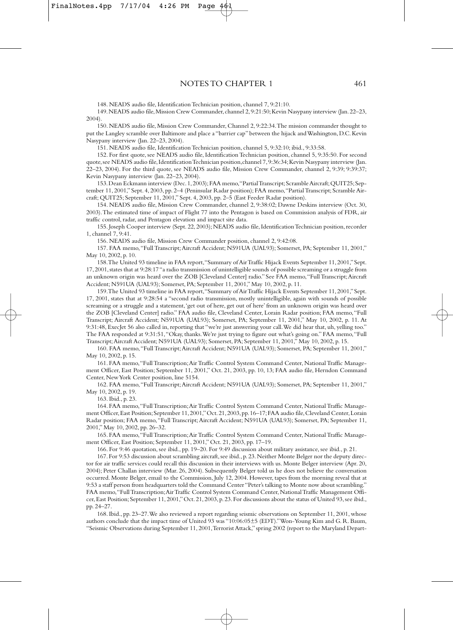148. NEADS audio file, Identification Technician position, channel 7, 9:21:10.

149.NEADS audio file,Mission Crew Commander,channel 2,9:21:50;Kevin Nasypany interview (Jan.22–23, 2004).

150. NEADS audio file, Mission Crew Commander, Channel 2, 9:22:34.The mission commander thought to put the Langley scramble over Baltimore and place a "barrier cap" between the hijack and Washington, D.C. Kevin Nasypany interview (Jan. 22–23, 2004).

151. NEADS audio file, Identification Technician position, channel 5, 9:32:10; ibid., 9:33:58.

152. For first quote, see NEADS audio file, Identification Technician position, channel 5, 9:35:50. For second quote, see NEADS audio file, Identification Technician position, channel 7, 9:36:34; Kevin Nasypany interview (Jan. 22–23, 2004). For the third quote, see NEADS audio file, Mission Crew Commander, channel 2, 9:39; 9:39:37; Kevin Nasypany interview (Jan. 22–23, 2004).

153.Dean Eckmann interview (Dec.1,2003);FAA memo,"Partial Transcript;Scramble Aircraft;QUIT25;September 11, 2001," Sept. 4, 2003, pp. 2–4 (Peninsular Radar position); FAA memo,"Partial Transcript; Scramble Aircraft; QUIT25; September 11, 2001," Sept. 4, 2003, pp. 2–5 (East Feeder Radar position).

154. NEADS audio file, Mission Crew Commander, channel 2, 9:38:02; Dawne Deskins interview (Oct. 30, 2003).The estimated time of impact of Flight 77 into the Pentagon is based on Commission analysis of FDR, air traffic control, radar, and Pentagon elevation and impact site data.

155. Joseph Cooper interview (Sept. 22, 2003); NEADS audio file, Identification Technician position, recorder 1, channel 7, 9:41.

156. NEADS audio file, Mission Crew Commander position, channel 2, 9:42:08.

157. FAA memo,"Full Transcript;Aircraft Accident; N591UA (UAL93); Somerset, PA; September 11, 2001," May 10, 2002, p. 10.

158.The United 93 timeline in FAA report,"Summary of Air Traffic Hijack Events September 11,2001,"Sept. 17,2001,states that at 9:28:17 "a radio transmission of unintelligible sounds of possible screaming or a struggle from an unknown origin was heard over the ZOB [Cleveland Center] radio." See FAA memo, "Full Transcript; Aircraft Accident; N591UA (UAL93); Somerset, PA; September 11, 2001," May 10, 2002, p. 11.

159.The United 93 timeline in FAA report,"Summary of Air Traffic Hijack Events September 11,2001,"Sept. 17, 2001, states that at 9:28:54 a "second radio transmission, mostly unintelligible, again with sounds of possible screaming or a struggle and a statement,'get out of here, get out of here' from an unknown origin was heard over the ZOB [Cleveland Center] radio." FAA audio file, Cleveland Center, Lorain Radar position; FAA memo,"Full Transcript; Aircraft Accident; N591UA (UAL93); Somerset, PA; September 11, 2001," May 10, 2002, p. 11. At 9:31:48, ExecJet 56 also called in, reporting that "we're just answering your call.We did hear that, uh, yelling too." The FAA responded at 9:31:51,"Okay, thanks.We're just trying to figure out what's going on." FAA memo,"Full Transcript;Aircraft Accident; N591UA (UAL93); Somerset, PA; September 11, 2001," May 10, 2002, p. 15.

160. FAA memo,"Full Transcript;Aircraft Accident; N591UA (UAL93); Somerset, PA; September 11, 2001," May 10, 2002, p. 15.

161. FAA memo,"Full Transcription;Air Traffic Control System Command Center, National Traffic Management Officer, East Position; September 11, 2001," Oct. 21, 2003, pp. 10, 13; FAA audio file, Herndon Command Center, New York Center position, line 5154.

162. FAA memo,"Full Transcript;Aircraft Accident; N591UA (UAL93); Somerset, PA; September 11, 2001," May 10, 2002, p. 19.

163. Ibid., p. 23.

164. FAA memo,"Full Transcription;Air Traffic Control System Command Center, National Traffic Management Officer,East Position;September 11,2001,"Oct.21,2003,pp.16–17;FAA audio file,Cleveland Center,Lorain Radar position; FAA memo,"Full Transcript;Aircraft Accident; N591UA (UAL93); Somerset, PA; September 11, 2001," May 10, 2002, pp. 26–32.

165. FAA memo,"Full Transcription;Air Traffic Control System Command Center, National Traffic Management Officer, East Position; September 11, 2001," Oct. 21, 2003, pp. 17–19.

166. For 9:46 quotation, see ibid., pp. 19–20. For 9:49 discussion about military assistance, see ibid., p. 21.

167. For 9:53 discussion about scrambling aircraft, see ibid., p. 23. Neither Monte Belger nor the deputy director for air traffic services could recall this discussion in their interviews with us. Monte Belger interview (Apr. 20, 2004); Peter Challan interview (Mar. 26, 2004). Subsequently Belger told us he does not believe the conversation occurred. Monte Belger, email to the Commission, July 12, 2004. However, tapes from the morning reveal that at 9:53 a staff person from headquarters told the Command Center "Peter's talking to Monte now about scrambling." FAA memo,"Full Transcription;Air Traffic Control System Command Center, National Traffic Management Officer, East Position; September 11, 2001," Oct. 21, 2003, p. 23. For discussions about the status of United 93, see ibid., pp. 24–27.

168. Ibid., pp. 23–27.We also reviewed a report regarding seismic observations on September 11, 2001, whose authors conclude that the impact time of United 93 was "10:06:05±5 (EDT)."Won-Young Kim and G. R. Baum, "Seismic Observations during September 11, 2001,Terrorist Attack," spring 2002 (report to the Maryland Depart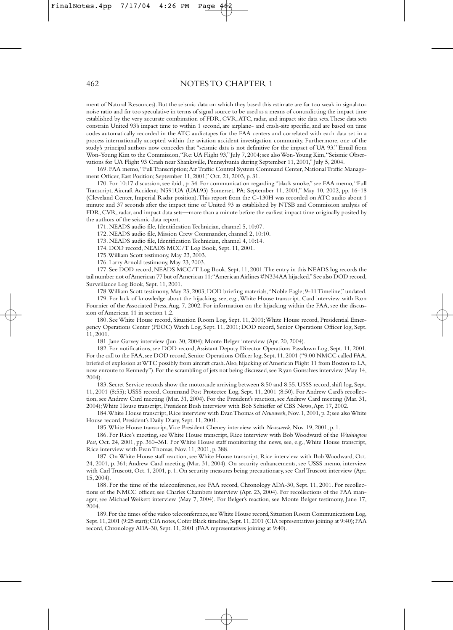ment of Natural Resources). But the seismic data on which they based this estimate are far too weak in signal-tonoise ratio and far too speculative in terms of signal source to be used as a means of contradicting the impact time established by the very accurate combination of FDR, CVR,ATC, radar, and impact site data sets.These data sets constrain United 93's impact time to within 1 second, are airplane- and crash-site specific, and are based on time codes automatically recorded in the ATC audiotapes for the FAA centers and correlated with each data set in a process internationally accepted within the aviation accident investigation community. Furthermore, one of the study's principal authors now concedes that "seismic data is not definitive for the impact of UA 93." Email from Won-Young Kim to the Commission,"Re:UA Flight 93,"July 7,2004;see also Won-Young Kim,"Seismic Observations for UA Flight 93 Crash near Shanksville, Pennsylvania during September 11, 2001," July 5, 2004.

169. FAA memo,"Full Transcription;Air Traffic Control System Command Center, National Traffic Management Officer, East Position; September 11, 2001," Oct. 21, 2003, p. 31.

170. For 10:17 discussion, see ibid., p. 34. For communication regarding "black smoke," see FAA memo,"Full Transcript; Aircraft Accident; N591UA (UAL93) Somerset, PA; September 11, 2001," May 10, 2002, pp. 16–18 (Cleveland Center, Imperial Radar position).This report from the C-130H was recorded on ATC audio about 1 minute and 37 seconds after the impact time of United 93 as established by NTSB and Commission analysis of FDR, CVR, radar, and impact data sets—more than a minute before the earliest impact time originally posited by the authors of the seismic data report.

171. NEADS audio file, Identification Technician, channel 5, 10:07.

172. NEADS audio file, Mission Crew Commander, channel 2, 10:10.

173. NEADS audio file, Identification Technician, channel 4, 10:14.

174. DOD record, NEADS MCC/T Log Book, Sept. 11, 2001.

175.William Scott testimony, May 23, 2003.

176. Larry Arnold testimony, May 23, 2003.

177. See DOD record, NEADS MCC/T Log Book, Sept. 11, 2001.The entry in this NEADS log records the tail number not of American 77 but of American 11:"American Airlines #N334AA hijacked."See also DOD record, Surveillance Log Book, Sept. 11, 2001.

178.William Scott testimony, May 23, 2003; DOD briefing materials,"Noble Eagle; 9-11 Timeline," undated.

179. For lack of knowledge about the hijacking, see, e.g.,White House transcript, Card interview with Ron Fournier of the Associated Press, Aug. 7, 2002. For information on the hijacking within the FAA, see the discussion of American 11 in section 1.2.

180. See White House record, Situation Room Log, Sept. 11, 2001;White House record, Presidential Emergency Operations Center (PEOC) Watch Log, Sept. 11, 2001; DOD record, Senior Operations Officer log, Sept. 11, 2001.

181. Jane Garvey interview (Jun. 30, 2004); Monte Belger interview (Apr. 20, 2004).

182. For notifications, see DOD record,Assistant Deputy Director Operations Passdown Log, Sept. 11, 2001. For the call to the FAA,see DOD record,Senior Operations Officer log,Sept.11,2001 ("9:00 NMCC called FAA, briefed of explosion at WTC possibly from aircraft crash. Also, hijacking of American Flight 11 from Boston to LA, now enroute to Kennedy"). For the scrambling of jets not being discussed, see Ryan Gonsalves interview (May 14, 2004).

183. Secret Service records show the motorcade arriving between 8:50 and 8:55. USSS record, shift log, Sept. 11, 2001 (8:55); USSS record, Command Post Protectee Log, Sept. 11, 2001 (8:50). For Andrew Card's recollection, see Andrew Card meeting (Mar. 31, 2004). For the President's reaction, see Andrew Card meeting (Mar. 31, 2004);White House transcript, President Bush interview with Bob Schieffer of CBS News,Apr. 17, 2002.

184. White House transcript, Rice interview with Evan Thomas of *Newsweek*, Nov. 1, 2001, p.2; see also White House record, President's Daily Diary, Sept. 11, 2001.

185.White House transcript,Vice President Cheney interview with *Newsweek*, Nov. 19, 2001, p. 1.

186. For Rice's meeting, see White House transcript, Rice interview with Bob Woodward of the *Washington Post*, Oct. 24, 2001, pp. 360–361. For White House staff monitoring the news, see, e.g.,White House transcript, Rice interview with Evan Thomas, Nov. 11, 2001, p. 388.

187. On White House staff reaction, see White House transcript, Rice interview with Bob Woodward, Oct. 24, 2001, p. 361; Andrew Card meeting (Mar. 31, 2004). On security enhancements, see USSS memo, interview with Carl Truscott, Oct. 1, 2001, p. 1. On security measures being precautionary, see Carl Truscott interview (Apr. 15, 2004).

188. For the time of the teleconference, see FAA record, Chronology ADA-30, Sept. 11, 2001. For recollections of the NMCC officer, see Charles Chambers interview (Apr. 23, 2004). For recollections of the FAA manager, see Michael Weikert interview (May 7, 2004). For Belger's reaction, see Monte Belger testimony, June 17, 2004.

189.For the times of the video teleconference,see White House record,Situation Room Communications Log, Sept. 11, 2001 (9:25 start); CIA notes, Cofer Black timeline, Sept. 11, 2001 (CIA representatives joining at 9:40); FAA record, Chronology ADA-30, Sept. 11, 2001 (FAA representatives joining at 9:40).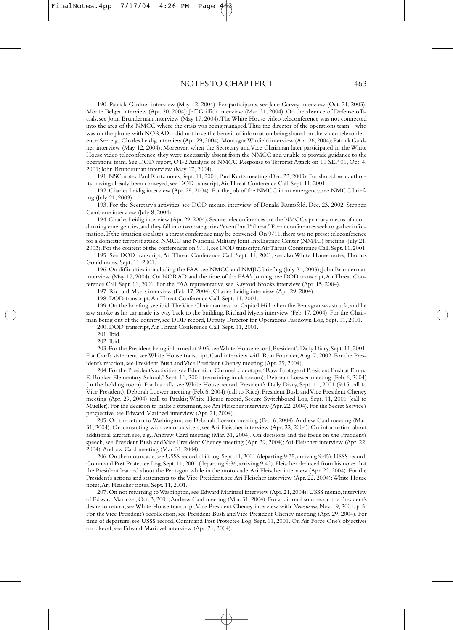190. Patrick Gardner interview (May 12, 2004). For participants, see Jane Garvey interview (Oct. 21, 2003); Monte Belger interview (Apr. 20, 2004); Jeff Griffith interview (Mar. 31, 2004). On the absence of Defense officials, see John Brunderman interview (May 17, 2004).The White House video teleconference was not connected into the area of the NMCC where the crisis was being managed.Thus the director of the operations team—who was on the phone with NORAD—did not have the benefit of information being shared on the video teleconference. See, e.g., Charles Leidig interview (Apr. 29, 2004); Montague Winfield interview (Apr. 26, 2004); Patrick Gardner interview (May 12, 2004). Moreover, when the Secretary and Vice Chairman later participated in the White House video teleconference, they were necessarily absent from the NMCC and unable to provide guidance to the operations team. See DOD report, OT-2 Analysis of NMCC Response to Terrorist Attack on 11 SEP 01, Oct. 4, 2001; John Brunderman interview (May 17, 2004).

191. NSC notes, Paul Kurtz notes, Sept. 11, 2001; Paul Kurtz meeting (Dec. 22, 2003). For shootdown authority having already been conveyed, see DOD transcript,Air Threat Conference Call, Sept. 11, 2001.

192. Charles Leidig interview (Apr. 29, 2004). For the job of the NMCC in an emergency, see NMCC briefing (July 21, 2003).

193. For the Secretary's activities, see DOD memo, interview of Donald Rumsfeld, Dec. 23, 2002; Stephen Cambone interview (July 8, 2004).

194.Charles Leidig interview (Apr.29,2004).Secure teleconferences are the NMCC's primary means of coordinating emergencies,and they fall into two categories:"event"and "threat."Event conferences seek to gather information. If the situation escalates, a threat conference may be convened. On 9/11, there was no preset teleconference for a domestic terrorist attack. NMCC and National Military Joint Intelligence Center (NMJIC) briefing (July 21, 2003).For the content of the conferences on 9/11,see DOD transcript,Air Threat Conference Call,Sept.11,2001.

195. See DOD transcript, Air Threat Conference Call, Sept. 11, 2001; see also White House notes,Thomas Gould notes, Sept. 11, 2001.

196. On difficulties in including the FAA, see NMCC and NMJIC briefing (July 21, 2003); John Brunderman interview (May 17, 2004). On NORAD and the time of the FAA's joining, see DOD transcript,Air Threat Conference Call, Sept. 11, 2001. For the FAA representative, see Rayford Brooks interview (Apr. 15, 2004).

197. Richard Myers interview (Feb. 17, 2004); Charles Leidig interview (Apr. 29, 2004).

198. DOD transcript,Air Threat Conference Call, Sept. 11, 2001.

199. On the briefing, see ibid.The Vice Chairman was on Capitol Hill when the Pentagon was struck, and he saw smoke as his car made its way back to the building. Richard Myers interview (Feb. 17, 2004). For the Chairman being out of the country, see DOD record, Deputy Director for Operations Passdown Log, Sept. 11, 2001.

200. DOD transcript,Air Threat Conference Call, Sept. 11, 2001.

201. Ibid.

202. Ibid.

203.For the President being informed at 9:05,see White House record,President's Daily Diary,Sept.11,2001. For Card's statement, see White House transcript, Card interview with Ron Fournier,Aug. 7, 2002. For the President's reaction, see President Bush and Vice President Cheney meeting (Apr. 29, 2004).

204.For the President's activities,see Education Channel videotape,"Raw Footage of President Bush at Emma E. Booker Elementary School," Sept. 11, 2001 (remaining in classroom); Deborah Loewer meeting (Feb. 6, 2004) (in the holding room). For his calls, see White House record, President's Daily Diary, Sept. 11, 2001 (9:15 call to Vice President); Deborah Loewer meeting (Feb. 6, 2004) (call to Rice); President Bush and Vice President Cheney meeting (Apr. 29, 2004) (call to Pataki); White House record, Secure Switchboard Log, Sept. 11, 2001 (call to Mueller). For the decision to make a statement, see Ari Fleischer interview (Apr. 22, 2004). For the Secret Service's perspective, see Edward Marinzel interview (Apr. 21, 2004).

205. On the return to Washington, see Deborah Loewer meeting (Feb. 6, 2004); Andrew Card meeting (Mar. 31, 2004). On consulting with senior advisers, see Ari Fleischer interview (Apr. 22, 2004). On information about additional aircraft, see, e.g.,Andrew Card meeting (Mar. 31, 2004). On decisions and the focus on the President's speech, see President Bush and Vice President Cheney meeting (Apr. 29, 2004);Ari Fleischer interview (Apr. 22, 2004);Andrew Card meeting (Mar. 31, 2004).

206.On the motorcade,see USSS record,shift log,Sept.11,2001 (departing 9:35,arriving 9:45);USSS record, Command Post Protectee Log, Sept. 11, 2001 (departing 9:36, arriving 9:42). Fleischer deduced from his notes that the President learned about the Pentagon while in the motorcade.Ari Fleischer interview (Apr. 22, 2004). For the President's actions and statements to the Vice President, see Ari Fleischer interview (Apr. 22, 2004); White House notes,Ari Fleischer notes, Sept. 11, 2001.

207. On not returning to Washington, see Edward Marinzel interview (Apr. 21, 2004); USSS memo, interview of Edward Marinzel, Oct. 3, 2001;Andrew Card meeting (Mar. 31, 2004). For additional sources on the President's desire to return, see White House transcript,Vice President Cheney interview with *Newsweek*, Nov. 19, 2001, p. 5. For the Vice President's recollection, see President Bush and Vice President Cheney meeting (Apr. 29, 2004). For time of departure, see USSS record, Command Post Protectee Log, Sept. 11, 2001. On Air Force One's objectives on takeoff, see Edward Marinzel interview (Apr. 21, 2004).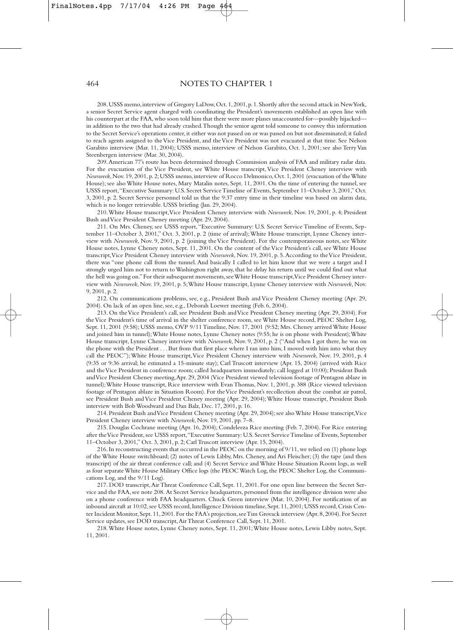208.USSS memo,interview of Gregory LaDow,Oct.1,2001,p.1.Shortly after the second attack in New York, a senior Secret Service agent charged with coordinating the President's movements established an open line with his counterpart at the FAA, who soon told him that there were more planes unaccounted for—possibly hijacked in addition to the two that had already crashed.Though the senior agent told someone to convey this information to the Secret Service's operations center, it either was not passed on or was passed on but not disseminated; it failed to reach agents assigned to the Vice President, and the Vice President was not evacuated at that time. See Nelson Garabito interview (Mar. 11, 2004); USSS memo, interview of Nelson Garabito, Oct. 1, 2001; see also Terry Van Steenbergen interview (Mar. 30, 2004).

209.American 77's route has been determined through Commission analysis of FAA and military radar data. For the evacuation of the Vice President, see White House transcript, Vice President Cheney interview with *Newsweek*,Nov.19, 2001, p.2; USSS memo,interview of Rocco Delmonico,Oct. 1, 2001 (evacuation of the White House); see also White House notes, Mary Matalin notes, Sept. 11, 2001. On the time of entering the tunnel, see USSS report,"Executive Summary: U.S. Secret Service Timeline of Events, September 11–October 3, 2001," Oct. 3, 2001, p. 2. Secret Service personnel told us that the 9:37 entry time in their timeline was based on alarm data, which is no longer retrievable. USSS briefing (Jan. 29, 2004).

210.White House transcript,Vice President Cheney interview with *Newsweek*, Nov. 19, 2001, p. 4; President Bush and Vice President Cheney meeting (Apr. 29, 2004).

211. On Mrs. Cheney, see USSS report,"Executive Summary: U.S. Secret Service Timeline of Events, September 11–October 3, 2001," Oct. 3, 2001, p. 2 (time of arrival); White House transcript, Lynne Cheney interview with *Newsweek*, Nov. 9, 2001, p. 2 (joining the Vice President). For the contemporaneous notes, see White House notes, Lynne Cheney notes, Sept. 11, 2001. On the content of the Vice President's call, see White House transcript,Vice President Cheney interview with *Newsweek*, Nov. 19, 2001, p. 5.According to the Vice President, there was "one phone call from the tunnel. And basically I called to let him know that we were a target and I strongly urged him not to return to Washington right away, that he delay his return until we could find out what the hell was going on."For their subsequent movements,see White House transcript,Vice President Cheney interview with *Newsweek*, Nov. 19, 2001, p. 5;White House transcript, Lynne Cheney interview with *Newsweek*, Nov. 9, 2001, p. 2.

212. On communications problems, see, e.g., President Bush and Vice President Cheney meeting (Apr. 29, 2004). On lack of an open line, see, e.g., Deborah Loewer meeting (Feb. 6, 2004).

213. On the Vice President's call, see President Bush and Vice President Cheney meeting (Apr. 29, 2004). For the Vice President's time of arrival in the shelter conference room, see White House record, PEOC Shelter Log, Sept. 11, 2001 (9:58); USSS memo, OVP 9/11 Timeline, Nov. 17, 2001 (9:52; Mrs. Cheney arrived White House and joined him in tunnel);White House notes, Lynne Cheney notes (9:55; he is on phone with President);White House transcript, Lynne Cheney interview with *Newsweek*, Nov. 9, 2001, p. 2 ("And when I got there, he was on the phone with the President . . . But from that first place where I ran into him, I moved with him into what they call the PEOC");White House transcript,Vice President Cheney interview with *Newsweek*, Nov. 19, 2001, p. 4 (9:35 or 9:36 arrival; he estimated a 15-minute stay); Carl Truscott interview (Apr. 15, 2004) (arrived with Rice and the Vice President in conference room; called headquarters immediately; call logged at 10:00); President Bush and Vice President Cheney meeting,Apr. 29, 2004 (Vice President viewed television footage of Pentagon ablaze in tunnel);White House transcript, Rice interview with Evan Thomas, Nov. 1, 2001, p. 388 (Rice viewed television footage of Pentagon ablaze in Situation Room). For the Vice President's recollection about the combat air patrol, see President Bush and Vice President Cheney meeting (Apr. 29, 2004);White House transcript, President Bush interview with Bob Woodward and Dan Balz, Dec. 17, 2001, p. 16.

214. President Bush and Vice President Cheney meeting (Apr. 29, 2004); see also White House transcript,Vice President Cheney interview with *Newsweek*, Nov. 19, 2001, pp. 7–8.

215. Douglas Cochrane meeting (Apr. 16, 2004); Condeleeza Rice meeting (Feb. 7, 2004). For Rice entering after the Vice President, see USSS report,"Executive Summary: U.S. Secret Service Timeline of Events, September 11–October 3, 2001," Oct. 3, 2001, p. 2; Carl Truscott interview (Apr. 15, 2004).

216.In reconstructing events that occurred in the PEOC on the morning of 9/11,we relied on (1) phone logs of the White House switchboard; (2) notes of Lewis Libby, Mrs. Cheney, and Ari Fleischer; (3) the tape (and then transcript) of the air threat conference call; and (4) Secret Service and White House Situation Room logs, as well as four separate White House Military Office logs (the PEOC Watch Log, the PEOC Shelter Log, the Communications Log, and the 9/11 Log).

217. DOD transcript,Air Threat Conference Call, Sept. 11, 2001. For one open line between the Secret Service and the FAA, see note 208. At Secret Service headquarters, personnel from the intelligence division were also on a phone conference with FAA headquarters. Chuck Green interview (Mar. 10, 2004). For notification of an inbound aircraft at 10:02, see USSS record, Intelligence Division timeline, Sept. 11, 2001; USSS record, Crisis Center Incident Monitor, Sept. 11, 2001. For the FAA's projection, see Tim Grovack interview (Apr. 8, 2004). For Secret Service updates, see DOD transcript,Air Threat Conference Call, Sept. 11, 2001.

218.White House notes, Lynne Cheney notes, Sept. 11, 2001;White House notes, Lewis Libby notes, Sept. 11, 2001.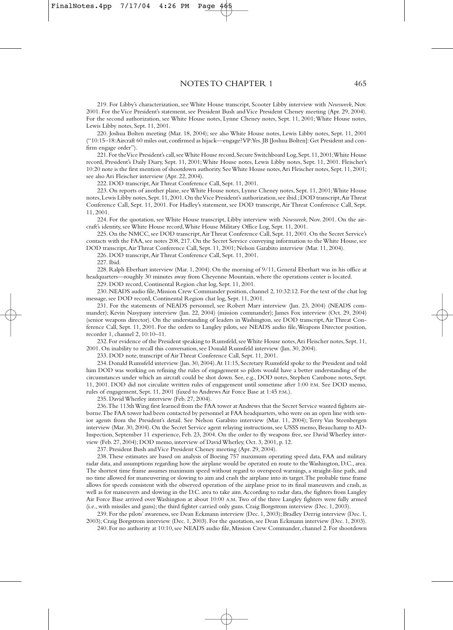219. For Libby's characterization, see White House transcript, Scooter Libby interview with *Newsweek*, Nov. 2001. For the Vice President's statement, see President Bush and Vice President Cheney meeting (Apr. 29, 2004). For the second authorization, see White House notes, Lynne Cheney notes, Sept. 11, 2001;White House notes, Lewis Libby notes, Sept. 11, 2001.

220. Joshua Bolten meeting (Mar. 18, 2004); see also White House notes, Lewis Libby notes, Sept. 11, 2001 ("10:15–18:Aircraft 60 miles out,confirmed as hijack—engage? VP:Yes.JB [Joshua Bolten]:Get President and confirm engage order").

221.For the Vice President's call,see White House record,Secure Switchboard Log,Sept.11,2001;White House record, President's Daily Diary, Sept. 11, 2001;White House notes, Lewis Libby notes, Sept. 11, 2001. Fleischer's 10:20 note is the first mention of shootdown authority. See White House notes,Ari Fleischer notes, Sept. 11, 2001; see also Ari Fleischer interview (Apr. 22, 2004).

222. DOD transcript,Air Threat Conference Call, Sept. 11, 2001.

223. On reports of another plane, see White House notes, Lynne Cheney notes, Sept. 11, 2001;White House notes, Lewis Libby notes, Sept. 11, 2001. On the Vice President's authorization, see ibid.; DOD transcript, Air Threat Conference Call, Sept. 11, 2001. For Hadley's statement, see DOD transcript,Air Threat Conference Call, Sept. 11, 2001.

224. For the quotation, see White House transcript, Libby interview with *Newsweek*, Nov. 2001. On the aircraft's identity, see White House record,White House Military Office Log, Sept. 11, 2001.

225. On the NMCC, see DOD transcript,Air Threat Conference Call, Sept. 11, 2001. On the Secret Service's contacts with the FAA, see notes 208, 217. On the Secret Service conveying information to the White House, see DOD transcript,Air Threat Conference Call, Sept. 11, 2001; Nelson Garabito interview (Mar. 11, 2004).

226. DOD transcript,Air Threat Conference Call, Sept. 11, 2001.

227. Ibid.

228. Ralph Eberhart interview (Mar. 1, 2004). On the morning of 9/11, General Eberhart was in his office at headquarters—roughly 30 minutes away from Cheyenne Mountain, where the operations center is located.

229. DOD record, Continental Region chat log, Sept. 11, 2001.

230. NEADS audio file, Mission Crew Commander position, channel 2, 10:32:12. For the text of the chat log message, see DOD record, Continental Region chat log, Sept. 11, 2001.

231. For the statements of NEADS personnel, see Robert Marr interview (Jan. 23, 2004) (NEADS commander); Kevin Nasypany interview (Jan. 22, 2004) (mission commander); James Fox interview (Oct. 29, 2004) (senior weapons director). On the understanding of leaders in Washington, see DOD transcript,Air Threat Conference Call, Sept. 11, 2001. For the orders to Langley pilots, see NEADS audio file,Weapons Director position, recorder 1, channel 2, 10:10–11.

232.For evidence of the President speaking to Rumsfeld,see White House notes,Ari Fleischer notes,Sept.11, 2001. On inability to recall this conversation, see Donald Rumsfeld interview (Jan. 30, 2004).

233. DOD note, transcript of Air Threat Conference Call, Sept. 11, 2001.

234.Donald Rumsfeld interview (Jan.30,2004).At 11:15,Secretary Rumsfeld spoke to the President and told him DOD was working on refining the rules of engagement so pilots would have a better understanding of the circumstances under which an aircraft could be shot down. See, e.g., DOD notes, Stephen Cambone notes, Sept. 11, 2001. DOD did not circulate written rules of engagement until sometime after 1:00 P.M. See DOD memo, rules of engagement, Sept. 11, 2001 (faxed to Andrews Air Force Base at 1:45 P.M.).

235. David Wherley interview (Feb. 27, 2004).

236.The 113th Wing first learned from the FAA tower at Andrews that the Secret Service wanted fighters airborne. The FAA tower had been contacted by personnel at FAA headquarters, who were on an open line with senior agents from the President's detail. See Nelson Garabito interview (Mar. 11, 2004); Terry Van Steenbergen interview (Mar. 30, 2004). On the Secret Service agent relaying instructions, see USSS memo, Beauchamp to AD-Inspection, September 11 experience, Feb. 23, 2004. On the order to fly weapons free, see David Wherley interview (Feb. 27, 2004); DOD memo, interview of David Wherley, Oct. 3, 2001, p. 12.

237. President Bush and Vice President Cheney meeting (Apr. 29, 2004).

238.These estimates are based on analysis of Boeing 757 maximum operating speed data, FAA and military radar data, and assumptions regarding how the airplane would be operated en route to the Washington, D.C., area. The shortest time frame assumes maximum speed without regard to overspeed warnings, a straight-line path, and no time allowed for maneuvering or slowing to aim and crash the airplane into its target.The probable time frame allows for speeds consistent with the observed operation of the airplane prior to its final maneuvers and crash, as well as for maneuvers and slowing in the D.C. area to take aim.According to radar data, the fighters from Langley Air Force Base arrived over Washington at about 10:00 A.M. Two of the three Langley fighters were fully armed (i.e., with missiles and guns); the third fighter carried only guns. Craig Borgstrom interview (Dec. 1, 2003).

239. For the pilots' awareness, see Dean Eckmann interview (Dec. 1, 2003); Bradley Derrig interview (Dec. 1, 2003); Craig Borgstrom interview (Dec. 1, 2003). For the quotation, see Dean Eckmann interview (Dec. 1, 2003).

240. For no authority at 10:10, see NEADS audio file, Mission Crew Commander, channel 2. For shootdown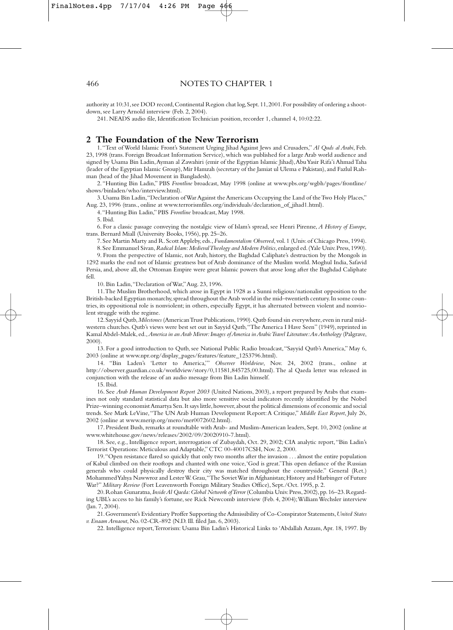authority at 10:31,see DOD record,Continental Region chat log,Sept.11,2001.For possibility of ordering a shootdown, see Larry Arnold interview (Feb. 2, 2004).

241. NEADS audio file, Identification Technician position, recorder 1, channel 4, 10:02:22.

## **2 The Foundation of the New Terrorism**

1."Text of World Islamic Front's Statement Urging Jihad Against Jews and Crusaders," *Al Quds al Arabi*, Feb. 23, 1998 (trans. Foreign Broadcast Information Service), which was published for a large Arab world audience and signed by Usama Bin Ladin,Ayman al Zawahiri (emir of the Egyptian Islamic Jihad),Abu Yasir Rifa'i Ahmad Taha (leader of the Egyptian Islamic Group),Mir Hamzah (secretary of the Jamiat ul Ulema e Pakistan),and Fazlul Rahman (head of the Jihad Movement in Bangladesh).

2."Hunting Bin Ladin," PBS *Frontline* broadcast, May 1998 (online at www.pbs.org/wgbh/pages/frontline/ shows/binladen/who/interview.html).

3.Usama Bin Ladin,"Declaration of War Against the Americans Occupying the Land of the Two Holy Places," Aug. 23, 1996 (trans., online at www.terrorismfiles.org/individuals/declaration\_of\_jihad1.html).

4."Hunting Bin Ladin," PBS *Frontline* broadcast, May 1998.

5. Ibid.

6. For a classic passage conveying the nostalgic view of Islam's spread, see Henri Pirenne, *A History of Europe,* trans. Bernard Miall (University Books, 1956), pp. 25–26.

7.See Martin Marty and R.Scott Appleby,eds.,*Fundamentalism Observed*,vol.1 (Univ.of Chicago Press,1994).

8.See Emmanuel Sivan,*Radical Islam:Medieval Theology and Modern Politics*,enlarged ed.(Yale Univ.Press,1990).

9. From the perspective of Islamic, not Arab, history, the Baghdad Caliphate's destruction by the Mongols in 1292 marks the end not of Islamic greatness but of Arab dominance of the Muslim world. Moghul India, Safavid Persia, and, above all, the Ottoman Empire were great Islamic powers that arose long after the Baghdad Caliphate fell.

10. Bin Ladin,"Declaration of War,"Aug. 23, 1996.

11.The Muslim Brotherhood, which arose in Egypt in 1928 as a Sunni religious/nationalist opposition to the British-backed Egyptian monarchy,spread throughout the Arab world in the mid–twentieth century.In some countries, its oppositional role is nonviolent; in others, especially Egypt, it has alternated between violent and nonviolent struggle with the regime.

12.Sayyid Qutb,*Milestones* (American Trust Publications,1990).Qutb found sin everywhere,even in rural midwestern churches. Qutb's views were best set out in Sayyid Qutb,"The America I Have Seen" (1949), reprinted in Kamal Abdel-Malek,ed.,*America in an Arab Mirror:Images of America in Arabic Travel Literature:An Anthology* (Palgrave, 2000).

13. For a good introduction to Qutb, see National Public Radio broadcast,"Sayyid Qutb's America," May 6, 2003 (online at www.npr.org/display\_pages/features/feature\_1253796.html).

14. "Bin Laden's 'Letter to America,'" *Observer Worldview*, Nov. 24, 2002 (trans., online at http://observer.guardian.co.uk/worldview/story/0,11581,845725,00.html). The al Qaeda letter was released in conjunction with the release of an audio message from Bin Ladin himself.

15. Ibid.

16. See *Arab Human Development Report 2003* (United Nations, 2003), a report prepared by Arabs that examines not only standard statistical data but also more sensitive social indicators recently identified by the Nobel Prize–winning economist Amartya Sen. It says little, however, about the political dimensions of economic and social trends. See Mark LeVine,"The UN Arab Human Development Report:A Critique," *Middle East Report*, July 26, 2002 (online at www.merip.org/mero/mer0072602.html).

17. President Bush, remarks at roundtable with Arab- and Muslim-American leaders, Sept. 10, 2002 (online at www.whitehouse.gov/news/releases/2002/09/20020910-7.html).

18. See, e.g., Intelligence report, interrogation of Zubaydah, Oct. 29, 2002; CIA analytic report,"Bin Ladin's Terrorist Operations: Meticulous and Adaptable," CTC 00-40017CSH, Nov. 2, 2000.

19."Open resistance flared so quickly that only two months after the invasion . . . almost the entire population of Kabul climbed on their rooftops and chanted with one voice,'God is great.'This open defiance of the Russian generals who could physically destroy their city was matched throughout the countryside." General (Ret.) Mohammed Yahya Nawwroz and Lester W.Grau,"The Soviet War in Afghanistan;History and Harbinger of Future War?" *Military Review* (Fort Leavenworth Foreign Military Studies Office), Sept./Oct. 1995, p. 2.

20.Rohan Gunaratna,*Inside Al Qaeda:Global Network of Terror* (Columbia Univ.Press,2002),pp.16–23.Regarding UBL's access to his family's fortune, see Rick Newcomb interview (Feb. 4, 2004);William Wechsler interview (Jan. 7, 2004).

21.Government's Evidentiary Proffer Supporting the Admissibility of Co-Conspirator Statements,*United States v. Enaam Arnaout*, No. 02-CR-892 (N.D. Ill. filed Jan. 6, 2003).

22. Intelligence report,Terrorism: Usama Bin Ladin's Historical Links to 'Abdallah Azzam,Apr. 18, 1997. By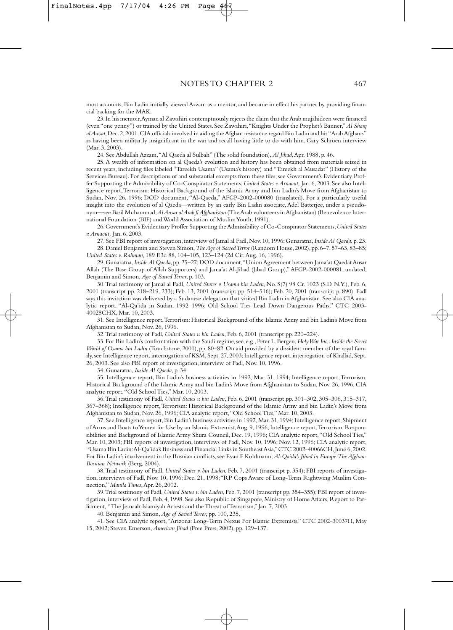most accounts, Bin Ladin initially viewed Azzam as a mentor, and became in effect his partner by providing financial backing for the MAK.

23.In his memoir,Ayman al Zawahiri contemptuously rejects the claim that the Arab mujahideen were financed (even "one penny") or trained by the United States. See Zawahiri,"Knights Under the Prophet's Banner,"*Al Sharq al Awsat*,Dec.2,2001.CIA officials involved in aiding the Afghan resistance regard Bin Ladin and his "Arab Afghans" as having been militarily insignificant in the war and recall having little to do with him. Gary Schroen interview (Mar. 3, 2003).

24. See Abdullah Azzam,"Al Qaeda al Sulbah" (The solid foundation), *Al Jihad*,Apr. 1988, p. 46.

25.A wealth of information on al Qaeda's evolution and history has been obtained from materials seized in recent years, including files labeled "Tareekh Usama" (Usama's history) and "Tareekh al Musadat" (History of the Services Bureau). For descriptions of and substantial excerpts from these files, see Government's Evidentiary Proffer Supporting the Admissibility of Co-Conspirator Statements,*United States v.Arnaout,* Jan. 6, 2003. See also Intelligence report,Terrorism: Historical Background of the Islamic Army and bin Ladin's Move from Afghanistan to Sudan, Nov. 26, 1996; DOD document, "Al-Qaeda," AFGP-2002-000080 (translated). For a particularly useful insight into the evolution of al Qaeda—written by an early Bin Ladin associate,Adel Batterjee, under a pseudonym—see Basil Muhammad,*Al Ansar al Arab fi Afghanistan* (The Arab volunteers in Afghanistan) (Benevolence International Foundation (BIF) and World Association of Muslim Youth, 1991).

26.Government's Evidentiary Proffer Supporting the Admissibility of Co-Conspirator Statements,*United States v.Arnaout,* Jan. 6, 2003.

27. See FBI report of investigation, interview of Jamal al Fadl, Nov. 10, 1996; Gunaratna,*Inside Al Qaeda*, p. 23.

28.Daniel Benjamin and Steven Simon,*The Age of Sacred Terror* (Random House,2002),pp.6–7,57–63,83–85; *United States v. Rahman*, 189 F.3d 88, 104–105, 123–124 (2d Cir.Aug. 16, 1996).

29. Gunaratna, *Inside Al Qaeda*, pp.25–27; DOD document, "Union Agreement between Jama'at Qaedat Ansar Allah (The Base Group of Allah Supporters) and Jama'at Al-Jihad (Jihad Group),"AFGP-2002-000081, undated; Benjamin and Simon, *Age of Sacred Terror*, p. 103.

30.Trial testimony of Jamal al Fadl, *United States v. Usama bin Laden*, No. S(7) 98 Cr. 1023 (S.D. N.Y.), Feb. 6, 2001 (transcript pp. 218–219, 233); Feb. 13, 2001 (transcript pp. 514–516); Feb. 20, 2001 (transcript p. 890). Fadl says this invitation was delivered by a Sudanese delegation that visited Bin Ladin in Afghanistan. See also CIA analytic report, "Al-Qa'ida in Sudan, 1992–1996: Old School Ties Lead Down Dangerous Paths," CTC 2003- 40028CHX, Mar. 10, 2003.

31. See Intelligence report,Terrorism: Historical Background of the Islamic Army and bin Ladin's Move from Afghanistan to Sudan, Nov. 26, 1996.

32.Trial testimony of Fadl, *United States v. bin Laden*, Feb. 6, 2001 (transcript pp. 220–224).

33.For Bin Ladin's confrontation with the Saudi regime,see,e.g.,Peter L.Bergen,*Holy War Inc.:Inside the Secret World of Osama bin Ladin* (Touchstone, 2001), pp. 80–82. On aid provided by a dissident member of the royal family, see Intelligence report, interrogation of KSM, Sept. 27, 2003; Intelligence report, interrogation of Khallad, Sept. 26, 2003. See also FBI report of investigation, interview of Fadl, Nov. 10, 1996.

34. Gunaratna, *Inside Al Qaeda*, p. 34.

35. Intelligence report, Bin Ladin's business activities in 1992, Mar. 31, 1994; Intelligence report,Terrorism: Historical Background of the Islamic Army and bin Ladin's Move from Afghanistan to Sudan, Nov. 26, 1996; CIA analytic report,"Old School Ties," Mar. 10, 2003.

36.Trial testimony of Fadl, *United States v. bin Laden*, Feb. 6, 2001 (transcript pp. 301–302, 305–306, 315–317, 367–368); Intelligence report,Terrorism: Historical Background of the Islamic Army and bin Ladin's Move from Afghanistan to Sudan, Nov. 26, 1996; CIA analytic report,"Old School Ties," Mar. 10, 2003.

37. See Intelligence report, Bin Ladin's business activities in 1992, Mar. 31, 1994; Intelligence report, Shipment of Arms and Boats to Yemen for Use by an Islamic Extremist,Aug. 9, 1996; Intelligence report,Terrorism: Responsibilities and Background of Islamic Army Shura Council, Dec. 19, 1996; CIA analytic report,"Old School Ties," Mar. 10, 2003; FBI reports of investigation, interviews of Fadl, Nov. 10, 1996; Nov. 12, 1996; CIA analytic report, "Usama Bin Ladin: Al-Qa'ida's Business and Financial Links in Southeast Asia," CTC 2002-40066CH, June 6, 2002. For Bin Ladin's involvement in the Bosnian conflicts, see Evan F. Kohlmann, Al-Qaida's Jihad in Europe: The Afghan-*Bosnian Network* (Berg, 2004).

38.Trial testimony of Fadl, *United States v. bin Laden*, Feb. 7, 2001 (transcript p. 354); FBI reports of investigation, interviews of Fadl, Nov. 10, 1996; Dec. 21, 1998;"RP Cops Aware of Long-Term Rightwing Muslim Connection," *Manila Times*,Apr. 26, 2002.

39.Trial testimony of Fadl, *United States v. bin Laden*, Feb. 7, 2001 (transcript pp. 354–355); FBI report of investigation, interview of Fadl, Feb. 4, 1998. See also Republic of Singapore, Ministry of Home Affairs, Report to Parliament*,* "The Jemaah Islamiyah Arrests and the Threat of Terrorism," Jan. 7, 2003.

40. Benjamin and Simon, *Age of Sacred Terror*, pp. 100, 235.

41. See CIA analytic report,"Arizona: Long-Term Nexus For Islamic Extremists," CTC 2002-30037H, May 15, 2002; Steven Emerson, *American Jihad* (Free Press, 2002), pp. 129–137.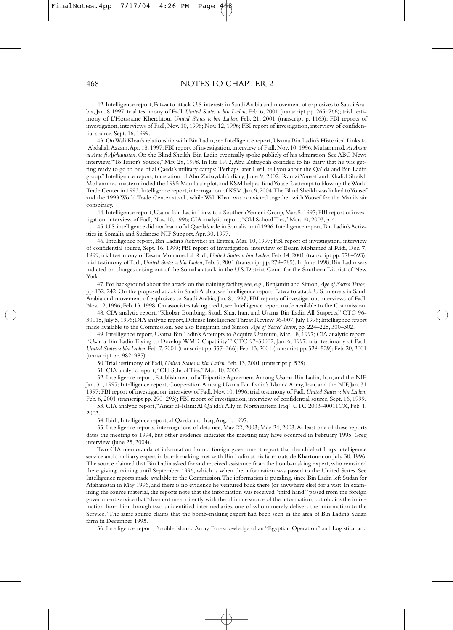42.Intelligence report,Fatwa to attack U.S.interests in Saudi Arabia and movement of explosives to Saudi Arabia, Jan. 8 1997; trial testimony of Fadl, *United States v. bin Laden*, Feb. 6, 2001 (transcript pp. 265–266); trial testimony of L'Houssaine Kherchtou, *United States v. bin Laden*, Feb. 21, 2001 (transcript p. 1163); FBI reports of investigation, interviews of Fadl, Nov. 10, 1996; Nov. 12, 1996; FBI report of investigation, interview of confidential source, Sept. 16, 1999.

43. On Wali Khan's relationship with Bin Ladin, see Intelligence report, Usama Bin Ladin's Historical Links to 'Abdallah Azzam,Apr.18,1997;FBI report of investigation,interview of Fadl,Nov.10,1996;Muhammad,*Al Ansar al Arab fi Afghanistan*. On the Blind Sheikh, Bin Ladin eventually spoke publicly of his admiration. See ABC News interview,"To Terror's Source," May 28, 1998. In late 1992,Abu Zubaydah confided to his diary that he was getting ready to go to one of al Qaeda's military camps:"Perhaps later I will tell you about the Qa'ida and Bin Ladin group." Intelligence report, translation of Abu Zubaydah's diary, June 9, 2002. Ramzi Yousef and Khalid Sheikh Mohammed masterminded the 1995 Manila air plot,and KSM helped fund Yousef's attempt to blow up the World Trade Center in 1993.Intelligence report,interrogation of KSM,Jan.9,2004.The Blind Sheikh was linked to Yousef and the 1993 World Trade Center attack, while Wali Khan was convicted together with Yousef for the Manila air conspiracy.

44.Intelligence report,Usama Bin Ladin Links to a Southern Yemeni Group,Mar.5,1997;FBI report of investigation, interview of Fadl, Nov. 10, 1996; CIA analytic report,"Old School Ties," Mar. 10, 2003, p. 4.

45.U.S.intelligence did not learn of al Qaeda's role in Somalia until 1996.Intelligence report,Bin Ladin's Activities in Somalia and Sudanese NIF Support,Apr. 30, 1997.

46. Intelligence report, Bin Ladin's Activities in Eritrea, Mar. 10, 1997; FBI report of investigation, interview of confidential source, Sept. 16, 1999; FBI report of investigation, interview of Essam Mohamed al Ridi, Dec. 7, 1999; trial testimony of Essam Mohamed al Ridi, *United States v. bin Laden*, Feb. 14, 2001 (transcript pp. 578–593); trial testimony of Fadl, *United States v. bin Laden*, Feb. 6, 2001 (transcript pp. 279–285). In June 1998, Bin Ladin was indicted on charges arising out of the Somalia attack in the U.S. District Court for the Southern District of New York.

47. For background about the attack on the training facility, see, e.g., Benjamin and Simon,*Age of Sacred Terror*, pp. 132, 242. On the proposed attack in Saudi Arabia, see Intelligence report, Fatwa to attack U.S. interests in Saudi Arabia and movement of explosives to Saudi Arabia, Jan. 8, 1997; FBI reports of investigation, interviews of Fadl, Nov. 12, 1996; Feb. 13, 1998. On associates taking credit, see Intelligence report made available to the Commission.

48. CIA analytic report,"Khobar Bombing: Saudi Shia, Iran, and Usama Bin Ladin All Suspects," CTC 96- 30015,July 5,1996;DIA analytic report,Defense Intelligence Threat Review 96-007,July 1996;Intelligence report made available to the Commission. See also Benjamin and Simon, *Age of Sacred Terror*, pp. 224–225, 300–302.

49. Intelligence report, Usama Bin Ladin's Attempts to Acquire Uranium, Mar. 18, 1997; CIA analytic report, "Usama Bin Ladin Trying to Develop WMD Capability?" CTC 97-30002, Jan. 6, 1997; trial testimony of Fadl, *United States v.bin Laden*,Feb.7,2001 (transcript pp.357–366);Feb.13,2001 (transcript pp.528–529);Feb.20,2001 (transcript pp. 982–985).

50.Trial testimony of Fadl, *United States v. bin Laden*, Feb. 13, 2001 (transcript p. 528).

51. CIA analytic report,"Old School Ties," Mar. 10, 2003.

52. Intelligence report, Establishment of a Tripartite Agreement Among Usama Bin Ladin, Iran, and the NIF, Jan. 31, 1997; Intelligence report, Cooperation Among Usama Bin Ladin's Islamic Army, Iran, and the NIF, Jan. 31 1997;FBI report of investigation,interview of Fadl,Nov.10,1996;trial testimony of Fadl,*United States v.bin Laden*, Feb. 6, 2001 (transcript pp. 290–293); FBI report of investigation, interview of confidential source, Sept. 16, 1999.

53. CIA analytic report,"Ansar al-Islam:Al Qa'ida's Ally in Northeastern Iraq," CTC 2003-40011CX, Feb. 1, 2003.

54. Ibid.; Intelligence report, al Qaeda and Iraq,Aug. 1, 1997.

55. Intelligence reports, interrogations of detainee, May 22, 2003; May 24, 2003.At least one of these reports dates the meeting to 1994, but other evidence indicates the meeting may have occurred in February 1995. Greg interview (June 25, 2004).

Two CIA memoranda of information from a foreign government report that the chief of Iraq's intelligence service and a military expert in bomb making met with Bin Ladin at his farm outside Khartoum on July 30, 1996. The source claimed that Bin Ladin asked for and received assistance from the bomb-making expert,who remained there giving training until September 1996, which is when the information was passed to the United States. See Intelligence reports made available to the Commission.The information is puzzling, since Bin Ladin left Sudan for Afghanistan in May 1996, and there is no evidence he ventured back there (or anywhere else) for a visit. In examining the source material, the reports note that the information was received "third hand," passed from the foreign government service that "does not meet directly with the ultimate source of the information,but obtains the information from him through two unidentified intermediaries, one of whom merely delivers the information to the Service."The same source claims that the bomb-making expert had been seen in the area of Bin Ladin's Sudan farm in December 1995.

56. Intelligence report, Possible Islamic Army Foreknowledge of an "Egyptian Operation" and Logistical and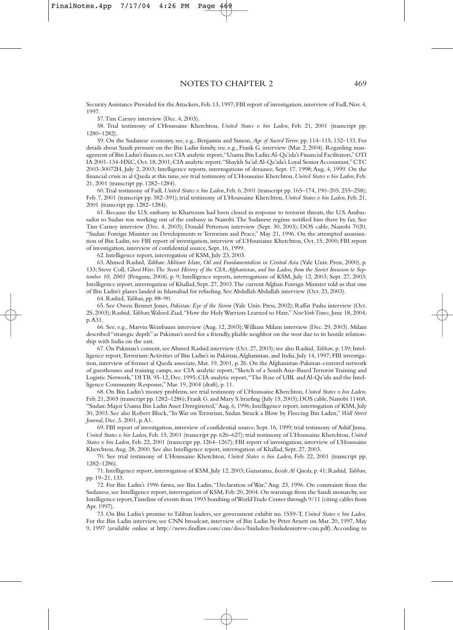Security Assistance Provided for the Attackers, Feb. 13, 1997; FBI report of investigation, interview of Fadl, Nov. 4,

57.Tim Carney interview (Dec. 4, 2003).

1997.

58. Trial testimony of L'Houssaine Kherchtou, *United States v. bin Laden*, Feb. 21, 2001 (transcript pp. 1280–1282).

59. On the Sudanese economy, see, e.g., Benjamin and Simon, *Age of Sacred Terror*, pp. 114–115, 132–133. For details about Saudi pressure on the Bin Ladin family, see, e.g., Frank G. interview (Mar. 2, 2004). Regarding management of Bin Ladin's finances,see CIA analytic report,"Usama Bin Ladin:Al-Qa'ida's Financial Facilitators,"OTI IA 2001-134-HXC,Oct.18,2001;CIA analytic report,"Shaykh Sa'id:Al-Qa'ida's Loyal Senior Accountant,"CTC 2003-30072H, July 2, 2003; Intelligence reports, interrogations of detainee, Sept. 17, 1998; Aug. 4, 1999. On the financial crisis in al Qaeda at this time, see trial testimony of L'Houssaine Kherchtou,*United States v. bin Laden*, Feb. 21, 2001 (transcript pp. 1282–1284).

60.Trial testimony of Fadl, *United States v. bin Laden*, Feb. 6, 2001 (transcript pp. 165–174, 190–205, 255–258); Feb. 7, 2001 (transcript pp. 382–391); trial testimony of L'Houssaine Kherchtou, *United States v. bin Laden*, Feb. 21, 2001 (transcript pp. 1282–1284).

61. Because the U.S. embassy in Khartoum had been closed in response to terrorist threats, the U.S.Ambassador to Sudan was working out of the embassy in Nairobi.The Sudanese regime notified him there by fax. See Tim Carney interview (Dec. 4, 2003); Donald Petterson interview (Sept. 30, 2003); DOS cable, Nairobi 7020, "Sudan: Foreign Minister on Developments re Terrorism and Peace," May 21, 1996. On the attempted assassination of Bin Ladin, see FBI report of investigation, interview of L'Houssaine Kherchtou, Oct. 15, 2000; FBI report of investigation, interview of confidential source, Sept. 16, 1999.

62. Intelligence report, interrogation of KSM, July 23, 2003.

63. Ahmed Rashid, *Taliban: Militant Islam, Oil and Fundamentalism in Central Asia* (Yale Univ. Press, 2000), p. 133; Steve Coll, *Ghost Wars:The Secret History of the CIA,Afghanistan, and bin Laden, from the Soviet Invasion to September 10, 2001* (Penguin, 2004), p. 9; Intelligence reports, interrogations of KSM, July 12, 2003; Sept. 27, 2003; Intelligence report, interrogation of Khallad, Sept. 27, 2003.The current Afghan Foreign Minister told us that one of Bin Ladin's planes landed in Islamabad for refueling. See Abdullah Abdullah interview (Oct. 23, 2003).

64. Rashid, *Taliban*, pp. 88–90.

65. See Owen Bennet Jones, *Pakistan: Eye of the Storm* (Yale Univ. Press, 2002); Raffat Pasha interview (Oct. 25, 2003); Rashid,*Taliban*;Waleed Ziad,"How the Holy Warriors Learned to Hate,"*New York Times*, June 18, 2004, p.A31.

66. See, e.g., Marvin Weinbaum interview (Aug. 12, 2003);William Milam interview (Dec. 29, 2003). Milam described "strategic depth" as Pakistan's need for a friendly, pliable neighbor on the west due to its hostile relationship with India on the east.

67. On Pakistan's consent, see Ahmed Rashid interview (Oct. 27, 2003); see also Rashid, *Taliban*, p. 139; Intelligence report,Terrorism:Activities of Bin Ladin's in Pakistan,Afghanistan, and India, July 14, 1997; FBI investigation, interview of former al Qaeda associate, Mar. 19, 2001, p. 26. On the Afghanistan-Pakistan-centered network of guesthouses and training camps, see CIA analytic report,"Sketch of a South Asia–Based Terrorist Training and Logistic Network," DI TR 95-12, Dec. 1995; CIA analytic report,"The Rise of UBL and Al-Qa'ida and the Intelligence Community Response," Mar. 19, 2004 (draft), p. 11.

68. On Bin Ladin's money problems, see trial testimony of L'Houssaine Kherchtou, *United States v. bin Laden*, Feb. 21, 2003 (transcript pp. 1282-1286); Frank G. and Mary S. briefing (July 15, 2003); DOS cable, Nairobi 11468, "Sudan: Major Usama Bin Ladin Asset Deregistered,"Aug. 6, 1996; Intelligence report, interrogation of KSM, July 30, 2003. See also Robert Block,"In War on Terrorism, Sudan Struck a Blow by Fleecing Bin Laden," *Wall Street Journal*, Dec. 3, 2001, p.A1.

69. FBI report of investigation, interview of confidential source, Sept. 16, 1999; trial testimony of Ashif Juma, *United States v. bin Laden*, Feb. 15, 2001 (transcript pp. 626–627); trial testimony of L'Houssaine Kherchtou, *United States v. bin Laden*, Feb. 22, 2001 (transcript pp. 1264–1267); FBI report of investigation, interview of L'Houssaine Kherchtou,Aug. 28, 2000. See also Intelligence report, interrogation of Khallad, Sept. 27, 2003.

70. See trial testimony of L'Houssaine Kherchtou, *United States v. bin Laden*, Feb. 22, 2001 (transcript pp. 1282–1286).

71. Intelligence report, interrogation of KSM, July 12, 2003; Gunaratna, *Inside Al Qaeda*, p. 41; Rashid,*Taliban*, pp. 19–21, 133.

72. For Bin Ladin's 1996 fatwa, see Bin Ladin,"Declaration of War,"Aug. 23, 1996. On constraints from the Sudanese, see Intelligence report, interrogation of KSM, Feb. 20, 2004. On warnings from the Saudi monarchy, see Intelligence report,Timeline of events from 1993 bombing of World Trade Center through 9/11 (citing cables from Apr. 1997).

73. On Bin Ladin's promise to Taliban leaders, see government exhibit no. 1559-T, *United States v. bin Laden*. For the Bin Ladin interview, see CNN broadcast, interview of Bin Ladin by Peter Arnett on Mar. 20, 1997, May 9, 1997 (available online at http://news.findlaw.com/cnn/docs/binladen/binladenintvw-cnn.pdf). According to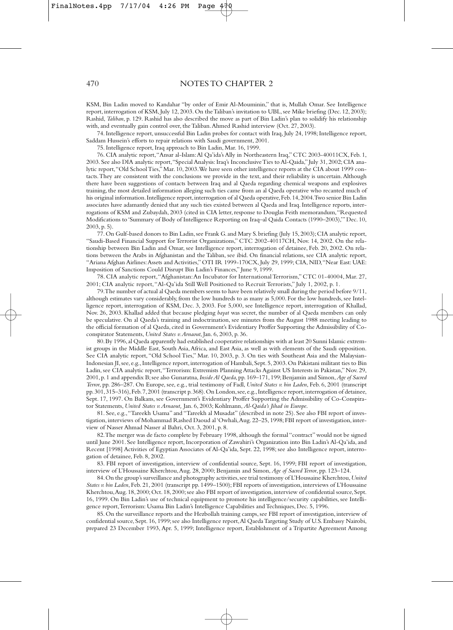KSM, Bin Ladin moved to Kandahar "by order of Emir Al-Mouminin," that is, Mullah Omar. See Intelligence report, interrogation of KSM, July 12, 2003. On the Taliban's invitation to UBL, see Mike briefing (Dec. 12, 2003); Rashid, *Taliban*, p. 129. Rashid has also described the move as part of Bin Ladin's plan to solidify his relationship with, and eventually gain control over, the Taliban.Ahmed Rashid interview (Oct. 27, 2003).

74. Intelligence report, unsuccessful Bin Ladin probes for contact with Iraq, July 24, 1998; Intelligence report, Saddam Hussein's efforts to repair relations with Saudi government, 2001.

75. Intelligence report, Iraq approach to Bin Ladin, Mar. 16, 1999.

76. CIA analytic report,"Ansar al-Islam:Al Qa'ida's Ally in Northeastern Iraq," CTC 2003-40011CX, Feb. 1, 2003. See also DIA analytic report,"Special Analysis: Iraq's Inconclusive Ties to Al-Qaida," July 31, 2002; CIA analytic report,"Old School Ties," Mar. 10, 2003.We have seen other intelligence reports at the CIA about 1999 contacts.They are consistent with the conclusions we provide in the text, and their reliability is uncertain.Although there have been suggestions of contacts between Iraq and al Qaeda regarding chemical weapons and explosives training, the most detailed information alleging such ties came from an al Qaeda operative who recanted much of his original information.Intelligence report,interrogation of al Qaeda operative,Feb.14,2004.Two senior Bin Ladin associates have adamantly denied that any such ties existed between al Qaeda and Iraq. Intelligence reports, interrogations of KSM and Zubaydah, 2003 (cited in CIA letter, response to Douglas Feith memorandum,"Requested Modifications to 'Summary of Body of Intelligence Reporting on Iraq–al Qaida Contacts (1990–2003),'" Dec. 10, 2003, p. 5).

77. On Gulf-based donors to Bin Ladin, see Frank G. and Mary S. briefing (July 15, 2003); CIA analytic report, "Saudi-Based Financial Support for Terrorist Organizations," CTC 2002-40117CH, Nov. 14, 2002. On the relationship between Bin Ladin and Omar, see Intelligence report, interrogation of detainee, Feb. 20, 2002. On relations between the Arabs in Afghanistan and the Taliban, see ibid. On financial relations, see CIA analytic report, "Ariana Afghan Airlines: Assets and Activities," OTI IR 1999-170CX, July 29, 1999; CIA, NID, "Near East: UAE: Imposition of Sanctions Could Disrupt Bin Ladin's Finances," June 9, 1999.

78. CIA analytic report,"Afghanistan:An Incubator for International Terrorism," CTC 01-40004, Mar. 27, 2001; CIA analytic report,"Al-Qa'ida Still Well Positioned to Recruit Terrorists," July 1, 2002, p. 1.

79.The number of actual al Qaeda members seems to have been relatively small during the period before 9/11, although estimates vary considerably, from the low hundreds to as many as 5,000. For the low hundreds, see Intelligence report, interrogation of KSM, Dec. 3, 2003. For 5,000, see Intelligence report, interrogation of Khallad, Nov. 26, 2003. Khallad added that because pledging *bayat* was secret, the number of al Qaeda members can only be speculative. On al Qaeda's training and indoctrination, see minutes from the August 1988 meeting leading to the official formation of al Qaeda, cited in Government's Evidentiary Proffer Supporting the Admissibility of Coconspirator Statements, *United States v.Arnaout*, Jan. 6, 2003, p. 36.

80.By 1996,al Qaeda apparently had established cooperative relationships with at least 20 Sunni Islamic extremist groups in the Middle East, South Asia,Africa, and East Asia, as well as with elements of the Saudi opposition. See CIA analytic report,"Old School Ties," Mar. 10, 2003, p. 3. On ties with Southeast Asia and the Malaysian-Indonesian JI,see,e.g.,Intelligence report,interrogation of Hambali,Sept.5,2003.On Pakistani militant ties to Bin Ladin, see CIA analytic report,"Terrorism: Extremists Planning Attacks Against US Interests in Pakistan," Nov. 29, 2001,p.1 and appendix B;see also Gunaratna,*Inside Al Qaeda*,pp.169–171,199;Benjamin and Simon,*Age of Sacred Terror*, pp. 286–287. On Europe, see, e.g., trial testimony of Fadl, *United States v. bin Laden*, Feb. 6, 2001 (transcript pp.301,315-316), Feb. 7, 2001 (transcript p.368). On London, see, e.g., Intelligence report, interrogation of detainee, Sept. 17, 1997. On Balkans, see Government's Evidentiary Proffer Supporting the Admissibility of Co-Conspirator Statements, *United States v.Arnaout,* Jan. 6, 2003; Kohlmann, *Al-Qaida's Jihad in Europe*.

81. See, e.g.,"Tareekh Usama" and "Tareekh al Musadat" (described in note 25). See also FBI report of investigation, interviews of Mohammad Rashed Daoud al 'Owhali,Aug. 22–25, 1998; FBI report of investigation, interview of Nasser Ahmad Nasser al Bahri, Oct. 3, 2001, p. 8.

82.The merger was de facto complete by February 1998, although the formal "contract" would not be signed until June 2001. See Intelligence report, Incorporation of Zawahiri's Organization into Bin Ladin's Al-Qa'ida, and Recent [1998] Activities of Egyptian Associates of Al-Qa'ida, Sept. 22, 1998; see also Intelligence report, interrogation of detainee, Feb. 8, 2002.

83. FBI report of investigation, interview of confidential source, Sept. 16, 1999; FBI report of investigation, interview of L'Houssaine Kherchtou,Aug. 28, 2000; Benjamin and Simon, *Age of Sacred Terror*, pp. 123–124.

84.On the group's surveillance and photography activities,see trial testimony of L'Houssaine Kherchtou,*United States v. bin Laden*, Feb. 21, 2001 (transcript pp. 1499–1500); FBI reports of investigation, interviews of L'Houssaine Kherchtou, Aug. 18, 2000; Oct. 18, 2000; see also FBI report of investigation, interview of confidential source, Sept. 16, 1999. On Bin Ladin's use of technical equipment to promote his intelligence/security capabilities, see Intelligence report,Terrorism: Usama Bin Ladin's Intelligence Capabilities and Techniques, Dec. 5, 1996.

85. On the surveillance reports and the Hezbollah training camps, see FBI report of investigation, interview of confidential source, Sept. 16, 1999; see also Intelligence report,Al Qaeda Targeting Study of U.S. Embassy Nairobi, prepared 23 December 1993, Apr. 5, 1999; Intelligence report, Establishment of a Tripartite Agreement Among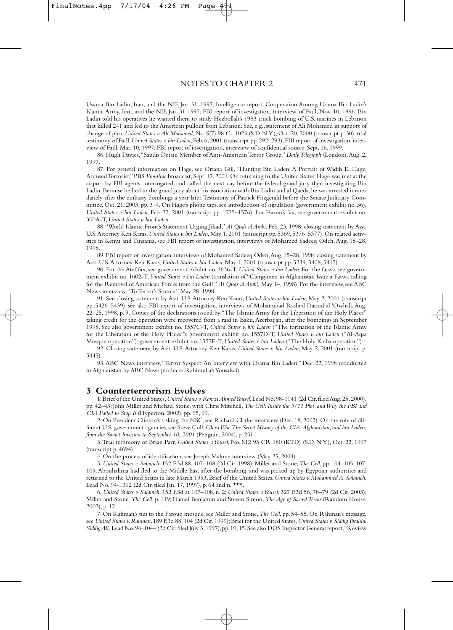Usama Bin Ladin, Iran, and the NIF, Jan. 31, 1997; Intelligence report, Cooperation Among Usama Bin Ladin's Islamic Army, Iran, and the NIF, Jan. 31 1997; FBI report of investigation, interview of Fadl, Nov. 10, 1996. Bin Ladin told his operatives he wanted them to study Hezbollah's 1983 truck bombing of U.S. marines in Lebanon that killed 241 and led to the American pullout from Lebanon. See, e.g., statement of Ali Mohamed in support of change of plea, *United States v.Ali Mohamed*, No. S(7) 98 Cr. 1023 (S.D. N.Y.), Oct. 20, 2000 (transcript p. 30); trial testimony of Fadl,*United States v. bin Laden*, Feb. 6, 2001 (transcript pp. 292–293); FBI report of investigation, interview of Fadl, Mar. 10, 1997; FBI report of investigation, interview of confidential source, Sept. 16, 1999.

86. Hugh Davies,"Saudis Detain Member of Anti-American Terror Group," *Daily Telegraph* (London),Aug. 2, 1997.

87. For general information on Hage, see Oriana Gill, "Hunting Bin Laden: A Portrait of Wadih El Hage, Accused Terrorist," PBS *Frontline* broadcast, Sept. 12, 2001. On returning to the United States, Hage was met at the airport by FBI agents, interrogated, and called the next day before the federal grand jury then investigating Bin Ladin. Because he lied to the grand jury about his association with Bin Ladin and al Qaeda, he was arrested immediately after the embassy bombings a year later.Testimony of Patrick Fitzgerald before the Senate Judiciary Committee, Oct. 21, 2003, pp. 3–4. On Hage's phone taps, see introduction of stipulation (government exhibit no. 36), *United States v. bin Laden*, Feb. 27, 2001 (transcript pp. 1575–1576). For Harun's fax, see government exhibit no. 300A-T, *United States v. bin Laden*.

88."World Islamic Front's Statement Urging Jihad,"*Al Quds al Arabi*, Feb. 23, 1998; closing statement by Asst. U.S.Attorney Ken Karas,*United States v. bin Laden*, May 1, 2001 (transcript pp. 5369, 5376–5377). On related activities in Kenya and Tanzania, see FBI report of investigation, interviews of Mohamed Sadeeq Odeh, Aug. 15–28, 1998.

89. FBI report of investigation, interviews of Mohamed Sadeeq Odeh,Aug. 15–28, 1998; closing statement by Asst. U.S.Attorney Ken Karas, *United States v. bin Laden*, May 1, 2001 (transcript pp. 5239, 5408, 5417).

90. For the Atef fax, see government exhibit no. 1636-T, *United States v. bin Laden*. For the fatwa, see government exhibit no. 1602-T, *United States v. bin Laden* (translation of "Clergymen in Afghanistan Issue a Fatwa calling for the Removal of American Forces from the Gulf,"*Al Quds al Arabi*, May 14, 1998). For the interview, see ABC News interview,"To Terror's Source," May 28, 1998.

91. See closing statement by Asst. U.S.Attorney Ken Karas, *United States v. bin Laden*, May 2, 2001 (transcript pp. 5426–5439); see also FBI report of investigation, interviews of Mohammad Rashed Daoud al 'Owhali, Aug. 22–25, 1998, p. 9. Copies of the declarations issued by "The Islamic Army for the Liberation of the Holy Places" taking credit for the operation were recovered from a raid in Baku,Azerbaijan, after the bombings in September 1998. See also government exhibit no. 1557C-T, *United States v. bin Laden* ("The formation of the Islamic Army for the Liberation of the Holy Places"); government exhibit no. 1557D-T, *United States v. bin Laden* ("Al-Aqsa Mosque operation"); government exhibit no. 1557E-T, *United States v. bin Laden* ("The Holy Ka'ba operation").

92. Closing statement by Asst. U.S.Attorney Ken Karas, *United States v. bin Laden*, May 2, 2001 (transcript p. 5445).

93.ABC News interview,"Terror Suspect:An Interview with Osama Bin Laden," Dec. 22, 1998 (conducted in Afghanistan by ABC News producer Rahimullah Yousafsai).

## **3 Counterterrorism Evolves**

1.Brief of the United States,*United States v.Ramzi Ahmed Yousef*,Lead No.98-1041 (2d Cir.filed Aug.25,2000), pp. 42–43; John Miller and Michael Stone, with Chris Mitchell,*The Cell: Inside the 9/11 Plot, and Why the FBI and CIA Failed to Stop It* (Hyperion, 2002), pp. 95, 99.

2. On President Clinton's tasking the NSC, see Richard Clarke interview (Dec. 18, 2003). On the role of different U.S. government agencies, see Steve Coll, *Ghost War:The Secret History of the CIA,Afghanistan, and bin Laden, from the Soviet Invasion to September 10, 2001* (Penguin, 2004), p. 251.

3.Trial testimony of Brian Parr, *United States v.Yousef*, No. S12 93 CR 180 (KTD) (S.D. N.Y.), Oct. 22, 1997 (transcript p. 4694).

4. On the process of identification, see Joseph Malone interview (May 25, 2004).

5. *United States v. Salameh*, 152 F.3d 88, 107–108 (2d Cir. 1998); Miller and Stone, *The Cell*, pp. 104–105, 107, 109.Abouhalima had fled to the Middle East after the bombing, and was picked up by Egyptian authorities and returned to the United States in late March 1993. Brief of the United States, *United States v. Mohammed A. Salameh*, Lead No. 94-1312 (2d Cir. filed Jan. 17, 1997), p. 64 and n. \*\*\*.

6. *United States v. Salameh*, 152 F.3d at 107–108, n. 2; *United States v.Yousef*, 327 F.3d 56, 78–79 (2d Cir. 2003); Miller and Stone, *The Cell*, p. 119; Daniel Benjamin and Steven Simon, *The Age of Sacred Terror* (Random House, 2002), p. 12.

7. On Rahman's ties to the Farouq mosque, see Miller and Stone, *The Cell*, pp. 54–55. On Rahman's message, see *United States v. Rahman*, 189 F.3d 88, 104 (2d Cir. 1999); Brief for the United States, *United States v. Siddig Ibrahim Siddig Ali,* Lead No.96-1044 (2d Cir.filed July 3,1997),pp.10,15.See also DOS Inspector General report,"Review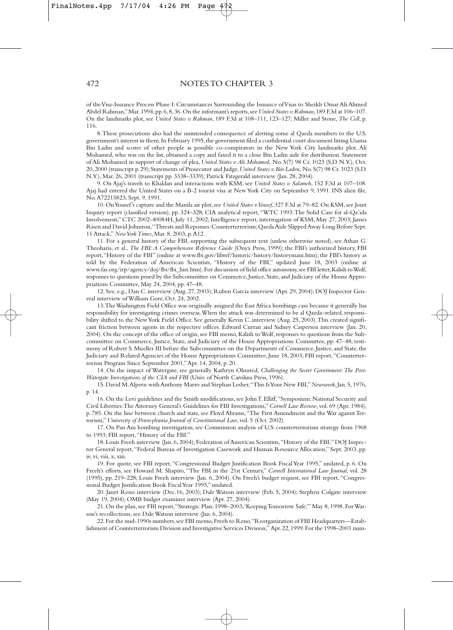of the Visa-Issuance Process Phase I: Circumstances Surrounding the Issuance of Visas to Sheikh Omar Ali Ahmed Abdel Rahman,"Mar.1994,pp.6,8,36.On the informant's reports,see *United States v.Rahman*,189 F.3d at 106–107. On the landmarks plot, see *United States v. Rahman*, 189 F.3d at 108–111, 123–127; Miller and Stone, *The Cell*, p. 116.

8.These prosecutions also had the unintended consequence of alerting some al Qaeda members to the U.S. government's interest in them.In February 1995,the government filed a confidential court document listing Usama Bin Ladin and scores of other people as possible co-conspirators in the New York City landmarks plot. Ali Mohamed, who was on the list, obtained a copy and faxed it to a close Bin Ladin aide for distribution. Statement of Ali Mohamed in support of change of plea, *United States v.Ali Mohamed,* No. S(7) 98 Cr. 1023 (S.D. N.Y.), Oct. 20,2000 (transcript p.29);Statements of Prosecutor and Judge,*United States v.Bin Laden,* No.S(7) 98 Cr.1023 (S.D. N.Y.), Mar. 26, 2001 (transcript pp. 3338–3339); Patrick Fitzgerald interview (Jan. 28, 2004).

9. On Ajaj's travels to Khaldan and interactions with KSM, see *United States v. Salameh*, 152 F.3d at 107–108. Ajaj had entered the United States on a B-2 tourist visa at New York City on September 9, 1991. INS alien file, No.A72215823, Sept. 9, 1991.

10.On Yousef's capture and the Manila air plot,see *United States v.Yousef*,327 F.3d at 79–82.On KSM,see Joint Inquiry report (classified version), pp. 324–328; CIA analytical report,"WTC 1993:The Solid Case for al-Qa'ida Involvement," CTC 2002-40084H, July 11, 2002; Intelligence report, interrogation of KSM, May 27, 2003; James Risen and David Johnston,"Threats and Reponses:Counterterrorism;Qaeda Aide Slipped Away Long Before Sept. 11 Attack," *New York Times*, Mar. 8, 2003, p.A12.

11. For a general history of the FBI, supporting the subsequent text (unless otherwise noted), see Athan G. Theoharis, et al., *The FBI:A Comprehensive Reference Guide* (Onyx Press, 1999); the FBI's authorized history, FBI report,"History of the FBI" (online at www.fbi.gov/libref/historic/history/historymain.htm); the FBI's history as told by the Federation of American Scientists, "History of the FBI," updated June 18, 2003 (online at www.fas.org/irp/agency/doj/fbi/fbi\_hist.htm).For discussion of field office autonomy,see FBI letter,Kalish to Wolf, responses to questions posed by the Subcommittee on Commerce, Justice, State, and Judiciary of the House Appropriations Committee, May 24, 2004, pp. 47–48.

12. See, e.g., Dan C. interview (Aug. 27, 2003); Ruben Garcia interview (Apr. 29, 2004); DOJ Inspector General interview of William Gore, Oct. 24, 2002.

13.The Washington Field Office was originally assigned the East Africa bombings case because it generally has responsibility for investigating crimes overseas.When the attack was determined to be al Qaeda–related, responsibility shifted to the New York Field Office. See generally Kevin C. interview (Aug. 25, 2003).This created significant friction between agents in the respective offices. Edward Curran and Sidney Caspersen interview (Jan. 20, 2004). On the concept of the office of origin, see FBI memo, Kalish to Wolf, responses to questions from the Subcommittee on Commerce, Justice, State, and Judiciary of the House Appropriations Committee, pp. 47–48; testimony of Robert S. Mueller III before the Subcommittee on the Departments of Commerce, Justice, and State, the Judiciary and Related Agencies of the House Appropriations Committee, June 18, 2003; FBI report,"Counterterrorism Program Since September 2001,"Apr. 14, 2004, p. 20.

14. On the impact of Watergate, see generally Kathryn Olmsted, *Challenging the Secret Government:The Post-Watergate Investigations of the CIA and FBI* (Univ. of North Carolina Press, 1996).

15.David M.Alpern with Anthony Marro and Stephan Lesher,"This Is Your New FBI,"*Newsweek*,Jan.5,1976, p. 14.

16. On the Levi guidelines and the Smith modifications, see John T. Elliff,"Symposium: National Security and Civil Liberties:The Attorney General's Guidelines for FBI Investigations," *Cornell Law Review*, vol. 69 (Apr. 1984), p. 785. On the line between church and state, see Floyd Abrams,"The First Amendment and the War against Terrorism," *University of Pennsylvania Journal of Constitutional Law*, vol. 5 (Oct. 2002).

17. On Pan Am bombing investigation, see Commission analysis of U.S. counterterrorism strategy from 1968 to 1993; FBI report,"History of the FBI."

18. Louis Freeh interview (Jan. 6, 2004); Federation of American Scientists,"History of the FBI;" DOJ Inspector General report,"Federal Bureau of Investigation Casework and Human Resource Allocation," Sept. 2003, pp. iv, vi, viii, x, xiii.

19. For quote, see FBI report,"Congressional Budget Justification Book Fiscal Year 1995," undated, p. 6. On Freeh's efforts, see Howard M. Shapiro, "The FBI in the 21st Century," *Cornell International Law Journal*, vol. 28 (1995), pp. 219–228; Louis Freeh interview (Jan. 6, 2004). On Freeh's budget request, see FBI report,"Congressional Budget Justification Book Fiscal Year 1995," undated.

20. Janet Reno interview (Dec.16, 2003); Dale Watson interview (Feb. 5, 2004); Stephen Colgate interview (May 19, 2004); OMB budget examiner interview (Apr. 27, 2004).

21. On the plan, see FBI report,"Strategic Plan: 1998–2003,'Keeping Tomorrow Safe,'" May 8, 1998. For Watson's recollections, see Dale Watson interview (Jan. 6, 2004).

22.For the mid-1990s numbers,see FBI memo,Freeh to Reno,"Reorganization of FBI Headquarters—Establishment of Counterterrorism Division and Investigative Services Division," Apr.22,1999.For the 1998–2001 num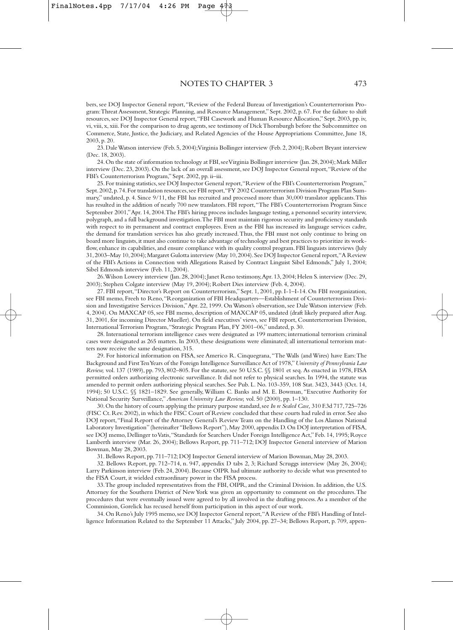bers, see DOJ Inspector General report,"Review of the Federal Bureau of Investigation's Counterterrorism Program:Threat Assessment, Strategic Planning, and Resource Management," Sept. 2002, p. 67. For the failure to shift resources, see DOJ Inspector General report,"FBI Casework and Human Resource Allocation," Sept. 2003, pp. iv, vi, viii, x, xiii. For the comparison to drug agents, see testimony of Dick Thornburgh before the Subcommittee on Commerce, State, Justice, the Judiciary, and Related Agencies of the House Appropriations Committee, June 18, 2003, p. 20.

23. Dale Watson interview (Feb. 5, 2004);Virginia Bollinger interview (Feb. 2, 2004); Robert Bryant interview (Dec. 18, 2003).

24. On the state of information technology at FBI, see Virginia Bollinger interview (Jan. 28, 2004); Mark Miller interview (Dec. 23, 2003). On the lack of an overall assessment, see DOJ Inspector General report,"Review of the FBI's Counterterrorism Program," Sept. 2002, pp. ii–iii.

25.For training statistics,see DOJ Inspector General report,"Review of the FBI's Counterterrorism Program," Sept. 2002, p. 74. For translation resources, see FBI report, "FY 2002 Counterterrorism Division Program Plan Summary," undated, p. 4. Since 9/11, the FBI has recruited and processed more than 30,000 translator applicants.This has resulted in the addition of nearly 700 new translators. FBI report,"The FBI's Counterterrorism Program Since September 2001,"Apr. 14, 2004.The FBI's hiring process includes language testing, a personnel security interview, polygraph, and a full background investigation.The FBI must maintain rigorous security and proficiency standards with respect to its permanent and contract employees. Even as the FBI has increased its language services cadre, the demand for translation services has also greatly increased.Thus, the FBI must not only continue to bring on board more linguists,it must also continue to take advantage of technology and best practices to prioritize its workflow, enhance its capabilities, and ensure compliance with its quality control program. FBI linguists interviews (July 31,2003–May 10,2004);Margaret Gulotta interview (May 10,2004).See DOJ Inspector General report,"A Review of the FBI's Actions in Connection with Allegations Raised by Contract Linguist Sibel Edmonds," July 1, 2004; Sibel Edmonds interview (Feb. 11, 2004).

26. Wilson Lowery interview (Jan. 28, 2004); Janet Reno testimony, Apr. 13, 2004; Helen S. interview (Dec. 29, 2003); Stephen Colgate interview (May 19, 2004); Robert Dies interview (Feb. 4, 2004).

27. FBI report,"Director's Report on Counterterrorism," Sept. 1, 2001, pp. I-1–I-14. On FBI reorganization, see FBI memo, Freeh to Reno,"Reorganization of FBI Headquarters—Establishment of Counterterrorism Division and Investigative Services Division,"Apr. 22, 1999. On Watson's observation, see Dale Watson interview (Feb. 4, 2004). On MAXCAP 05, see FBI memo, description of MAXCAP 05, undated (draft likely prepared after Aug. 31, 2001, for incoming Director Mueller). On field executives' views, see FBI report, Counterterrorism Division, International Terrorism Program,"Strategic Program Plan, FY 2001–06," undated, p. 30.

28. International terrorism intelligence cases were designated as 199 matters; international terrorism criminal cases were designated as 265 matters. In 2003, these designations were eliminated; all international terrorism matters now receive the same designation, 315.

29. For historical information on FISA, see Americo R. Cinquegrana,"The Walls (and Wires) have Ears:The Background and First Ten Years of the Foreign Intelligence Surveillance Act of 1978,"*University of Pennsylvania Law Review,* vol. 137 (1989), pp. 793, 802–805. For the statute, see 50 U.S.C. §§ 1801 et seq. As enacted in 1978, FISA permitted orders authorizing electronic surveillance. It did not refer to physical searches. In 1994, the statute was amended to permit orders authorizing physical searches. See Pub. L. No. 103-359, 108 Stat. 3423, 3443 (Oct. 14, 1994); 50 U.S.C. §§ 1821–1829. See generally,William C. Banks and M. E. Bowman, "Executive Authority for National Security Surveillance," *American University Law Review,* vol. 50 (2000), pp. 1–130.

30.On the history of courts applying the primary purpose standard,see *In re Sealed Case,* 310 F.3d 717,725–726 (FISC Ct.Rev.2002),in which the FISC Court of Review concluded that these courts had ruled in error.See also DOJ report,"Final Report of the Attorney General's Review Team on the Handling of the Los Alamos National Laboratory Investigation" (hereinafter "Bellows Report"), May 2000, appendix D. On DOJ interpretation of FISA, see DOJ memo, Dellinger to Vatis,"Standards for Searchers Under Foreign Intelligence Act," Feb. 14, 1995; Royce Lamberth interview (Mar. 26, 2004); Bellows Report, pp. 711–712; DOJ Inspector General interview of Marion Bowman, May 28, 2003.

31. Bellows Report, pp. 711–712; DOJ Inspector General interview of Marion Bowman, May 28, 2003.

32. Bellows Report, pp. 712–714, n. 947, appendix D tabs 2, 3; Richard Scruggs interview (May 26, 2004); Larry Parkinson interview (Feb. 24, 2004). Because OIPR had ultimate authority to decide what was presented to the FISA Court, it wielded extraordinary power in the FISA process.

33.The group included representatives from the FBI, OIPR, and the Criminal Division. In addition, the U.S. Attorney for the Southern District of New York was given an opportunity to comment on the procedures.The procedures that were eventually issued were agreed to by all involved in the drafting process.As a member of the Commission, Gorelick has recused herself from participation in this aspect of our work.

34.On Reno's July 1995 memo,see DOJ Inspector General report,"A Review of the FBI's Handling of Intelligence Information Related to the September 11 Attacks," July 2004, pp. 27–34; Bellows Report, p. 709, appen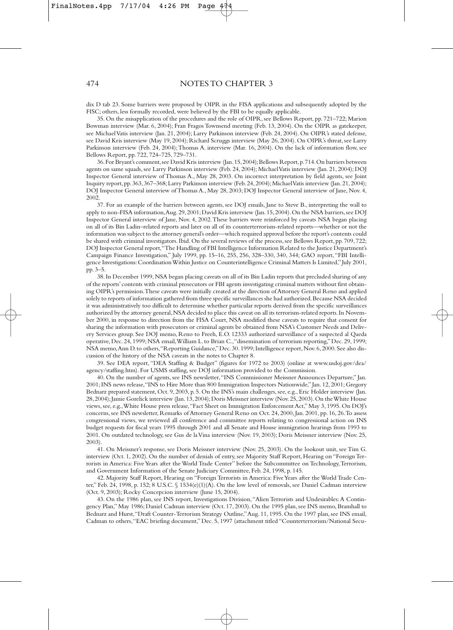dix D tab 23. Some barriers were proposed by OIPR in the FISA applications and subsequently adopted by the FISC; others, less formally recorded, were believed by the FBI to be equally applicable.

35. On the misapplication of the procedures and the role of OIPR, see Bellows Report, pp. 721–722; Marion Bowman interview (Mar. 6, 2004); Fran Fragos Townsend meeting (Feb. 13, 2004). On the OIPR as gatekeeper, see Michael Vatis interview (Jan. 21, 2004); Larry Parkinson interview (Feb. 24, 2004). On OIPR's stated defense, see David Kris interview (May 19, 2004); Richard Scruggs interview (May 26, 2004). On OIPR's threat, see Larry Parkinson interview (Feb. 24, 2004);Thomas A. interview (Mar. 16, 2004). On the lack of information flow, see Bellows Report, pp. 722, 724–725, 729–731.

36.For Bryant's comment,see David Kris interview (Jan.15,2004);Bellows Report,p.714.On barriers between agents on same squads, see Larry Parkinson interview (Feb. 24, 2004); Michael Vatis interview (Jan. 21, 2004); DOJ Inspector General interview of Thomas A., May 28, 2003. On incorrect interpretation by field agents, see Joint Inquiry report,pp.363,367–368;Larry Parkinson interview (Feb.24,2004);Michael Vatis interview (Jan.21,2004); DOJ Inspector General interview of Thomas A., May 28, 2003; DOJ Inspector General interview of Jane, Nov. 4, 2002.

37. For an example of the barriers between agents, see DOJ emails, Jane to Steve B., interpreting the wall to apply to non-FISA information,Aug.29,2001;David Kris interview (Jan.15,2004).On the NSA barriers,see DOJ Inspector General interview of Jane, Nov. 4, 2002.These barriers were reinforced by caveats NSA began placing on all of its Bin Ladin–related reports and later on all of its counterterrorism-related reports—whether or not the information was subject to the attorney general's order—which required approval before the report's contents could be shared with criminal investigators. Ibid. On the several reviews of the process, see Bellows Report, pp. 709, 722; DOJ Inspector General report,"The Handling of FBI Intelligence Information Related to the Justice Department's Campaign Finance Investigation," July 1999, pp. 15–16, 255, 256, 328–330, 340, 344; GAO report,"FBI Intelligence Investigations:Coordination Within Justice on Counterintelligence Criminal Matters Is Limited,"July 2001, pp. 3–5.

38.In December 1999,NSA began placing caveats on all of its Bin Ladin reports that precluded sharing of any of the reports'contents with criminal prosecutors or FBI agents investigating criminal matters without first obtaining OIPR's permission.These caveats were initially created at the direction of Attorney General Reno and applied solely to reports of information gathered from three specific surveillances she had authorized.Because NSA decided it was administratively too difficult to determine whether particular reports derived from the specific surveillances authorized by the attorney general,NSA decided to place this caveat on all its terrorism-related reports.In November 2000, in response to direction from the FISA Court, NSA modified these caveats to require that consent for sharing the information with prosecutors or criminal agents be obtained from NSA's Customer Needs and Delivery Services group. See DOJ memo, Reno to Freeh, E.O. 12333 authorized surveillance of a suspected al Qaeda operative, Dec. 24, 1999; NSA email,William L. to Brian C.,"dissemination of terrorism reporting," Dec. 29, 1999; NSA memo,Ann D.to others,"Reporting Guidance,"Dec.30.1999;Intelligence report,Nov.6,2000.See also discussion of the history of the NSA caveats in the notes to Chapter 8.

39. See DEA report, "DEA Staffing & Budget" (figures for 1972 to 2003) (online at www.usdoj.gov/dea/ agency/staffing.htm). For USMS staffing, see DOJ information provided to the Commission.

40. On the number of agents, see INS newsletter,"INS Commissioner Meissner Announces Departure," Jan. 2001; INS news release,"INS to Hire More than 800 Immigration Inspectors Nationwide," Jan. 12, 2001; Gregory Bednarz prepared statement, Oct. 9, 2003, p. 5. On the INS's main challenges, see, e.g., Eric Holder interview (Jan. 28,2004);Jamie Gorelick interview (Jan.13,2004);Doris Meissner interview (Nov.25,2003).On the White House views, see, e.g.,White House press release,"Fact Sheet on Immigration Enforcement Act," May 3, 1995. On DOJ's concerns, see INS newsletter, Remarks of Attorney General Reno on Oct. 24, 2000, Jan. 2001, pp. 16, 26.To assess congressional views, we reviewed all conference and committee reports relating to congressional action on INS budget requests for fiscal years 1995 through 2001 and all Senate and House immigration hearings from 1993 to 2001. On outdated technology, see Gus de la Vina interview (Nov. 19, 2003); Doris Meissner interview (Nov. 25, 2003).

41. On Meissner's response, see Doris Meissner interview (Nov. 25, 2003). On the lookout unit, see Tim G. interview (Oct. 1, 2002). On the number of denials of entry, see Majority Staff Report, Hearing on "Foreign Terrorists in America: Five Years after the World Trade Center" before the Subcommittee on Technology, Terrorism, and Government Information of the Senate Judiciary Committee, Feb. 24, 1998, p. 145.

42. Majority Staff Report, Hearing on "Foreign Terrorists in America: Five Years after the World Trade Center," Feb. 24, 1998, p. 152; 8 U.S.C. § 1534(e)(1)(A). On the low level of removals, see Daniel Cadman interview (Oct. 9, 2003); Rocky Concepcion interview (June 15, 2004).

43. On the 1986 plan, see INS report, Investigations Division, "Alien Terrorists and Undesirables: A Contingency Plan," May 1986; Daniel Cadman interview (Oct. 17, 2003). On the 1995 plan, see INS memo, Bramhall to Bednarz and Hurst,"Draft Counter-Terrorism Strategy Outline,"Aug. 11, 1995. On the 1997 plan, see INS email, Cadman to others,"EAC briefing document," Dec. 5, 1997 (attachment titled "Counterterrorism/National Secu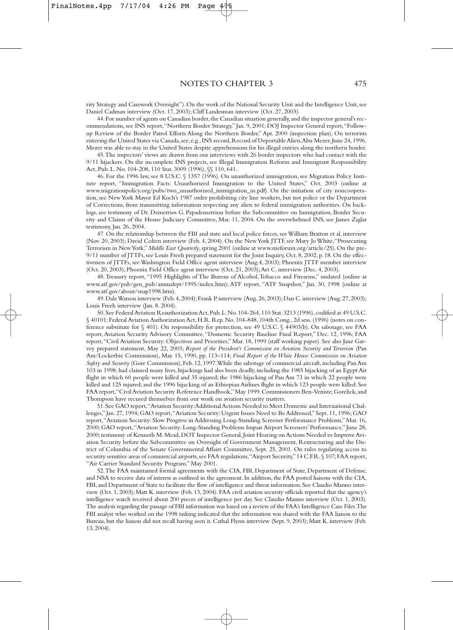rity Strategy and Casework Oversight"). On the work of the National Security Unit and the Intelligence Unit, see Daniel Cadman interview (Oct. 17, 2003); Cliff Landesman interview (Oct. 27, 2003).

44. For number of agents on Canadian border, the Canadian situation generally, and the inspector general's recommendations, see INS report,"Northern Border Strategy," Jan. 9, 2001; DOJ Inspector General report,"Followup Review of the Border Patrol Efforts Along the Northern Border," Apr. 2000 (inspection plan). On terrorists entering the United States via Canada, see, e.g., INS record, Record of Deportable Alien, Abu Mezer, June 24, 1996. Mezer was able to stay in the United States despite apprehensions for his illegal entries along the northern border.

45.The inspectors' views are drawn from our interviews with 26 border inspectors who had contact with the 9/11 hijackers. On the incomplete INS projects, see Illegal Immigration Reform and Immigrant Responsibility Act, Pub. L. No. 104-208, 110 Stat. 3009 (1996), §§ 110, 641.

46. For the 1996 law, see 8 U.S.C. § 1357 (1996). On unauthorized immigration, see Migration Policy Institute report, "Immigration Facts: Unauthorized Immigration to the United States," Oct. 2003 (online at www.migrationpolicy.org/pubs/two\_unauthorized\_immigration\_us.pdf). On the initiation of city noncooperation, see New York Mayor Ed Koch's 1987 order prohibiting city line workers, but not police or the Department of Corrections, from transmitting information respecting any alien to federal immigration authorities. On backlogs, see testimony of Dr. Demetrios G. Papademetriou before the Subcommittee on Immigration, Border Security and Claims of the House Judiciary Committee, Mar. 11, 2004. On the overwhelmed INS, see James Ziglar testimony, Jan. 26, 2004.

47. On the relationship between the FBI and state and local police forces, see William Bratton et al. interview (Nov. 20, 2003); David Cohen interview (Feb. 4, 2004). On the New York JTTF, see Mary Jo White,"Prosecuting Terrorism in New York," *Middle East Quarterly*, spring 2001 (online at www.meforum.org/article/25). On the pre-9/11 number of JTTFs, see Louis Freeh prepared statement for the Joint Inquiry, Oct. 8, 2002, p. 18. On the effectiveness of JTTFs, see Washington Field Office agent interview (Aug.4, 2003); Phoenix JTTF member interview (Oct. 20, 2003); Phoenix Field Office agent interview (Oct. 21, 2003); Art C. interview (Dec. 4, 2003).

48.Treasury report, "1995 Highlights of The Bureau of Alcohol,Tobacco and Firearms," undated (online at www.atf.gov/pub/gen\_pub/annualrpt/1995/index.htm); ATF report, "ATF Snapshot," Jan. 30, 1998 (online at www.atf.gov/about/snap1998.htm).

49.Dale Watson interview (Feb.4,2004);Frank P.interview (Aug.26,2003);Dan C.interview (Aug.27,2003); Louis Freeh interview (Jan. 8. 2004).

50. See Federal Aviation Reauthorization Act, Pub. L. No. 104-264, 110 Stat. 3213 (1996), codified at 49 U.S.C. § 40101; Federal Aviation Authorization Act, H.R. Rep. No. 104-848, 104th Cong., 2d sess. (1996) (notes on conference substitute for § 401). On responsibility for protection, see 49 U.S.C. § 44903(b). On sabotage, see FAA report, Aviation Security Advisory Committee,"Domestic Security Baseline Final Report," Dec. 12, 1996; FAA report,"Civil Aviation Security: Objectives and Priorities," Mar. 18, 1999 (staff working paper). See also Jane Garvey prepared statement, May 22, 2003; *Report of the President's Commission on Aviation Security and Terrorism* (Pan Am/Lockerbie Commission), May 15, 1990, pp. 113–114; *Final Report of the White House Commission on Aviation Safety and Security* (Gore Commission), Feb. 12, 1997.While the sabotage of commercial aircraft, including Pan Am 103 in 1998, had claimed many lives, hijackings had also been deadly, including the 1985 hijacking of an Egypt Air flight in which 60 people were killed and 35 injured; the 1986 hijacking of Pan Am 73 in which 22 people were killed and 125 injured; and the 1996 hijacking of an Ethiopian Airlines flight in which 123 people were killed. See FAA report, "Civil Aviation Security Reference Handbook," May 1999. Commissioners Ben-Veniste, Gorelick, and Thompson have recused themselves from our work on aviation security matters.

51.See GAO report,"Aviation Security:Additional Actions Needed to Meet Domestic and International Challenges," Jan. 27, 1994; GAO report,"Aviation Security: Urgent Issues Need to Be Addressed," Sept. 11, 1996; GAO report,"Aviation Security: Slow Progress in Addressing Long-Standing Screener Performance Problems," Mar. 16, 2000; GAO report,"Aviation Security: Long-Standing Problems Impair Airport Screeners' Performance," June 28, 2000;testimony of Kenneth M.Mead,DOT Inspector General,Joint Hearing on Actions Needed to Improve Aviation Security before the Subcommittee on Oversight of Government Management, Restructuring and the District of Columbia of the Senate Governmental Affairs Committee, Sept. 25, 2001. On rules regulating access to security sensitive areas of commercial airports, see FAA regulations, "Airport Security," 14 C.F.R. § 107; FAA report, "Air Carrier Standard Security Program," May 2001.

52.The FAA maintained formal agreements with the CIA, FBI, Department of State, Department of Defense, and NSA to receive data of interest as outlined in the agreement. In addition, the FAA posted liaisons with the CIA, FBI, and Department of State to facilitate the flow of intelligence and threat information. See Claudio Manno interview (Oct. 1, 2003); Matt K. interview (Feb. 13, 2004). FAA civil aviation security officials reported that the agency's intelligence watch received about 200 pieces of intelligence per day. See Claudio Manno interview (Oct. 1, 2003). The analysis regarding the passage of FBI information was based on a review of the FAA's Intelligence Case Files.The FBI analyst who worked on the 1998 tasking indicated that the information was shared with the FAA liaison to the Bureau, but the liaison did not recall having seen it. Cathal Flynn interview (Sept. 9, 2003); Matt K. interview (Feb. 13, 2004).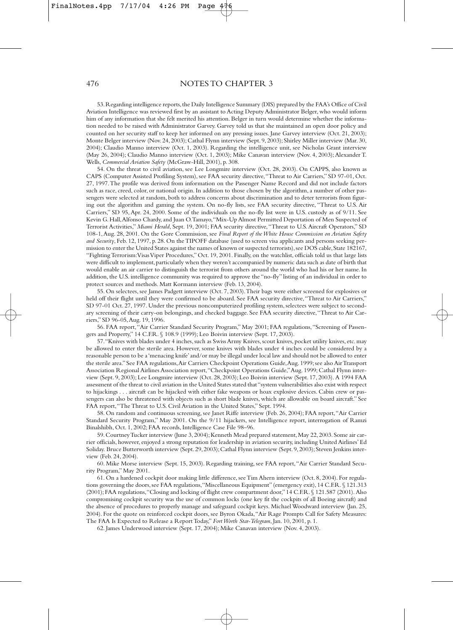53.Regarding intelligence reports,the Daily Intelligence Summary (DIS) prepared by the FAA's Office of Civil Aviation Intelligence was reviewed first by an assistant to Acting Deputy Administrator Belger, who would inform him of any information that she felt merited his attention. Belger in turn would determine whether the information needed to be raised with Administrator Garvey. Garvey told us that she maintained an open door policy and counted on her security staff to keep her informed on any pressing issues. Jane Garvey interview (Oct. 21, 2003); Monte Belger interview (Nov.24,2003);Cathal Flynn interview (Sept.9,2003);Shirley Miller interview (Mar.30, 2004); Claudio Manno interview (Oct. 1, 2003). Regarding the intelligence unit, see Nicholas Grant interview (May 26, 2004); Claudio Manno interview (Oct. 1, 2003); Mike Canavan interview (Nov. 4, 2003);Alexander T. Wells, *Commercial Aviation Safety* (McGraw-Hill, 2001), p. 308.

54. On the threat to civil aviation, see Lee Longmire interview (Oct. 28, 2003). On CAPPS, also known as CAPS (Computer Assisted Profiling System), see FAA security directive,"Threat to Air Carriers," SD 97-01, Oct. 27, 1997.The profile was derived from information on the Passenger Name Record and did not include factors such as race, creed, color, or national origin. In addition to those chosen by the algorithm, a number of other passengers were selected at random, both to address concerns about discrimination and to deter terrorists from figuring out the algorithm and gaming the system. On no-fly lists, see FAA security directive, "Threat to U.S. Air Carriers," SD 95, Apr. 24, 2000. Some of the individuals on the no-fly list were in U.S. custody as of 9/11. See Kevin G. Hall,Alfonso Chardy, and Juan O.Tamayo,"Mix-Up Almost Permitted Deportation of Men Suspected of Terrorist Activities," *Miami Herald*, Sept. 19, 2001; FAA security directive,"Threat to U.S.Aircraft Operators," SD 108-1,Aug. 28, 2001. On the Gore Commission, see *Final Report of the White House Commission on Aviation Safety and Security*, Feb. 12, 1997, p. 28. On the TIPOFF database (used to screen visa applicants and persons seeking permission to enter the United States against the names of known or suspected terrorists), see DOS cable, State 182167, "Fighting Terrorism:Visas Viper Procedures," Oct. 19, 2001. Finally, on the watchlist, officials told us that large lists were difficult to implement, particularly when they weren't accompanied by numeric data such as date of birth that would enable an air carrier to distinguish the terrorist from others around the world who had his or her name. In addition, the U.S. intelligence community was required to approve the "no-fly" listing of an individual in order to protect sources and methods. Matt Kormann interview (Feb. 13, 2004).

55. On selectees, see James Padgett interview (Oct. 7, 2003).Their bags were either screened for explosives or held off their flight until they were confirmed to be aboard. See FAA security directive,"Threat to Air Carriers," SD 97-01 Oct. 27, 1997. Under the previous noncomputerized profiling system, selectees were subject to secondary screening of their carry-on belongings, and checked baggage. See FAA security directive,"Threat to Air Carriers," SD 96-05,Aug. 19, 1996.

56. FAA report,"Air Carrier Standard Security Program," May 2001; FAA regulations,"Screening of Passengers and Property," 14 C.F.R. § 108.9 (1999); Leo Boivin interview (Sept. 17, 2003).

57."Knives with blades under 4 inches, such as Swiss Army Knives, scout knives, pocket utility knives, etc. may be allowed to enter the sterile area. However, some knives with blades under 4 inches could be considered by a reasonable person to be a 'menacing knife'and/or may be illegal under local law and should not be allowed to enter the sterile area." See FAA regulations, Air Carriers Checkpoint Operations Guide, Aug. 1999; see also Air Transport Association Regional Airlines Association report,"Checkpoint Operations Guide,"Aug. 1999; Cathal Flynn interview (Sept. 9, 2003); Lee Longmire interview (Oct. 28, 2003); Leo Boivin interview (Sept. 17, 2003). A 1994 FAA assessment of the threat to civil aviation in the United States stated that "system vulnerabilities also exist with respect to hijackings . . . aircraft can be hijacked with either fake weapons or hoax explosive devices. Cabin crew or passengers can also be threatened with objects such as short blade knives, which are allowable on board aircraft." See FAA report, "The Threat to U.S. Civil Aviation in the United States," Sept. 1994.

58. On random and continuous screening, see Janet Riffe interview (Feb. 26, 2004); FAA report,"Air Carrier Standard Security Program," May 2001. On the 9/11 hijackers, see Intelligence report, interrogation of Ramzi Binalshibh, Oct. 1, 2002; FAA records, Intelligence Case File 98–96.

59.Courtney Tucker interview (June 3,2004);Kenneth Mead prepared statement,May 22,2003.Some air carrier officials, however, enjoyed a strong reputation for leadership in aviation security, including United Airlines' Ed Soliday. Bruce Butterworth interview (Sept. 29, 2003); Cathal Flynn interview (Sept. 9, 2003); Steven Jenkins interview (Feb. 24, 2004).

60. Mike Morse interview (Sept. 15, 2003). Regarding training, see FAA report,"Air Carrier Standard Security Program," May 2001.

61. On a hardened cockpit door making little difference, see Tim Ahern interview (Oct. 8, 2004). For regulations governing the doors,see FAA regulations,"Miscellaneous Equipment"(emergency exit),14 C.F.R.§ 121.313 (2001);FAA regulations,"Closing and locking of flight crew compartment door,"14 C.F.R.§ 121.587 (2001). Also compromising cockpit security was the use of common locks (one key fit the cockpits of all Boeing aircraft) and the absence of procedures to properly manage and safeguard cockpit keys. Michael Woodward interview (Jan. 25, 2004). For the quote on reinforced cockpit doors, see Byron Okada,"Air Rage Prompts Call for Safety Measures: The FAA Is Expected to Release a Report Today," *Fort Worth Star-Telegram*, Jan. 10, 2001, p. 1.

62. James Underwood interview (Sept. 17, 2004); Mike Canavan interview (Nov. 4, 2003).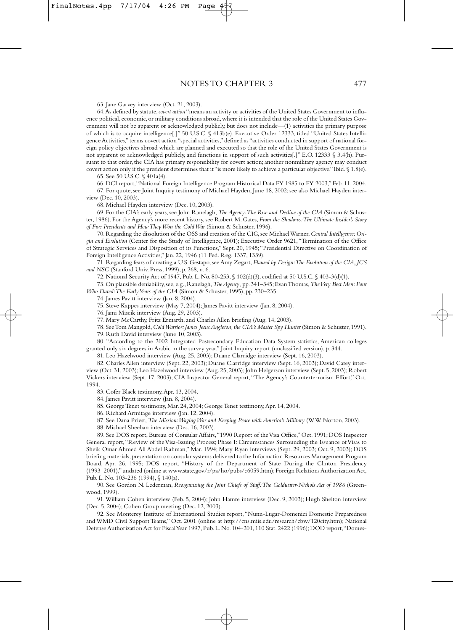63. Jane Garvey interview (Oct. 21, 2003).

64.As defined by statute, *covert action* "means an activity or activities of the United States Government to influence political, economic, or military conditions abroad, where it is intended that the role of the United States Government will not be apparent or acknowledged publicly, but does not include—(1) activities the primary purpose of which is to acquire intelligence[.]" 50 U.S.C. § 413b(e). Executive Order 12333, titled "United States Intelligence Activities,"terms covert action "special activities,"defined as "activities conducted in support of national foreign policy objectives abroad which are planned and executed so that the role of the United States Government is not apparent or acknowledged publicly, and functions in support of such activities[.]" E.O. 12333 § 3.4(h). Pursuant to that order, the CIA has primary responsibility for covert action; another nonmilitary agency may conduct covert action only if the president determines that it "is more likely to achieve a particular objective."Ibid.§ 1.8(e).

65. See 50 U.S.C. § 401a(4).

66. DCI report,"National Foreign Intelligence Program Historical Data FY 1985 to FY 2003," Feb. 11, 2004. 67. For quote, see Joint Inquiry testimony of Michael Hayden, June 18, 2002; see also Michael Hayden interview (Dec. 10, 2003).

68. Michael Hayden interview (Dec. 10, 2003).

69. For the CIA's early years, see John Ranelagh, *The Agency:The Rise and Decline of the CIA* (Simon & Schuster, 1986). For the Agency's more recent history, see Robert M. Gates, *From the Shadows:The Ultimate Insider's Story of Five Presidents and How They Won the Cold War* (Simon & Schuster, 1996).

70.Regarding the dissolution of the OSS and creation of the CIG,see Michael Warner,*Central Intelligence:Origin and Evolution* (Center for the Study of Intelligence, 2001); Executive Order 9621,"Termination of the Office of Strategic Services and Disposition of its Functions," Sept. 20, 1945;"Presidential Directive on Coordination of Foreign Intelligence Activities," Jan. 22, 1946 (11 Fed. Reg. 1337, 1339).

71. Regarding fears of creating a U.S. Gestapo, see Amy Zegart, *Flawed by Design:The Evolution of the CIA, JCS and NSC* (Stanford Univ. Press, 1999), p. 268, n. 6.

72. National Security Act of 1947, Pub. L. No. 80-253, § 102(d)(3), codified at 50 U.S.C. § 403-3(d)(1).

73.On plausible deniability,see,e.g.,Ranelagh,*The Agency*, pp.341–345;Evan Thomas,*The Very Best Men:Four Who Dared:The Early Years of the CIA* (Simon & Schuster, 1995), pp. 230–235.

74. James Pavitt interview (Jan. 8, 2004).

75. Steve Kappes interview (May 7, 2004); James Pavitt interview (Jan. 8, 2004).

76. Jami Miscik interview (Aug. 29, 2003).

77. Mary McCarthy, Fritz Ermarth, and Charles Allen briefing (Aug. 14, 2003).

78.See Tom Mangold,*Cold Warrior:James Jesus Angleton,the CIA's Master Spy Hunter* (Simon & Schuster,1991).

79. Ruth David interview (June 10, 2003).

80. "According to the 2002 Integrated Postsecondary Education Data System statistics, American colleges granted only six degrees in Arabic in the survey year." Joint Inquiry report (unclassified version), p. 344.

81. Leo Hazelwood interview (Aug. 25, 2003); Duane Clarridge interview (Sept. 16, 2003).

82. Charles Allen interview (Sept. 22, 2003); Duane Clarridge interview (Sept. 16, 2003); David Carey interview (Oct.31,2003);Leo Hazelwood interview (Aug.25,2003);John Helgerson interview (Sept.5,2003);Robert Vickers interview (Sept. 17, 2003); CIA Inspector General report,"The Agency's Counterterrorism Effort," Oct. 1994.

83. Cofer Black testimony,Apr. 13, 2004.

84. James Pavitt interview (Jan. 8, 2004).

85. George Tenet testimony, Mar. 24, 2004; George Tenet testimony,Apr. 14, 2004.

86. Richard Armitage interview (Jan. 12, 2004).

87. See Dana Priest, *The Mission:Waging War and Keeping Peace with America's Military* (W.W. Norton, 2003).

88. Michael Sheehan interview (Dec. 16, 2003).

89. See DOS report, Bureau of Consular Affairs,"1990 Report of the Visa Office," Oct. 1991; DOS Inspector General report,"Review of the Visa-Issuing Process; Phase I: Circumstances Surrounding the Issuance of Visas to Sheik Omar Ahmed Ali Abdel Rahman," Mar. 1994; Mary Ryan interviews (Sept. 29, 2003; Oct. 9, 2003); DOS briefing materials, presentation on consular systems delivered to the Information Resources Management Program Board, Apr. 26, 1995; DOS report, "History of the Department of State During the Clinton Presidency (1993–2001),"undated (online at www.state.gov/r/pa/ho/pubs/c6059.htm);Foreign Relations Authorization Act, Pub. L. No. 103-236 (1994), § 140(a).

90. See Gordon N. Lederman, *Reorganizing the Joint Chiefs of Staff:The Goldwater-Nichols Act of 1986* (Greenwood, 1999).

91.William Cohen interview (Feb. 5, 2004); John Hamre interview (Dec. 9, 2003); Hugh Shelton interview (Dec. 5, 2004); Cohen Group meeting (Dec. 12, 2003).

92. See Monterey Institute of International Studies report,"Nunn-Lugar-Domenici Domestic Preparedness and WMD Civil Support Teams," Oct. 2001 (online at http://cns.miis.edu/research/cbw/120city.htm); National Defense Authorization Act for Fiscal Year 1997, Pub. L. No. 104-201, 110 Stat. 2422 (1996); DOD report, "Domes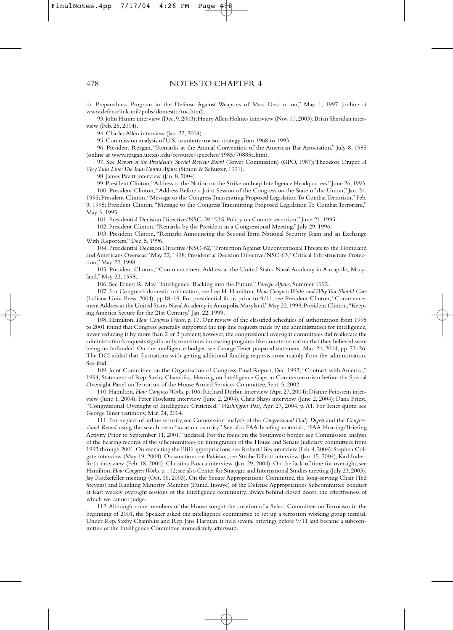tic Preparedness Program in the Defense Against Weapons of Mass Destruction," May 1, 1997 (online at www.defenselink.mil/pubs/domestic/toc.html).

93.John Hamre interview (Dec. 9, 2003); Henry Allen Holmes interview (Nov. 10, 2003); Brian Sheridan interview (Feb. 25, 2004).

94. Charles Allen interview (Jan. 27, 2004).

95. Commission analysis of U.S. counterterrorism strategy from 1968 to 1993.

96. President Reagan, "Remarks at the Annual Convention of the American Bar Association," July 8, 1985 (online at www.reagan.utexas.edu/resource/speeches/1985/70885a.htm).

97. See *Report of the President's Special Review Board* (Tower Commission) (GPO, 1987);Theodore Draper, *A Very Thin Line:The Iran-Contra Affairs* (Simon & Schuster, 1991).

98. James Pavitt interview (Jan. 8, 2004).

99.President Clinton,"Address to the Nation on the Strike on Iraqi Intelligence Headquarters,"June 26,1993. 100. President Clinton,"Address Before a Joint Session of the Congress on the State of the Union," Jan. 24,

1995; President Clinton,"Message to the Congress Transmitting Proposed Legislation To Combat Terrorism," Feb. 9, 1995; President Clinton,"Message to the Congress Transmitting Proposed Legislation To Combat Terrorism," May 3, 1995.

101. Presidential Decision Directive/NSC-39,"U.S. Policy on Counterterrorism," June 21, 1995.

102. President Clinton,"Remarks by the President in a Congressional Meeting," July 29, 1996.

103. President Clinton, "Remarks Announcing the Second Term National Security Team and an Exchange With Reporters," Dec. 5, 1996.

104. Presidential Decision Directive/NSC-62,"Protection Against Unconventional Threats to the Homeland and Americans Overseas," May 22, 1998; Presidential Decision Directive/NSC-63,"Critical Infrastructure Protection," May 22, 1998.

105. President Clinton,"Commencement Address at the United States Naval Academy in Annapolis, Maryland," May 22, 1998.

106. See Ernest R. May,"Intelligence: Backing into the Future," *Foreign Affairs*, Summer 1992.

107. For Congress's domestic orientation, see Lee H. Hamilton, *How Congress Works and Why You Should Care* (Indiana Univ. Press, 2004), pp.18–19. For presidential focus prior to 9/11, see President Clinton,"Commencement Address at the United States Naval Academy in Annapolis, Maryland," May 22, 1998; President Clinton, "Keeping America Secure for the 21st Century," Jan. 22, 1999.

108. Hamilton, *How Congress Works*, p. 17. Our review of the classified schedules of authorization from 1995 to 2001 found that Congress generally supported the top line requests made by the administration for intelligence, never reducing it by more than 2 or 3 percent; however, the congressional oversight committees did reallocate the administration's requests significantly,sometimes increasing programs like counterterrorism that they believed were being underfunded. On the intelligence budget, see George Tenet prepared statement, Mar. 24, 2004, pp. 23–26. The DCI added that frustrations with getting additional funding requests arose mainly from the administration. See ibid.

109. Joint Committee on the Organization of Congress, Final Report, Dec. 1993;"Contract with America," 1994; Statement of Rep. Saxby Chambliss, Hearing on Intelligence Gaps in Counterterrorism before the Special Oversight Panel on Terrorism of the House Armed Services Committee, Sept. 5, 2002.

110. Hamilton,*How Congress Works*, p. 106; Richard Durbin interview (Apr. 27, 2004); Dianne Feinstein interview (June 1, 2004); Peter Hoekstra interview (June 2, 2004); Chris Shays interview (June 2, 2004); Dana Priest, "Congressional Oversight of Intelligence Criticized," *Washington Post,* Apr. 27, 2004, p. A1. For Tenet quote, see George Tenet testimony, Mar. 24, 2004.

111. For neglect of airline security, see Commission analysis of the *Congressional Daily Digest* and the *Congressional Record* using the search term "aviation security." See also FAA briefing materials, "FAA Hearing/Briefing Activity Prior to September 11, 2001," undated. For the focus on the Southwest border, see Commission analysis of the hearing records of the subcommittees on immigration of the House and Senate Judiciary committees from 1993 through 2001. On restricting the FBI's appropriations, see Robert Dies interview (Feb. 4, 2004); Stephen Colgate interview (May 19, 2004). On sanctions on Pakistan, see Strobe Talbott interview (Jan. 15, 2004); Karl Inderfurth interview (Feb. 18, 2004); Christina Rocca interview (Jan. 29, 2004). On the lack of time for oversight, see Hamilton, How Congress Works, p. 112; see also Center for Strategic and International Studies meeting (July 23, 2003); Jay Rockefeller meeting (Oct. 16, 2003). On the Senate Appropriations Committee, the long-serving Chair (Ted Stevens) and Ranking Minority Member (Daniel Inouye) of the Defense Appropriations Subcommittee conduct at least weekly oversight sessions of the intelligence community, always behind closed doors, the effectiveness of which we cannot judge.

112.Although some members of the House sought the creation of a Select Committee on Terrorism in the beginning of 2001, the Speaker asked the intelligence ccommittee to set up a terrorism working group instead. Under Rep. Saxby Chambliss and Rep. Jane Harman, it held several briefings before 9/11 and became a subcommittee of the Intelligence Committee immediately afterward.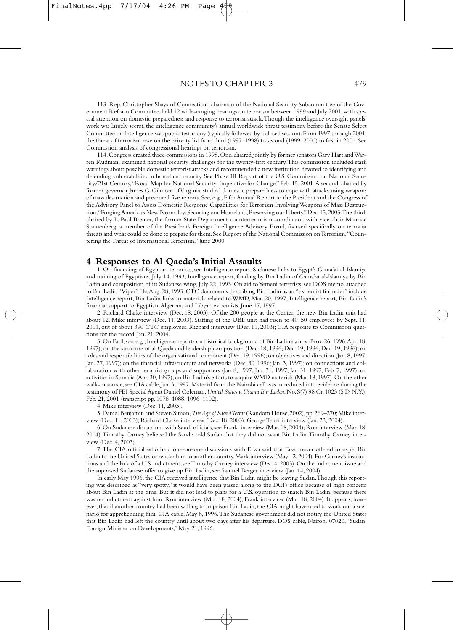113. Rep. Christopher Shays of Connecticut, chairman of the National Security Subcommittee of the Government Reform Committee, held 12 wide-ranging hearings on terrorism between 1999 and July 2001, with special attention on domestic preparedness and response to terrorist attack.Though the intelligence oversight panels' work was largely secret, the intelligence community's annual worldwide threat testimony before the Senate Select Committee on Intelligence was public testimony (typically followed by a closed session).From 1997 through 2001, the threat of terrorism rose on the priority list from third (1997–1998) to second (1999–2000) to first in 2001. See Commission analysis of congressional hearings on terrorism.

114.Congress created three commissions in 1998.One,chaired jointly by former senators Gary Hart and Warren Rudman, examined national security challenges for the twenty-first century.This commission included stark warnings about possible domestic terrorist attacks and recommended a new institution devoted to identifying and defending vulnerabilities in homeland security. See Phase III Report of the U.S. Commission on National Security/21st Century,"Road Map for National Security: Imperative for Change," Feb. 15, 2001.A second, chaired by former governor James G. Gilmore of Virginia, studied domestic preparedness to cope with attacks using weapons of mass destruction and presented five reports. See, e.g., Fifth Annual Report to the President and the Congress of the Advisory Panel to Assess Domestic Response Capabilities for Terrorism Involving Weapons of Mass Destruction,"Forging America's New Normalcy:Securing our Homeland,Preserving our Liberty,"Dec.15,2003.The third, chaired by L. Paul Bremer, the former State Department counterterrorism coordinator, with vice chair Maurice Sonnenberg, a member of the President's Foreign Intelligence Advisory Board, focused specifically on terrorist threats and what could be done to prepare for them.See Report of the National Commission on Terrorism,"Countering the Threat of International Terrorism," June 2000.

## **4 Responses to Al Qaeda's Initial Assaults**

1. On financing of Egyptian terrorists, see Intelligence report, Sudanese links to Egypt's Gama'at al-Islamiya and training of Egyptians, July 14, 1993; Intelligence report, funding by Bin Ladin of Gama'at al-Islamiya by Bin Ladin and composition of its Sudanese wing, July 22, 1993. On aid to Yemeni terrorists, see DOS memo, attached to Bin Ladin "Viper" file,Aug. 28, 1993. CTC documents describing Bin Ladin as an "extremist financier" include Intelligence report, Bin Ladin links to materials related to WMD, Mar. 20, 1997; Intelligence report, Bin Ladin's financial support to Egyptian, Algerian, and Libyan extremists, June 17, 1997.

2. Richard Clarke interview (Dec. 18. 2003). Of the 200 people at the Center, the new Bin Ladin unit had about 12. Mike interview (Dec. 11, 2003). Staffing of the UBL unit had risen to 40–50 employees by Sept. 11, 2001, out of about 390 CTC employees. Richard interview (Dec. 11, 2003); CIA response to Commission questions for the record, Jan. 21, 2004.

3. On Fadl, see, e.g., Intelligence reports on historical background of Bin Ladin's army (Nov. 26, 1996;Apr. 18, 1997); on the structure of al Qaeda and leadership composition (Dec. 18, 1996; Dec. 19, 1996; Dec. 19, 1996); on roles and responsibilities of the organizational component (Dec. 19, 1996); on objectives and direction (Jan.8,1997; Jan. 27, 1997); on the financial infrastructure and networks (Dec. 30, 1996; Jan. 3, 1997); on connections and collaboration with other terrorist groups and supporters (Jan 8, 1997; Jan. 31, 1997; Jan 31, 1997; Feb. 7, 1997); on activities in Somalia (Apr.30,1997);on Bin Ladin's efforts to acquire WMD materials (Mar.18,1997).On the other walk-in source,see CIA cable,Jan.3,1997.Material from the Nairobi cell was introduced into evidence during the testimony of FBI Special Agent Daniel Coleman,*United States v.Usama Bin Laden*,No.S(7) 98 Cr.1023 (S.D.N.Y.), Feb. 21, 2001 (transcript pp. 1078–1088, 1096–1102).

4. Mike interview (Dec. 11, 2003).

5. Daniel Benjamin and Steven Simon, *The Age of Sacred Terror* (Random House, 2002), pp. 269-270; Mike interview (Dec. 11, 2003); Richard Clarke interview (Dec. 18, 2003); George Tenet interview (Jan. 22, 2004).

6. On Sudanese discussions with Saudi officials, see Frank interview (Mar. 18, 2004); Ron interview (Mar. 18, 2004).Timothy Carney believed the Saudis told Sudan that they did not want Bin Ladin.Timothy Carney interview (Dec. 4, 2003).

7.The CIA official who held one-on-one discussions with Erwa said that Erwa never offered to expel Bin Ladin to the United States or render him to another country.Mark interview (May 12,2004).For Carney's instructions and the lack of a U.S. indictment, see Timothy Carney interview (Dec. 4, 2003). On the indictment issue and the supposed Sudanese offer to give up Bin Ladin, see Samuel Berger interview (Jan. 14, 2004).

In early May 1996, the CIA received intelligence that Bin Ladin might be leaving Sudan.Though this reporting was described as "very spotty," it would have been passed along to the DCI's office because of high concern about Bin Ladin at the time. But it did not lead to plans for a U.S. operation to snatch Bin Ladin, because there was no indictment against him. Ron interview (Mar. 18, 2004); Frank interview (Mar. 18, 2004). It appears, however, that if another country had been willing to imprison Bin Ladin, the CIA might have tried to work out a scenario for apprehending him. CIA cable, May 8, 1996.The Sudanese government did not notify the United States that Bin Ladin had left the country until about two days after his departure. DOS cable, Nairobi 07020,"Sudan: Foreign Minister on Developments," May 21, 1996.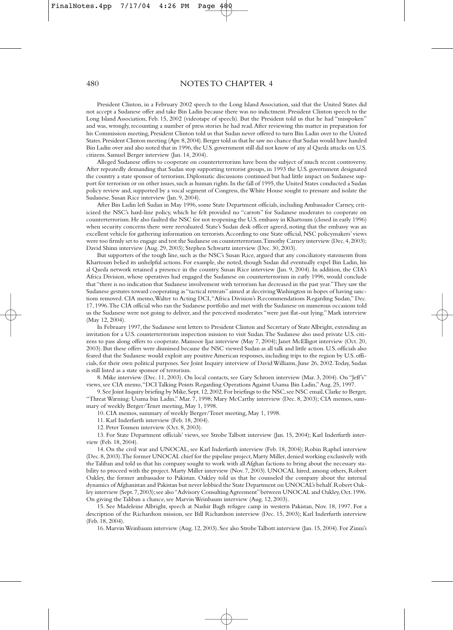President Clinton, in a February 2002 speech to the Long Island Association, said that the United States did not accept a Sudanese offer and take Bin Ladin because there was no indictment. President Clinton speech to the Long Island Association, Feb. 15, 2002 (videotape of speech). But the President told us that he had "misspoken" and was, wrongly, recounting a number of press stories he had read.After reviewing this matter in preparation for his Commission meeting, President Clinton told us that Sudan never offered to turn Bin Ladin over to the United States.President Clinton meeting (Apr.8,2004).Berger told us that he saw no chance that Sudan would have handed Bin Ladin over and also noted that in 1996, the U.S. government still did not know of any al Qaeda attacks on U.S. citizens. Samuel Berger interview (Jan. 14, 2004).

Alleged Sudanese offers to cooperate on counterterrorism have been the subject of much recent controversy. After repeatedly demanding that Sudan stop supporting terrorist groups, in 1993 the U.S. government designated the country a state sponsor of terrorism. Diplomatic discussions continued but had little impact on Sudanese support for terrorism or on other issues, such as human rights. In the fall of 1995, the United States conducted a Sudan policy review and, supported by a vocal segment of Congress, the White House sought to pressure and isolate the Sudanese. Susan Rice interview (Jan. 9, 2004).

After Bin Ladin left Sudan in May 1996, some State Department officials, including Ambassador Carney, criticized the NSC's hard-line policy, which he felt provided no "carrots" for Sudanese moderates to cooperate on counterterrorism.He also faulted the NSC for not reopening the U.S.embassy in Khartoum (closed in early 1996) when security concerns there were reevaluated. State's Sudan desk officer agreed, noting that the embassy was an excellent vehicle for gathering information on terrorists.According to one State official, NSC policymakers' views were too firmly set to engage and test the Sudanese on counterterrorism.Timothy Carney interview (Dec.4,2003); David Shinn interview (Aug. 29, 2003); Stephen Schwartz interview (Dec. 30, 2003).

But supporters of the tough line, such as the NSC's Susan Rice, argued that any conciliatory statements from Khartoum belied its unhelpful actions. For example, she noted, though Sudan did eventually expel Bin Ladin, his al Qaeda network retained a presence in the country. Susan Rice interview (Jan. 9, 2004). In addition, the CIA's Africa Division, whose operatives had engaged the Sudanese on counterterrorism in early 1996, would conclude that "there is no indication that Sudanese involvement with terrorism has decreased in the past year."They saw the Sudanese gestures toward cooperating as "tactical retreats" aimed at deceiving Washington in hopes of having sanctions removed. CIA memo,Walter to Acting DCI,"Africa Division's Recommendations Regarding Sudan," Dec. 17,1996.The CIA official who ran the Sudanese portfolio and met with the Sudanese on numerous occasions told us the Sudanese were not going to deliver, and the perceived moderates "were just flat-out lying." Mark interview (May 12, 2004).

In February 1997, the Sudanese sent letters to President Clinton and Secretary of State Albright, extending an invitation for a U.S. counterterrorism inspection mission to visit Sudan.The Sudanese also used private U.S. citizens to pass along offers to cooperate. Mansoor Ijaz interview (May 7, 2004); Janet McElligot interview (Oct. 20, 2003). But these offers were dismissed because the NSC viewed Sudan as all talk and little action. U.S. officials also feared that the Sudanese would exploit any positive American responses, including trips to the region by U.S. officials, for their own political purposes. See Joint Inquiry interview of David Williams, June 26, 2002.Today, Sudan is still listed as a state sponsor of terrorism.

8. Mike interview (Dec. 11, 2003). On local contacts, see Gary Schroen interview (Mar. 3, 2004). On "Jeff's" views, see CIA memo,"DCI Talking Points Regarding Operations Against Usama Bin Ladin,"Aug. 25, 1997.

9. See Joint Inquiry briefing by Mike, Sept. 12, 2002. For briefings to the NSC, see NSC email, Clarke to Berger, "Threat Warning: Usama bin Ladin," Mar. 7, 1998; Mary McCarthy interview (Dec. 8, 2003); CIA memos, summary of weekly Berger/Tenet meeting, May 1, 1998.

10. CIA memos, summary of weekly Berger/Tenet meeting, May 1, 1998.

11. Karl Inderfurth interview (Feb. 18, 2004).

12. Peter Tomsen interview (Oct. 8, 2003).

13. For State Department officials' views, see Strobe Talbott interview (Jan. 15, 2004); Karl Inderfurth interview (Feb. 18, 2004).

14. On the civil war and UNOCAL, see Karl Inderfurth interview (Feb. 18, 2004); Robin Raphel interview (Dec. 8, 2003). The former UNOCAL chief for the pipeline project, Marty Miller, denied working exclusively with the Taliban and told us that his company sought to work with all Afghan factions to bring about the necessary stability to proceed with the project. Marty Miller interview (Nov. 7, 2003). UNOCAL hired, among others, Robert Oakley, the former ambassador to Pakistan. Oakley told us that he counseled the company about the internal dynamics of Afghanistan and Pakistan but never lobbied the State Department on UNOCAL's behalf.Robert Oakley interview (Sept.7,2003);see also "Advisory Consulting Agreement"between UNOCAL and Oakley,Oct.1996. On giving the Taliban a chance, see Marvin Weinbaum interview (Aug. 12, 2003).

15. See Madeleine Albright, speech at Nashir Bagh refugee camp in western Pakistan, Nov. 18, 1997. For a description of the Richardson mission, see Bill Richardson interview (Dec. 15, 2003); Karl Inderfurth interview (Feb. 18, 2004).

16. Marvin Weinbaum interview (Aug. 12, 2003). See also Strobe Talbott interview (Jan. 15, 2004). For Zinni's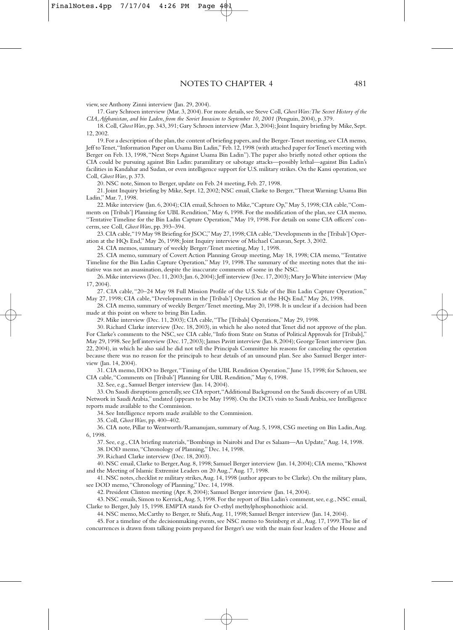view, see Anthony Zinni interview (Jan. 29, 2004).

17. Gary Schroen interview (Mar. 3, 2004). For more details, see Steve Coll,*Ghost Wars:The Secret History of the CIA,Afghanistan, and bin Laden, from the Soviet Invasion to September 10, 2001* (Penguin, 2004), p. 379.

18. Coll, Ghost Wars, pp. 343, 391; Gary Schroen interview (Mar. 3, 2004); Joint Inquiry briefing by Mike, Sept. 12, 2002.

19. For a description of the plan, the content of briefing papers, and the Berger-Tenet meeting, see CIA memo, Jeff to Tenet,"Information Paper on Usama Bin Ladin,"Feb.12,1998 (with attached paper for Tenet's meeting with Berger on Feb. 13, 1998, "Next Steps Against Usama Bin Ladin"). The paper also briefly noted other options the CIA could be pursuing against Bin Ladin: paramilitary or sabotage attacks—possibly lethal—against Bin Ladin's facilities in Kandahar and Sudan, or even intelligence support for U.S. military strikes. On the Kansi operation, see Coll, *Ghost Wars*, p. 373.

20. NSC note, Simon to Berger, update on Feb. 24 meeting, Feb. 27, 1998.

21. Joint Inquiry briefing by Mike, Sept. 12, 2002; NSC email, Clarke to Berger,"Threat Warning: Usama Bin Ladin," Mar. 7, 1998.

22. Mike interview (Jan. 6, 2004); CIA email, Schroen to Mike,"Capture Op," May 5, 1998; CIA cable,"Comments on [Tribals'] Planning for UBL Rendition," May 6, 1998. For the modification of the plan, see CIA memo, "Tentative Timeline for the Bin Ladin Capture Operation," May 19, 1998. For details on some CIA officers' concerns, see Coll, *Ghost Wars*, pp. 393–394.

23.CIA cable,"19 May 98 Briefing for JSOC,"May 27,1998;CIA cable,"Developments in the [Tribals'] Operation at the HQs End," May 26, 1998; Joint Inquiry interview of Michael Canavan, Sept. 3, 2002.

24. CIA memos, summary of weekly Berger/Tenet meeting, May 1, 1998.

25. CIA memo, summary of Covert Action Planning Group meeting, May 18, 1998; CIA memo,"Tentative Timeline for the Bin Ladin Capture Operation," May 19, 1998.The summary of the meeting notes that the initiative was not an assassination, despite the inaccurate comments of some in the NSC.

26. Mike interviews (Dec. 11, 2003; Jan. 6, 2004); Jeff interview (Dec. 17, 2003); Mary Jo White interview (May 17, 2004).

27. CIA cable,"20–24 May 98 Full Mission Profile of the U.S. Side of the Bin Ladin Capture Operation," May 27, 1998; CIA cable,"Developments in the [Tribals'] Operation at the HQs End," May 26, 1998.

28. CIA memo, summary of weekly Berger/Tenet meeting, May 20, 1998. It is unclear if a decision had been made at this point on where to bring Bin Ladin.

29. Mike interview (Dec. 11, 2003); CIA cable,"The [Tribals] Operations," May 29, 1998.

30. Richard Clarke interview (Dec. 18, 2003), in which he also noted that Tenet did not approve of the plan. For Clarke's comments to the NSC, see CIA cable,"Info from State on Status of Political Approvals for [Tribals]," May 29, 1998. See Jeff interview (Dec. 17, 2003); James Pavitt interview (Jan. 8, 2004); George Tenet interview (Jan. 22, 2004), in which he also said he did not tell the Principals Committee his reasons for canceling the operation because there was no reason for the principals to hear details of an unsound plan. See also Samuel Berger interview (Jan. 14, 2004).

31. CIA memo, DDO to Berger,"Timing of the UBL Rendition Operation," June 15, 1998; for Schroen, see CIA cable,"Comments on [Tribals'] Planning for UBL Rendition," May 6, 1998.

32. See, e.g., Samuel Berger interview (Jan. 14, 2004).

33.On Saudi disruptions generally,see CIA report,"Additional Background on the Saudi discovery of an UBL Network in Saudi Arabia," undated (appears to be May 1998). On the DCI's visits to Saudi Arabia, see Intelligence reports made available to the Commission.

34. See Intelligence reports made available to the Commission.

35. Coll, *Ghost Wars*, pp. 400–402.

36. CIA note, Pillar to Wentworth/Ramanujam, summary of Aug. 5, 1998, CSG meeting on Bin Ladin,Aug. 6, 1998.

37. See, e.g., CIA briefing materials,"Bombings in Nairobi and Dar es Salaam—An Update,"Aug. 14, 1998.

38. DOD memo,"Chronology of Planning," Dec. 14, 1998.

39. Richard Clarke interview (Dec. 18, 2003).

40. NSC email, Clarke to Berger,Aug. 8, 1998; Samuel Berger interview (Jan. 14, 2004); CIA memo,"Khowst and the Meeting of Islamic Extremist Leaders on 20 Aug.,"Aug. 17, 1998.

41. NSC notes, checklist re military strikes,Aug. 14, 1998 (author appears to be Clarke). On the military plans, see DOD memo,"Chronology of Planning," Dec. 14, 1998.

42. President Clinton meeting (Apr. 8, 2004); Samuel Berger interview (Jan. 14, 2004).

43. NSC emails, Simon to Kerrick,Aug. 5, 1998. For the report of Bin Ladin's comment, see, e.g., NSC email, Clarke to Berger, July 15, 1998. EMPTA stands for O-ethyl methylphosphonothioic acid.

44. NSC memo, McCarthy to Berger, re Shifa,Aug. 11, 1998; Samuel Berger interview (Jan. 14, 2004).

45. For a timeline of the decisionmaking events, see NSC memo to Steinberg et al.,Aug. 17, 1999.The list of concurrences is drawn from talking points prepared for Berger's use with the main four leaders of the House and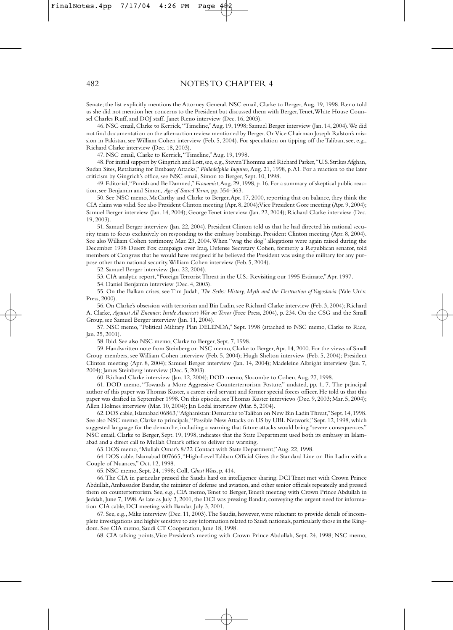Senate; the list explicitly mentions the Attorney General. NSC email, Clarke to Berger,Aug. 19, 1998. Reno told us she did not mention her concerns to the President but discussed them with Berger,Tenet,White House Counsel Charles Ruff, and DOJ staff. Janet Reno interview (Dec. 16, 2003).

46. NSC email, Clarke to Kerrick,"Timeline,"Aug. 19, 1998; Samuel Berger interview (Jan. 14, 2004).We did not find documentation on the after-action review mentioned by Berger.On Vice Chairman Joseph Ralston's mission in Pakistan, see William Cohen interview (Feb. 5, 2004). For speculation on tipping off the Taliban, see, e.g., Richard Clarke interview (Dec. 18, 2003).

47. NSC email, Clarke to Kerrick,"Timeline,"Aug. 19, 1998.

48.For initial support by Gingrich and Lott,see,e.g.,Steven Thomma and Richard Parker,"U.S.Strikes Afghan, Sudan Sites, Retaliating for Embassy Attacks," *Philadelphia Inquirer*,Aug. 21, 1998, p.A1. For a reaction to the later criticism by Gingrich's office, see NSC email, Simon to Berger, Sept. 10, 1998.

49.Editorial,"Punish and Be Damned,"*Economist*,Aug.29,1998,p.16.For a summary of skeptical public reaction, see Benjamin and Simon, *Age of Sacred Terror,* pp. 354–363.

50. See NSC memo, McCarthy and Clarke to Berger,Apr. 17, 2000, reporting that on balance, they think the CIA claim was valid.See also President Clinton meeting (Apr.8,2004);Vice President Gore meeting (Apr.9,2004); Samuel Berger interview (Jan. 14, 2004); George Tenet interview (Jan. 22, 2004); Richard Clarke interview (Dec. 19, 2003).

51. Samuel Berger interview (Jan. 22, 2004). President Clinton told us that he had directed his national security team to focus exclusively on responding to the embassy bombings. President Clinton meeting (Apr. 8, 2004). See also William Cohen testimony, Mar. 23, 2004.When "wag the dog" allegations were again raised during the December 1998 Desert Fox campaign over Iraq, Defense Secretary Cohen, formerly a Republican senator, told members of Congress that he would have resigned if he believed the President was using the military for any purpose other than national security.William Cohen interview (Feb. 5, 2004).

52. Samuel Berger interview (Jan. 22, 2004).

53. CIA analytic report,"Foreign Terrorist Threat in the U.S.: Revisiting our 1995 Estimate,"Apr. 1997.

54. Daniel Benjamin interview (Dec. 4, 2003).

55. On the Balkan crises, see Tim Judah, *The Serbs: History, Myth and the Destruction of Yugoslavia* (Yale Univ. Press, 2000).

56. On Clarke's obsession with terrorism and Bin Ladin, see Richard Clarke interview (Feb. 3, 2004); Richard A. Clarke, *Against All Enemies: Inside America's War on Terror* (Free Press, 2004), p. 234. On the CSG and the Small Group, see Samuel Berger interview (Jan. 11, 2004).

57. NSC memo,"Political Military Plan DELENDA," Sept. 1998 (attached to NSC memo, Clarke to Rice, Jan. 25, 2001).

58. Ibid. See also NSC memo, Clarke to Berger, Sept. 7, 1998.

59. Handwritten note from Steinberg on NSC memo, Clarke to Berger,Apr. 14, 2000. For the views of Small Group members, see William Cohen interview (Feb. 5, 2004); Hugh Shelton interview (Feb. 5, 2004); President Clinton meeting (Apr. 8, 2004); Samuel Berger interview (Jan. 14, 2004); Madeleine Albright interview (Jan. 7, 2004); James Steinberg interview (Dec. 5, 2003).

60. Richard Clarke interview (Jan. 12, 2004); DOD memo, Slocombe to Cohen,Aug. 27, 1998.

61. DOD memo, "Towards a More Aggressive Counterterrorism Posture," undated, pp. 1, 7. The principal author of this paper was Thomas Kuster, a career civil servant and former special forces officer. He told us that this paper was drafted in September 1998. On this episode, see Thomas Kuster interviews (Dec. 9, 2003; Mar. 5, 2004); Allen Holmes interview (Mar. 10, 2004); Jan Lodal interview (Mar. 5, 2004).

62.DOS cable,Islamabad 06863,"Afghanistan:Demarche to Taliban on New Bin Ladin Threat,"Sept.14,1998. See also NSC memo, Clarke to principals,"Possible New Attacks on US by UBL Network," Sept. 12, 1998, which suggested language for the demarche, including a warning that future attacks would bring "severe consequences." NSC email, Clarke to Berger, Sept. 19, 1998, indicates that the State Department used both its embassy in Islamabad and a direct call to Mullah Omar's office to deliver the warning.

63. DOS memo,"Mullah Omar's 8/22 Contact with State Department,"Aug. 22, 1998.

64. DOS cable, Islamabad 007665,"High-Level Taliban Official Gives the Standard Line on Bin Ladin with a Couple of Nuances," Oct. 12, 1998.

65. NSC memo, Sept. 24, 1998; Coll, *Ghost Wars*, p. 414.

66.The CIA in particular pressed the Saudis hard on intelligence sharing. DCI Tenet met with Crown Prince Abdullah,Ambassador Bandar, the minister of defense and aviation, and other senior officials repeatedly and pressed them on counterterrorism. See, e.g., CIA memo,Tenet to Berger,Tenet's meeting with Crown Prince Abdullah in Jeddah, June 7, 1998.As late as July 3, 2001, the DCI was pressing Bandar, conveying the urgent need for information. CIA cable, DCI meeting with Bandar, July 3, 2001.

67. See, e.g., Mike interview (Dec. 11, 2003).The Saudis, however, were reluctant to provide details of incomplete investigations and highly sensitive to any information related to Saudi nationals, particularly those in the Kingdom. See CIA memo, Saudi CT Cooperation, June 18, 1998.

68. CIA talking points,Vice President's meeting with Crown Prince Abdullah, Sept. 24, 1998; NSC memo,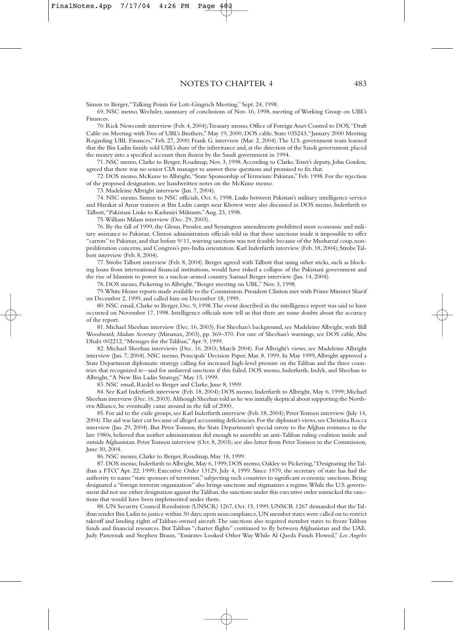Simon to Berger,"Talking Points for Lott-Gingrich Meeting," Sept. 24, 1998.

69. NSC memo,Wechsler, summary of conclusions of Nov. 16, 1998, meeting of Working Group on UBL's Finances.

70. Rick Newcomb interview (Feb. 4, 2004);Treasury memo, Office of Foreign Asset Control to DOS,"Draft Cable on Meeting with Two of UBL's Brothers," May 19, 2000; DOS cable, State 035243,"January 2000 Meeting Regarding UBL Finances," Feb. 27, 2000; Frank G. interview (Mar. 2, 2004).The U.S. government team learned that the Bin Ladin family sold UBL's share of the inheritance and, at the direction of the Saudi government, placed the money into a specified account then frozen by the Saudi government in 1994.

71. NSC memo, Clarke to Berger, Roadmap, Nov. 3, 1998.According to Clarke,Tenet's deputy, John Gordon, agreed that there was no senior CIA manager to answer these questions and promised to fix that.

72. DOS memo, McKune to Albright,"State Sponsorship of Terrorism: Pakistan," Feb. 1998. For the rejection of the proposed designation, see handwritten notes on the McKune memo.

73. Madeleine Albright interview (Jan. 7, 2004).

74. NSC memo, Simon to NSC officials, Oct. 6, 1998. Links between Pakistan's military intelligence service and Harakat ul Ansar trainees at Bin Ladin camps near Khowst were also discussed in DOS memo, Inderfurth to Talbott,"Pakistani Links to Kashmiri Militants,"Aug. 23, 1998.

75.William Milam interview (Dec. 29, 2003).

76. By the fall of 1999, the Glenn, Pressler, and Symington amendments prohibited most economic and military assistance to Pakistan. Clinton administration officials told us that these sanctions made it impossible to offer "carrots" to Pakistan, and that before 9/11, waiving sanctions was not feasible because of the Musharraf coup, nonproliferation concerns, and Congress's pro-India orientation. Karl Inderfurth interview (Feb. 18, 2004); Strobe Talbott interview (Feb. 8, 2004).

77. Strobe Talbott interview (Feb. 8, 2004). Berger agreed with Talbott that using other sticks, such as blocking loans from international financial institutions, would have risked a collapse of the Pakistani government and the rise of Islamists to power in a nuclear-armed country. Samuel Berger interview (Jan. 14, 2004).

78. DOS memo, Pickering to Albright,"Berger meeting on UBL," Nov. 3, 1998.

79.White House reports made available to the Commission.President Clinton met with Prime Minister Sharif on December 2, 1999, and called him on December 18, 1999.

80. NSC email, Clarke to Berger, Dec. 9, 1998.The event described in the intelligence report was said to have occurred on November 17, 1998. Intelligence officials now tell us that there are some doubts about the accuracy of the report.

81. Michael Sheehan interview (Dec. 16, 2003). For Sheehan's background, see Madeleine Albright, with Bill Woodward, *Madam Secretary* (Miramax, 2003), pp. 369–370. For one of Sheehan's warnings, see DOS cable, Abu Dhabi 002212,"Messages for the Taliban,"Apr. 9, 1999.

82. Michael Sheehan interviews (Dec. 16, 2003; March 2004). For Albright's views, see Madeleine Albright interview (Jan. 7, 2004). NSC memo, Principals' Decision Paper, Mar. 8, 1999. In May 1999,Albright approved a State Department diplomatic strategy calling for increased high-level pressure on the Taliban and the three countries that recognized it—and for unilateral sanctions if this failed. DOS memo, Inderfurth, Indyk, and Sheehan to Albright,"A New Bin Ladin Strategy," May 15, 1999.

83. NSC email, Riedel to Berger and Clarke, June 8, 1999.

84. See Karl Inderfurth interview (Feb. 18, 2004); DOS memo, Inderfurth to Albright, May 6, 1999; Michael Sheehan interview (Dec.16,2003).Although Sheehan told us he was initially skeptical about supporting the Northern Alliance, he eventually came around in the fall of 2000.

85. For aid to the exile groups, see Karl Inderfurth interview (Feb. 18, 2004); Peter Tomsen interview (July 14, 2004).The aid was later cut because of alleged accounting deficiencies.For the diplomat's views,see Christina Rocca interview (Jan. 29, 2004). But Peter Tomsen, the State Department's special envoy to the Afghan resistance in the late 1980s, believed that neither administration did enough to assemble an anti-Taliban ruling coalition inside and outside Afghanistan. Peter Tomsen interview (Oct. 8, 2003); see also letter from Peter Tomsen to the Commission, June 30, 2004.

86. NSC memo, Clarke to Berger, Roadmap, May 18, 1999.

87. DOS memo, Inderfurth to Albright, May 6, 1999; DOS memo, Oakley to Pickering,"Designating the Taliban a FTO," Apr. 22, 1999; Executive Order 13129, July 4, 1999. Since 1979, the secretary of state has had the authority to name "state sponsors of terrorism," subjecting such countries to significant economic sanctions. Being designated a "foreign terrorist organization" also brings sanctions and stigmatizes a regime.While the U.S. government did not use either designation against the Taliban, the sanctions under this executive order mimicked the sanctions that would have been implemented under them.

88. UN Security Council Resolution (UNSCR) 1267, Oct. 15, 1999. UNSCR 1267 demanded that the Taliban render Bin Ladin to justice within 30 days;upon noncompliance,UN member states were called on to restrict takeoff and landing rights of Taliban-owned aircraft.The sanctions also required member states to freeze Taliban funds and financial resources. But Taliban "charter flights" continued to fly between Afghanistan and the UAE. Judy Pasternak and Stephen Braun, "Emirates Looked Other Way While Al Qaeda Funds Flowed," *Los Angeles*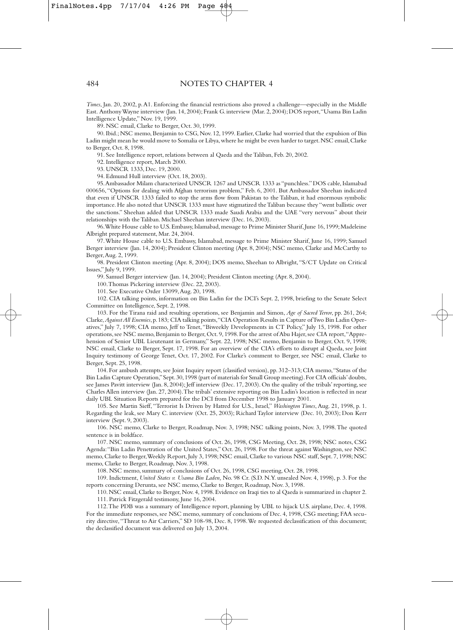*Times*, Jan. 20, 2002, p.A1. Enforcing the financial restrictions also proved a challenge—especially in the Middle East. Anthony Wayne interview (Jan.14,2004);Frank G.interview (Mar.2,2004);DOS report,"Usama Bin Ladin Intelligence Update," Nov. 19, 1999.

89. NSC email, Clarke to Berger, Oct. 30, 1999.

90. Ibid.; NSC memo, Benjamin to CSG, Nov. 12, 1999. Earlier, Clarke had worried that the expulsion of Bin Ladin might mean he would move to Somalia or Libya, where he might be even harder to target. NSC email, Clarke to Berger, Oct. 8, 1998.

91. See Intelligence report, relations between al Qaeda and the Taliban, Feb. 20, 2002.

92. Intelligence report, March 2000.

93. UNSCR 1333, Dec. 19, 2000.

94. Edmund Hull interview (Oct. 18, 2003).

95.Ambassador Milam characterized UNSCR 1267 and UNSCR 1333 as "punchless." DOS cable, Islamabad 000656,"Options for dealing with Afghan terrorism problem," Feb. 6, 2001. But Ambassador Sheehan indicated that even if UNSCR 1333 failed to stop the arms flow from Pakistan to the Taliban, it had enormous symbolic importance. He also noted that UNSCR 1333 must have stigmatized the Taliban because they "went ballistic over the sanctions." Sheehan added that UNSCR 1333 made Saudi Arabia and the UAE "very nervous" about their relationships with the Taliban. Michael Sheehan interview (Dec. 16, 2003).

96. White House cable to U.S. Embassy, Islamabad, message to Prime Minister Sharif, June 16, 1999; Madeleine Albright prepared statement, Mar. 24, 2004.

97.White House cable to U.S. Embassy, Islamabad, message to Prime Minister Sharif, June 16, 1999; Samuel Berger interview (Jan. 14, 2004); President Clinton meeting (Apr. 8, 2004); NSC memo, Clarke and McCarthy to Berger,Aug. 2, 1999.

98. President Clinton meeting (Apr. 8, 2004); DOS memo, Sheehan to Albright,"S/CT Update on Critical Issues," July 9, 1999.

99. Samuel Berger interview (Jan. 14, 2004); President Clinton meeting (Apr. 8, 2004).

100.Thomas Pickering interview (Dec. 22, 2003).

101. See Executive Order 13099,Aug. 20, 1998.

102. CIA talking points, information on Bin Ladin for the DCI's Sept. 2, 1998, briefing to the Senate Select Committee on Intelligence, Sept. 2, 1998.

103. For the Tirana raid and resulting operations, see Benjamin and Simon, *Age of Sacred Terror*, pp. 261, 264; Clarke,*Against All Enemies*,p.183; CIA talking points,"CIA Operation Results in Capture of Two Bin Ladin Operatives," July 7, 1998; CIA memo, Jeff to Tenet,"Biweekly Developments in CT Policy," July 15, 1998. For other operations, see NSC memo, Benjamin to Berger, Oct. 9, 1998. For the arrest of Abu Hajer, see CIA report, "Apprehension of Senior UBL Lieutenant in Germany," Sept. 22, 1998; NSC memo, Benjamin to Berger, Oct. 9, 1998; NSC email, Clarke to Berger, Sept. 17, 1998. For an overview of the CIA's efforts to disrupt al Qaeda, see Joint Inquiry testimony of George Tenet, Oct. 17, 2002. For Clarke's comment to Berger, see NSC email, Clarke to Berger, Sept. 25, 1998.

104. For ambush attempts, see Joint Inquiry report (classified version), pp. 312–313; CIA memo,"Status of the Bin Ladin Capture Operation,"Sept.30,1998 (part of materials for Small Group meeting).For CIA officials'doubts, see James Pavitt interview (Jan. 8, 2004); Jeff interview (Dec. 17, 2003). On the quality of the tribals' reporting, see Charles Allen interview (Jan. 27, 2004).The tribals' extensive reporting on Bin Ladin's location is reflected in near daily UBL Situation Reports prepared for the DCI from December 1998 to January 2001.

105. See Martin Sieff,"Terrorist Is Driven by Hatred for U.S., Israel," *Washington Times*, Aug. 21, 1998, p. 1. Regarding the leak, see Mary C. interview (Oct. 25, 2003); Richard Taylor interview (Dec. 10, 2003); Don Kerr interview (Sept. 9, 2003).

106. NSC memo, Clarke to Berger, Roadmap, Nov. 3, 1998; NSC talking points, Nov. 3, 1998.The quoted sentence is in boldface.

107. NSC memo, summary of conclusions of Oct. 26, 1998, CSG Meeting, Oct. 28, 1998; NSC notes, CSG Agenda:"Bin Ladin Penetration of the United States," Oct. 26, 1998. For the threat against Washington, see NSC memo, Clarke to Berger,Weekly Report, July 3, 1998; NSC email, Clarke to various NSC staff, Sept. 7, 1998; NSC memo, Clarke to Berger, Roadmap, Nov. 3, 1998.

108. NSC memo, summary of conclusions of Oct. 26, 1998, CSG meeting, Oct. 28, 1998.

109. Indictment, *United States v. Usama Bin Laden,* No. 98 Cr. (S.D. N.Y. unsealed Nov. 4, 1998), p. 3. For the reports concerning Derunta, see NSC memo, Clarke to Berger, Roadmap, Nov. 3, 1998.

110. NSC email, Clarke to Berger, Nov. 4, 1998. Evidence on Iraqi ties to al Qaeda is summarized in chapter 2. 111. Patrick Fitzgerald testimony, June 16, 2004.

112.The PDB was a summary of Intelligence report, planning by UBL to hijack U.S. airplane, Dec. 4, 1998. For the immediate responses, see NSC memo, summary of conclusions of Dec. 4, 1998, CSG meeting; FAA security directive,"Threat to Air Carriers," SD 108-98, Dec. 8, 1998.We requested declassification of this document; the declassified document was delivered on July 13, 2004.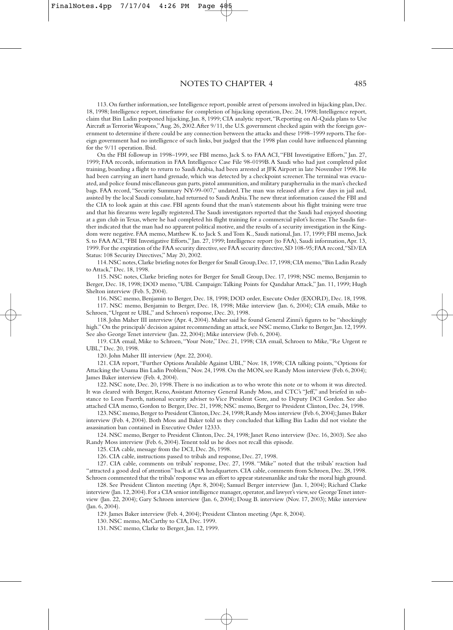#### NOTES TO CHAPTER 4 485

113. On further information, see Intelligence report, possible arrest of persons involved in hijacking plan, Dec. 18, 1998; Intelligence report, timeframe for completion of hijacking operation, Dec. 24, 1998; Intelligence report, claim that Bin Ladin postponed hijacking, Jan. 8, 1999; CIA analytic report,"Reporting on Al-Qaida plans to Use Aircraft as Terrorist Weapons,"Aug. 26, 2002.After 9/11, the U.S. government checked again with the foreign government to determine if there could be any connection between the attacks and these 1998–1999 reports.The foreign government had no intelligence of such links, but judged that the 1998 plan could have influenced planning for the 9/11 operation. Ibid.

On the FBI followup in 1998–1999, see FBI memo, Jack S. to FAA ACI,"FBI Investigative Efforts," Jan. 27, 1999; FAA records, information in FAA Intelligence Case File 98-0199B.A Saudi who had just completed pilot training, boarding a flight to return to Saudi Arabia, had been arrested at JFK Airport in late November 1998. He had been carrying an inert hand grenade, which was detected by a checkpoint screener.The terminal was evacuated, and police found miscellaneous gun parts, pistol ammunition, and military paraphernalia in the man's checked bags. FAA record, "Security Summary NY-99-007," undated.The man was released after a few days in jail and, assisted by the local Saudi consulate, had returned to Saudi Arabia.The new threat information caused the FBI and the CIA to look again at this case. FBI agents found that the man's statements about his flight training were true and that his firearms were legally registered.The Saudi investigators reported that the Saudi had enjoyed shooting at a gun club in Texas, where he had completed his flight training for a commercial pilot's license.The Saudis further indicated that the man had no apparent political motive, and the results of a security investigation in the Kingdom were negative. FAA memo, Matthew K. to Jack S. and Tom K., Saudi national, Jan. 17, 1999; FBI memo, Jack S. to FAA ACI,"FBI Investigative Efforts," Jan. 27, 1999; Intelligence report (to FAA), Saudi information,Apr. 13, 1999.For the expiration of the FAA security directive,see FAA security directive,SD 108-95;FAA record,"SD/EA Status: 108 Security Directives," May 20, 2002.

114.NSC notes,Clarke briefing notes for Berger for Small Group,Dec.17,1998;CIA memo,"Bin Ladin Ready to Attack," Dec. 18, 1998.

115. NSC notes, Clarke briefing notes for Berger for Small Group, Dec. 17, 1998; NSC memo, Benjamin to Berger, Dec. 18, 1998; DOD memo,"UBL Campaign:Talking Points for Qandahar Attack," Jan. 11, 1999; Hugh Shelton interview (Feb. 5, 2004).

116. NSC memo, Benjamin to Berger, Dec. 18, 1998; DOD order, Execute Order (EXORD), Dec. 18, 1998.

117. NSC memo, Benjamin to Berger, Dec. 18, 1998; Mike interview (Jan. 6, 2004); CIA emails, Mike to Schroen,"Urgent re UBL," and Schroen's response, Dec. 20, 1998.

118. John Maher III interview (Apr. 4, 2004). Maher said he found General Zinni's figures to be "shockingly high." On the principals' decision against recommending an attack, see NSC memo, Clarke to Berger, Jan. 12, 1999. See also George Tenet interview (Jan. 22, 2004); Mike interview (Feb. 6, 2004).

119. CIA email, Mike to Schroen,"Your Note," Dec. 21, 1998; CIA email, Schroen to Mike,"Re Urgent re UBL," Dec. 20, 1998.

120. John Maher III interview (Apr. 22, 2004).

121. CIA report,"Further Options Available Against UBL," Nov. 18, 1998; CIA talking points,"Options for Attacking the Usama Bin Ladin Problem,"Nov.24,1998.On the MON,see Randy Moss interview (Feb.6,2004); James Baker interview (Feb. 4, 2004).

122. NSC note, Dec. 20, 1998.There is no indication as to who wrote this note or to whom it was directed. It was cleared with Berger, Reno,Assistant Attorney General Randy Moss, and CTC's "Jeff," and briefed in substance to Leon Fuerth, national security adviser to Vice President Gore, and to Deputy DCI Gordon. See also attached CIA memo, Gordon to Berger, Dec. 21, 1998; NSC memo, Berger to President Clinton, Dec. 24, 1998.

123.NSC memo,Berger to President Clinton,Dec.24,1998;Randy Moss interview (Feb.6,2004);James Baker interview (Feb. 4, 2004). Both Moss and Baker told us they concluded that killing Bin Ladin did not violate the assassination ban contained in Executive Order 12333.

124. NSC memo, Berger to President Clinton, Dec. 24, 1998; Janet Reno interview (Dec. 16, 2003). See also Randy Moss interview (Feb. 6, 2004).Tenent told us he does not recall this episode.

125. CIA cable, message from the DCI, Dec. 26, 1998.

126. CIA cable, instructions passed to tribals and response, Dec. 27, 1998.

127. CIA cable, comments on tribals' response, Dec. 27, 1998. "Mike" noted that the tribals' reaction had "attracted a good deal of attention" back at CIA headquarters. CIA cable, comments from Schroen, Dec. 28, 1998. Schroen commented that the tribals'response was an effort to appear statesmanlike and take the moral high ground.

128. See President Clinton meeting (Apr. 8, 2004); Samuel Berger interview (Jan. 1, 2004); Richard Clarke interview (Jan. 12, 2004). For a CIA senior intelligence manager, operator, and lawyer's view, see George Tenet interview (Jan. 22, 2004); Gary Schroen interview (Jan. 6, 2004); Doug B. interview (Nov. 17, 2003); Mike interview (Jan. 6, 2004).

129. James Baker interview (Feb. 4, 2004); President Clinton meeting (Apr. 8, 2004).

130. NSC memo, McCarthy to CIA, Dec. 1999.

131. NSC memo, Clarke to Berger, Jan. 12, 1999.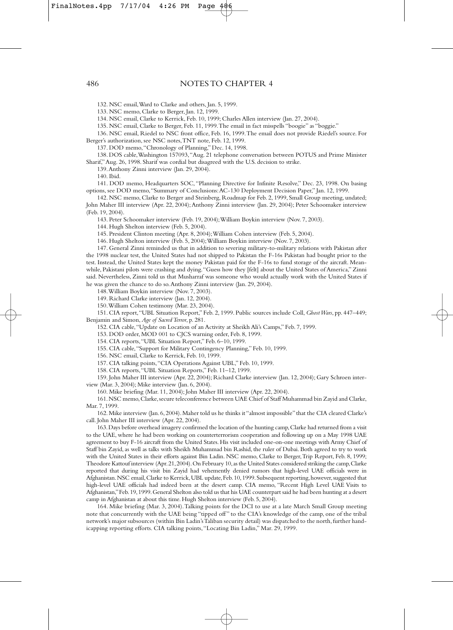132. NSC email,Ward to Clarke and others, Jan. 5, 1999.

133. NSC memo, Clarke to Berger, Jan. 12, 1999.

134. NSC email, Clarke to Kerrick, Feb. 10, 1999; Charles Allen interview (Jan. 27, 2004).

135. NSC email, Clarke to Berger, Feb. 11, 1999.The email in fact misspells "boogie" as "boggie."

136. NSC email, Riedel to NSC front office, Feb. 16, 1999.The email does not provide Riedel's source. For Berger's authorization, see NSC notes,TNT note, Feb. 12, 1999.

137. DOD memo,"Chronology of Planning," Dec. 14, 1998.

138. DOS cable,Washington 157093,"Aug. 21 telephone conversation between POTUS and Prime Minister Sharif,"Aug. 26, 1998. Sharif was cordial but disagreed with the U.S. decision to strike.

139.Anthony Zinni interview (Jan. 29, 2004).

140. Ibid.

141. DOD memo, Headquarters SOC, "Planning Directive for Infinite Resolve," Dec. 23, 1998. On basing options, see DOD memo,"Summary of Conclusions:AC-130 Deployment Decision Paper," Jan. 12, 1999.

142. NSC memo, Clarke to Berger and Steinberg, Roadmap for Feb. 2, 1999, Small Group meeting, undated; John Maher III interview (Apr. 22, 2004);Anthony Zinni interview (Jan. 29, 2004); Peter Schoomaker interview (Feb. 19, 2004).

143. Peter Schoomaker interview (Feb. 19, 2004);William Boykin interview (Nov. 7, 2003).

144. Hugh Shelton interview (Feb. 5, 2004).

145. President Clinton meeting (Apr. 8, 2004);William Cohen interview (Feb. 5, 2004).

146. Hugh Shelton interview (Feb. 5, 2004);William Boykin interview (Nov. 7, 2003).

147. General Zinni reminded us that in addition to severing military-to-military relations with Pakistan after the 1998 nuclear test, the United States had not shipped to Pakistan the F-16s Pakistan had bought prior to the test. Instead, the United States kept the money Pakistan paid for the F-16s to fund storage of the aircraft. Meanwhile, Pakistani pilots were crashing and dying."Guess how they [felt] about the United States of America," Zinni said. Nevertheless, Zinni told us that Musharraf was someone who would actually work with the United States if he was given the chance to do so.Anthony Zinni interview (Jan. 29, 2004).

148.William Boykin interview (Nov. 7, 2003).

149. Richard Clarke interview (Jan. 12, 2004).

150.William Cohen testimony (Mar. 23, 2004).

151. CIA report,"UBL Situation Report," Feb. 2, 1999. Public sources include Coll, *Ghost Wars*, pp. 447–449; Benjamin and Simon, *Age of Sacred Terror*, p. 281.

152. CIA cable,"Update on Location of an Activity at Sheikh Ali's Camps," Feb. 7, 1999.

153. DOD order, MOD 001 to CJCS warning order, Feb. 8, 1999.

154. CIA reports,"UBL Situation Report," Feb. 6–10, 1999.

155. CIA cable,"Support for Military Contingency Planning," Feb. 10, 1999.

156. NSC email, Clarke to Kerrick, Feb. 10, 1999.

157. CIA talking points,"CIA Operations Against UBL," Feb. 10, 1999.

158. CIA reports,"UBL Situation Reports," Feb. 11–12, 1999.

159. John Maher III interview (Apr. 22, 2004); Richard Clarke interview (Jan. 12, 2004); Gary Schroen interview (Mar. 3, 2004); Mike interview (Jan. 6, 2004).

160. Mike briefing (Mar. 11, 2004); John Maher III interview (Apr. 22, 2004).

161.NSC memo,Clarke,secure teleconference between UAE Chief of Staff Muhammad bin Zayid and Clarke, Mar. 7, 1999.

162.Mike interview (Jan.6,2004).Maher told us he thinks it "almost impossible"that the CIA cleared Clarke's call. John Maher III interview (Apr. 22, 2004).

163.Days before overhead imagery confirmed the location of the hunting camp,Clarke had returned from a visit to the UAE, where he had been working on counterterrorism cooperation and following up on a May 1998 UAE agreement to buy F-16 aircraft from the United States. His visit included one-on-one meetings with Army Chief of Staff bin Zayid, as well as talks with Sheikh Muhammad bin Rashid, the ruler of Dubai. Both agreed to try to work with the United States in their efforts against Bin Ladin. NSC memo, Clarke to Berger,Trip Report, Feb. 8, 1999; Theodore Kattouf interview (Apr.21,2004).On February 10,as the United States considered striking the camp,Clarke reported that during his visit bin Zayid had vehemently denied rumors that high-level UAE officials were in Afghanistan.NSC email,Clarke to Kerrick,UBL update,Feb.10,1999.Subsequent reporting,however,suggested that high-level UAE officials had indeed been at the desert camp. CIA memo, "Recent High Level UAE Visits to Afghanistan,"Feb.19,1999.General Shelton also told us that his UAE counterpart said he had been hunting at a desert camp in Afghanistan at about this time. Hugh Shelton interview (Feb. 5, 2004).

164. Mike briefing (Mar. 3, 2004).Talking points for the DCI to use at a late March Small Group meeting note that concurrently with the UAE being "tipped off" to the CIA's knowledge of the camp, one of the tribal network's major subsources (within Bin Ladin's Taliban security detail) was dispatched to the north,further handicapping reporting efforts. CIA talking points,"Locating Bin Ladin," Mar. 29, 1999.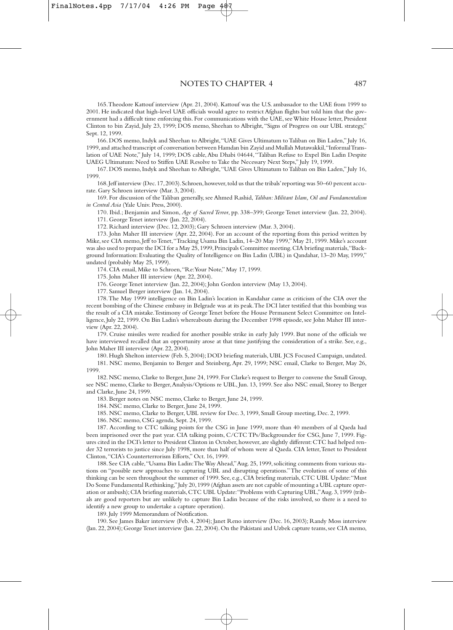165.Theodore Kattouf interview (Apr. 21, 2004). Kattouf was the U.S. ambassador to the UAE from 1999 to 2001. He indicated that high-level UAE officials would agree to restrict Afghan flights but told him that the government had a difficult time enforcing this. For communications with the UAE, see White House letter, President Clinton to bin Zayid, July 23, 1999; DOS memo, Sheehan to Albright,"Signs of Progress on our UBL strategy," Sept. 12, 1999.

166. DOS memo, Indyk and Sheehan to Albright,"UAE Gives Ultimatum to Taliban on Bin Laden," July 16, 1999,and attached transcript of conversation between Hamdan bin Zayid and Mullah Mutawakkil,"Informal Translation of UAE Note," July 14, 1999; DOS cable,Abu Dhabi 04644,"Taliban Refuse to Expel Bin Ladin Despite UAEG Ultimatum: Need to Stiffen UAE Resolve to Take the Necessary Next Steps," July 19, 1999.

167. DOS memo, Indyk and Sheehan to Albright,"UAE Gives Ultimatum to Taliban on Bin Laden," July 16, 1999.

168. Jeff interview (Dec. 17, 2003). Schroen, however, told us that the tribals' reporting was 50–60 percent accurate. Gary Schroen interview (Mar. 3, 2004).

169. For discussion of the Taliban generally, see Ahmed Rashid, *Taliban: Militant Islam, Oil and Fundamentalism in Central Asia* (Yale Univ. Press, 2000).

170. Ibid.; Benjamin and Simon, *Age of Sacred Terror*, pp. 338–399; George Tenet interview (Jan. 22, 2004).

171. George Tenet interview (Jan. 22, 2004).

172. Richard interview (Dec. 12, 2003); Gary Schroen interview (Mar. 3, 2004).

173. John Maher III interview (Apr. 22, 2004). For an account of the reporting from this period written by Mike, see CIA memo, Jeff to Tenet,"Tracking Usama Bin Ladin, 14–20 May 1999," May 21, 1999. Mike's account was also used to prepare the DCI for a May 25,1999,Principals Committee meeting.CIA briefing materials,"Background Information: Evaluating the Quality of Intelligence on Bin Ladin (UBL) in Qandahar, 13–20 May, 1999," undated (probably May 25, 1999).

174. CIA email, Mike to Schroen,"Re:Your Note," May 17, 1999.

175. John Maher III interview (Apr. 22, 2004).

176. George Tenet interview (Jan. 22, 2004); John Gordon interview (May 13, 2004).

177. Samuel Berger interview (Jan. 14, 2004).

178.The May 1999 intelligence on Bin Ladin's location in Kandahar came as criticism of the CIA over the recent bombing of the Chinese embassy in Belgrade was at its peak.The DCI later testified that this bombing was the result of a CIA mistake.Testimony of George Tenet before the House Permanent Select Committee on Intelligence, July 22, 1999. On Bin Ladin's whereabouts during the December 1998 episode, see John Maher III interview (Apr. 22, 2004).

179. Cruise missiles were readied for another possible strike in early July 1999. But none of the officials we have interviewed recalled that an opportunity arose at that time justifying the consideration of a strike. See, e.g., John Maher III interview (Apr. 22, 2004).

180. Hugh Shelton interview (Feb. 5, 2004); DOD briefing materials, UBL JCS Focused Campaign, undated. 181. NSC memo, Benjamin to Berger and Steinberg, Apr. 29, 1999; NSC email, Clarke to Berger, May 26,

1999.

182. NSC memo, Clarke to Berger, June 24, 1999. For Clarke's request to Berger to convene the Small Group, see NSC memo, Clarke to Berger,Analysis/Options re UBL, Jun. 13, 1999. See also NSC email, Storey to Berger and Clarke, June 24, 1999.

183. Berger notes on NSC memo, Clarke to Berger, June 24, 1999.

184. NSC memo, Clarke to Berger, June 24, 1999.

185. NSC memo, Clarke to Berger, UBL review for Dec. 3, 1999, Small Group meeting, Dec. 2, 1999.

186. NSC memo, CSG agenda, Sept. 24, 1999.

187. According to CTC talking points for the CSG in June 1999, more than 40 members of al Qaeda had been imprisoned over the past year. CIA talking points, C/CTC TPs/Backgrounder for CSG, June 7, 1999. Figures cited in the DCI's letter to President Clinton in October, however, are slightly different: CTC had helped render 32 terrorists to justice since July 1998, more than half of whom were al Qaeda. CIA letter,Tenet to President Clinton,"CIA's Counterterrorism Efforts," Oct. 16, 1999.

188. See CIA cable,"Usama Bin Ladin:The Way Ahead,"Aug. 25, 1999, soliciting comments from various stations on "possible new approaches to capturing UBL and disrupting operations."The evolution of some of this thinking can be seen throughout the summer of 1999. See, e.g., CIA briefing materials, CTC UBL Update:"Must Do Some Fundamental Rethinking,"July 20,1999 (Afghan assets are not capable of mounting a UBL capture operation or ambush);CIA briefing materials,CTC UBL Update:"Problems with Capturing UBL,"Aug.3,1999 (tribals are good reporters but are unlikely to capture Bin Ladin because of the risks involved, so there is a need to identify a new group to undertake a capture operation).

189. July 1999 Memorandum of Notification.

190. See James Baker interview (Feb. 4, 2004); Janet Reno interview (Dec. 16, 2003); Randy Moss interview (Jan. 22, 2004); George Tenet interview (Jan. 22, 2004). On the Pakistani and Uzbek capture teams, see CIA memo,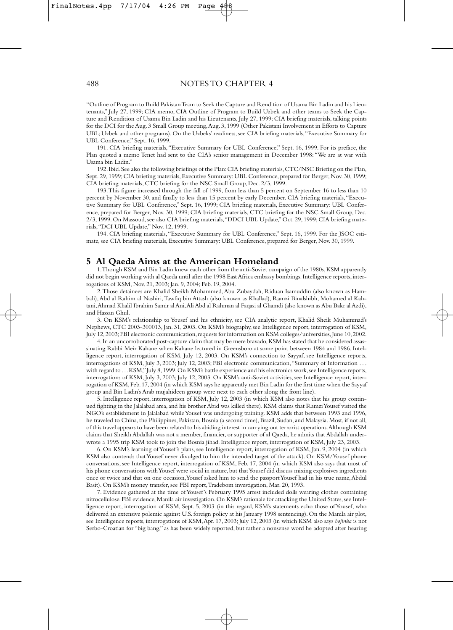"Outline of Program to Build Pakistan Team to Seek the Capture and Rendition of Usama Bin Ladin and his Lieutenants," July 27, 1999; CIA memo, CIA Outline of Program to Build Uzbek and other teams to Seek the Capture and Rendition of Usama Bin Ladin and his Lieutenants, July 27, 1999; CIA briefing materials, talking points for the DCI for the Aug. 3 Small Group meeting,Aug. 3, 1999 (Other Pakistani Involvement in Efforts to Capture UBL; Uzbek and other programs). On the Uzbeks' readiness, see CIA briefing materials,"Executive Summary for UBL Conference," Sept. 16, 1999.

191. CIA briefing materials,"Executive Summary for UBL Conference," Sept. 16, 1999. For its preface, the Plan quoted a memo Tenet had sent to the CIA's senior management in December 1998: "We are at war with Usama bin Ladin."

192.Ibid.See also the following briefings of the Plan:CIA briefing materials,CTC/NSC Briefing on the Plan, Sept. 29, 1999; CIA briefing materials, Executive Summary: UBL Conference, prepared for Berger, Nov. 30, 1999; CIA briefing materials, CTC briefing for the NSC Small Group, Dec. 2/3, 1999.

193.This figure increased through the fall of 1999, from less than 5 percent on September 16 to less than 10 percent by November 30, and finally to less than 15 percent by early December. CIA briefing materials,"Executive Summary for UBL Conference," Sept. 16, 1999; CIA briefing materials, Executive Summary: UBL Conference, prepared for Berger, Nov. 30, 1999; CIA briefing materials, CTC briefing for the NSC Small Group, Dec. 2/3, 1999. On Massoud, see also CIA briefing materials,"DDCI UBL Update," Oct. 29, 1999; CIA briefing materials,"DCI UBL Update," Nov. 12, 1999.

194. CIA briefing materials,"Executive Summary for UBL Conference," Sept. 16, 1999. For the JSOC estimate, see CIA briefing materials, Executive Summary: UBL Conference, prepared for Berger, Nov. 30, 1999.

# **5 Al Qaeda Aims at the American Homeland**

1.Though KSM and Bin Ladin knew each other from the anti-Soviet campaign of the 1980s,KSM apparently did not begin working with al Qaeda until after the 1998 East Africa embassy bombings. Intelligence reports, interrogations of KSM, Nov. 21, 2003; Jan. 9, 2004; Feb. 19, 2004.

2.Those detainees are Khalid Sheikh Mohammed,Abu Zubaydah, Riduan Isamuddin (also known as Hambali),Abd al Rahim al Nashiri,Tawfiq bin Attash (also known as Khallad), Ramzi Binalshibh, Mohamed al Kahtani,Ahmad Khalil Ibrahim Samir al Ani,Ali Abd al Rahman al Faqasi al Ghamdi (also known as Abu Bakr al Azdi), and Hassan Ghul.

3. On KSM's relationship to Yousef and his ethnicity, see CIA analytic report, Khalid Sheik Muhammad's Nephews, CTC 2003-300013, Jan. 31, 2003. On KSM's biography, see Intelligence report, interrogation of KSM, July 12, 2003; FBI electronic communication, requests for information on KSM colleges/universities, June 10, 2002.

4.In an uncorroborated post-capture claim that may be mere bravado,KSM has stated that he considered assassinating Rabbi Meir Kahane when Kahane lectured in Greensboro at some point between 1984 and 1986. Intelligence report, interrogation of KSM, July 12, 2003. On KSM's connection to Sayyaf, see Intelligence reports, interrogations of KSM, July 3, 2003; July 12, 2003; FBI electronic communication, "Summary of Information . . . with regard to ...KSM,"July 8,1999.On KSM's battle experience and his electronics work,see Intelligence reports, interrogations of KSM, July 3, 2003; July 12, 2003. On KSM's anti-Soviet activities, see Intelligence report, interrogation of KSM,Feb.17,2004 (in which KSM says he apparently met Bin Ladin for the first time when the Sayyaf group and Bin Ladin's Arab mujahideen group were next to each other along the front line).

5. Intelligence report, interrogation of KSM, July 12, 2003 (in which KSM also notes that his group continued fighting in the Jalalabad area, and his brother Abid was killed there). KSM claims that Ramzi Yousef visited the NGO's establishment in Jalalabad while Yousef was undergoing training. KSM adds that between 1993 and 1996, he traveled to China, the Philippines, Pakistan, Bosnia (a second time), Brazil, Sudan, and Malaysia. Most, if not all, of this travel appears to have been related to his abiding interest in carrying out terrorist operations.Although KSM claims that Sheikh Abdallah was not a member, financier, or supporter of al Qaeda, he admits that Abdallah underwrote a 1995 trip KSM took to join the Bosnia jihad. Intelligence report, interrogation of KSM, July 23, 2003.

6. On KSM's learning of Yousef's plans, see Intelligence report, interrogation of KSM, Jan. 9, 2004 (in which KSM also contends that Yousef never divulged to him the intended target of the attack). On KSM/Yousef phone conversations, see Intelligence report, interrogation of KSM, Feb. 17, 2004 (in which KSM also says that most of his phone conversations with Yousef were social in nature, but that Yousef did discuss mixing explosives ingredients once or twice and that on one occasion,Yousef asked him to send the passport Yousef had in his true name,Abdul Basit). On KSM's money transfer, see FBI report,Tradebom investigation, Mar. 20, 1993.

7. Evidence gathered at the time of Yousef's February 1995 arrest included dolls wearing clothes containing nitrocellulose.FBI evidence,Manila air investigation.On KSM's rationale for attacking the United States,see Intelligence report, interrogation of KSM, Sept. 5, 2003 (in this regard, KSM's statements echo those of Yousef, who delivered an extensive polemic against U.S. foreign policy at his January 1998 sentencing). On the Manila air plot, see Intelligence reports, interrogations of KSM,Apr. 17, 2003; July 12, 2003 (in which KSM also says *bojinka* is not Serbo-Croatian for "big bang," as has been widely reported, but rather a nonsense word he adopted after hearing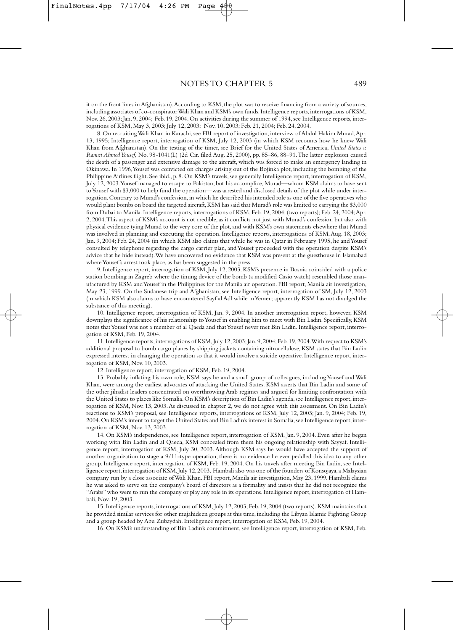it on the front lines in Afghanistan).According to KSM, the plot was to receive financing from a variety of sources, including associates of co-conspirator Wali Khan and KSM's own funds.Intelligence reports,interrogations of KSM, Nov. 26, 2003; Jan. 9, 2004; Feb. 19, 2004. On activities during the summer of 1994, see Intelligence reports, interrogations of KSM, May 3, 2003; July 12, 2003; Nov. 10, 2003; Feb. 21, 2004; Feb. 24, 2004.

8. On recruiting Wali Khan in Karachi, see FBI report of investigation, interview of Abdul Hakim Murad,Apr. 13, 1995; Intelligence report, interrogation of KSM, July 12, 2003 (in which KSM recounts how he knew Wali Khan from Afghanistan). On the testing of the timer, see Brief for the United States of America, *United States v. Ramzi Ahmed Yousef,* No. 98-1041(L) (2d Cir. filed Aug. 25, 2000), pp. 85–86, 88–91.The latter explosion caused the death of a passenger and extensive damage to the aircraft, which was forced to make an emergency landing in Okinawa. In 1996,Yousef was convicted on charges arising out of the Bojinka plot, including the bombing of the Philippine Airlines flight. See ibid., p. 8. On KSM's travels, see generally Intelligence report, interrogation of KSM, July 12, 2003.Yousef managed to escape to Pakistan, but his accomplice, Murad—whom KSM claims to have sent to Yousef with \$3,000 to help fund the operation—was arrested and disclosed details of the plot while under interrogation.Contrary to Murad's confession,in which he described his intended role as one of the five operatives who would plant bombs on board the targeted aircraft,KSM has said that Murad's role was limited to carrying the \$3,000 from Dubai to Manila. Intelligence reports, interrogations of KSM, Feb. 19, 2004; (two reports); Feb. 24, 2004;Apr. 2, 2004.This aspect of KSM's account is not credible, as it conflicts not just with Murad's confession but also with physical evidence tying Murad to the very core of the plot, and with KSM's own statements elsewhere that Murad was involved in planning and executing the operation. Intelligence reports, interrogations of KSM,Aug. 18, 2003; Jan. 9, 2004; Feb. 24, 2004 (in which KSM also claims that while he was in Qatar in February 1995, he and Yousef consulted by telephone regarding the cargo carrier plan, and Yousef proceeded with the operation despite KSM's advice that he hide instead).We have uncovered no evidence that KSM was present at the guesthouse in Islamabad where Yousef's arrest took place, as has been suggested in the press.

9. Intelligence report, interrogation of KSM, July 12, 2003. KSM's presence in Bosnia coincided with a police station bombing in Zagreb where the timing device of the bomb (a modified Casio watch) resembled those manufactured by KSM and Yousef in the Philippines for the Manila air operation. FBI report, Manila air investigation, May 23, 1999. On the Sudanese trip and Afghanistan, see Intelligence report, interrogation of SM, July 12, 2003 (in which KSM also claims to have encountered Sayf al Adl while in Yemen; apparently KSM has not divulged the substance of this meeting).

10. Intelligence report, interrogation of KSM, Jan. 9, 2004. In another interrogation report, however, KSM downplays the significance of his relationship to Yousef in enabling him to meet with Bin Ladin. Specifically, KSM notes that Yousef was not a member of al Qaeda and that Yousef never met Bin Ladin. Intelligence report, interrogation of KSM, Feb. 19, 2004.

11. Intelligence reports, interrogations of KSM, July 12, 2003; Jan. 9, 2004; Feb. 19, 2004. With respect to KSM's additional proposal to bomb cargo planes by shipping jackets containing nitrocellulose, KSM states that Bin Ladin expressed interest in changing the operation so that it would involve a suicide operative. Intelligence report, interrogation of KSM, Nov. 10, 2003.

12. Intelligence report, interrogation of KSM, Feb. 19, 2004.

13. Probably inflating his own role, KSM says he and a small group of colleagues, including Yousef and Wali Khan, were among the earliest advocates of attacking the United States. KSM asserts that Bin Ladin and some of the other jihadist leaders concentrated on overthrowing Arab regimes and argued for limiting confrontation with the United States to places like Somalia. On KSM's description of Bin Ladin's agenda, see Intelligence report, interrogation of KSM, Nov. 13, 2003.As discussed in chapter 2, we do not agree with this assessment. On Bin Ladin's reactions to KSM's proposal, see Intelligence reports, interrogations of KSM, July 12, 2003; Jan. 9, 2004; Feb. 19, 2004. On KSM's intent to target the United States and Bin Ladin's interest in Somalia, see Intelligence report, interrogation of KSM, Nov. 13, 2003.

14. On KSM's independence, see Intelligence report, interrogation of KSM, Jan. 9, 2004. Even after he began working with Bin Ladin and al Qaeda, KSM concealed from them his ongoing relationship with Sayyaf. Intelligence report, interrogation of KSM, July 30, 2003. Although KSM says he would have accepted the support of another organization to stage a 9/11-type operation, there is no evidence he ever peddled this idea to any other group. Intelligence report, interrogation of KSM, Feb. 19, 2004. On his travels after meeting Bin Ladin, see Intelligence report, interrogation of KSM, July 12, 2003. Hambali also was one of the founders of Konsojaya, a Malaysian company run by a close associate of Wali Khan. FBI report, Manila air investigation, May 23, 1999. Hambali claims he was asked to serve on the company's board of directors as a formality and insists that he did not recognize the "Arabs"who were to run the company or play any role in its operations.Intelligence report,interrogation of Hambali, Nov. 19, 2003.

15. Intelligence reports, interrogations of KSM, July 12, 2003; Feb. 19, 2004 (two reports). KSM maintains that he provided similar services for other mujahideen groups at this time, including the Libyan Islamic Fighting Group and a group headed by Abu Zubaydah. Intelligence report, interrogation of KSM, Feb. 19, 2004.

16. On KSM's understanding of Bin Ladin's commitment, see Intelligence report, interrogation of KSM, Feb.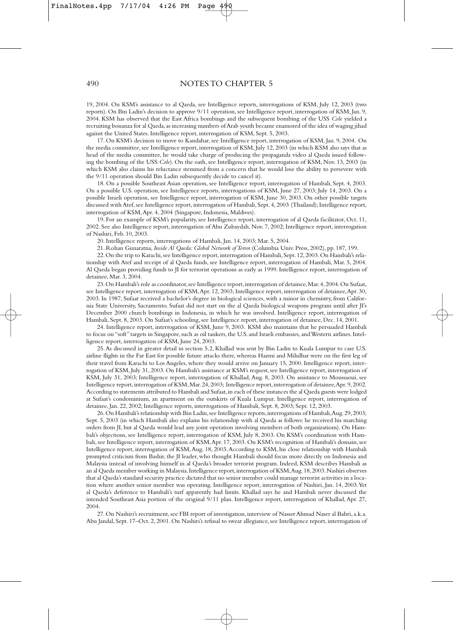19, 2004. On KSM's assistance to al Qaeda, see Intelligence reports, interrogations of KSM, July 12, 2003 (two reports). On Bin Ladin's decision to approve 9/11 operation, see Intelligence report, interrogation of KSM, Jan. 9, 2004. KSM has observed that the East Africa bombings and the subsequent bombing of the USS *Cole* yielded a recruiting bonanza for al Qaeda, as increasing numbers of Arab youth became enamored of the idea of waging jihad against the United States. Intelligence report, interrogation of KSM, Sept. 5, 2003.

17. On KSM's decision to move to Kandahar, see Intelligence report, interrogation of KSM, Jan. 9, 2004. On the media committee, see Intelligence report, interrogation of KSM, July 12, 2003 (in which KSM also says that as head of the media committee, he would take charge of producing the propaganda video al Qaeda issued following the bombing of the USS *Cole*). On the oath, see Intelligence report, interrogation of KSM, Nov. 13, 2003 (in which KSM also claims his reluctance stemmed from a concern that he would lose the ability to persevere with the 9/11 operation should Bin Ladin subsequently decide to cancel it).

18. On a possible Southeast Asian operation, see Intelligence report, interrogation of Hambali, Sept. 4, 2003. On a possible U.S. operation, see Intelligence reports, interrogations of KSM, June 27, 2003; July 14, 2003. On a possible Israeli operation, see Intelligence report, interrogation of KSM, June 30, 2003. On other possible targets discussed with Atef, see Intelligence report, interrogation of Hambali, Sept. 4, 2003 (Thailand); Intelligence report, interrogation of KSM,Apr. 4, 2004 (Singapore, Indonesia, Maldives).

19. For an example of KSM's popularity, see Intelligence report, interrogation of al Qaeda facilitator, Oct. 11, 2002. See also Intelligence report, interrogation of Abu Zubaydah, Nov. 7, 2002; Intelligence report, interrogation of Nashiri, Feb. 10, 2003.

20. Intelligence reports, interrogations of Hambali, Jan. 14, 2003; Mar. 5, 2004.

21. Rohan Gunaratna, *Inside Al Qaeda: Global Network of Terror* (Columbia Univ. Press, 2002), pp. 187, 199.

22. On the trip to Karachi, see Intelligence report, interrogation of Hambali, Sept. 12, 2003. On Hambali's relationship with Atef and receipt of al Qaeda funds, see Intelligence report, interrogation of Hambali, Mar. 5, 2004. Al Qaeda began providing funds to JI for terrorist operations as early as 1999. Intelligence report, interrogation of detainee, Mar. 3, 2004.

23. On Hambali's role as coordinator, see Intelligence report, interrogation of detainee, Mar. 4, 2004. On Sufaat, see Intelligence report, interrogation of KSM, Apr. 12, 2003; Intelligence report, interrogation of detainee, Apr. 30, 2003. In 1987, Sufaat received a bachelor's degree in biological sciences, with a minor in chemistry, from California State University, Sacramento. Sufaat did not start on the al Qaeda biological weapons program until after JI's December 2000 church bombings in Indonesia, in which he was involved. Intelligence report, interrogation of Hambali, Sept. 8, 2003. On Sufaat's schooling, see Intelligence report, interrogation of detainee, Dec. 14, 2001.

24. Intelligence report, interrogation of KSM, June 9, 2003. KSM also maintains that he persuaded Hambali to focus on "soft" targets in Singapore, such as oil tankers, the U.S. and Israeli embassies, and Western airlines. Intelligence report, interrogation of KSM, June 24, 2003.

25.As discussed in greater detail in section 5.2, Khallad was sent by Bin Ladin to Kuala Lumpur to case U.S. airline flights in the Far East for possible future attacks there, whereas Hazmi and Mihdhar were on the first leg of their travel from Karachi to Los Angeles, where they would arrive on January 15, 2000. Intelligence report, interrogation of KSM, July 31, 2003. On Hambali's assistance at KSM's request, see Intelligence report, interrogation of KSM, July 31, 2003; Intelligence report, interrogation of Khallad, Aug. 8, 2003. On assistance to Moussaoui, see Intelligence report,interrogation of KSM,Mar.24,2003; Intelligence report,interrogation of detainee,Apr.9,2002. According to statements attributed to Hambali and Sufaat,in each of these instances the al Qaeda guests were lodged at Sufaat's condominium, an apartment on the outskirts of Kuala Lumpur. Intelligence report, interrogation of detainee, Jan. 22, 2002; Intelligence reports, interrogations of Hambali, Sept. 8, 2003; Sept. 12, 2003.

26.On Hambali's relationship with Bin Ladin,see Intelligence reports,interrogations of Hambali,Aug.29,2003; Sept. 5, 2003 (in which Hambali also explains his relationship with al Qaeda as follows: he received his marching orders from JI, but al Qaeda would lead any joint operation involving members of both organizations). On Hambali's objections, see Intelligence report, interrogation of KSM, July 8, 2003. On KSM's coordination with Hambali, see Intelligence report, interrogation of KSM,Apr. 17, 2003. On KSM's recognition of Hambali's domain, see Intelligence report, interrogation of KSM,Aug. 18, 2003.According to KSM, his close relationship with Hambali prompted criticism from Bashir, the JI leader, who thought Hambali should focus more directly on Indonesia and Malaysia instead of involving himself in al Qaeda's broader terrorist program. Indeed, KSM describes Hambali as an al Qaeda member working in Malaysia.Intelligence report,interrogation of KSM,Aug.18,2003.Nashiri observes that al Qaeda's standard security practice dictated that no senior member could manage terrorist activities in a location where another senior member was operating. Intelligence report, interrogation of Nashiri, Jan. 14, 2003.Yet al Qaeda's deference to Hambali's turf apparently had limits. Khallad says he and Hambali never discussed the intended Southeast Asia portion of the original 9/11 plan. Intelligence report, interrogation of Khallad, Apr. 27, 2004.

27. On Nashiri's recruitment, see FBI report of investigation, interview of Nasser Ahmad Naser al Bahri, a.k.a. Abu Jandal, Sept. 17–Oct. 2, 2001. On Nashiri's refusal to swear allegiance, see Intelligence report, interrogation of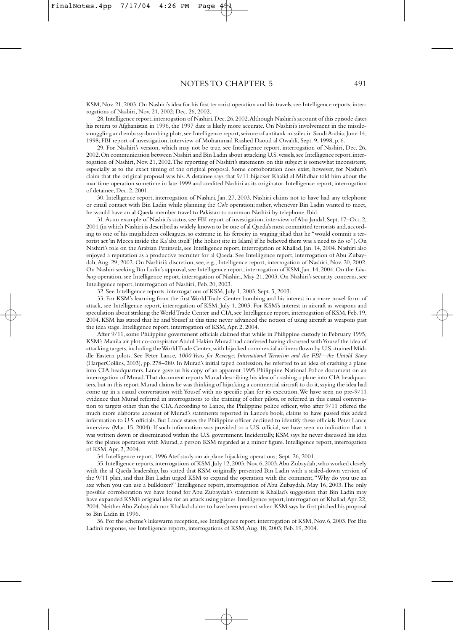KSM, Nov. 21, 2003. On Nashiri's idea for his first terrorist operation and his travels, see Intelligence reports, interrogations of Nashiri, Nov. 21, 2002; Dec. 26, 2002.

28. Intelligence report, interrogation of Nashiri, Dec. 26, 2002. Although Nashiri's account of this episode dates his return to Afghanistan in 1996, the 1997 date is likely more accurate. On Nashiri's involvement in the missilesmuggling and embassy-bombing plots, see Intelligence report, seizure of antitank missiles in Saudi Arabia, June 14, 1998; FBI report of investigation, interview of Mohammad Rashed Daoud al Owahli, Sept. 9, 1998, p. 6.

29. For Nashiri's version, which may not be true, see Intelligence report, interrogation of Nashiri, Dec. 26, 2002. On communication between Nashiri and Bin Ladin about attacking U.S. vessels, see Intelligence report, interrogation of Nashiri, Nov. 21, 2002.The reporting of Nashiri's statements on this subject is somewhat inconsistent, especially as to the exact timing of the original proposal. Some corroboration does exist, however, for Nashiri's claim that the original proposal was his.A detainee says that 9/11 hijacker Khalid al Mihdhar told him about the maritime operation sometime in late 1999 and credited Nashiri as its originator. Intelligence report, interrogation of detainee, Dec. 2, 2001.

30. Intelligence report, interrogation of Nashiri, Jan. 27, 2003. Nashiri claims not to have had any telephone or email contact with Bin Ladin while planning the *Cole* operation; rather, whenever Bin Ladin wanted to meet, he would have an al Qaeda member travel to Pakistan to summon Nashiri by telephone. Ibid.

31.As an example of Nashiri's status, see FBI report of investigation, interview of Abu Jandal, Sept. 17–Oct. 2, 2001 (in which Nashiri is described as widely known to be one of al Qaeda's most committed terrorists and,according to one of his mujahideen colleagues, so extreme in his ferocity in waging jihad that he "would commit a terrorist act 'in Mecca inside the Ka'aba itself' [the holiest site in Islam] if he believed there was a need to do so"). On Nashiri's role on the Arabian Peninsula, see Intelligence report, interrogation of Khallad, Jan. 14, 2004. Nashiri also enjoyed a reputation as a productive recruiter for al Qaeda. See Intelligence report, interrogation of Abu Zubaydah,Aug. 29, 2002. On Nashiri's discretion, see, e.g., Intelligence report, interrogation of Nashiri, Nov. 20, 2002. On Nashiri seeking Bin Ladin's approval, see Intelligence report, interrogation of KSM, Jan. 14, 2004. On the *Limburg* operation, see Intelligence report, interrogation of Nashiri, May 21, 2003. On Nashiri's security concerns, see Intelligence report, interrogation of Nashiri, Feb. 20, 2003.

32. See Intelligence reports, interrogations of KSM, July 1, 2003; Sept. 5, 2003.

33. For KSM's learning from the first World Trade Center bombing and his interest in a more novel form of attack, see Intelligence report, interrogation of KSM, July 1, 2003. For KSM's interest in aircraft as weapons and speculation about striking the World Trade Center and CIA, see Intelligence report, interrogation of KSM, Feb. 19, 2004. KSM has stated that he and Yousef at this time never advanced the notion of using aircraft as weapons past the idea stage. Intelligence report, interrogation of KSM,Apr. 2, 2004.

After 9/11, some Philippine government officials claimed that while in Philippine custody in February 1995, KSM's Manila air plot co-conspirator Abdul Hakim Murad had confessed having discussed with Yousef the idea of attacking targets, including the World Trade Center, with hijacked commercial airliners flown by U.S.-trained Middle Eastern pilots. See Peter Lance, *1000 Years for Revenge: International Terrorism and the FBI—the Untold Story* (HarperCollins, 2003), pp. 278–280. In Murad's initial taped confession, he referred to an idea of crashing a plane into CIA headquarters. Lance gave us his copy of an apparent 1995 Philippine National Police document on an interrogation of Murad.That document reports Murad describing his idea of crashing a plane into CIA headquarters, but in this report Murad claims he was thinking of hijacking a commercial aircraft to do it, saying the idea had come up in a casual conversation with Yousef with no specific plan for its execution.We have seen no pre-9/11 evidence that Murad referred in interrogations to the training of other pilots, or referred in this casual conversation to targets other than the CIA.According to Lance, the Philippine police officer, who after 9/11 offered the much more elaborate account of Murad's statements reported in Lance's book, claims to have passed this added information to U.S. officials. But Lance states the Philippine officer declined to identify these officials. Peter Lance interview (Mar. 15, 2004). If such information was provided to a U.S. official, we have seen no indication that it was written down or disseminated within the U.S. government. Incidentally, KSM says he never discussed his idea for the planes operation with Murad, a person KSM regarded as a minor figure. Intelligence report, interrogation of KSM,Apr. 2, 2004.

34. Intelligence report, 1996 Atef study on airplane hijacking operations, Sept. 26, 2001.

35.Intelligence reports,interrogations of KSM,July 12,2003;Nov.6,2003.Abu Zubaydah,who worked closely with the al Qaeda leadership, has stated that KSM originally presented Bin Ladin with a scaled-down version of the 9/11 plan, and that Bin Ladin urged KSM to expand the operation with the comment,"Why do you use an axe when you can use a bulldozer?" Intelligence report, interrogation of Abu Zubaydah, May 16, 2003.The only possible corroboration we have found for Abu Zubaydah's statement is Khallad's suggestion that Bin Ladin may have expanded KSM's original idea for an attack using planes. Intelligence report, interrogation of Khallad, Apr. 22, 2004.Neither Abu Zubaydah nor Khallad claims to have been present when KSM says he first pitched his proposal to Bin Ladin in 1996.

36. For the scheme's lukewarm reception, see Intelligence report, interrogation of KSM, Nov. 6, 2003. For Bin Ladin's response, see Intelligence reports, interrogations of KSM,Aug. 18, 2003; Feb. 19, 2004.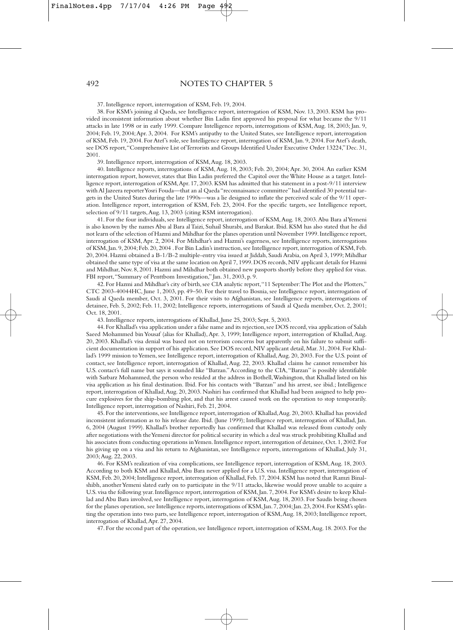37. Intelligence report, interrogation of KSM, Feb. 19, 2004.

38. For KSM's joining al Qaeda, see Intelligence report, interrogation of KSM, Nov. 13, 2003. KSM has provided inconsistent information about whether Bin Ladin first approved his proposal for what became the 9/11 attacks in late 1998 or in early 1999. Compare Intelligence reports, interrogations of KSM,Aug. 18, 2003; Jan. 9, 2004; Feb. 19, 2004;Apr. 3, 2004. For KSM's antipathy to the United States, see Intelligence report, interrogation of KSM, Feb. 19, 2004. For Atef's role, see Intelligence report, interrogation of KSM, Jan. 9, 2004. For Atef's death, see DOS report,"Comprehensive List of Terrorists and Groups Identified Under Executive Order 13224,"Dec.31, 2001.

39. Intelligence report, interrogation of KSM,Aug. 18, 2003.

40. Intelligence reports, interrogations of KSM, Aug. 18, 2003; Feb. 20, 2004; Apr. 30, 2004. An earlier KSM interrogation report, however, states that Bin Ladin preferred the Capitol over the White House as a target. Intelligence report, interrogation of KSM,Apr. 17, 2003. KSM has admitted that his statement in a post-9/11 interview with Al Jazeera reporter Yosri Fouda—that an al Qaeda "reconnaissance committee"had identified 30 potential targets in the United States during the late 1990s—was a lie designed to inflate the perceived scale of the 9/11 operation. Intelligence report, interrogation of KSM, Feb. 23, 2004. For the specific targets, see Intelligence report, selection of 9/11 targets,Aug. 13, 2003 (citing KSM interrogation).

41. For the four individuals, see Intelligence report, interrogation of KSM,Aug. 18, 2003.Abu Bara al Yemeni is also known by the names Abu al Bara al Taizi, Suhail Shurabi, and Barakat. Ibid. KSM has also stated that he did not learn of the selection of Hazmi and Mihdhar for the planes operation until November 1999. Intelligence report, interrogation of KSM,Apr. 2, 2004. For Mihdhar's and Hazmi's eagerness, see Intelligence reports, interrogations of KSM,Jan.9,2004;Feb.20,2004 .For Bin Ladin's instruction,see Intelligence report,interrogation of KSM,Feb. 20, 2004. Hazmi obtained a B-1/B-2 multiple-entry visa issued at Jiddah, Saudi Arabia, on April 3, 1999; Mihdhar obtained the same type of visa at the same location on April 7,1999.DOS records,NIV applicant details for Hazmi and Mihdhar, Nov. 8, 2001. Hazmi and Mihdhar both obtained new passports shortly before they applied for visas. FBI report,"Summary of Penttbom Investigation," Jan. 31, 2003, p. 9.

42. For Hazmi and Mihdhar's city of birth, see CIA analytic report,"11 September:The Plot and the Plotters," CTC 2003-40044HC, June 1, 2003, pp. 49–50. For their travel to Bosnia, see Intelligence report, interrogation of Saudi al Qaeda member, Oct. 3, 2001. For their visits to Afghanistan, see Intelligence reports, interrogations of detainee, Feb. 5, 2002; Feb. 11, 2002; Intelligence reports, interrogations of Saudi al Qaeda member, Oct. 2, 2001; Oct. 18, 2001.

43. Intelligence reports, interrogations of Khallad, June 25, 2003; Sept. 5, 2003.

44. For Khallad's visa application under a false name and its rejection, see DOS record, visa application of Salah Saeed Mohammed bin Yousaf (alias for Khallad), Apr. 3, 1999; Intelligence report, interrogation of Khallad, Aug. 20, 2003. Khallad's visa denial was based not on terrorism concerns but apparently on his failure to submit sufficient documentation in support of his application. See DOS record, NIV applicant detail, Mar. 31, 2004. For Khallad's 1999 mission to Yemen, see Intelligence report, interrogation of Khallad,Aug. 20, 2003. For the U.S. point of contact, see Intelligence report, interrogation of Khallad, Aug. 22, 2003. Khallad claims he cannot remember his U.S. contact's full name but says it sounded like "Barzan."According to the CIA,"Barzan" is possibly identifiable with Sarbarz Mohammed, the person who resided at the address in Bothell,Washington, that Khallad listed on his visa application as his final destination. Ibid. For his contacts with "Barzan" and his arrest, see ibid.; Intelligence report, interrogation of Khallad,Aug. 20, 2003. Nashiri has confirmed that Khallad had been assigned to help procure explosives for the ship-bombing plot, and that his arrest caused work on the operation to stop temporarily. Intelligence report, interrogation of Nashiri, Feb. 21, 2004.

45. For the interventions, see Intelligence report, interrogation of Khallad,Aug. 20, 2003. Khallad has provided inconsistent information as to his release date. Ibid. (June 1999); Intelligence report, interrogation of Khallad, Jan. 6, 2004 (August 1999). Khallad's brother reportedly has confirmed that Khallad was released from custody only after negotiations with the Yemeni director for political security in which a deal was struck prohibiting Khallad and his associates from conducting operations in Yemen. Intelligence report, interrogation of detainee, Oct. 1, 2002. For his giving up on a visa and his return to Afghanistan, see Intelligence reports, interrogations of Khallad, July 31, 2003;Aug. 22, 2003.

46. For KSM's realization of visa complications, see Intelligence report, interrogation of KSM,Aug. 18, 2003. According to both KSM and Khallad,Abu Bara never applied for a U.S. visa. Intelligence report, interrogation of KSM, Feb. 20, 2004; Intelligence report, interrogation of Khallad, Feb. 17, 2004. KSM has noted that Ramzi Binalshibh, another Yemeni slated early on to participate in the 9/11 attacks, likewise would prove unable to acquire a U.S. visa the following year. Intelligence report, interrogation of KSM, Jan. 7, 2004. For KSM's desire to keep Khallad and Abu Bara involved, see Intelligence report, interrogation of KSM,Aug. 18, 2003. For Saudis being chosen for the planes operation, see Intelligence reports, interrogations of KSM, Jan. 7, 2004; Jan. 23, 2004. For KSM's splitting the operation into two parts, see Intelligence report, interrogation of KSM,Aug. 18, 2003; Intelligence report, interrogation of Khallad,Apr. 27, 2004.

47. For the second part of the operation, see Intelligence report, interrogation of KSM,Aug. 18. 2003. For the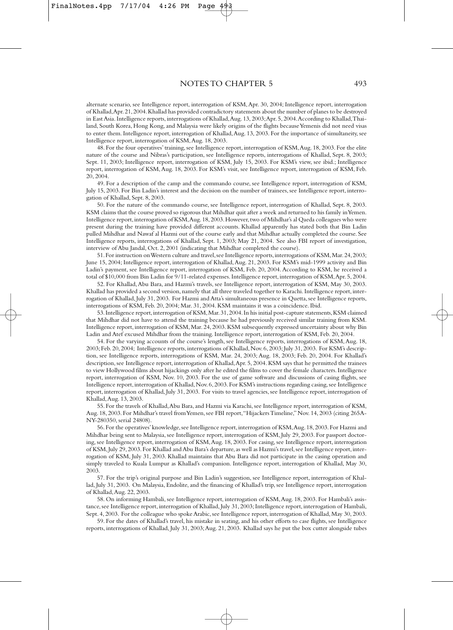alternate scenario, see Intelligence report, interrogation of KSM,Apr. 30, 2004; Intelligence report, interrogation of Khallad,Apr.21,2004.Khallad has provided contradictory statements about the number of planes to be destroyed in East Asia. Intelligence reports, interrogations of Khallad,Aug. 13, 2003;Apr. 5, 2004.According to Khallad,Thailand, South Korea, Hong Kong, and Malaysia were likely origins of the flights because Yemenis did not need visas to enter them. Intelligence report, interrogation of Khallad,Aug. 13, 2003. For the importance of simultaneity, see Intelligence report, interrogation of KSM,Aug. 18, 2003.

48. For the four operatives' training, see Intelligence report, interrogation of KSM,Aug. 18, 2003. For the elite nature of the course and Nibras's participation, see Intelligence reports, interrogations of Khallad, Sept. 8, 2003; Sept. 11, 2003; Intelligence report, interrogation of KSM, July 15, 2003. For KSM's view, see ibid.; Intelligence report, interrogation of KSM, Aug. 18, 2003. For KSM's visit, see Intelligence report, interrogation of KSM, Feb. 20, 2004.

49. For a description of the camp and the commando course, see Intelligence report, interrogation of KSM, July 15, 2003. For Bin Ladin's interest and the decision on the number of trainees, see Intelligence report, interrogation of Khallad, Sept. 8, 2003.

50. For the nature of the commando course, see Intelligence report, interrogation of Khallad, Sept. 8, 2003. KSM claims that the course proved so rigorous that Mihdhar quit after a week and returned to his family in Yemen. Intelligence report,interrogation of KSM,Aug.18,2003.However,two of Mihdhar's al Qaeda colleagues who were present during the training have provided different accounts. Khallad apparently has stated both that Bin Ladin pulled Mihdhar and Nawaf al Hazmi out of the course early and that Mihdhar actually completed the course. See Intelligence reports, interrogations of Khallad, Sept. 1, 2003; May 21, 2004. See also FBI report of investigation, interview of Abu Jandal, Oct. 2, 2001 (indicating that Mihdhar completed the course).

51. For instruction on Western culture and travel, see Intelligence reports, interrogations of KSM, Mar. 24, 2003; June 15, 2004; Intelligence report, interrogation of Khallad,Aug. 21, 2003. For KSM's mid-1999 activity and Bin Ladin's payment, see Intelligence report, interrogation of KSM, Feb. 20, 2004. According to KSM, he received a total of \$10,000 from Bin Ladin for 9/11-related expenses. Intelligence report, interrogation of KSM,Apr. 5, 2004.

52. For Khallad,Abu Bara, and Hazmi's travels, see Intelligence report, interrogation of KSM, May 30, 2003. Khallad has provided a second version, namely that all three traveled together to Karachi. Intelligence report, interrogation of Khallad, July 31, 2003. For Hazmi and Atta's simultaneous presence in Quetta, see Intelligence reports, interrogations of KSM, Feb. 20, 2004; Mar. 31, 2004. KSM maintains it was a coincidence. Ibid.

53. Intelligence report, interrogation of KSM, Mar. 31, 2004. In his initial post-capture statements, KSM claimed that Mihdhar did not have to attend the training because he had previously received similar training from KSM. Intelligence report, interrogation of KSM, Mar. 24, 2003. KSM subsequently expressed uncertainty about why Bin Ladin and Atef excused Mihdhar from the training. Intelligence report, interrogation of KSM, Feb. 20, 2004.

54. For the varying accounts of the course's length, see Intelligence reports, interrogations of KSM,Aug. 18, 2003; Feb. 20, 2004; Intelligence reports, interrogations of Khallad, Nov. 6, 2003; July 31, 2003. For KSM's description, see Intelligence reports, interrogations of KSM, Mar. 24, 2003; Aug. 18, 2003; Feb. 20, 2004. For Khallad's description, see Intelligence report, interrogation of Khallad,Apr. 5, 2004. KSM says that he permitted the trainees to view Hollywood films about hijackings only after he edited the films to cover the female characters. Intelligence report, interrogation of KSM, Nov. 10, 2003. For the use of game software and discussions of casing flights, see Intelligence report, interrogation of Khallad, Nov. 6, 2003. For KSM's instructions regarding casing, see Intelligence report, interrogation of Khallad, July 31, 2003. For visits to travel agencies, see Intelligence report, interrogation of Khallad,Aug. 13, 2003.

55. For the travels of Khallad,Abu Bara, and Hazmi via Karachi, see Intelligence report, interrogation of KSM, Aug. 18, 2003. For Mihdhar's travel from Yemen, see FBI report,"Hijackers Timeline," Nov. 14, 2003 (citing 265A-NY-280350, serial 24808).

56. For the operatives' knowledge, see Intelligence report, interrogation of KSM, Aug. 18, 2003. For Hazmi and Mihdhar being sent to Malaysia, see Intelligence report, interrogation of KSM, July 29, 2003. For passport doctoring, see Intelligence report, interrogation of KSM,Aug. 18, 2003. For casing, see Intelligence report, interrogation of KSM, July 29, 2003. For Khallad and Abu Bara's departure, as well as Hazmi's travel, see Intelligence report, interrogation of KSM, July 31, 2003. Khallad maintains that Abu Bara did not participate in the casing operation and simply traveled to Kuala Lumpur as Khallad's companion. Intelligence report, interrogation of Khallad, May 30, 2003.

57. For the trip's original purpose and Bin Ladin's suggestion, see Intelligence report, interrogation of Khallad, July 31, 2003. On Malaysia, Endolite, and the financing of Khallad's trip, see Intelligence report, interrogation of Khallad,Aug. 22, 2003.

58. On informing Hambali, see Intelligence report, interrogation of KSM,Aug. 18, 2003. For Hambali's assistance, see Intelligence report, interrogation of Khallad, July 31, 2003; Intelligence report, interrogation of Hambali, Sept. 4, 2003. For the colleague who spoke Arabic, see Intelligence report, interrogation of Khallad, May 30, 2003.

59. For the dates of Khallad's travel, his mistake in seating, and his other efforts to case flights, see Intelligence reports, interrogations of Khallad, July 31, 2003;Aug. 21, 2003. Khallad says he put the box cutter alongside tubes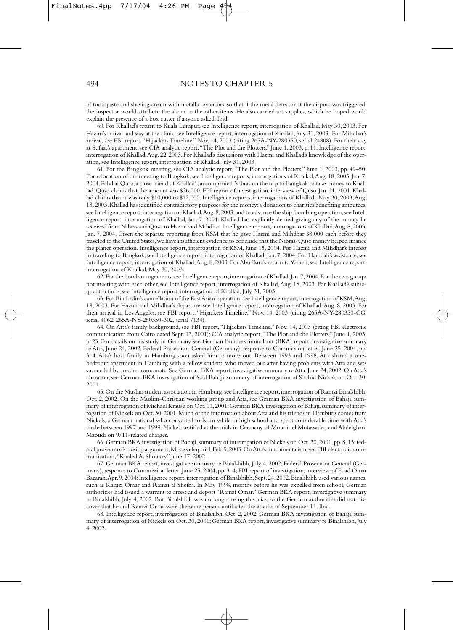of toothpaste and shaving cream with metallic exteriors, so that if the metal detector at the airport was triggered, the inspector would attribute the alarm to the other items. He also carried art supplies, which he hoped would explain the presence of a box cutter if anyone asked. Ibid.

60. For Khallad's return to Kuala Lumpur, see Intelligence report, interrogation of Khallad, May 30, 2003. For Hazmi's arrival and stay at the clinic, see Intelligence report, interrogation of Khallad, July 31, 2003. For Mihdhar's arrival, see FBI report,"Hijackers Timeline," Nov. 14, 2003 (citing 265A-NY-280350, serial 24808). For their stay at Sufaat's apartment, see CIA analytic report,"The Plot and the Plotters," June 1, 2003, p. 11; Intelligence report, interrogation of Khallad,Aug.22,2003.For Khallad's discussions with Hazmi and Khallad's knowledge of the operation, see Intelligence report, interrogation of Khallad, July 31, 2003.

61. For the Bangkok meeting, see CIA analytic report,"The Plot and the Plotters," June 1, 2003, pp. 49–50. For relocation of the meeting to Bangkok, see Intelligence reports, interrogations of Khallad, Aug. 18, 2003; Jan. 7, 2004.Fahd al Quso,a close friend of Khallad's,accompanied Nibras on the trip to Bangkok to take money to Khallad. Quso claims that the amount was \$36,000. FBI report of investigation, interview of Quso, Jan. 31, 2001. Khallad claims that it was only \$10,000 to \$12,000. Intelligence reports, interrogations of Khallad, May 30, 2003;Aug. 18,2003.Khallad has identified contradictory purposes for the money:a donation to charities benefiting amputees, see Intelligence report, interrogation of Khallad, Aug. 8, 2003; and to advance the ship-bombing operation, see Intelligence report, interrogation of Khallad, Jan. 7, 2004. Khallad has explicitly denied giving any of the money he received from Nibras and Quso to Hazmi and Mihdhar.Intelligence reports,interrogations of Khallad,Aug.8,2003; Jan. 7, 2004. Given the separate reporting from KSM that he gave Hazmi and Mihdhar \$8,000 each before they traveled to the United States,we have insufficient evidence to conclude that the Nibras/Quso money helped finance the planes operation. Intelligence report, interrogation of KSM, June 15, 2004. For Hazmi and Mihdhar's interest in traveling to Bangkok, see Intelligence report, interrogation of Khallad, Jan. 7, 2004. For Hambali's assistance, see Intelligence report, interrogation of Khallad,Aug. 8, 2003. For Abu Bara's return to Yemen, see Intelligence report, interrogation of Khallad, May 30, 2003.

62. For the hotel arrangements, see Intelligence report, interrogation of Khallad, Jan. 7, 2004. For the two groups not meeting with each other, see Intelligence report, interrogation of Khallad,Aug. 18, 2003. For Khallad's subsequent actions, see Intelligence report, interrogation of Khallad, July 31, 2003.

63.For Bin Ladin's cancellation of the East Asian operation,see Intelligence report,interrogation of KSM,Aug. 18, 2003. For Hazmi and Mihdhar's departure, see Intelligence report, interrogation of Khallad,Aug. 8, 2003. For their arrival in Los Angeles, see FBI report, "Hijackers Timeline," Nov. 14, 2003 (citing 265A-NY-280350-CG, serial 4062; 265A-NY-280350-302, serial 7134).

64. On Atta's family background, see FBI report,"Hijackers Timeline," Nov. 14, 2003 (citing FBI electronic communication from Cairo dated Sept. 13, 2001); CIA analytic report,"The Plot and the Plotters," June 1, 2003, p. 23. For details on his study in Germany, see German Bundeskriminalamt (BKA) report, investigative summary re Atta, June 24, 2002; Federal Prosecutor General (Germany), response to Commission letter, June 25, 2004, pp. 3–4. Atta's host family in Hamburg soon asked him to move out. Between 1993 and 1998, Atta shared a onebedroom apartment in Hamburg with a fellow student, who moved out after having problems with Atta and was succeeded by another roommate. See German BKA report, investigative summary re Atta, June 24, 2002. On Atta's character, see German BKA investigation of Said Bahaji, summary of interrogation of Shahid Nickels on Oct. 30, 2001.

65.On the Muslim student association in Hamburg,see Intelligence report,interrogation of Ramzi Binalshibh, Oct. 2, 2002. On the Muslim-Christian working group and Atta, see German BKA investigation of Bahaji, summary of interrogation of Michael Krause on Oct. 11, 2001; German BKA investigation of Bahaji, summary of interrogation of Nickels on Oct.30,2001.Much of the information about Atta and his friends in Hamburg comes from Nickels, a German national who converted to Islam while in high school and spent considerable time with Atta's circle between 1997 and 1999. Nickels testified at the trials in Germany of Mounir el Motassadeq and Abdelghani Mzoudi on 9/11-related charges.

66. German BKA investigation of Bahaji, summary of interrogation of Nickels on Oct. 30, 2001, pp. 8, 15; federal prosecutor's closing argument,Motassadeq trial,Feb.5,2003.On Atta's fundamentalism,see FBI electronic communication,"Khaled A. Shoukry," June 17, 2002.

67. German BKA report, investigative summary re Binalshibh, July 4, 2002; Federal Prosecutor General (Germany), response to Commission letter, June 25, 2004, pp. 3–4; FBI report of investigation, interview of Fuad Omar Bazarah, Apr. 9, 2004; Intelligence report, interrogation of Binalshibh, Sept. 24, 2002. Binalshibh used various names, such as Ramzi Omar and Ramzi al Sheiba. In May 1998, months before he was expelled from school, German authorities had issued a warrant to arrest and deport "Ramzi Omar." German BKA report, investigative summary re Binalshibh, July 4, 2002. But Binalshibh was no longer using this alias, so the German authorities did not discover that he and Ramzi Omar were the same person until after the attacks of September 11. Ibid.

68. Intelligence report, interrogation of Binalshibh, Oct. 2, 2002; German BKA investigation of Bahaji, summary of interrogation of Nickels on Oct. 30, 2001; German BKA report, investigative summary re Binalshibh, July 4, 2002.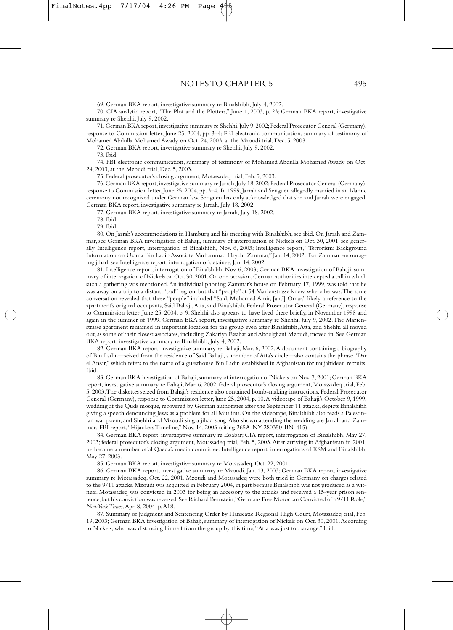69. German BKA report, investigative summary re Binalshibh, July 4, 2002.

70. CIA analytic report,"The Plot and the Plotters," June 1, 2003, p. 23; German BKA report, investigative summary re Shehhi, July 9, 2002.

71.German BKA report,investigative summary re Shehhi,July 9,2002;Federal Prosecutor General (Germany), response to Commission letter, June 25, 2004, pp. 3–4; FBI electronic communication, summary of testimony of Mohamed Abdulla Mohamed Awady on Oct. 24, 2003, at the Mzoudi trial, Dec. 5, 2003.

72. German BKA report, investigative summary re Shehhi, July 9, 2002.

73. Ibid.

74. FBI electronic communication, summary of testimony of Mohamed Abdulla Mohamed Awady on Oct. 24, 2003, at the Mzoudi trial, Dec. 5, 2003.

75. Federal prosecutor's closing argument, Motassadeq trial, Feb. 5, 2003.

76.German BKA report,investigative summary re Jarrah,July 18,2002;Federal Prosecutor General (Germany), response to Commission letter,June 25,2004,pp.3–4. In 1999,Jarrah and Senguen allegedly married in an Islamic ceremony not recognized under German law. Senguen has only acknowledged that she and Jarrah were engaged. German BKA report, investigative summary re Jarrah, July 18, 2002.

77. German BKA report, investigative summary re Jarrah, July 18, 2002.

78. Ibid.

79. Ibid.

80. On Jarrah's accommodations in Hamburg and his meeting with Binalshibh, see ibid. On Jarrah and Zammar, see German BKA investigation of Bahaji, summary of interrogation of Nickels on Oct. 30, 2001; see generally Intelligence report, interrogation of Binalshibh, Nov. 6, 2003; Intelligence report, "Terrorism: Background Information on Usama Bin Ladin Associate Muhammad Haydar Zammar," Jan. 14, 2002. For Zammar encouraging jihad, see Intelligence report, interrogation of detainee, Jan. 14, 2002.

81. Intelligence report, interrogation of Binalshibh, Nov. 6, 2003; German BKA investigation of Bahaji, summary of interrogation of Nickels on Oct.30,2001.On one occasion,German authorities intercepted a call in which such a gathering was mentioned.An individual phoning Zammar's house on February 17, 1999, was told that he was away on a trip to a distant,"bad" region, but that "people" at 54 Marienstrasse knew where he was.The same conversation revealed that these "people" included "Said, Mohamed Amir, [and] Omar," likely a reference to the apartment's original occupants, Said Bahaji,Atta, and Binalshibh. Federal Prosecutor General (Germany), response to Commission letter, June 25, 2004, p. 9. Shehhi also appears to have lived there briefly, in November 1998 and again in the summer of 1999. German BKA report, investigative summary re Shehhi, July 9, 2002.The Marienstrasse apartment remained an important location for the group even after Binalshibh,Atta, and Shehhi all moved out, as some of their closest associates, including Zakariya Essabar and Abdelghani Mzoudi, moved in. See German BKA report, investigative summary re Binalshibh, July 4, 2002.

82. German BKA report, investigative summary re Bahaji, Mar. 6, 2002.A document containing a biography of Bin Ladin—seized from the residence of Said Bahaji, a member of Atta's circle—also contains the phrase "Dar el Ansar," which refers to the name of a guesthouse Bin Ladin established in Afghanistan for mujahideen recruits. Ibid.

83. German BKA investigation of Bahaji, summary of interrogation of Nickels on Nov. 7, 2001; German BKA report, investigative summary re Bahaji, Mar. 6, 2002; federal prosecutor's closing argument, Motassadeq trial, Feb. 5, 2003.The diskettes seized from Bahaji's residence also contained bomb-making instructions. Federal Prosecutor General (Germany), response to Commission letter, June 25, 2004, p. 10.A videotape of Bahaji's October 9, 1999, wedding at the Quds mosque, recovered by German authorities after the September 11 attacks, depicts Binalshibh giving a speech denouncing Jews as a problem for all Muslims. On the videotape, Binalshibh also reads a Palestinian war poem, and Shehhi and Mzoudi sing a jihad song.Also shown attending the wedding are Jarrah and Zammar. FBI report,"Hijackers Timeline," Nov. 14, 2003 (citing 265A-NY-280350-BN-415).

84. German BKA report, investigative summary re Essabar; CIA report, interrogation of Binalshibh, May 27, 2003; federal prosecutor's closing argument, Motassadeq trial, Feb. 5, 2003.After arriving in Afghanistan in 2001, he became a member of al Qaeda's media committee. Intelligence report, interrogations of KSM and Binalshibh, May 27, 2003.

85. German BKA report, investigative summary re Motassadeq, Oct. 22, 2001.

86. German BKA report, investigative summary re Mzoudi, Jan. 13, 2003; German BKA report, investigative summary re Motassadeq, Oct. 22, 2001. Mzoudi and Motassadeq were both tried in Germany on charges related to the 9/11 attacks. Mzoudi was acquitted in February 2004, in part because Binalshibh was not produced as a witness. Motassadeq was convicted in 2003 for being an accessory to the attacks and received a 15-year prison sentence,but his conviction was reversed.See Richard Bernstein,"Germans Free Moroccan Convicted of a 9/11 Role," *New York Times*,Apr. 8, 2004, p.A18.

87. Summary of Judgment and Sentencing Order by Hanseatic Regional High Court, Motassadeq trial, Feb. 19, 2003; German BKA investigation of Bahaji, summary of interrogation of Nickels on Oct. 30, 2001.According to Nickels, who was distancing himself from the group by this time,"Atta was just too strange." Ibid.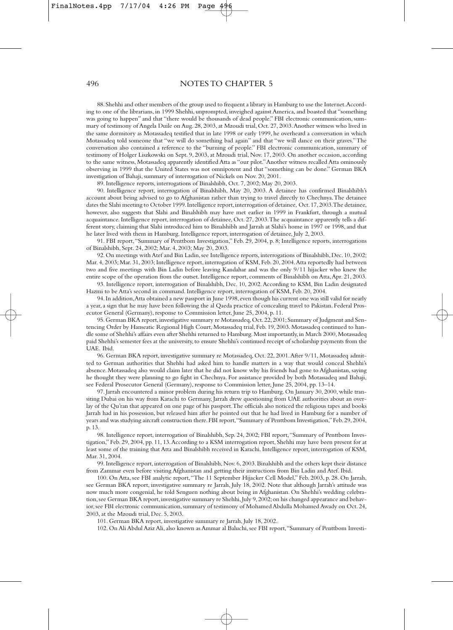88.Shehhi and other members of the group used to frequent a library in Hamburg to use the Internet.According to one of the librarians, in 1999 Shehhi, unprompted, inveighed against America, and boasted that "something was going to happen" and that "there would be thousands of dead people." FBI electronic communication, summary of testimony of Angela Duile on Aug. 28, 2003, at Mzoudi trial, Oct. 27, 2003.Another witness who lived in the same dormitory as Motassadeq testified that in late 1998 or early 1999, he overheard a conversation in which Motassadeq told someone that "we will do something bad again" and that "we will dance on their graves."The conversation also contained a reference to the "burning of people." FBI electronic communication, summary of testimony of Holger Liszkowski on Sept. 9, 2003, at Mzoudi trial, Nov. 17, 2003. On another occasion, according to the same witness, Motassadeq apparently identified Atta as "our pilot."Another witness recalled Atta ominously observing in 1999 that the United States was not omnipotent and that "something can be done." German BKA investigation of Bahaji, summary of interrogation of Nickels on Nov. 20, 2001.

89. Intelligence reports, interrogations of Binalshibh, Oct. 7, 2002; May 20, 2003.

90. Intelligence report, interrogation of Binalshibh, May 20, 2003. A detainee has confirmed Binalshibh's account about being advised to go to Afghanistan rather than trying to travel directly to Chechnya.The detainee dates the Slahi meeting to October 1999. Intelligence report, interrogation of detainee, Oct. 17, 2003. The detainee, however, also suggests that Slahi and Binalshibh may have met earlier in 1999 in Frankfurt, through a mutual acquaintance. Intelligence report, interrogation of detainee, Oct. 27, 2003.The acquaintance apparently tells a different story, claiming that Slahi introduced him to Binalshibh and Jarrah at Slahi's home in 1997 or 1998, and that he later lived with them in Hamburg. Intelligence report, interrogation of detainee, July 2, 2003.

91. FBI report,"Summary of Penttbom Investigation," Feb. 29, 2004, p. 8; Intelligence reports, interrogations of Binalshibh, Sept. 24, 2002; Mar. 4, 2003; May 20, 2003.

92. On meetings with Atef and Bin Ladin, see Intelligence reports, interrogations of Binalshibh, Dec. 10, 2002; Mar. 4, 2003; Mar. 31, 2003; Intelligence report, interrogation of KSM, Feb. 20, 2004.Atta reportedly had between two and five meetings with Bin Ladin before leaving Kandahar and was the only 9/11 hijacker who knew the entire scope of the operation from the outset. Intelligence report, comments of Binalshibh on Atta,Apr. 21, 2003.

93. Intelligence report, interrogation of Binalshibh, Dec. 10, 2002.According to KSM, Bin Ladin designated Hazmi to be Atta's second in command. Intelligence report, interrogation of KSM, Feb. 20, 2004.

94.In addition,Atta obtained a new passport in June 1998,even though his current one was still valid for nearly a year, a sign that he may have been following the al Qaeda practice of concealing travel to Pakistan. Federal Prosecutor General (Germany), response to Commission letter, June 25, 2004, p. 11.

95. German BKA report, investigative summary re Motassadeq, Oct. 22, 2001; Summary of Judgment and Sentencing Order by Hanseatic Regional High Court, Motassadeq trial, Feb. 19, 2003. Motassadeq continued to handle some of Shehhi's affairs even after Shehhi returned to Hamburg. Most importantly, in March 2000, Motassadeq paid Shehhi's semester fees at the university, to ensure Shehhi's continued receipt of scholarship payments from the UAE. Ibid.

96. German BKA report, investigative summary re Motassadeq, Oct. 22, 2001.After 9/11, Motassadeq admitted to German authorities that Shehhi had asked him to handle matters in a way that would conceal Shehhi's absence. Motassadeq also would claim later that he did not know why his friends had gone to Afghanistan, saying he thought they were planning to go fight in Chechnya. For assistance provided by both Motassadeq and Bahaji, see Federal Prosecutor General (Germany), response to Commission letter, June 25, 2004, pp. 13–14.

97. Jarrah encountered a minor problem during his return trip to Hamburg. On January 30, 2000, while transiting Dubai on his way from Karachi to Germany, Jarrah drew questioning from UAE authorities about an overlay of the Qu'ran that appeared on one page of his passport.The officials also noticed the religious tapes and books Jarrah had in his possession, but released him after he pointed out that he had lived in Hamburg for a number of years and was studying aircraft construction there.FBI report,"Summary of Penttbom Investigation,"Feb.29,2004, p. 13.

98. Intelligence report, interrogation of Binalshibh, Sep. 24, 2002; FBI report,"Summary of Penttbom Investigation," Feb. 29, 2004, pp. 11, 13.According to a KSM interrogation report, Shehhi may have been present for at least some of the training that Atta and Binalshibh received in Karachi. Intelligence report, interrogation of KSM, Mar. 31, 2004.

99. Intelligence report, interrogation of Binalshibh, Nov. 6, 2003. Binalshibh and the others kept their distance from Zammar even before visiting Afghanistan and getting their instructions from Bin Ladin and Atef. Ibid.

100. On Atta, see FBI analytic report,"The 11 September Hijacker Cell Model," Feb. 2003, p. 28. On Jarrah, see German BKA report, investigative summary re Jarrah, July 18, 2002. Note that although Jarrah's attitude was now much more congenial, he told Senguen nothing about being in Afghanistan. On Shehhi's wedding celebration, see German BKA report, investigative summary re Shehhi, July 9, 2002; on his changed appearance and behavior, see FBI electronic communication, summary of testimony of Mohamed Abdulla Mohamed Awady on Oct. 24, 2003, at the Mzoudi trial, Dec. 5, 2003.

101. German BKA report, investigative summary re Jarrah, July 18, 2002.

102. On Ali Abdul Aziz Ali, also known as Ammar al Baluchi, see FBI report,"Summary of Penttbom Investi-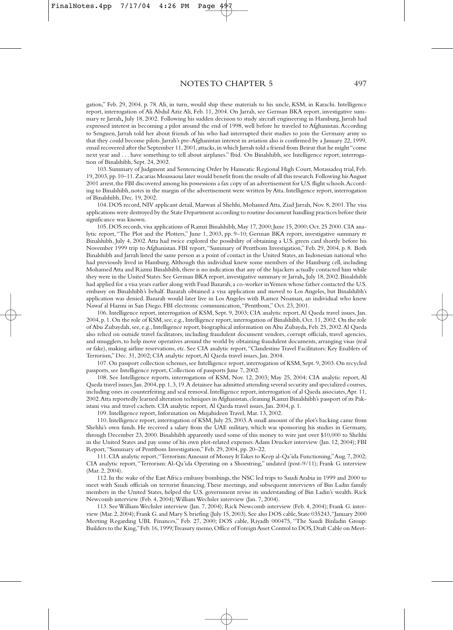gation," Feb. 29, 2004, p. 78. Ali, in turn, would ship these materials to his uncle, KSM, in Karachi. Intelligence report, interrogation of Ali Abdul Aziz Ali, Feb. 11, 2004. On Jarrah, see German BKA report, investigative summary re Jarrah**,** July 18, 2002. Following his sudden decision to study aircraft engineering in Hamburg, Jarrah had expressed interest in becoming a pilot around the end of 1998, well before he traveled to Afghanistan.According to Senguen, Jarrah told her about friends of his who had interrupted their studies to join the Germany army so that they could become pilots. Jarrah's pre-Afghanistan interest in aviation also is confirmed by a January 22, 1999, email recovered after the September 11,2001, attacks, in which Jarrah told a friend from Beirut that he might "come next year and . . . have something to tell about airplanes." Ibid. On Binalshibh, see Intelligence report, interrogation of Binalshibh, Sept. 24, 2002.

103. Summary of Judgment and Sentencing Order by Hanseatic Regional High Court, Motassadeq trial, Feb. 19,2003,pp.10–11.Zacarias Moussaoui later would benefit from the results of all this research.Following his August 2001 arrest, the FBI discovered among his possessions a fax copy of an advertisement for U.S. flight schools.According to Binalshibh, notes in the margin of the advertisement were written by Atta. Intelligence report, interrogation of Binalshibh, Dec. 19, 2002.

104. DOS record, NIV applicant detail, Marwan al Shehhi, Mohamed Atta, Ziad Jarrah, Nov. 8, 2001.The visa applications were destroyed by the State Department according to routine document handling practices before their significance was known.

105. DOS records, visa applications of Ramzi Binalshibh, May 17, 2000; June 15, 2000; Oct. 25 2000. CIA analytic report,"The Plot and the Plotters," June 1, 2003, pp. 9–10; German BKA report, investigative summary re Binalshibh, July 4, 2002.Atta had twice explored the possibility of obtaining a U.S. green card shortly before his November 1999 trip to Afghanistan. FBI report,"Summary of Penttbom Investigation," Feb. 29, 2004, p. 8. Both Binalshibh and Jarrah listed the same person as a point of contact in the United States, an Indonesian national who had previously lived in Hamburg.Although this individual knew some members of the Hamburg cell, including Mohamed Atta and Razmi Binalshibh, there is no indication that any of the hijackers actually contacted him while they were in the United States.See German BKA report,investigative summary re Jarrah**,** July 18,2002.Binalshibh had applied for a visa years earlier along with Fuad Bazarah, a co-worker in Yemen whose father contacted the U.S. embassy on Binalshibh's behalf. Bazarah obtained a visa application and moved to Los Angeles, but Binalshibh's application was denied. Bazarah would later live in Los Angeles with Ramez Noaman, an individual who knew Nawaf al Hazmi in San Diego. FBI electronic communication,"Penttbom," Oct. 23, 2001.

106. Intelligence report, interrogation of KSM, Sept. 9, 2003; CIA analytic report,Al Qaeda travel issues, Jan. 2004, p. 1. On the role of KSM, see, e.g., Intelligence report, interrogation of Binalshibh, Oct. 11, 2002. On the role of Abu Zubaydah, see, e.g., Intelligence report, biographical information on Abu Zubayda, Feb. 25, 2002.Al Qaeda also relied on outside travel facilitators, including fraudulent document vendors, corrupt officials, travel agencies, and smugglers, to help move operatives around the world by obtaining fraudulent documents, arranging visas (real or fake), making airline reservations, etc. See CIA analytic report,"Clandestine Travel Facilitators: Key Enablers of Terrorism," Dec. 31, 2002; CIA analytic report,Al Qaeda travel issues, Jan. 2004.

107. On passport collection schemes, see Intelligence report, interrogation of KSM, Sept. 9, 2003. On recycled passports, see Intelligence report, Collection of passports June 7, 2002.

108. See Intelligence reports, interrogations of KSM, Nov. 12, 2003; May 25, 2004; CIA analytic report, Al Qaeda travel issues, Jan. 2004, pp. 1, 3, 19. A detainee has admitted attending several security and specialized courses, including ones in counterfeiting and seal removal. Intelligence report, interrogation of al Qaeda associates, Apr. 11, 2002.Atta reportedly learned alteration techniques in Afghanistan,cleaning Ramzi Binalshibh's passport of its Pakistani visa and travel cachets. CIA analytic report, Al Qaeda travel issues, Jan. 2004, p. 1.

109. Intelligence report, Information on Mujahideen Travel, Mar. 13, 2002.

110. Intelligence report, interrogation of KSM, July 25, 2003.A small amount of the plot's backing came from Shehhi's own funds. He received a salary from the UAE military, which was sponsoring his studies in Germany, through December 23, 2000. Binalshibh apparently used some of this money to wire just over \$10,000 to Shehhi in the United States and pay some of his own plot-related expenses.Adam Drucker interview (Jan. 12, 2004); FBI Report,"Summary of Penttbom Investigation," Feb. 29, 2004, pp. 20–22.

111.CIA analytic report,"Terrorism:Amount of Money It Takes to Keep al-Qa'ida Functioning,"Aug.7,2002; CIA analytic report,"Terrorism:Al-Qa'ida Operating on a Shoestring," undated (post-9/11); Frank G. interview (Mar. 2, 2004).

112. In the wake of the East Africa embassy bombings, the NSC led trips to Saudi Arabia in 1999 and 2000 to meet with Saudi officials on terrorist financing.These meetings, and subsequent interviews of Bin Ladin family members in the United States, helped the U.S. government revise its understanding of Bin Ladin's wealth. Rick Newcomb interview (Feb. 4, 2004);William Wechsler interview (Jan. 7, 2004).

113. See William Wechsler interview (Jan. 7, 2004); Rick Newcomb interview (Feb. 4, 2004); Frank G. interview (Mar. 2, 2004); Frank G. and Mary S. briefing (July 15, 2003). See also DOS cable, State 035243, "January 2000 Meeting Regarding UBL Finances," Feb. 27, 2000; DOS cable, Riyadh 000475, "The Saudi Binladin Group: Builders to the King," Feb. 16, 1999; Treasury memo, Office of Foreign Asset Control to DOS, Draft Cable on Meet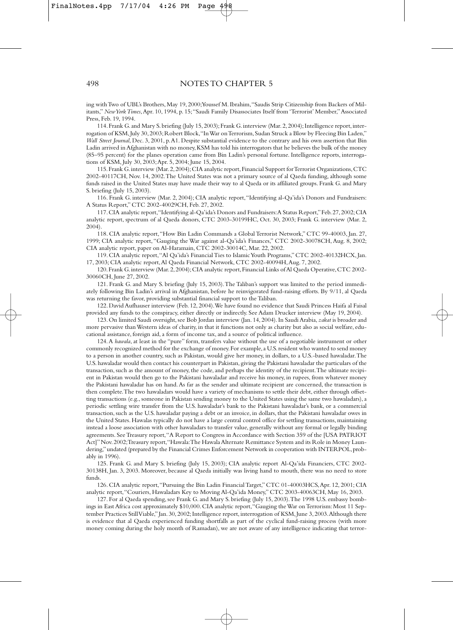ing with Two of UBL's Brothers, May 19, 2000;Youssef M. Ibrahim,"Saudis Strip Citizenship from Backers of Militants," *New York Times*,Apr. 10, 1994, p. 15;"Saudi Family Disassociates Itself from 'Terrorist' Member,"Associated Press, Feb. 19, 1994.

114.Frank G.and Mary S.briefing (July 15,2003);Frank G.interview (Mar.2,2004);Intelligence report,interrogation of KSM,July 30,2003;Robert Block,"In War on Terrorism,Sudan Struck a Blow by Fleecing Bin Laden," *Wall Street Journal*, Dec. 3, 2001, p.A1. Despite substantial evidence to the contrary and his own assertion that Bin Ladin arrived in Afghanistan with no money,KSM has told his interrogators that he believes the bulk of the money (85–95 percent) for the planes operation came from Bin Ladin's personal fortune. Intelligence reports, interrogations of KSM, July 30, 2003;Apr. 5, 2004; June 15, 2004.

115.Frank G.interview (Mar.2,2004);CIA analytic report,Financial Support for Terrorist Organizations,CTC 2002-40117CH, Nov. 14, 2002.The United States was not a primary source of al Qaeda funding, although some funds raised in the United States may have made their way to al Qaeda or its affiliated groups. Frank G. and Mary S. briefing (July 15, 2003).

116. Frank G. interview (Mar. 2, 2004); CIA analytic report,"Identifying al-Qa'ida's Donors and Fundraisers: A Status Report," CTC 2002-40029CH, Feb. 27, 2002.

117.CIA analytic report,"Identifying al-Qa'ida's Donors and Fundraisers:A Status Report,"Feb.27,2002;CIA analytic report, spectrum of al Qaeda donors, CTC 2003-30199HC, Oct. 30, 2003; Frank G. interview (Mar. 2, 2004).

118. CIA analytic report,"How Bin Ladin Commands a Global Terrorist Network," CTC 99-40003, Jan. 27, 1999; CIA analytic report,"Gauging the War against al-Qa'ida's Finances," CTC 2002-30078CH, Aug. 8, 2002; CIA analytic report, paper on Al-Haramain, CTC 2002-30014C, Mar. 22, 2002.

119. CIA analytic report,"Al Qa'ida's Financial Ties to Islamic Youth Programs," CTC 2002-40132HCX, Jan. 17, 2003; CIA analytic report,Al Qaeda Financial Network, CTC 2002-40094H,Aug. 7, 2002.

120.Frank G.interview (Mar.2,2004);CIA analytic report,Financial Links of Al Qaeda Operative,CTC 2002- 30060CH, June 27, 2002.

121. Frank G. and Mary S. briefing (July 15, 2003).The Taliban's support was limited to the period immediately following Bin Ladin's arrival in Afghanistan, before he reinvigorated fund-raising efforts. By 9/11, al Qaeda was returning the favor, providing substantial financial support to the Taliban.

122. David Aufhauser interview (Feb. 12, 2004).We have found no evidence that Saudi Princess Haifa al Faisal provided any funds to the conspiracy, either directly or indirectly. See Adam Drucker interview (May 19, 2004).

123.On limited Saudi oversight,see Bob Jordan interview (Jan.14,2004).In Saudi Arabia, *zakat* is broader and more pervasive than Western ideas of charity, in that it functions not only as charity but also as social welfare, educational assistance, foreign aid, a form of income tax, and a source of political influence.

124.A *hawala*, at least in the "pure" form, transfers value without the use of a negotiable instrument or other commonly recognized method for the exchange of money.For example,a U.S.resident who wanted to send money to a person in another country, such as Pakistan, would give her money, in dollars, to a U.S.-based hawaladar.The U.S. hawaladar would then contact his counterpart in Pakistan, giving the Pakistani hawaladar the particulars of the transaction, such as the amount of money, the code, and perhaps the identity of the recipient.The ultimate recipient in Pakistan would then go to the Pakistani hawaladar and receive his money, in rupees, from whatever money the Pakistani hawaladar has on hand.As far as the sender and ultimate recipient are concerned, the transaction is then complete.The two hawaladars would have a variety of mechanisms to settle their debt, either through offsetting transactions (e.g., someone in Pakistan sending money to the United States using the same two hawaladars), a periodic settling wire transfer from the U.S. hawaladar's bank to the Pakistani hawaladar's bank, or a commercial transaction, such as the U.S. hawaladar paying a debt or an invoice, in dollars, that the Pakistani hawaladar owes in the United States. Hawalas typically do not have a large central control office for settling transactions, maintaining instead a loose association with other hawaladars to transfer value, generally without any formal or legally binding agreements. See Treasury report,"A Report to Congress in Accordance with Section 359 of the [USA PATRIOT Act]"Nov.2002;Treasury report,"Hawala:The Hawala Alternate Remittance System and its Role in Money Laundering,"undated (prepared by the Financial Crimes Enforcement Network in cooperation with INTERPOL,probably in 1996).

125. Frank G. and Mary S. briefing (July 15, 2003); CIA analytic report Al-Qa'ida Financiers, CTC 2002- 30138H, Jan. 3, 2003. Moreover, because al Qaeda initially was living hand to mouth, there was no need to store funds.

126. CIA analytic report,"Pursuing the Bin Ladin Financial Target," CTC 01-40003HCS,Apr. 12, 2001; CIA analytic report,"Couriers, Hawaladars Key to Moving Al-Qa'ida Money," CTC 2003-40063CH, May 16, 2003.

127. For al Qaeda spending, see Frank G. and Mary S. briefing (July 15, 2003).The 1998 U.S. embassy bombings in East Africa cost approximately \$10,000. CIA analytic report,"Gauging the War on Terrorism: Most 11 September Practices Still Viable," Jan. 30, 2002; Intelligence report, interrogation of KSM, June 3, 2003. Although there is evidence that al Qaeda experienced funding shortfalls as part of the cyclical fund-raising process (with more money coming during the holy month of Ramadan), we are not aware of any intelligence indicating that terror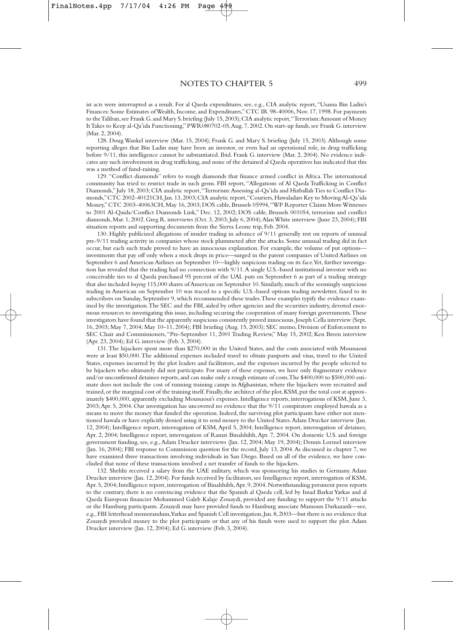ist acts were interrupted as a result. For al Qaeda expenditures, see, e.g., CIA analytic report,"Usama Bin Ladin's Finances: Some Estimates of Wealth, Income, and Expenditures," CTC IR 98-40006, Nov. 17, 1998. For payments to the Taliban, see Frank G. and Mary S. briefing (July 15, 2003); CIA analytic report, "Terrorism: Amount of Money It Takes to Keep al-Qa'ida Functioning," PWR080702-05,Aug. 7, 2002. On start-up funds, see Frank G. interview (Mar. 2, 2004).

128. Doug Wankel interview (Mar. 15, 2004); Frank G. and Mary S. briefing (July 15, 2003).Although some reporting alleges that Bin Ladin may have been an investor, or even had an operational role, in drug trafficking before 9/11, this intelligence cannot be substantiated. Ibid. Frank G. interview (Mar. 2, 2004). No evidence indicates any such involvement in drug trafficking, and none of the detained al Qaeda operatives has indicated that this was a method of fund-raising.

129. "Conflict diamonds" refers to rough diamonds that finance armed conflict in Africa.The international community has tried to restrict trade in such gems. FBI report,"Allegations of Al Qaeda Trafficking in Conflict Diamonds," July 18, 2003; CIA analytic report,"Terrorism:Assessing al-Qa'ida and Hizballah Ties to Conflict Diamonds,"CTC 2002-40121CH,Jan.13,2003;CIA analytic report,"Couriers,Hawaladars Key to Moving Al-Qa'ida Money," CTC 2003-40063CH, May 16, 2003; DOS cable, Brussels 05994,"WP Reporter Claims More Witnesses to 2001 Al-Qaida/Conflict Diamonds Link," Dec. 12, 2002; DOS cable, Brussels 001054, terrorism and conflict diamonds, Mar. 1, 2002. Greg R. interviews (Oct. 3, 2003; July 6, 2004);Alan White interview (June 23, 2004); FBI situation reports and supporting documents from the Sierra Leone trip, Feb. 2004.

130. Highly publicized allegations of insider trading in advance of 9/11 generally rest on reports of unusual pre-9/11 trading activity in companies whose stock plummeted after the attacks. Some unusual trading did in fact occur, but each such trade proved to have an innocuous explanation. For example, the volume of put options investments that pay off only when a stock drops in price—surged in the parent companies of United Airlines on September 6 and American Airlines on September 10—highly suspicious trading on its face.Yet, further investigation has revealed that the trading had no connection with 9/11.A single U.S.-based institutional investor with no conceivable ties to al Qaeda purchased 95 percent of the UAL puts on September 6 as part of a trading strategy that also included *buying* 115,000 shares of American on September 10.Similarly,much of the seemingly suspicious trading in American on September 10 was traced to a specific U.S.-based options trading newsletter, faxed to its subscribers on Sunday, September 9, which recommended these trades.These examples typify the evidence examined by the investigation.The SEC and the FBI, aided by other agencies and the securities industry, devoted enormous resources to investigating this issue, including securing the cooperation of many foreign governments.These investigators have found that the apparently suspicious consistently proved innocuous.Joseph Cella interview (Sept. 16, 2003; May 7, 2004; May 10–11, 2004); FBI briefing (Aug. 15, 2003); SEC memo, Division of Enforcement to SEC Chair and Commissioners,"Pre-September 11, 2001 Trading Review," May 15, 2002; Ken Breen interview (Apr. 23, 2004); Ed G. interview (Feb. 3, 2004).

131.The hijackers spent more than \$270,000 in the United States, and the costs associated with Moussaoui were at least \$50,000.The additional expenses included travel to obtain passports and visas, travel to the United States, expenses incurred by the plot leaders and facilitators, and the expenses incurred by the people selected to be hijackers who ultimately did not participate. For many of these expenses, we have only fragmentary evidence and/or unconfirmed detainee reports, and can make only a rough estimate of costs. The \$400,000 to \$500,000 estimate does not include the cost of running training camps in Afghanistan, where the hijackers were recruited and trained, or the marginal cost of the training itself. Finally, the architect of the plot, KSM, put the total cost at approximately \$400,000, apparently excluding Moussaoui's expenses. Intelligence reports, interrogations of KSM, June 3, 2003;Apr. 5, 2004. Our investigation has uncovered no evidence that the 9/11 conspirators employed hawala as a means to move the money that funded the operation. Indeed, the surviving plot participants have either not mentioned hawala or have explicitly denied using it to send money to the United States.Adam Drucker interview (Jan. 12, 2004); Intelligence report, interrogation of KSM,April 5, 2004; Intelligence report, interrogation of detainee, Apr. 2, 2004; Intelligence report, interrogation of Ramzi Binalshibh, Apr. 7, 2004. On domestic U.S. and foreign government funding, see, e.g.,Adam Drucker interviews (Jan. 12, 2004; May 19, 2004); Dennis Lormel interview (Jan. 16, 2004); FBI response to Commission question for the record, July 13, 2004.As discussed in chapter 7, we have examined three transactions involving individuals in San Diego. Based on all of the evidence, we have concluded that none of these transactions involved a net transfer of funds to the hijackers.

132. Shehhi received a salary from the UAE military, which was sponsoring his studies in Germany. Adam Drucker interview (Jan. 12, 2004). For funds received by facilitators, see Intelligence report, interrogation of KSM, Apr. 5, 2004; Intelligence report, interrogation of Binalshibh,Apr. 9, 2004. Notwithstanding persistent press reports to the contrary, there is no convincing evidence that the Spanish al Qaeda cell, led by Imad Barkat Yarkas and al Qaeda European financier Mohammed Galeb Kalaje Zouaydi, provided any funding to support the 9/11 attacks or the Hamburg participants. Zouaydi may have provided funds to Hamburg associate Mamoun Darkazanli—see, e.g.,FBI letterhead memorandum,Yarkas and Spanish Cell investigation,Jan.8,2003—but there is no evidence that Zouaydi provided money to the plot participants or that any of his funds were used to support the plot. Adam Drucker interview (Jan. 12, 2004); Ed G. interview (Feb. 3, 2004).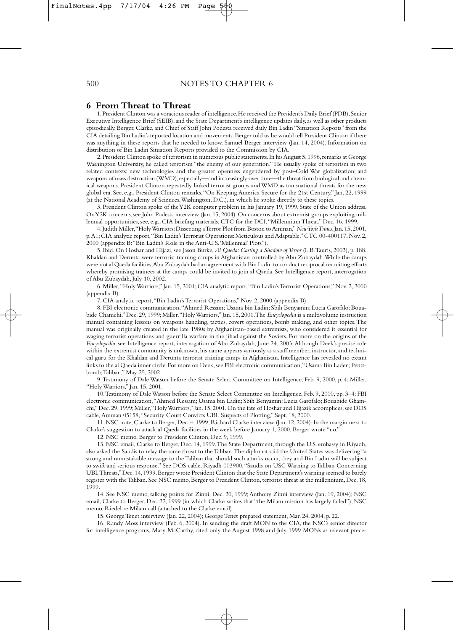# **6 From Threat to Threat**

1. President Clinton was a voracious reader of intelligence. He received the President's Daily Brief (PDB), Senior Executive Intelligence Brief (SEIB), and the State Department's intelligence updates daily, as well as other products episodically. Berger, Clarke, and Chief of Staff John Podesta received daily Bin Ladin "Situation Reports" from the CIA detailing Bin Ladin's reported location and movements.Berger told us he would tell President Clinton if there was anything in these reports that he needed to know. Samuel Berger interview (Jan. 14, 2004). Information on distribution of Bin Ladin Situation Reports provided to the Commission by CIA.

2. President Clinton spoke of terrorism in numerous public statements. In his August 5, 1996, remarks at George Washington University, he called terrorism "the enemy of our generation." He usually spoke of terrorism in two related contexts: new technologies and the greater openness engendered by post–Cold War globalization; and weapons of mass destruction (WMD), especially—and increasingly over time—the threat from biological and chemical weapons. President Clinton repeatedly linked terrorist groups and WMD as transnational threats for the new global era. See, e.g., President Clinton remarks,"On Keeping America Secure for the 21st Century," Jan. 22, 1999 (at the National Academy of Sciences,Washington, D.C.), in which he spoke directly to these topics.

3. President Clinton spoke of the Y2K computer problem in his January 19, 1999, State of the Union address. On Y2K concerns, see John Podesta interview (Jan. 15, 2004). On concerns about extremist groups exploiting millennial opportunities, see, e.g., CIA briefing materials, CTC for the DCI,"Millennium Threat," Dec. 16, 1999.

4.Judith Miller,"Holy Warriors:Dissecting a Terror Plot from Boston to Amman,"*New York Times*,Jan.15,2001, p.A1; CIA analytic report,"Bin Ladin's Terrorist Operations: Meticulous and Adaptable," CTC 00-400117, Nov. 2, 2000 (appendix B:"Bin Ladin's Role in the Anti-U.S.'Millennial' Plots").

5. Ibid. On Hoshar and Hijazi, see Jason Burke,*Al Qaeda: Casting a Shadow of Terror* (I. B.Tauris, 2003), p. 188. Khaldan and Derunta were terrorist training camps in Afghanistan controlled by Abu Zubaydah.While the camps were not al Qaeda facilities,Abu Zubaydah had an agreement with Bin Ladin to conduct reciprocal recruiting efforts whereby promising trainees at the camps could be invited to join al Qaeda. See Intelligence report, interrogation of Abu Zubaydah, July 10, 2002.

6. Miller,"Holy Warriors," Jan. 15, 2001; CIA analytic report,"Bin Ladin's Terrorist Operations," Nov. 2, 2000 (appendix B).

7. CIA analytic report,"Bin Ladin's Terrorist Operations," Nov. 2, 2000 (appendix B).

8. FBI electronic communication,"Ahmed Ressam; Usama bin Ladin; Sbih Benyamin; Lucia Garofalo; Bouabide Chamchi," Dec. 29, 1999; Miller,"Holy Warriors," Jan. 15, 2001.The *Encyclopedia* is a multivolume instruction manual containing lessons on weapons handling, tactics, covert operations, bomb making, and other topics.The manual was originally created in the late 1980s by Afghanistan-based extremists, who considered it essential for waging terrorist operations and guerrilla warfare in the jihad against the Soviets. For more on the origins of the *Encyclopedia*, see Intelligence report, interrogation of Abu Zubaydah, June 24, 2003.Although Deek's precise role within the extremist community is unknown, his name appears variously as a staff member, instructor, and technical guru for the Khaldan and Derunta terrorist training camps in Afghanistan. Intelligence has revealed no extant links to the al Qaeda inner circle. For more on Deek, see FBI electronic communication, "Usama Bin Laden; Penttbomb;Taliban," May 25, 2002.

9.Testimony of Dale Watson before the Senate Select Committee on Intelligence, Feb. 9, 2000, p. 4; Miller, "Holy Warriors," Jan. 15, 2001.

10.Testimony of Dale Watson before the Senate Select Committee on Intelligence, Feb. 9, 2000, pp. 3–4; FBI electronic communication,"Ahmed Ressam; Usama bin Ladin; Sbih Benyamin; Lucia Garofalo; Bouabide Ghamchi,"Dec.29,1999;Miller,"Holy Warriors,"Jan.15,2001.On the fate of Hoshar and Hijazi's accomplices,see DOS cable, Amman 05158,"Security Court Convicts UBL Suspects of Plotting," Sept. 18, 2000.

11. NSC note, Clarke to Berger, Dec. 4, 1999; Richard Clarke interview (Jan. 12, 2004). In the margin next to Clarke's suggestion to attack al Qaeda facilities in the week before January 1, 2000, Berger wrote "no."

12. NSC memo, Berger to President Clinton, Dec. 9, 1999.

13. NSC email, Clarke to Berger, Dec. 14, 1999.The State Department, through the U.S. embassy in Riyadh, also asked the Saudis to relay the same threat to the Taliban.The diplomat said the United States was delivering "a strong and unmistakable message to the Taliban that should such attacks occur, they and Bin Ladin will be subject to swift and serious response." See DOS cable, Riyadh 003900,"Saudis on USG Warning to Taliban Concerning UBL Threats,"Dec.14,1999.Berger wrote President Clinton that the State Department's warning seemed to barely register with the Taliban. See NSC memo, Berger to President Clinton, terrorist threat at the millennium, Dec. 18, 1999.

14. See NSC memo, talking points for Zinni, Dec. 20, 1999;Anthony Zinni interview (Jan. 19, 2004); NSC email, Clarke to Berger, Dec. 22, 1999 (in which Clarke writes that "the Milam mission has largely failed"); NSC memo, Riedel re Milam call (attached to the Clarke email).

15. George Tenet interview (Jan. 22, 2004); George Tenet prepared statement, Mar. 24, 2004, p. 22.

16. Randy Moss interview (Feb. 6, 2004). In sending the draft MON to the CIA, the NSC's senior director for intelligence programs, Mary McCarthy, cited only the August 1998 and July 1999 MONs as relevant prece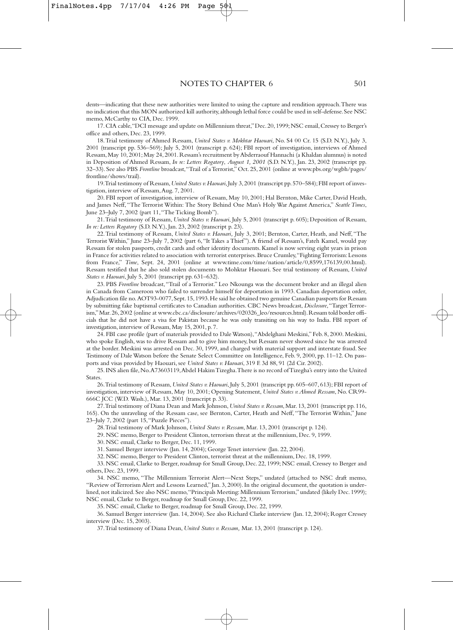dents—indicating that these new authorities were limited to using the capture and rendition approach.There was no indication that this MON authorized kill authority,although lethal force could be used in self-defense.See NSC memo, McCarthy to CIA, Dec. 1999.

17.CIA cable,"DCI message and update on Millennium threat,"Dec.20,1999;NSC email,Cressey to Berger's office and others, Dec. 23, 1999.

18.Trial testimony of Ahmed Ressam, *United States v. Mokhtar Haouari*, No. S4 00 Cr. 15 (S.D. N.Y.), July 3, 2001 (transcript pp. 536–569); July 5, 2001 (transcript p. 624); FBI report of investigation, interviews of Ahmed Ressam,May 10,2001;May 24,2001.Ressam's recruitment by Abderraouf Hannachi (a Khaldan alumnus) is noted in Deposition of Ahmed Ressam, *In re: Letters Rogatory*, *August 1, 2001* (S.D. N.Y.), Jan. 23, 2002 (transcript pp. 32–33). See also PBS *Frontline* broadcast,"Trail of a Terrorist," Oct. 25, 2001 (online at www.pbs.org/wgbh/pages/ frontline/shows/trail).

19.Trial testimony of Ressam,*United States v.Haouari*,July 3,2001 (transcript pp.570–584);FBI report of investigation, interview of Ressam,Aug. 7, 2001.

20. FBI report of investigation, interview of Ressam, May 10, 2001; Hal Bernton, Mike Carter, David Heath, and James Neff,"The Terrorist Within: The Story Behind One Man's Holy War Against America," *Seattle Times*, June 23–July 7, 2002 (part 11,"The Ticking Bomb").

21.Trial testimony of Ressam, *United States v. Haouari*, July 5, 2001 (transcript p. 605); Deposition of Ressam, *In re: Letters Rogatory* (S.D. N.Y.), Jan. 23, 2002 (transcript p. 23).

22.Trial testimony of Ressam, *United States v. Haouari,* July 3, 2001; Bernton, Carter, Heath, and Neff,"The Terrorist Within," June 23–July 7, 2002 (part 6,"It Takes a Thief").A friend of Ressam's, Fateh Kamel, would pay Ressam for stolen passports, credit cards and other identity documents. Kamel is now serving eight years in prison in France for activities related to association with terrorist enterprises.Bruce Crumley,"Fighting Terrorism:Lessons from France," *Time*, Sept. 24, 2001 (online at www.time.com/time/nation/article/0,8599,176139,00.html). Ressam testified that he also sold stolen documents to Mohktar Haouari. See trial testimony of Ressam, *United States v. Haouari*, July 5, 2001 (transcript pp. 631–632).

23. PBS *Frontline* broadcast,"Trail of a Terrorist." Leo Nkounga was the document broker and an illegal alien in Canada from Cameroon who failed to surrender himself for deportation in 1993. Canadian deportation order, Adjudication file no.AOT93-0077,Sept.15,1993.He said he obtained two genuine Canadian passports for Ressam by submitting fake baptismal certificates to Canadian authorities. CBC News broadcast, *Disclosure*,"Target Terrorism,"Mar.26,2002 (online at www.cbc.ca/disclosure/archives/020326\_leo/resources.html).Ressam told border officials that he did not have a visa for Pakistan because he was only transiting on his way to India. FBI report of investigation, interview of Ressam, May 15, 2001, p. 7.

24. FBI case profile (part of materials provided to Dale Watson),"Abdelghani Meskini," Feb. 8, 2000. Meskini, who spoke English, was to drive Ressam and to give him money, but Ressam never showed since he was arrested at the border. Meskini was arrested on Dec. 30, 1999, and charged with material support and interstate fraud. See Testimony of Dale Watson before the Senate Select Committee on Intelligence, Feb. 9, 2000, pp. 11–12. On passports and visas provided by Haouari, see *United States v. Haouari*, 319 F. 3d 88, 91 (2d Cir. 2002).

25.INS alien file,No.A73603119,Abdel Hakim Tizegha.There is no record of Tizegha's entry into the United **States** 

26.Trial testimony of Ressam, *United States v. Haouari*, July 5, 2001 (transcript pp. 605–607, 613); FBI report of investigation, interview of Ressam, May 10, 2001; Opening Statement, *United States v.Ahmed Ressam*, No. CR99- 666C JCC (W.D. Wash.), Mar. 13, 2001 (transcript p. 33).

27.Trial testimony of Diana Dean and Mark Johnson,*United States v. Ressam*, Mar. 13, 2001 (transcript pp. 116, 165). On the unraveling of the Ressam case, see Bernton, Carter, Heath and Neff, "The Terrorist Within," June 23–July 7, 2002 (part 15,"Puzzle Pieces").

28.Trial testimony of Mark Johnson, *United States v. Ressam*, Mar. 13, 2001 (transcript p. 124).

29. NSC memo, Berger to President Clinton, terrorism threat at the millennium, Dec. 9, 1999.

30. NSC email, Clarke to Berger, Dec. 11, 1999.

31. Samuel Berger interview (Jan. 14, 2004); George Tenet interview (Jan. 22, 2004).

32. NSC memo, Berger to President Clinton, terrorist threat at the millennium, Dec. 18, 1999.

33. NSC email, Clarke to Berger, roadmap for Small Group, Dec. 22, 1999; NSC email, Cressey to Berger and others, Dec. 23, 1999.

34. NSC memo, "The Millennium Terrorist Alert—Next Steps," undated (attached to NSC draft memo, "Review of Terrorism Alert and Lessons Learned," Jan. 3, 2000). In the original document, the quotation is underlined, not italicized. See also NSC memo,"Principals Meeting: Millennium Terrorism," undated (likely Dec. 1999); NSC email, Clarke to Berger, roadmap for Small Group, Dec. 22, 1999.

35. NSC email, Clarke to Berger, roadmap for Small Group, Dec. 22, 1999.

36. Samuel Berger interview (Jan. 14, 2004). See also Richard Clarke interview (Jan. 12, 2004); Roger Cressey interview (Dec. 15, 2003).

37.Trial testimony of Diana Dean, *United States v. Ressam,* Mar. 13, 2001 (transcript p. 124).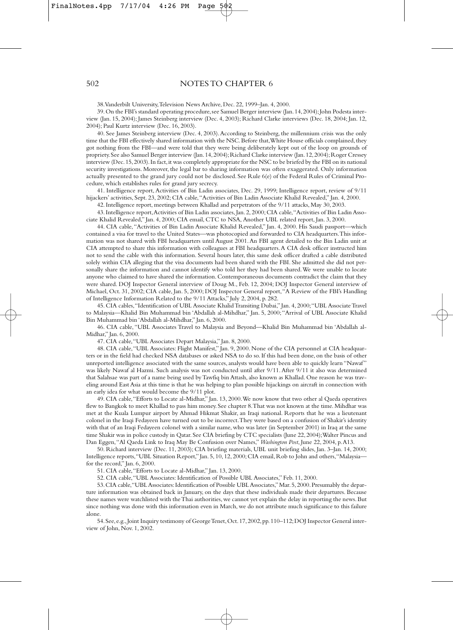# 502 NOTES TO CHAPTER 6

38.Vanderbilt University,Television News Archive, Dec. 22, 1999–Jan. 4, 2000.

39.On the FBI's standard operating procedure,see Samuel Berger interview (Jan.14,2004);John Podesta interview (Jan. 15, 2004); James Steinberg interview (Dec. 4, 2003); Richard Clarke interviews (Dec. 18, 2004; Jan. 12, 2004); Paul Kurtz interview (Dec. 16, 2003).

40. See James Steinberg interview (Dec. 4, 2003).According to Steinberg, the millennium crisis was the only time that the FBI effectively shared information with the NSC. Before that, White House officials complained, they got nothing from the FBI—and were told that they were being deliberately kept out of the loop on grounds of propriety. See also Samuel Berger interview (Jan. 14, 2004); Richard Clarke interview (Jan. 12, 2004); Roger Cressey interview (Dec.15,2003).In fact,it was completely appropriate for the NSC to be briefed by the FBI on its national security investigations. Moreover, the legal bar to sharing information was often exaggerated. Only information actually presented to the grand jury could not be disclosed. See Rule 6(e) of the Federal Rules of Criminal Procedure, which establishes rules for grand jury secrecy.

41. Intelligence report, Activities of Bin Ladin associates, Dec. 29, 1999; Intelligence report, review of 9/11 hijackers' activities, Sept. 23, 2002; CIA cable,"Activities of Bin Ladin Associate Khalid Revealed," Jan. 4, 2000.

42. Intelligence report, meetings between Khallad and perpetrators of the 9/11 attacks, May 30, 2003.

43. Intelligence report,Activities of Bin Ladin associates, Jan. 2, 2000; CIA cable,"Activities of Bin Ladin Associate Khalid Revealed," Jan. 4, 2000; CIA email, CTC to NSA, Another UBL related report, Jan. 3, 2000.

44. CIA cable,"Activities of Bin Ladin Associate Khalid Revealed," Jan. 4, 2000. His Saudi passport—which contained a visa for travel to the United States—was photocopied and forwarded to CIA headquarters.This information was not shared with FBI headquarters until August 2001.An FBI agent detailed to the Bin Ladin unit at CIA attempted to share this information with colleagues at FBI headquarters.A CIA desk officer instructed him not to send the cable with this information. Several hours later, this same desk officer drafted a cable distributed solely within CIA alleging that the visa documents had been shared with the FBI. She admitted she did not personally share the information and cannot identify who told her they had been shared.We were unable to locate anyone who claimed to have shared the information. Contemporaneous documents contradict the claim that they were shared. DOJ Inspector General interview of Doug M., Feb. 12, 2004; DOJ Inspector General interview of Michael, Oct. 31, 2002; CIA cable, Jan. 5, 2000; DOJ Inspector General report,"A Review of the FBI's Handling of Intelligence Information Related to the 9/11 Attacks," July 2, 2004, p. 282.

45. CIA cables,"Identification of UBL Associate Khalid Transiting Dubai," Jan. 4, 2000;"UBL Associate Travel to Malaysia—Khalid Bin Muhammad bin 'Abdallah al-Mihdhar," Jan. 5, 2000;"Arrival of UBL Associate Khalid Bin Muhammad bin 'Abdallah al-Mihdhar," Jan. 6, 2000.

46. CIA cable, "UBL Associates Travel to Malaysia and Beyond—Khalid Bin Muhammad bin 'Abdallah al-Midhar," Jan. 6, 2000.

47. CIA cable,"UBL Associates Depart Malaysia," Jan. 8, 2000.

48. CIA cable,"UBL Associates: Flight Manifest," Jan. 9, 2000. None of the CIA personnel at CIA headquarters or in the field had checked NSA databases or asked NSA to do so. If this had been done, on the basis of other unreported intelligence associated with the same sources, analysts would have been able to quickly learn "Nawaf" was likely Nawaf al Hazmi. Such analysis was not conducted until after 9/11. After 9/11 it also was determined that Salahsae was part of a name being used by Tawfiq bin Attash, also known as Khallad. One reason he was traveling around East Asia at this time is that he was helping to plan possible hijackings on aircraft in connection with an early idea for what would become the 9/11 plot.

49. CIA cable,"Efforts to Locate al-Midhar," Jan. 13, 2000.We now know that two other al Qaeda operatives flew to Bangkok to meet Khallad to pass him money. See chapter 8.That was not known at the time. Mihdhar was met at the Kuala Lumpur airport by Ahmad Hikmat Shakir, an Iraqi national. Reports that he was a lieutenant colonel in the Iraqi Fedayeen have turned out to be incorrect.They were based on a confusion of Shakir's identity with that of an Iraqi Fedayeen colonel with a similar name, who was later (in September 2001) in Iraq at the same time Shakir was in police custody in Qatar.See CIA briefing by CTC specialists (June 22,2004);Walter Pincus and Dan Eggen,"Al Qaeda Link to Iraq May Be Confusion over Names," *Washington Post*, June 22, 2004, p.A13.

50. Richard interview (Dec. 11, 2003); CIA briefing materials, UBL unit briefing slides, Jan. 3–Jan. 14, 2000; Intelligence reports,"UBL Situation Report," Jan. 5, 10, 12, 2000; CIA email, Rob to John and others,"Malaysia for the record," Jan. 6, 2000.

51. CIA cable,"Efforts to Locate al-Midhar," Jan. 13, 2000.

52. CIA cable,"UBL Associates: Identification of Possible UBL Associates," Feb. 11, 2000.

53.CIA cable,"UBL Associates:Identification of Possible UBL Associates,"Mar.5,2000.Presumably the departure information was obtained back in January, on the days that these individuals made their departures. Because these names were watchlisted with the Thai authorities, we cannot yet explain the delay in reporting the news. But since nothing was done with this information even in March, we do not attribute much significance to this failure alone.

54.See,e.g.,Joint Inquiry testimony of George Tenet,Oct.17,2002,pp.110–112;DOJ Inspector General interview of John, Nov. 1, 2002.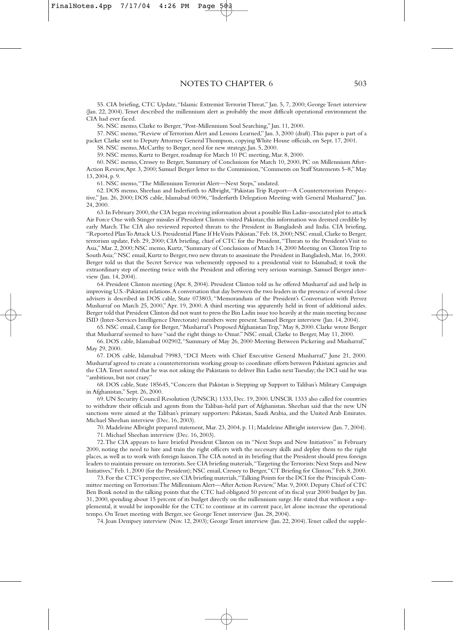55. CIA briefing, CTC Update,"Islamic Extremist Terrorist Threat," Jan. 5, 7, 2000; George Tenet interview (Jan. 22, 2004).Tenet described the millennium alert as probably the most difficult operational environment the CIA had ever faced.

56. NSC memo, Clarke to Berger,"Post-Millennium Soul Searching," Jan. 11, 2000.

57. NSC memo,"Review of Terrorism Alert and Lessons Learned," Jan. 3, 2000 (draft).This paper is part of a packet Clarke sent to Deputy Attorney General Thompson, copying White House officials, on Sept. 17, 2001.

58. NSC memo, McCarthy to Berger, need for new strategy, Jan. 5, 2000.

59. NSC memo, Kurtz to Berger, roadmap for March 10 PC meeting, Mar. 8, 2000.

60. NSC memo, Cressey to Berger, Summary of Conclusions for March 10, 2000, PC on Millennium After-Action Review,Apr. 3, 2000; Samuel Berger letter to the Commission,"Comments on Staff Statements 5–8," May 13, 2004, p. 9.

61. NSC memo,"The Millennium Terrorist Alert—Next Steps," undated.

62. DOS memo, Sheehan and Inderfurth to Albright,"Pakistan Trip Report—A Counterterrorism Perspective," Jan. 26, 2000; DOS cable, Islamabad 00396,"Inderfurth Delegation Meeting with General Musharraf," Jan. 24, 2000.

63.In February 2000,the CIA began receiving information about a possible Bin Ladin–associated plot to attack Air Force One with Stinger missiles if President Clinton visited Pakistan; this information was deemed credible by early March. The CIA also reviewed reported threats to the President in Bangladesh and India. CIA briefing, "Reported Plan To Attack U.S.Presidential Plane If He Visits Pakistan,"Feb.18,2000;NSC email,Clarke to Berger, terrorism update, Feb. 29, 2000; CIA briefing, chief of CTC for the President,"Threats to the President's Visit to Asia," Mar. 2, 2000; NSC memo, Kurtz,"Summary of Conclusions of March 14, 2000 Meeting on Clinton Trip to South Asia;" NSC email, Kurtz to Berger, two new threats to assassinate the President in Bangladesh, Mar. 16, 2000. Berger told us that the Secret Service was vehemently opposed to a presidential visit to Islamabad; it took the extraordinary step of meeting twice with the President and offering very serious warnings. Samuel Berger interview (Jan. 14, 2004).

64. President Clinton meeting (Apr. 8, 2004). President Clinton told us he offered Musharraf aid and help in improving U.S.-Pakistani relations.A conversation that day between the two leaders in the presence of several close advisers is described in DOS cable, State 073803, "Memorandum of the President's Conversation with Pervez Musharraf on March 25, 2000," Apr. 19, 2000. A third meeting was apparently held in front of additional aides. Berger told that President Clinton did not want to press the Bin Ladin issue too heavily at the main meeting because ISID (Inter-Services Intelligence Directorate) members were present. Samuel Berger interview (Jan. 14, 2004).

65. NSC email, Camp for Berger,"Musharraf's Proposed Afghanistan Trip," May 8, 2000. Clarke wrote Berger that Musharraf seemed to have "said the right things to Omar." NSC email, Clarke to Berger, May 11, 2000.

66. DOS cable, Islamabad 002902,"Summary of May 26, 2000 Meeting Between Pickering and Musharraf," May 29, 2000.

67. DOS cable, Islamabad 79983, "DCI Meets with Chief Executive General Musharraf," June 21, 2000. Musharraf agreed to create a counterterrorism working group to coordinate efforts between Pakistani agencies and the CIA.Tenet noted that he was not asking the Pakistanis to deliver Bin Ladin next Tuesday; the DCI said he was "ambitious, but not crazy."

68. DOS cable, State 185645,"Concern that Pakistan is Stepping up Support to Taliban's Military Campaign in Afghanistan," Sept. 26, 2000.

69. UN Security Council Resolution (UNSCR) 1333, Dec. 19, 2000. UNSCR 1333 also called for countries to withdraw their officials and agents from the Taliban-held part of Afghanistan. Sheehan said that the new UN sanctions were aimed at the Taliban's primary supporters: Pakistan, Saudi Arabia, and the United Arab Emirates. Michael Sheehan interview (Dec. 16, 2003).

70. Madeleine Albright prepared statement, Mar. 23, 2004, p. 11; Madeleine Albright interview (Jan. 7, 2004). 71. Michael Sheehan interview (Dec. 16, 2003).

72.The CIA appears to have briefed President Clinton on its "Next Steps and New Initiatives" in February 2000, noting the need to hire and train the right officers with the necessary skills and deploy them to the right places, as well as to work with foreign liaison.The CIA noted in its briefing that the President should press foreign leaders to maintain pressure on terrorists. See CIA briefing materials, "Targeting the Terrorists: Next Steps and New Initiatives," Feb. 1, 2000 (for the President); NSC email, Cressey to Berger,"CT Briefing for Clinton," Feb. 8, 2000.

73.For the CTC's perspective,see CIA briefing materials,"Talking Points for the DCI for the Principals Committee meeting on Terrorism:The Millennium Alert—After Action Review," Mar. 9, 2000. Deputy Chief of CTC Ben Bonk noted in the talking points that the CTC had obligated 50 percent of its fiscal year 2000 budget by Jan. 31, 2000, spending about 15 percent of its budget directly on the millennium surge. He stated that without a supplemental, it would be impossible for the CTC to continue at its current pace, let alone increase the operational tempo. On Tenet meeting with Berger, see George Tenet interview (Jan. 28, 2004).

74. Joan Dempsey interview (Nov. 12, 2003); George Tenet interview (Jan. 22, 2004).Tenet called the supple-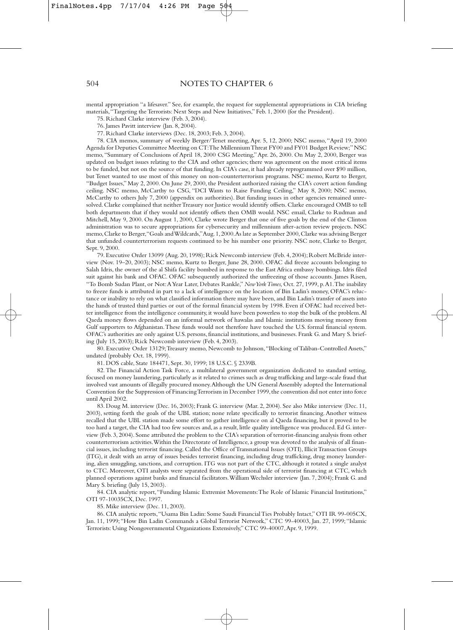mental appropriation "a lifesaver." See, for example, the request for supplemental appropriations in CIA briefing materials,"Targeting the Terrorists: Next Steps and New Initiatives," Feb. 1, 2000 (for the President).

75. Richard Clarke interview (Feb. 3, 2004).

76. James Pavitt interview (Jan. 8, 2004).

77. Richard Clarke interviews (Dec. 18, 2003; Feb. 3, 2004).

78. CIA memos, summary of weekly Berger/Tenet meeting, Apr. 5, 12, 2000; NSC memo,"April 19, 2000 Agenda for Deputies Committee Meeting on CT:The Millennium Threat FY00 and FY01 Budget Review;"NSC memo,"Summary of Conclusions of April 18, 2000 CSG Meeting,"Apr. 26, 2000. On May 2, 2000, Berger was updated on budget issues relating to the CIA and other agencies; there was agreement on the most critical items to be funded, but not on the source of that funding. In CIA's case, it had already reprogrammed over \$90 million, but Tenet wanted to use most of this money on non-counterterrorism programs. NSC memo, Kurtz to Berger, "Budget Issues," May 2, 2000. On June 29, 2000, the President authorized raising the CIA's covert action funding ceiling. NSC memo, McCarthy to CSG, "DCI Wants to Raise Funding Ceiling," May 8, 2000; NSC memo, McCarthy to others July 7, 2000 (appendix on authorities). But funding issues in other agencies remained unresolved. Clarke complained that neither Treasury nor Justice would identify offsets. Clarke encouraged OMB to tell both departments that if they would not identify offsets then OMB would. NSC email, Clarke to Rudman and Mitchell, May 9, 2000. On August 1, 2000, Clarke wrote Berger that one of five goals by the end of the Clinton administration was to secure appropriations for cybersecurity and millennium after-action review projects. NSC memo,Clarke to Berger,"Goals and Wildcards,"Aug.1,2000.As late as September 2000,Clarke was advising Berger that unfunded counterterrorism requests continued to be his number one priority. NSC note, Clarke to Berger, Sept. 9, 2000.

79. Executive Order 13099 (Aug. 20, 1998); Rick Newcomb interview (Feb. 4, 2004); Robert McBride interview (Nov. 19–20, 2003); NSC memo, Kurtz to Berger, June 28, 2000. OFAC did freeze accounts belonging to Salah Idris, the owner of the al Shifa facility bombed in response to the East Africa embassy bombings. Idris filed suit against his bank and OFAC. OFAC subsequently authorized the unfreezing of those accounts. James Risen, "To Bomb Sudan Plant, or Not:A Year Later, Debates Rankle," *New York Times,* Oct. 27, 1999, p.A1.The inability to freeze funds is attributed in part to a lack of intelligence on the location of Bin Ladin's money, OFAC's reluctance or inability to rely on what classified information there may have been, and Bin Ladin's transfer of assets into the hands of trusted third parties or out of the formal financial system by 1998. Even if OFAC had received better intelligence from the intelligence community, it would have been powerless to stop the bulk of the problem.Al Qaeda money flows depended on an informal network of hawalas and Islamic institutions moving money from Gulf supporters to Afghanistan.These funds would not therefore have touched the U.S. formal financial system. OFAC's authorities are only against U.S. persons, financial institutions, and businesses. Frank G. and Mary S. briefing (July 15, 2003); Rick Newcomb interview (Feb. 4, 2003).

80. Executive Order 13129;Treasury memo, Newcomb to Johnson,"Blocking of Taliban-Controlled Assets," undated (probably Oct. 18, 1999).

81. DOS cable, State 184471, Sept. 30, 1999; 18 U.S.C. § 2339B.

82. The Financial Action Task Force, a multilateral government organization dedicated to standard setting, focused on money laundering, particularly as it related to crimes such as drug trafficking and large-scale fraud that involved vast amounts of illegally procured money.Although the UN General Assembly adopted the International Convention for the Suppression of Financing Terrorism in December 1999, the convention did not enter into force until April 2002.

83. Doug M. interview (Dec. 16, 2003); Frank G. interview (Mar. 2, 2004). See also Mike interview (Dec. 11, 2003), setting forth the goals of the UBL station; none relate specifically to terrorist financing. Another witness recalled that the UBL station made some effort to gather intelligence on al Qaeda financing, but it proved to be too hard a target, the CIA had too few sources and, as a result, little quality intelligence was produced. Ed G. interview (Feb. 3, 2004). Some attributed the problem to the CIA's separation of terrorist-financing analysis from other counterterrorism activities.Within the Directorate of Intelligence, a group was devoted to the analysis of all financial issues, including terrorist financing. Called the Office of Transnational Issues (OTI), Illicit Transaction Groups (ITG), it dealt with an array of issues besides terrorist financing, including drug trafficking, drug money laundering, alien smuggling, sanctions, and corruption. ITG was not part of the CTC, although it rotated a single analyst to CTC. Moreover, OTI analysts were separated from the operational side of terrorist financing at CTC, which planned operations against banks and financial facilitators.William Wechsler interview (Jan. 7, 2004); Frank G. and Mary S. briefing (July 15, 2003).

84. CIA analytic report,"Funding Islamic Extremist Movements:The Role of Islamic Financial Institutions," OTI 97-10035CX, Dec. 1997.

85. Mike interview (Dec. 11, 2003).

86. CIA analytic reports,"Usama Bin Ladin: Some Saudi Financial Ties Probably Intact," OTI IR 99-005CX, Jan. 11, 1999;"How Bin Ladin Commands a Global Terrorist Network," CTC 99-40003, Jan. 27, 1999;"Islamic Terrorists: Using Nongovernmental Organizations Extensively," CTC 99-40007,Apr. 9, 1999.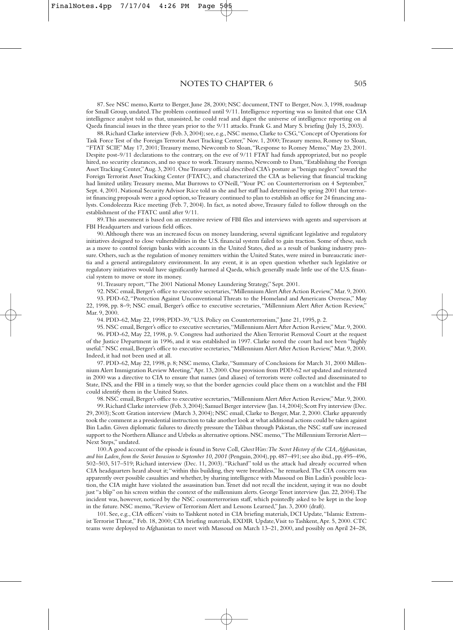87. See NSC memo, Kurtz to Berger, June 28, 2000; NSC document,TNT to Berger, Nov. 3, 1998, roadmap for Small Group, undated.The problem continued until 9/11. Intelligence reporting was so limited that one CIA intelligence analyst told us that, unassisted, he could read and digest the universe of intelligence reporting on al Qaeda financial issues in the three years prior to the 9/11 attacks. Frank G. and Mary S. briefing (July 15, 2003).

88.Richard Clarke interview (Feb.3,2004);see,e.g.,NSC memo,Clarke to CSG,"Concept of Operations for Task Force Test of the Foreign Terrorist Asset Tracking Center," Nov. 1, 2000; Treasury memo, Romey to Sloan, "FTAT SCIF," May 17, 2001;Treasury memo, Newcomb to Sloan,"Response to Romey Memo," May 23, 2001. Despite post-9/11 declarations to the contrary, on the eve of 9/11 FTAT had funds appropriated, but no people hired, no security clearances, and no space to work.Treasury memo, Newcomb to Dam,"Establishing the Foreign Asset Tracking Center,"Aug. 3, 2001. One Treasury official described CIA's posture as "benign neglect" toward the Foreign Terrorist Asset Tracking Center (FTATC), and characterized the CIA as believing that financial tracking had limited utility. Treasury memo, Mat Burrows to O'Neill, "Your PC on Counterterrorism on 4 September," Sept. 4, 2001. National Security Advisor Rice told us she and her staff had determined by spring 2001 that terrorist financing proposals were a good option,so Treasury continued to plan to establish an office for 24 financing analysts. Condoleezza Rice meeting (Feb. 7, 2004). In fact, as noted above, Treasury failed to follow through on the establishment of the FTATC until after 9/11.

89.This assessment is based on an extensive review of FBI files and interviews with agents and supervisors at FBI Headquarters and various field offices.

90.Although there was an increased focus on money laundering, several significant legislative and regulatory initiatives designed to close vulnerabilities in the U.S. financial system failed to gain traction. Some of these, such as a move to control foreign banks with accounts in the United States, died as a result of banking industry pressure. Others, such as the regulation of money remitters within the United States, were mired in bureaucratic inertia and a general antiregulatory environment. In any event, it is an open question whether such legislative or regulatory initiatives would have significantly harmed al Qaeda, which generally made little use of the U.S. financial system to move or store its money.

91.Treasury report,"The 2001 National Money Laundering Strategy," Sept. 2001.

92. NSC email, Berger's office to executive secretaries,"Millennium Alert After Action Review," Mar. 9, 2000. 93. PDD-62,"Protection Against Unconventional Threats to the Homeland and Americans Overseas," May 22, 1998, pp. 8–9; NSC email, Berger's office to executive secretaries, "Millennium Alert After Action Review," Mar. 9, 2000.

94. PDD-62, May 22, 1998; PDD-39,"U.S. Policy on Counterterrorism," June 21, 1995, p. 2.

95. NSC email, Berger's office to executive secretaries,"Millennium Alert After Action Review," Mar. 9, 2000.

96. PDD-62, May 22, 1998, p. 9. Congress had authorized the Alien Terrorist Removal Court at the request of the Justice Department in 1996, and it was established in 1997. Clarke noted the court had not been "highly useful." NSC email, Berger's office to executive secretaries,"Millennium Alert After Action Review," Mar. 9, 2000. Indeed, it had not been used at all.

97. PDD-62, May 22, 1998, p. 8; NSC memo, Clarke,"Summary of Conclusions for March 31, 2000 Millennium Alert Immigration Review Meeting,"Apr. 13, 2000. One provision from PDD-62 *not* updated and reiterated in 2000 was a directive to CIA to ensure that names (and aliases) of terrorists were collected and disseminated to State, INS, and the FBI in a timely way, so that the border agencies could place them on a watchlist and the FBI could identify them in the United States.

98. NSC email, Berger's office to executive secretaries,"Millennium Alert After Action Review," Mar. 9, 2000.

99.Richard Clarke interview (Feb.3,2004);Samuel Berger interview (Jan.14,2004);Scott Fry interview (Dec. 29, 2003); Scott Gration interview (March 3, 2004); NSC email, Clarke to Berger, Mar. 2, 2000. Clarke apparently took the comment as a presidential instruction to take another look at what additional actions could be taken against Bin Ladin. Given diplomatic failures to directly pressure the Taliban through Pakistan, the NSC staff saw increased support to the Northern Alliance and Uzbeks as alternative options. NSC memo, "The Millennium Terrorist Alert— Next Steps," undated.

100.A good account of the episode is found in Steve Coll,*Ghost Wars:The Secret History of the CIA,Afghanistan, and bin Laden,from the Soviet Invasion to September 10,2001* (Penguin,2004),pp.487–491;see also ibid.,pp.495–496, 502–503, 517–519; Richard interview (Dec. 11, 2003)."Richard" told us the attack had already occurred when CIA headquarters heard about it;"within this building, they were breathless," he remarked.The CIA concern was apparently over possible casualties and whether, by sharing intelligence with Massoud on Bin Ladin's possible location, the CIA might have violated the assassination ban.Tenet did not recall the incident, saying it was no doubt just "a blip" on his screen within the context of the millennium alerts. George Tenet interview (Jan. 22, 2004).The incident was, however, noticed by the NSC counterterrorism staff, which pointedly asked to be kept in the loop in the future. NSC memo,"Review of Terrorism Alert and Lessons Learned," Jan. 3, 2000 (draft).

101. See, e.g., CIA officers' visits to Tashkent noted in CIA briefing materials, DCI Update,"Islamic Extremist Terrorist Threat," Feb. 18, 2000; CIA briefing materials, EXDIR Update, Visit to Tashkent, Apr. 5, 2000. CTC teams were deployed to Afghanistan to meet with Massoud on March 13–21, 2000, and possibly on April 24–28,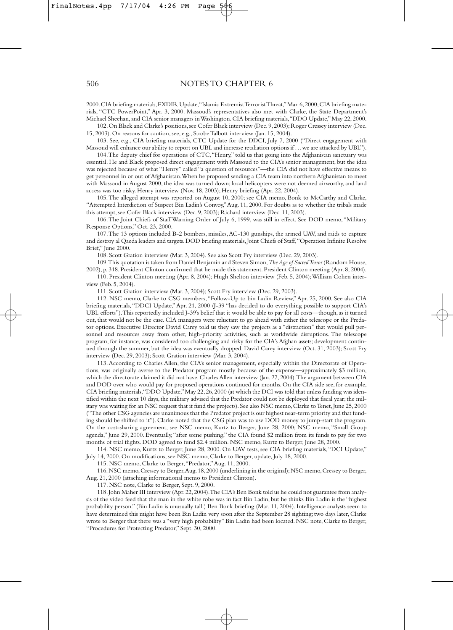2000.CIA briefing materials,EXDIR Update,"Islamic Extremist Terrorist Threat,"Mar.6,2000;CIA briefing materials, "CTC PowerPoint," Apr. 3, 2000. Massoud's representatives also met with Clarke, the State Department's Michael Sheehan, and CIA senior managers in Washington. CIA briefing materials, "DDO Update," May 22, 2000.

102.On Black and Clarke's positions,see Cofer Black interview (Dec.9,2003);Roger Cressey interview (Dec. 15, 2003). On reasons for caution, see, e.g., Strobe Talbott interview (Jan. 15, 2004).

103. See, e.g., CIA briefing materials, CTC Update for the DDCI, July 7, 2000 ("Direct engagement with Massoud will enhance our ability to report on UBL and increase retaliation options if ...we are attacked by UBL").

104.The deputy chief for operations of CTC,"Henry," told us that going into the Afghanistan sanctuary was essential. He and Black proposed direct engagement with Massoud to the CIA's senior management, but the idea was rejected because of what "Henry" called "a question of resources"—the CIA did not have effective means to get personnel in or out of Afghanistan.When he proposed sending a CIA team into northern Afghanistan to meet with Massoud in August 2000, the idea was turned down; local helicopters were not deemed airworthy, and land access was too risky. Henry interview (Nov. 18, 2003); Henry briefing (Apr. 22, 2004).

105.The alleged attempt was reported on August 10, 2000; see CIA memo, Bonk to McCarthy and Clarke, "Attempted Interdiction of Suspect Bin Ladin's Convoy,"Aug. 11, 2000. For doubts as to whether the tribals made this attempt, see Cofer Black interview (Dec. 9, 2003); Richard interview (Dec. 11, 2003).

106.The Joint Chiefs of Staff Warning Order of July 6, 1999, was still in effect. See DOD memo,"Military Response Options," Oct. 23, 2000.

107.The 13 options included B-2 bombers, missiles,AC-130 gunships, the armed UAV, and raids to capture and destroy al Qaeda leaders and targets.DOD briefing materials,Joint Chiefs of Staff,"Operation Infinite Resolve Brief," June 2000.

108. Scott Gration interview (Mar. 3, 2004). See also Scott Fry interview (Dec. 29, 2003).

109.This quotation is taken from Daniel Benjamin and Steven Simon,*The Age of Sacred Terror* (Random House,

2002), p. 318. President Clinton confirmed that he made this statement. President Clinton meeting (Apr. 8, 2004). 110. President Clinton meeting (Apr. 8, 2004); Hugh Shelton interview (Feb. 5, 2004);William Cohen interview (Feb. 5, 2004).

111. Scott Gration interview (Mar. 3, 2004); Scott Fry interview (Dec. 29, 2003).

112. NSC memo, Clarke to CSG members,"Follow-Up to bin Ladin Review,"Apr. 25, 2000. See also CIA briefing materials,"DDCI Update,"Apr. 21, 2000 (J-39 "has decided to do everything possible to support CIA's UBL efforts").This reportedly included J-39's belief that it would be able to pay for all costs—though, as it turned out, that would not be the case. CIA managers were reluctant to go ahead with either the telescope or the Predator options. Executive Director David Carey told us they saw the projects as a "distraction" that would pull personnel and resources away from other, high-priority activities, such as worldwide disruptions. The telescope program, for instance, was considered too challenging and risky for the CIA's Afghan assets; development continued through the summer, but the idea was eventually dropped. David Carey interview (Oct. 31, 2003); Scott Fry interview (Dec. 29, 2003); Scott Gration interview (Mar. 3, 2004).

113. According to Charles Allen, the CIA's senior management, especially within the Directorate of Operations, was originally averse to the Predator program mostly because of the expense—approximately \$3 million, which the directorate claimed it did not have. Charles Allen interview (Jan. 27, 2004).The argument between CIA and DOD over who would pay for proposed operations continued for months. On the CIA side see, for example, CIA briefing materials,"DDO Update,"May 22,26,2000 (at which the DCI was told that unless funding was identified within the next 10 days, the military advised that the Predator could not be deployed that fiscal year; the military was waiting for an NSC request that it fund the projects).See also NSC memo,Clarke to Tenet,June 25,2000 ("The other CSG agencies are unanimous that the Predator project is our highest near-term priority and that funding should be shifted to it"). Clarke noted that the CSG plan was to use DOD money to jump-start the program. On the cost-sharing agreement, see NSC memo, Kurtz to Berger, June 28, 2000; NSC memo, "Small Group agenda," June 29, 2000. Eventually,"after some pushing," the CIA found \$2 million from its funds to pay for two months of trial flights. DOD agreed to fund \$2.4 million. NSC memo, Kurtz to Berger, June 28, 2000.

114. NSC memo, Kurtz to Berger, June 28, 2000. On UAV tests, see CIA briefing materials,"DCI Update," July 14, 2000. On modifications, see NSC memo, Clarke to Berger, update, July 18, 2000.

115. NSC memo, Clarke to Berger,"Predator,"Aug. 11, 2000.

116.NSC memo,Cressey to Berger,Aug.18,2000 (underlining in the original);NSC memo,Cressey to Berger, Aug. 21, 2000 (attaching informational memo to President Clinton).

117. NSC note, Clarke to Berger, Sept. 9, 2000.

118.John Maher III interview (Apr.22,2004).The CIA's Ben Bonk told us he could not guarantee from analysis of the video feed that the man in the white robe was in fact Bin Ladin, but he thinks Bin Ladin is the "highest probability person." (Bin Ladin is unusually tall.) Ben Bonk briefing (Mar. 11, 2004). Intelligence analysts seem to have determined this might have been Bin Ladin very soon after the September 28 sighting; two days later, Clarke wrote to Berger that there was a "very high probability" Bin Ladin had been located. NSC note, Clarke to Berger, "Procedures for Protecting Predator," Sept. 30, 2000.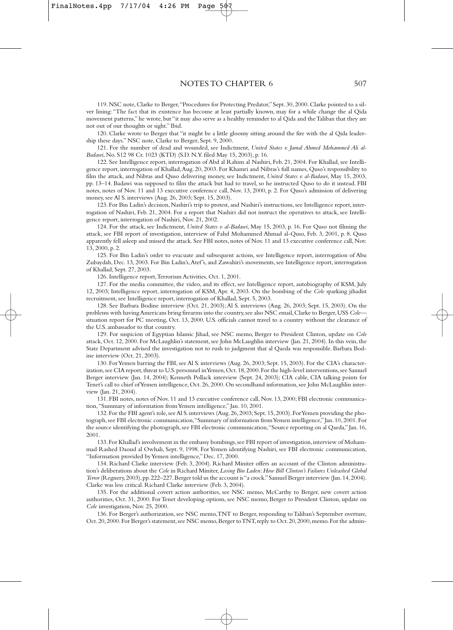119. NSC note, Clarke to Berger,"Procedures for Protecting Predator," Sept. 30, 2000. Clarke pointed to a silver lining: "The fact that its existence has become at least partially known, may for a while change the al Qida movement patterns," he wrote, but "it may also serve as a healthy reminder to al Qida and the Taliban that they are not out of our thoughts or sight." Ibid.

120. Clarke wrote to Berger that "it might be a little gloomy sitting around the fire with the al Qida leadership these days." NSC note, Clarke to Berger, Sept. 9, 2000.

121. For the number of dead and wounded, see Indictment, *United States v. Jamal Ahmed Mohammed Ali al-Badawi*, No. S12 98 Cr. 1023 (KTD) (S.D. N.Y. filed May 15, 2003), p. 16.

122. See Intelligence report, interrogation of Abd al Rahim al Nashiri, Feb. 21, 2004. For Khallad, see Intelligence report, interrogation of Khallad,Aug. 20, 2003. For Khamri and Nibras's full names, Quso's responsibility to film the attack, and Nibras and Quso delivering money, see Indictment, *United States v. al-Badawi*, May 15, 2003, pp. 13–14. Badawi was supposed to film the attack but had to travel, so he instructed Quso to do it instead. FBI notes, notes of Nov. 11 and 13 executive conference call, Nov. 13, 2000, p. 2. For Quso's admission of delivering money, see Al S. interviews (Aug. 26, 2003; Sept. 15, 2003).

123. For Bin Ladin's decision, Nashiri's trip to protest, and Nashiri's instructions, see Intelligence report, interrogation of Nashiri, Feb. 21, 2004. For a report that Nashiri did not instruct the operatives to attack, see Intelligence report, interrogation of Nashiri, Nov. 21, 2002.

124. For the attack, see Indictment, *United States v. al-Badawi*, May 15, 2003, p. 16. For Quso not filming the attack, see FBI report of investigation, interview of Fahd Mohammed Ahmad al-Quso, Feb. 3, 2001, p. 8. Quso apparently fell asleep and missed the attack. See FBI notes, notes of Nov. 11 and 13 executive conference call, Nov. 13, 2000, p. 2.

125. For Bin Ladin's order to evacuate and subsequent actions, see Intelligence report, interrogation of Abu Zubaydah, Dec. 13, 2003. For Bin Ladin's,Atef's, and Zawahiri's movements, see Intelligence report, interrogation of Khallad, Sept. 27, 2003.

126. Intelligence report,Terrorism Activities, Oct. 1, 2001.

127. For the media committee, the video, and its effect, see Intelligence report, autobiography of KSM, July 12, 2003; Intelligence report, interrogation of KSM, Apr. 4, 2003. On the bombing of the *Cole* sparking jihadist recruitment, see Intelligence report, interrogation of Khallad, Sept. 5, 2003.

128. See Barbara Bodine interview (Oct. 21, 2003);Al S. interviews (Aug. 26, 2003; Sept. 15, 2003). On the problems with having Americans bring firearms into the country,see also NSC email,Clarke to Berger,USS *Cole* situation report for PC meeting, Oct. 13, 2000. U.S. officials cannot travel to a country without the clearance of the U.S. ambassador to that country.

129. For suspicion of Egyptian Islamic Jihad, see NSC memo, Berger to President Clinton, update on *Cole* attack, Oct. 12, 2000. For McLaughlin's statement, see John McLaughlin interview (Jan. 21, 2004). In this vein, the State Department advised the investigation not to rush to judgment that al Qaeda was responsible. Barbara Bodine interview (Oct. 21, 2003).

130. For Yemen barring the FBI, see Al S. interviews (Aug. 26, 2003; Sept. 15, 2003). For the CIA's characterization, see CIA report, threat to U.S. personnel in Yemen, Oct. 18, 2000. For the high-level interventions, see Samuel Berger interview (Jan. 14, 2004); Kenneth Pollack interview (Sept. 24, 2003); CIA cable, CIA talking points for Tenet's call to chief of Yemen intelligence, Oct. 26, 2000. On secondhand information, see John McLaughlin interview (Jan. 21, 2004).

131. FBI notes, notes of Nov. 11 and 13 executive conference call, Nov. 13, 2000; FBI electronic communication,"Summary of information from Yemen intelligence," Jan. 10, 2001.

132.For the FBI agent's role,see Al S.interviews (Aug.26,2003;Sept.15,2003).For Yemen providing the photograph, see FBI electronic communication, "Summary of information from Yemen intelligence," Jan. 10, 2001. For the source identifying the photograph, see FBI electronic communication, "Source reporting on al Qaeda," Jan. 16, 2001.

133. For Khallad's involvement in the embassy bombings, see FBI report of investigation, interview of Mohammad Rashed Daoud al Owhali, Sept. 9, 1998. For Yemen identifying Nashiri, see FBI electronic communication, "Information provided by Yemen intelligence," Dec. 17, 2000.

134. Richard Clarke interview (Feb. 3, 2004). Richard Miniter offers an account of the Clinton administration's deliberations about the *Cole* in Richard Miniter, Losing Bin Laden: How Bill Clinton's Failures Unleashed Global *Terror* (Regnery,2003),pp.222–227.Berger told us the account is "a crock."Samuel Berger interview (Jan.14,2004). Clarke was less critical. Richard Clarke interview (Feb. 3, 2004).

135. For the additional covert action authorities, see NSC memo, McCarthy to Berger, new covert action authorities, Oct. 31, 2000. For Tenet developing options, see NSC memo, Berger to President Clinton, update on *Cole* investigation, Nov. 25, 2000.

136. For Berger's authorization, see NSC memo,TNT to Berger, responding to Taliban's September overture, Oct. 20, 2000. For Berger's statement, see NSC memo, Berger to TNT, reply to Oct. 20, 2000, memo. For the admin-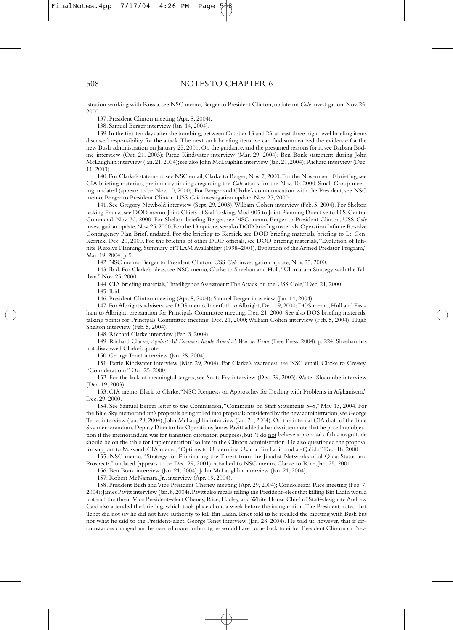# 508 NOTES TO CHAPTER 6

istration working with Russia, see NSC memo, Berger to President Clinton, update on *Cole* investigation, Nov. 25, 2000.

137. President Clinton meeting (Apr. 8, 2004).

138. Samuel Berger interview (Jan. 14, 2004).

139. In the first ten days after the bombing, between October 13 and 23, at least three high-level briefing items discussed responsibility for the attack.The next such briefing item we can find summarized the evidence for the new Bush administration on January 25, 2001. On the guidance, and the presumed reasons for it, see Barbara Bodine interview (Oct. 21, 2003); Pattie Kindsvater interview (Mar. 29, 2004); Ben Bonk statement during John McLaughlin interview (Jan.21,2004);see also John McLaughlin interview (Jan.21,2004);Richard interview (Dec. 11, 2003).

140. For Clarke's statement, see NSC email, Clarke to Berger, Nov. 7, 2000. For the November 10 briefing, see CIA briefing materials, preliminary findings regarding the *Cole* attack for the Nov. 10, 2000, Small Group meeting, undated (appears to be Nov. 10, 2000). For Berger and Clarke's communication with the President, see NSC memo, Berger to President Clinton, USS *Cole* investigation update, Nov. 25, 2000.

141. See Gregory Newbold interview (Sept. 29, 2003);William Cohen interview (Feb. 5, 2004). For Shelton tasking Franks, see DOD memo, Joint Chiefs of Staff tasking, Mod 005 to Joint Planning Directive to U.S. Central Command, Nov. 30, 2000. For Shelton briefing Berger, see NSC memo, Berger to President Clinton, USS *Cole* investigation update,Nov.25,2000.For the 13 options,see also DOD briefing materials,Operation Infinite Resolve Contingency Plan Brief, undated. For the briefing to Kerrick, see DOD briefing materials, briefing to Lt. Gen. Kerrick, Dec. 20, 2000. For the briefing of other DOD officials, see DOD briefing materials,"Evolution of Infinite Resolve Planning, Summary of TLAM Availability (1998–2001), Evolution of the Armed Predator Program," Mar. 19, 2004, p. 5.

142. NSC memo, Berger to President Clinton, USS *Cole* investigation update, Nov. 25, 2000.

143. Ibid. For Clarke's ideas, see NSC memo, Clarke to Sheehan and Hull,"Ultimatum Strategy with the Taliban," Nov. 25, 2000.

144. CIA briefing materials,"Intelligence Assessment:The Attack on the USS Cole," Dec. 21, 2000.

145. Ibid.

146. President Clinton meeting (Apr. 8, 2004); Samuel Berger interview (Jan. 14, 2004).

147. For Albright's advisers, see DOS memo, Inderfuth to Albright, Dec. 19, 2000; DOS memo, Hull and Eastham to Albright, preparation for Principals Committee meeting, Dec. 21, 2000. See also DOS briefing materials, talking points for Principals Committee meeting, Dec. 21, 2000;William Cohen interview (Feb. 5, 2004); Hugh Shelton interview (Feb. 5, 2004).

148. Richard Clarke interview (Feb. 3, 2004)

149. Richard Clarke, *Against All Enemies: Inside America's War on Terror* (Free Press, 2004), p. 224. Sheehan has not disavowed Clarke's quote.

150. George Tenet interview (Jan. 28, 2004).

151. Pattie Kindsvater interview (Mar. 29, 2004). For Clarke's awareness, see NSC email, Clarke to Cressey, "Considerations," Oct. 25, 2000.

152. For the lack of meaningful targets, see Scott Fry interview (Dec. 29, 2003);Walter Slocombe interview (Dec. 19, 2003).

153. CIA memo, Black to Clarke,"NSC Requests on Approaches for Dealing with Problems in Afghanistan," Dec. 29, 2000.

154. See Samuel Berger letter to the Commission,"Comments on Staff Statements 5–8," May 13, 2004. For the Blue Sky memorandum's proposals being rolled into proposals considered by the new administration,see George Tenet interview (Jan. 28, 2004); John McLaughlin interview (Jan. 21, 2004). On the internal CIA draft of the Blue Sky memorandum,Deputy Director for Operations James Pavitt added a handwritten note that he posed no objection if the memorandum was for transition discussion purposes, but "I do not believe a proposal of this magnitude should be on the table for implementation" so late in the Clinton administration. He also questioned the proposal for support to Massoud. CIA memo,"Options to Undermine Usama Bin Ladin and al-Qa'ida," Dec. 18, 2000.

155. NSC memo, "Strategy for Eliminating the Threat from the Jihadist Networks of al Qida: Status and Prospects," undated (appears to be Dec. 29, 2001), attached to NSC memo, Clarke to Rice, Jan. 25, 2001.

156. Ben Bonk interview (Jan. 21, 2004); John McLaughlin interview (Jan. 21, 2004).

157. Robert McNamara, Jr., interview (Apr. 19, 2004).

158. President Bush and Vice President Cheney meeting (Apr. 29, 2004); Condoleezza Rice meeting (Feb. 7, 2004); James Pavitt interview (Jan. 8, 2004). Pavitt also recalls telling the President-elect that killing Bin Ladin would not end the threat.Vice President–elect Cheney, Rice, Hadley, and White House Chief of Staff–designate Andrew Card also attended the briefing, which took place about a week before the inauguration.The President noted that Tenet did not say he did not have authority to kill Bin Ladin.Tenet told us he recalled the meeting with Bush but not what he said to the President-elect. George Tenet interview (Jan. 28, 2004). He told us, however, that if circumstances changed and he needed more authority,he would have come back to either President Clinton or Pres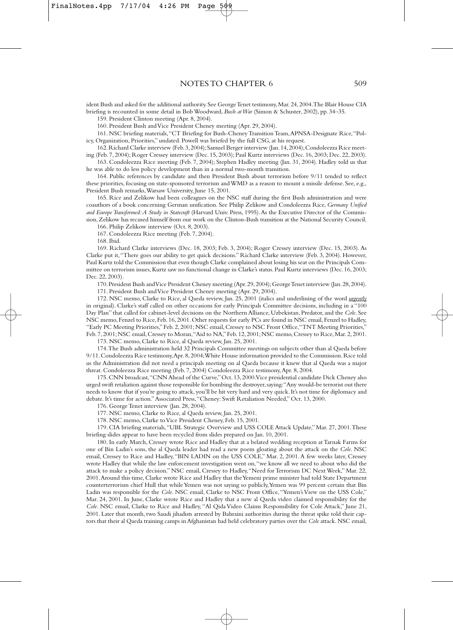ident Bush and asked for the additional authority.See George Tenet testimony,Mar.24,2004.The Blair House CIA briefing is recounted in some detail in Bob Woodward, *Bush at War* (Simon & Schuster, 2002), pp. 34–35.

159. President Clinton meeting (Apr. 8, 2004).

160. President Bush and Vice President Cheney meeting (Apr. 29, 2004).

161. NSC briefing materials,"CT Briefing for Bush-Cheney Transition Team,APNSA-Designate Rice,"Policy, Organization, Priorities," undated. Powell was briefed by the full CSG, at his request.

162.Richard Clarke interview (Feb.3,2004);Samuel Berger interview (Jan.14,2004);Condoleezza Rice meeting (Feb. 7, 2004); Roger Cressey interview (Dec. 15, 2003); Paul Kurtz interviews (Dec. 16, 2003; Dec. 22, 2003).

163. Condoleezza Rice meeting (Feb. 7, 2004); Stephen Hadley meeting (Jan. 31, 2004). Hadley told us that he was able to do less policy development than in a normal two-month transition.

164. Public references by candidate and then President Bush about terrorism before 9/11 tended to reflect these priorities, focusing on state-sponsored terrorism and WMD as a reason to mount a missile defense. See, e.g., President Bush remarks,Warsaw University, June 15, 2001.

165. Rice and Zelikow had been colleagues on the NSC staff during the first Bush administration and were coauthors of a book concerning German unification. See Philip Zelikow and Condoleezza Rice, *Germany Unified and Europe Transformed:A Study in Statecraft* (Harvard Univ. Press, 1995).As the Executive Director of the Commission, Zelikow has recused himself from our work on the Clinton-Bush transition at the National Security Council.

166. Philip Zelikow interview (Oct. 8, 2003).

167. Condoleezza Rice meeting (Feb. 7, 2004).

168. Ibid.

169. Richard Clarke interviews (Dec. 18, 2003; Feb. 3, 2004); Roger Cressey interview (Dec. 15, 2003). As Clarke put it,"There goes our ability to get quick decisions." Richard Clarke interview (Feb. 3, 2004). However, Paul Kurtz told the Commission that even though Clarke complained about losing his seat on the Principals Committee on terrorism issues, Kurtz saw no functional change in Clarke's status. Paul Kurtz interviews (Dec. 16, 2003; Dec. 22, 2003).

170.President Bush and Vice President Cheney meeting (Apr.29,2004);George Tenet interview (Jan.28,2004).

171. President Bush and Vice President Cheney meeting (Apr. 29, 2004).

172. NSC memo, Clarke to Rice, al Qaeda review, Jan. 25, 2001 (italics and underlining of the word *urgently* in original). Clarke's staff called on other occasions for early Principals Committee decisions, including in a "100 Day Plan" that called for cabinet-level decisions on the Northern Alliance, Uzbekistan, Predator, and the *Cole*. See NSC memo, Fenzel to Rice, Feb. 16, 2001. Other requests for early PCs are found in NSC email, Fenzel to Hadley, "Early PC Meeting Priorities," Feb. 2, 2001; NSC email, Cressey to NSC Front Office,"TNT Meeting Priorities," Feb.7,2001;NSC email,Cressey to Moran,"Aid to NA,"Feb.12,2001;NSC memo,Cressey to Rice,Mar.2,2001.

173. NSC memo, Clarke to Rice, al Qaeda review, Jan. 25, 2001.

174.The Bush administration held 32 Principals Committee meetings on subjects other than al Qaeda before 9/11.Condoleezza Rice testimony,Apr.8,2004;White House information provided to the Commission.Rice told us the Administration did not need a principals meeting on al Qaeda because it knew that al Qaeda was a major threat. Condoleezza Rice meeting (Feb. 7, 2004) Condoleezza Rice testimony,Apr. 8, 2004.

175.CNN broadcast,"CNN Ahead of the Curve,"Oct.13,2000.Vice presidential candidate Dick Cheney also urged swift retaliation against those responsible for bombing the destroyer,saying:"Any would-be terrorist out there needs to know that if you're going to attack, you'll be hit very hard and very quick. It's not time for diplomacy and debate. It's time for action."Associated Press,"Cheney: Swift Retaliation Needed," Oct. 13, 2000.

176. George Tenet interview (Jan. 28, 2004).

177. NSC memo, Clarke to Rice, al Qaeda review, Jan. 25, 2001.

178. NSC memo, Clarke to Vice President Cheney, Feb. 15, 2001.

179. CIA briefing materials,"UBL Strategic Overview and USS COLE Attack Update," Mar. 27, 2001.These briefing slides appear to have been recycled from slides prepared on Jan. 10, 2001.

180. In early March, Cressey wrote Rice and Hadley that at a belated wedding reception at Tarnak Farms for one of Bin Ladin's sons, the al Qaeda leader had read a new poem gloating about the attack on the *Cole*. NSC email, Cressey to Rice and Hadley,"BIN LADIN on the USS COLE," Mar. 2, 2001.A few weeks later, Cressey wrote Hadley that while the law enforcement investigation went on,"we know all we need to about who did the attack to make a policy decision." NSC email, Cressey to Hadley,"Need for Terrorism DC Next Week," Mar. 22, 2001.Around this time, Clarke wrote Rice and Hadley that the Yemeni prime minister had told State Department counterterrorism chief Hull that while Yemen was not saying so publicly,Yemen was 99 percent certain that Bin Ladin was responsible for the *Cole*. NSC email, Clarke to NSC Front Office,"Yemen's View on the USS Cole," Mar. 24, 2001. In June, Clarke wrote Rice and Hadley that a new al Qaeda video claimed responsibility for the *Cole*. NSC email, Clarke to Rice and Hadley, "Al Qida Video Claims Responsibility for Cole Attack," June 21, 2001. Later that month, two Saudi jihadists arrested by Bahraini authorities during the threat spike told their captors that their al Qaeda training camps in Afghanistan had held celebratory parties over the *Cole* attack.NSC email,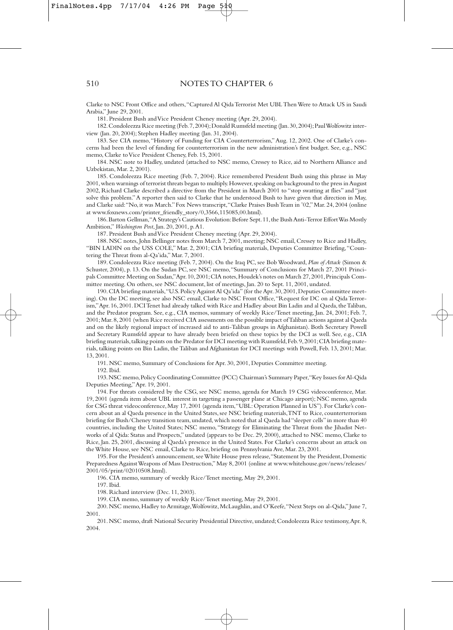Clarke to NSC Front Office and others,"Captured Al Qida Terrorist Met UBL Then Were to Attack US in Saudi Arabia," June 29, 2001.

181. President Bush and Vice President Cheney meeting (Apr. 29, 2004).

182.Condoleezza Rice meeting (Feb.7,2004);Donald Rumsfeld meeting (Jan.30,2004);Paul Wolfowitz interview (Jan. 20, 2004); Stephen Hadley meeting (Jan. 31, 2004).

183. See CIA memo,"History of Funding for CIA Counterterrorism,"Aug. 12, 2002. One of Clarke's concerns had been the level of funding for counterterrorism in the new administration's first budget. See, e.g., NSC memo, Clarke to Vice President Cheney, Feb. 15, 2001.

184. NSC note to Hadley, undated (attached to NSC memo, Cressey to Rice, aid to Northern Alliance and Uzbekistan, Mar. 2, 2001).

185. Condoleezza Rice meeting (Feb. 7, 2004). Rice remembered President Bush using this phrase in May 2001,when warnings of terrorist threats began to multiply.However,speaking on background to the press in August 2002, Richard Clarke described a directive from the President in March 2001 to "stop swatting at flies" and "just solve this problem."A reporter then said to Clarke that he understood Bush to have given that direction in May, and Clarke said:"No, it was March." Fox News transcript,"Clarke Praises Bush Team in '02," Mar. 24, 2004 (online at www.foxnews.com/printer\_friendly\_story/0,3566,115085,00.html).

186. Barton Gellman, "A Strategy's Cautious Evolution: Before Sept. 11, the Bush Anti-Terror Effort Was Mostly Ambition," *Washington Post*, Jan. 20, 2001, p.A1.

187. President Bush and Vice President Cheney meeting (Apr. 29, 2004).

188. NSC notes, John Bellinger notes from March 7, 2001, meeting; NSC email, Cressey to Rice and Hadley, "BIN LADIN on the USS COLE," Mar. 2, 2001; CIA briefing materials, Deputies Committee Briefing,"Countering the Threat from al-Qa'ida," Mar. 7, 2001.

189. Condoleezza Rice meeting (Feb. 7, 2004). On the Iraq PC, see Bob Woodward, *Plan of Attack* (Simon & Schuster, 2004), p. 13. On the Sudan PC, see NSC memo,"Summary of Conclusions for March 27, 2001 Principals Committee Meeting on Sudan,"Apr. 10, 2001; CIA notes, Houdek's notes on March 27, 2001, Principals Committee meeting. On others, see NSC document, list of meetings, Jan. 20 to Sept. 11, 2001, undated.

190.CIA briefing materials,"U.S.Policy Against Al Qa'ida"(for the Apr.30,2001,Deputies Committee meeting). On the DC meeting, see also NSC email, Clarke to NSC Front Office,"Request for DC on al Qida Terrorism,"Apr.16,2001.DCI Tenet had already talked with Rice and Hadley about Bin Ladin and al Qaeda,the Taliban, and the Predator program. See, e.g., CIA memos, summary of weekly Rice/Tenet meeting, Jan. 24, 2001; Feb. 7, 2001;Mar.8,2001 (when Rice received CIA assessments on the possible impact of Taliban actions against al Qaeda and on the likely regional impact of increased aid to anti-Taliban groups in Afghanistan). Both Secretary Powell and Secretary Rumsfeld appear to have already been briefed on these topics by the DCI as well. See, e.g., CIA briefing materials, talking points on the Predator for DCI meeting with Rumsfeld, Feb. 9, 2001; CIA briefing materials, talking points on Bin Ladin, the Taliban and Afghanistan for DCI meetings with Powell, Feb. 13, 2001; Mar. 13, 2001.

191. NSC memo, Summary of Conclusions for Apr. 30, 2001, Deputies Committee meeting.

192. Ibid.

193.NSC memo,Policy Coordinating Committee (PCC) Chairman's Summary Paper,"Key Issues for Al-Qida Deputies Meeting,"Apr. 19, 2001.

194. For threats considered by the CSG, see NSC memo, agenda for March 19 CSG videoconference, Mar. 19, 2001 (agenda item about UBL interest in targeting a passenger plane at Chicago airport); NSC memo, agenda for CSG threat videoconference, May 17, 2001 (agenda item, "UBL: Operation Planned in US"). For Clarke's concern about an al Qaeda presence in the United States, see NSC briefing materials,TNT to Rice, counterterrorism briefing for Bush/Cheney transition team, undated, which noted that al Qaeda had "sleeper cells" in more than 40 countries, including the United States; NSC memo,"Strategy for Eliminating the Threat from the Jihadist Networks of al Qida: Status and Prospects," undated (appears to be Dec. 29, 2000), attached to NSC memo, Clarke to Rice, Jan. 25, 2001, discussing al Qaeda's presence in the United States. For Clarke's concerns about an attack on the White House, see NSC email, Clarke to Rice, briefing on Pennsylvania Ave, Mar. 23, 2001.

195. For the President's announcement, see White House press release,"Statement by the President, Domestic Preparedness Against Weapons of Mass Destruction," May 8, 2001 (online at www.whitehouse.gov/news/releases/ 2001/05/print/02010508.html).

196. CIA memo, summary of weekly Rice/Tenet meeting, May 29, 2001.

197. Ibid.

198. Richard interview (Dec. 11, 2003).

199. CIA memo, summary of weekly Rice/Tenet meeting, May 29, 2001.

200. NSC memo, Hadley to Armitage,Wolfowitz, McLaughlin, and O'Keefe,"Next Steps on al-Qida," June 7, 2001.

201. NSC memo, draft National Security Presidential Directive, undated; Condoleezza Rice testimony,Apr. 8, 2004.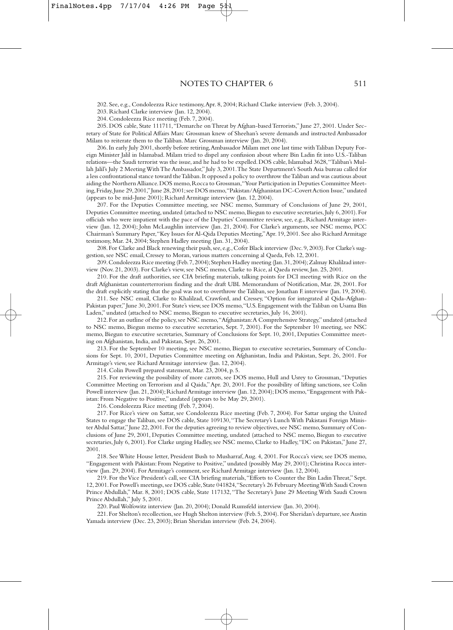202. See, e.g., Condoleezza Rice testimony,Apr. 8, 2004; Richard Clarke interview (Feb. 3, 2004).

203. Richard Clarke interview (Jan. 12, 2004).

204. Condoleezza Rice meeting (Feb. 7, 2004).

205. DOS cable, State 111711,"Demarche on Threat by Afghan-based Terrorists," June 27, 2001. Under Secretary of State for Political Affairs Marc Grossman knew of Sheehan's severe demands and instructed Ambassador Milam to reiterate them to the Taliban. Marc Grossman interview (Jan. 20, 2004).

206.In early July 2001,shortly before retiring,Ambassador Milam met one last time with Taliban Deputy Foreign Minister Jalil in Islamabad. Milam tried to dispel any confusion about where Bin Ladin fit into U.S.-Taliban relations—the Saudi terrorist was the issue, and he had to be expelled. DOS cable, Islamabad 3628,"Taliban's Mullah Jalil's July 2 Meeting With The Ambassador," July 3, 2001.The State Department's South Asia bureau called for a less confrontational stance toward the Taliban.It opposed a policy to overthrow the Taliban and was cautious about aiding the Northern Alliance.DOS memo,Rocca to Grossman,"Your Participation in Deputies Committee Meeting,Friday,June 29,2001,"June 28,2001;see DOS memo,"Pakistan/Afghanistan DC-Covert Action Issue,"undated (appears to be mid-June 2001); Richard Armitage interview (Jan. 12, 2004).

207. For the Deputies Committee meeting, see NSC memo, Summary of Conclusions of June 29, 2001, Deputies Committee meeting, undated (attached to NSC memo, Biegun to executive secretaries, July 6, 2001). For officials who were impatient with the pace of the Deputies' Committee review, see, e.g., Richard Armitage interview (Jan. 12, 2004); John McLaughlin interview (Jan. 21, 2004). For Clarke's arguments, see NSC memo, PCC Chairman's Summary Paper,"Key Issues for Al-Qida Deputies Meeting,"Apr. 19, 2001. See also Richard Armitage testimony, Mar. 24, 2004; Stephen Hadley meeting (Jan. 31, 2004).

208.For Clarke and Black renewing their push,see,e.g.,Cofer Black interview (Dec.9,2003).For Clarke's suggestion, see NSC email, Cressey to Moran, various matters concerning al Qaeda, Feb. 12, 2001.

209.Condoleezza Rice meeting (Feb.7,2004);Stephen Hadley meeting (Jan.31,2004);Zalmay Khalilzad interview (Nov. 21, 2003). For Clarke's view, see NSC memo, Clarke to Rice, al Qaeda review, Jan. 25, 2001.

210. For the draft authorities, see CIA briefing materials, talking points for DCI meeting with Rice on the draft Afghanistan counterterrorism finding and the draft UBL Memorandum of Notification, Mar. 28, 2001. For the draft explicitly stating that the goal was not to overthrow the Taliban, see Jonathan F. interview (Jan. 19, 2004).

211. See NSC email, Clarke to Khalilzad, Crawford, and Cressey, "Option for integrated al Qida-Afghan-Pakistan paper," June 30, 2001. For State's view, see DOS memo, "U.S. Engagement with the Taliban on Usama Bin Laden," undated (attached to NSC memo, Biegun to executive secretaries, July 16, 2001).

212.For an outline of the policy,see NSC memo,"Afghanistan:A Comprehensive Strategy,"undated (attached to NSC memo, Biegun memo to executive secretaries, Sept. 7, 2001). For the September 10 meeting, see NSC memo, Biegun to executive secretaries, Summary of Conclusions for Sept. 10, 2001, Deputies Committee meeting on Afghanistan, India, and Pakistan, Sept. 26, 2001.

213. For the September 10 meeting, see NSC memo, Biegun to executive secretaries, Summary of Conclusions for Sept. 10, 2001, Deputies Committee meeting on Afghanistan, India and Pakistan, Sept. 26, 2001. For Armitage's view, see Richard Armitage interview (Jan. 12, 2004).

214. Colin Powell prepared statement, Mar. 23, 2004, p. 5.

215. For reviewing the possibility of more carrots, see DOS memo, Hull and Usrey to Grossman,"Deputies Committee Meeting on Terrorism and al Qaida,"Apr. 20, 2001. For the possibility of lifting sanctions, see Colin Powell interview (Jan. 21, 2004); Richard Armitage interview (Jan. 12, 2004); DOS memo, "Engagement with Pakistan: From Negative to Positive," undated (appears to be May 29, 2001).

216. Condoleezza Rice meeting (Feb. 7, 2004).

217. For Rice's view on Sattar, see Condoleezza Rice meeting (Feb. 7, 2004). For Sattar urging the United States to engage the Taliban, see DOS cable, State 109130,"The Secretary's Lunch With Pakistani Foreign Minister Abdul Sattar," June 22, 2001. For the deputies agreeing to review objectives, see NSC memo, Summary of Conclusions of June 29, 2001, Deputies Committee meeting, undated (attached to NSC memo, Biegun to executive secretaries, July 6, 2001). For Clarke urging Hadley, see NSC memo, Clarke to Hadley,"DC on Pakistan," June 27, 2001.

218. See White House letter, President Bush to Musharraf,Aug. 4, 2001. For Rocca's view, see DOS memo, "Engagement with Pakistan: From Negative to Positive," undated (possibly May 29, 2001); Christina Rocca interview (Jan. 29, 2004). For Armitage's comment, see Richard Armitage interview (Jan. 12, 2004).

219. For the Vice President's call, see CIA briefing materials,"Efforts to Counter the Bin Ladin Threat," Sept. 12, 2001. For Powell's meetings, see DOS cable, State 041824, "Secretary's 26 February Meeting With Saudi Crown Prince Abdullah," Mar. 8, 2001; DOS cable, State 117132,"The Secretary's June 29 Meeting With Saudi Crown Prince Abdullah," July 5, 2001.

220. Paul Wolfowitz interview (Jan. 20, 2004); Donald Rumsfeld interview (Jan. 30, 2004).

221. For Shelton's recollection, see Hugh Shelton interview (Feb. 5, 2004). For Sheridan's departure, see Austin Yamada interview (Dec. 23, 2003); Brian Sheridan interview (Feb. 24, 2004).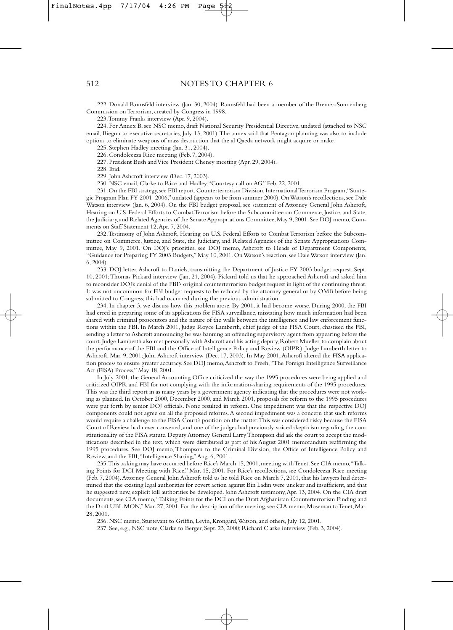222. Donald Rumsfeld interview (Jan. 30, 2004). Rumsfeld had been a member of the Bremer-Sonnenberg Commission on Terrorism, created by Congress in 1998.

223.Tommy Franks interview (Apr. 9, 2004).

224. For Annex B, see NSC memo, draft National Security Presidential Directive, undated (attached to NSC email, Biegun to executive secretaries, July 13, 2001).The annex said that Pentagon planning was also to include options to eliminate weapons of mass destruction that the al Qaeda network might acquire or make.

225. Stephen Hadley meeting (Jan. 31, 2004).

226. Condoleezza Rice meeting (Feb. 7, 2004).

227. President Bush and Vice President Cheney meeting (Apr. 29, 2004).

228. Ibid.

229. John Ashcroft interview (Dec. 17, 2003).

230. NSC email, Clarke to Rice and Hadley,"Courtesy call on AG," Feb. 22, 2001.

231.On the FBI strategy,see FBI report,Counterterrorism Division,International Terrorism Program,"Strategic Program Plan FY 2001-2006," undated (appears to be from summer 2000). On Watson's recollections, see Dale Watson interview (Jan. 6, 2004). On the FBI budget proposal, see statement of Attorney General John Ashcroft, Hearing on U.S. Federal Efforts to Combat Terrorism before the Subcommittee on Commerce, Justice, and State, the Judiciary, and Related Agencies of the Senate Appropriations Committee, May 9, 2001. See DOJ memo, Comments on Staff Statement 12,Apr. 7, 2004.

232.Testimony of John Ashcroft, Hearing on U.S. Federal Efforts to Combat Terrorism before the Subcommittee on Commerce, Justice, and State, the Judiciary, and Related Agencies of the Senate Appropriations Committee, May 9, 2001. On DOJ's priorities, see DOJ memo, Ashcroft to Heads of Department Components, "Guidance for Preparing FY 2003 Budgets," May 10, 2001. On Watson's reaction, see Dale Watson interview (Jan. 6, 2004).

233. DOJ letter,Ashcroft to Daniels, transmitting the Department of Justice FY 2003 budget request, Sept. 10, 2001;Thomas Pickard interview (Jan. 21, 2004). Pickard told us that he approached Ashcroft and asked him to reconsider DOJ's denial of the FBI's original counterterrorism budget request in light of the continuing threat. It was not uncommon for FBI budget requests to be reduced by the attorney general or by OMB before being submitted to Congress; this had occurred during the previous administration.

234. In chapter 3, we discuss how this problem arose. By 2001, it had become worse. During 2000, the FBI had erred in preparing some of its applications for FISA surveillance, misstating how much information had been shared with criminal prosecutors and the nature of the walls between the intelligence and law enforcement functions within the FBI. In March 2001, Judge Royce Lamberth, chief judge of the FISA Court, chastised the FBI, sending a letter to Ashcroft announcing he was banning an offending supervisory agent from appearing before the court.Judge Lamberth also met personally with Ashcroft and his acting deputy,Robert Mueller,to complain about the performance of the FBI and the Office of Intelligence Policy and Review (OIPR). Judge Lamberth letter to Ashcroft, Mar. 9, 2001; John Ashcroft interview (Dec. 17, 2003). In May 2001,Ashcroft altered the FISA application process to ensure greater accuracy. See DOJ memo,Ashcroft to Freeh,"The Foreign Intelligence Surveillance Act (FISA) Process," May 18, 2001.

In July 2001, the General Accounting Office criticized the way the 1995 procedures were being applied and criticized OIPR and FBI for not complying with the information-sharing requirements of the 1995 procedures. This was the third report in as many years by a government agency indicating that the procedures were not working as planned. In October 2000, December 2000, and March 2001, proposals for reform to the 1995 procedures were put forth by senior DOJ officials. None resulted in reform. One impediment was that the respective DOJ components could not agree on all the proposed reforms.A second impediment was a concern that such reforms would require a challenge to the FISA Court's position on the matter.This was considered risky because the FISA Court of Review had never convened, and one of the judges had previously voiced skepticism regarding the constitutionality of the FISA statute. Deputy Attorney General Larry Thompson did ask the court to accept the modifications described in the text, which were distributed as part of his August 2001 memorandum reaffirming the 1995 procedures. See DOJ memo, Thompson to the Criminal Division, the Office of Intelligence Policy and Review, and the FBI,"Intelligence Sharing,"Aug. 6, 2001.

235. This tasking may have occurred before Rice's March 15, 2001, meeting with Tenet. See CIA memo, "Talking Points for DCI Meeting with Rice," Mar. 15, 2001. For Rice's recollections, see Condoleezza Rice meeting (Feb. 7, 2004).Attorney General John Ashcroft told us he told Rice on March 7, 2001, that his lawyers had determined that the existing legal authorities for covert action against Bin Ladin were unclear and insufficient, and that he suggested new, explicit kill authorities be developed. John Ashcroft testimony,Apr. 13, 2004. On the CIA draft documents, see CIA memo, "Talking Points for the DCI on the Draft Afghanistan Counterterrorism Finding and the Draft UBL MON," Mar. 27, 2001. For the description of the meeting, see CIA memo, Moseman to Tenet, Mar. 28, 2001.

236. NSC memo, Sturtevant to Griffin, Levin, Krongard,Watson, and others, July 12, 2001.

237. See, e.g., NSC note, Clarke to Berger, Sept. 23, 2000; Richard Clarke interview (Feb. 3, 2004).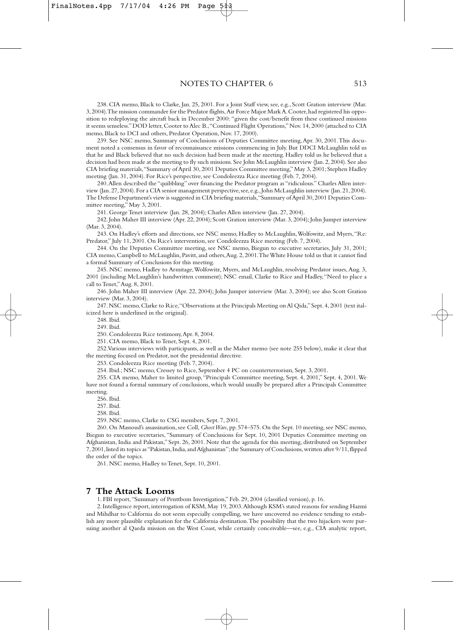238. CIA memo, Black to Clarke, Jan. 25, 2001. For a Joint Staff view, see, e.g., Scott Gration interview (Mar. 3,2004).The mission commander for the Predator flights,Air Force Major Mark A.Cooter,had registered his opposition to redeploying the aircraft back in December 2000: "given the cost/benefit from these continued missions it seems senseless." DOD letter, Cooter to Alec B.,"Continued Flight Operations," Nov. 14, 2000 (attached to CIA memo, Black to DCI and others, Predator Operation, Nov. 17, 2000).

239. See NSC memo, Summary of Conclusions of Deputies Committee meeting,Apr. 30, 2001.This document noted a consensus in favor of reconnaissance missions commencing in July. But DDCI McLaughlin told us that he and Black believed that no such decision had been made at the meeting. Hadley told us he believed that a decision had been made at the meeting to fly such missions. See John McLaughlin interview (Jan. 2, 2004). See also CIA briefing materials,"Summary of April 30, 2001 Deputies Committee meeting," May 3, 2001; Stephen Hadley meeting (Jan. 31, 2004). For Rice's perspective, see Condoleezza Rice meeting (Feb. 7, 2004).

240.Allen described the "quibbling" over financing the Predator program as "ridiculous." Charles Allen interview (Jan. 27, 2004). For a CIA senior management perspective, see, e.g., John McLaughlin interview (Jan. 21, 2004). The Defense Department's view is suggested in CIA briefing materials,"Summary of April 30,2001 Deputies Committee meeting," May 3, 2001.

241. George Tenet interview (Jan. 28, 2004); Charles Allen interview (Jan. 27, 2004).

242. John Maher III interview (Apr. 22, 2004); Scott Gration interview (Mar. 3, 2004); John Jumper interview (Mar. 3, 2004).

243. On Hadley's efforts and directions, see NSC memo, Hadley to McLaughlin,Wolfowitz, and Myers,"Re: Predator," July 11, 2001. On Rice's intervention, see Condoleezza Rice meeting (Feb. 7, 2004).

244. On the Deputies Committee meeting, see NSC memo, Biegun to executive secretaries, July 31, 2001; CIA memo,Campbell to McLaughlin,Pavitt,and others,Aug.2,2001.The White House told us that it cannot find a formal Summary of Conclusions for this meeting.

245. NSC memo, Hadley to Armitage,Wolfowitz, Myers, and McLaughlin, resolving Predator issues,Aug. 3, 2001 (including McLaughlin's handwritten comment); NSC email, Clarke to Rice and Hadley,"Need to place a call to Tenet,"Aug. 8, 2001.

246. John Maher III interview (Apr. 22, 2004); John Jumper interview (Mar. 3, 2004); see also Scott Gration interview (Mar. 3, 2004).

247.NSC memo,Clarke to Rice,"Observations at the Principals Meeting on Al Qida,"Sept.4,2001 (text italicized here is underlined in the original).

248. Ibid.

249. Ibid.

250. Condoleezza Rice testimony,Apr. 8, 2004.

251. CIA memo, Black to Tenet, Sept. 4, 2001.

252.Various interviews with participants, as well as the Maher memo (see note 255 below), make it clear that the meeting focused on Predator, not the presidential directive.

253. Condoleezza Rice meeting (Feb. 7, 2004).

254. Ibid.; NSC memo, Cressey to Rice, September 4 PC on counterterrorism, Sept. 3, 2001.

255. CIA memo, Maher to limited group,"Principals Committee meeting, Sept. 4, 2001," Sept. 4, 2001.We have not found a formal summary of conclusions, which would usually be prepared after a Principals Committee meeting.

256. Ibid.

257. Ibid.

258. Ibid.

259. NSC memo, Clarke to CSG members, Sept. 7, 2001.

260. On Massoud's assassination, see Coll, *Ghost Wars*, pp. 574–575. On the Sept. 10 meeting, see NSC memo, Biegun to executive secretaries, "Summary of Conclusions for Sept. 10, 2001 Deputies Committee meeting on Afghanistan, India and Pakistan," Sept. 26, 2001. Note that the agenda for this meeting, distributed on September 7,2001,listed its topics as "Pakistan,India,and Afghanistan";the Summary of Conclusions,written after 9/11,flipped the order of the topics.

261. NSC memo, Hadley to Tenet, Sept. 10, 2001.

#### **7 The Attack Looms**

1. FBI report,"Summary of Penttbom Investigation," Feb. 29, 2004 (classified version), p. 16.

2. Intelligence report, interrogation of KSM, May 19, 2003.Although KSM's stated reasons for sending Hazmi and Mihdhar to California do not seem especially compelling, we have uncovered no evidence tending to establish any more plausible explanation for the California destination.The possibility that the two hijackers were pursuing another al Qaeda mission on the West Coast, while certainly conceivable—see, e.g., CIA analytic report,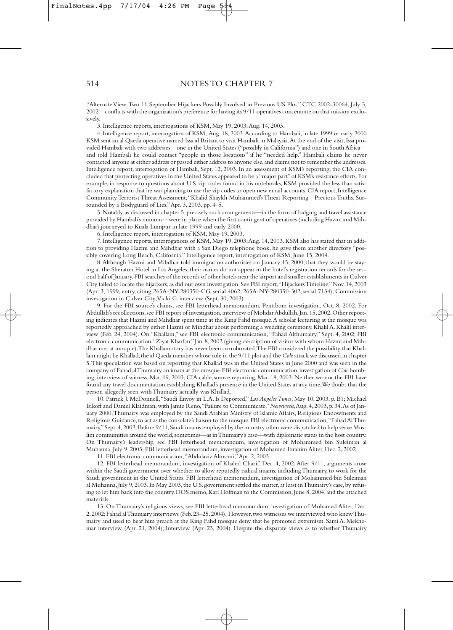"Alternate View:Two 11 September Hijackers Possibly Involved in Previous US Plot," CTC 2002-30064, July 5, 2002—conflicts with the organization's preference for having its 9/11 operatives concentrate on that mission exclusively.

3. Intelligence reports, interrogations of KSM, May 19, 2003;Aug. 14, 2003.

4. Intelligence report, interrogation of KSM, Aug. 18, 2003.According to Hambali, in late 1999 or early 2000 KSM sent an al Qaeda operative named Issa al Britani to visit Hambali in Malaysia.At the end of the visit, Issa provided Hambali with two addresses—one in the United States ("possibly in California") and one in South Africa and told Hambali he could contact "people in those locations" if he "needed help." Hambali claims he never contacted anyone at either address or passed either address to anyone else,and claims not to remember the addresses. Intelligence report, interrogation of Hambali, Sept. 12, 2003. In an assessment of KSM's reporting, the CIA concluded that protecting operatives in the United States appeared to be a "major part"of KSM's resistance efforts.For example, in response to questions about U.S. zip codes found in his notebooks, KSM provided the less than satisfactory explanation that he was planning to use the zip codes to open new email accounts. CIA report, Intelligence Community Terrorist Threat Assessment,"Khalid Shaykh Muhammed's Threat Reporting—Precious Truths, Surrounded by a Bodyguard of Lies,"Apr. 3, 2003, pp. 4–5.

5. Notably, as discussed in chapter 5, precisely such arrangements—in the form of lodging and travel assistance provided by Hambali's minions—were in place when the first contingent of operatives (including Hazmi and Mihdhar) journeyed to Kuala Lumpur in late 1999 and early 2000.

6. Intelligence report, interrogation of KSM, May 19, 2003.

7. Intelligence reports, interrogations of KSM, May 19, 2003;Aug. 14, 2003. KSM also has stated that in addition to providing Hazmi and Mihdhar with a San Diego telephone book, he gave them another directory "possibly covering Long Beach, California." Intelligence report, interrogation of KSM, June 15, 2004.

8.Although Hazmi and Mihdhar told immigration authorities on January 15, 2000, that they would be staying at the Sheraton Hotel in Los Angeles, their names do not appear in the hotel's registration records for the second half of January.FBI searches of the records of other hotels near the airport and smaller establishments in Culver City failed to locate the hijackers, as did our own investigation. See FBI report, "Hijackers Timeline," Nov. 14, 2003 (Apr. 3, 1999, entry, citing 265A-NY-280350-CG, serial 4062; 265A-NY-280350-302, serial 7134); Commission investigation in Culver City;Vicki G. interview (Sept. 30, 2003).

9. For the FBI source's claims, see FBI letterhead memorandum, Penttbom investigation, Oct. 8, 2002. For Abdullah's recollections, see FBI report of investigation, interview of Mohdar Abdullah, Jan. 15, 2002. Other reporting indicates that Hazmi and Mihdhar spent time at the King Fahd mosque.A scholar lecturing at the mosque was reportedly approached by either Hazmi or Mihdhar about performing a wedding ceremony. Khalil A. Khalil interview (Feb. 24, 2004). On "Khallam," see FBI electronic communication, "Fahad Althumairy," Sept. 4, 2002; FBI electronic communication,"Ziyat Kharfan,"Jan.8,2002 (giving description of visitor with whom Hazmi and Mihdhar met at mosque).The Khallam story has never been corroborated.The FBI considered the possibility that Khallam might be Khallad, the al Qaeda member whose role in the 9/11 plot and the *Cole* attack we discussed in chapter 5.This speculation was based on reporting that Khallad was in the United States in June 2000 and was seen in the company of Fahad al Thumairy,an imam at the mosque.FBI electronic communication,investigation of *Cole* bombing, interview of witness, Mar. 19, 2003; CIA cable, source reporting, Mar. 18, 2003. Neither we nor the FBI have found any travel documentation establishing Khallad's presence in the United States at any time.We doubt that the person allegedly seen with Thumairy actually was Khallad.

10. Patrick J. McDonnell,"Saudi Envoy in L.A. Is Deported," *Los Angeles Times*, May 10, 2003, p. B1; Michael Isikoff and Daniel Klaidman, with Jamie Reno, "Failure to Communicate," Newsweek, Aug. 4, 2003, p. 34. As of January 2000,Thumairy was employed by the Saudi Arabian Ministry of Islamic Affairs, Religious Endowments and Religious Guidance,to act as the consulate's liaison to the mosque.FBI electronic communication,"Fahad Al Thumairy,"Sept.4,2002.Before 9/11,Saudi imams employed by the ministry often were dispatched to help serve Muslim communities around the world, sometimes—as in Thumairy's case—with diplomatic status in the host country. On Thumairy's leadership, see FBI letterhead memorandum, investigation of Mohammed bin Suleiman al Muhanna, July 9, 2003; FBI letterhead memorandum, investigation of Mohamed Ibrahim Aliter, Dec. 2, 2002.

11. FBI electronic communication,"Abdulaziz Alroomi,"Apr. 2, 2003.

12. FBI letterhead memorandum, investigation of Khaled Charif, Dec. 4, 2002. After 9/11, arguments arose within the Saudi government over whether to allow reputedly radical imams, including Thumairy, to work for the Saudi government in the United States. FBI letterhead memorandum, investigation of Mohammed bin Suleiman al Muhanna, July 9, 2003. In May 2003, the U.S. government settled the matter, at least in Thumairy's case, by refusing to let him back into the country. DOS memo, Karl Hoffman to the Commission, June 8, 2004, and the attached materials.

13. On Thumairy's religious views, see FBI letterhead memorandum, investigation of Mohamed Aliter, Dec. 2,2002;Fahad al Thumairy interviews (Feb.23–25,2004)*.* However,two witnesses we interviewed who knew Thumairy and used to hear him preach at the King Fahd mosque deny that he promoted extremism. Sami A. Mekhemar interview (Apr. 21, 2004); Interview (Apr. 23, 2004). Despite the disparate views as to whether Thumairy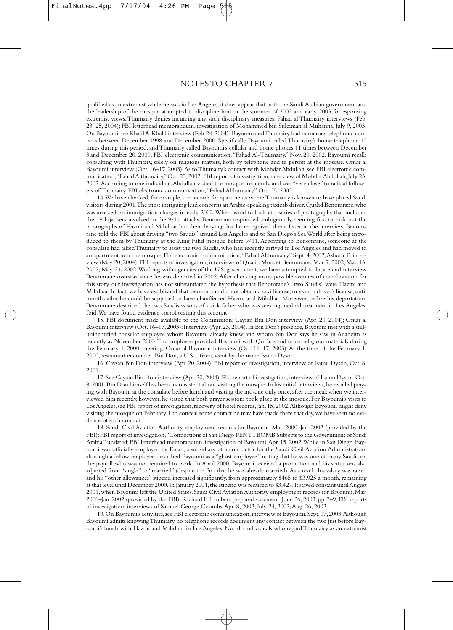qualified as an extremist while he was in Los Angeles, it does appear that both the Saudi Arabian government and the leadership of the mosque attempted to discipline him in the summer of 2002 and early 2003 for espousing extremist views.Thumairy denies incurring any such disciplinary measures. Fahad al Thumairy interviews (Feb. 23–25, 2004); FBI letterhead memorandum, investigation of Mohammed bin Suleiman al Muhanna, July 9, 2003. On Bayoumi,see Khalil A.Khalil interview (Feb.24,2004). Bayoumi and Thumairy had numerous telephonic contacts between December 1998 and December 2000. Specifically, Bayoumi called Thumairy's home telephone 10 times during this period, and Thumairy called Bayoumi's cellular and home phones 11 times between December 3 and December 20, 2000. FBI electronic communication,"Fahad Al-Thumairy," Nov. 20, 2002. Bayoumi recalls consulting with Thumairy, solely on religious matters, both by telephone and in person at the mosque. Omar al Bayoumi interview (Oct. 16–17, 2003).As to Thumairy's contact with Mohdar Abdullah, see FBI electronic communication, "Fahad Althumairy," Oct. 25, 2002; FBI report of investigation, interview of Mohdar Abdullah, July 23, 2002.According to one individual,Abdullah visited the mosque frequently and was "very close" to radical followers of Thumairy. FBI electronic communication,"Fahad Althumairy," Oct. 25, 2002.

14.We have checked, for example, the records for apartments where Thumairy is known to have placed Saudi visitors during 2001.The most intriguing lead concerns an Arabic-speaking taxicab driver,Qualid Benomrane,who was arrested on immigration charges in early 2002.When asked to look at a series of photographs that included the 19 hijackers involved in the 9/11 attacks, Benomrane responded ambiguously, seeming first to pick out the photographs of Hazmi and Mihdhar but then denying that he recognized them. Later in the interview, Benomrane told the FBI about driving "two Saudis" around Los Angeles and to San Diego's Sea World after being introduced to them by Thumairy at the King Fahd mosque before 9/11. According to Benomrane, someone at the consulate had asked Thumairy to assist the two Saudis, who had recently arrived in Los Angeles and had moved to an apartment near the mosque. FBI electronic communication,"Fahad Althumairy," Sept. 4, 2002;Ashour E. interview (May 20, 2004); FBI reports of investigation, interviews of Qualid Moncef Benomrane, Mar. 7, 2002; Mar. 13, 2002; May 23, 2002.Working with agencies of the U.S. government, we have attempted to locate and interview Benomrane overseas, since he was deported in 2002. After checking many possible avenues of corroboration for this story, our investigation has not substantiated the hypothesis that Benomrane's "two Saudis" were Hazmi and Mihdhar. In fact, we have established that Benomrane did not obtain a taxi license, or even a driver's license, until months after he could be supposed to have chauffeured Hazmi and Mihdhar. Moreover, before his deportation, Benomrane described the two Saudis as sons of a sick father who was seeking medical treatment in Los Angeles. Ibid.We have found evidence corroborating this account.

15. FBI document made available to the Commission; Caysan Bin Don interview (Apr. 20, 2004); Omar al Bayoumi interview (Oct. 16–17, 2003); Interview (Apr. 23, 2004). In Bin Don's presence, Bayoumi met with a stillunidentified consular employee whom Bayoumi already knew and whom Bin Don says he saw in Anaheim as recently as November 2003.The employee provided Bayoumi with Qur'ans and other religious materials during the February 1, 2000, meeting. Omar al Bayoumi interview (Oct. 16–17, 2003). At the time of the February 1, 2000, restaurant encounter, Bin Don, a U.S. citizen, went by the name Isamu Dyson.

16. Caysan Bin Don interview (Apr. 20, 2004); FBI report of investigation, interview of Isamu Dyson, Oct. 8, 2001.

17.See Caysan Bin Don interview (Apr.20,2004);FBI report of investigation,interview of Isamu Dyson,Oct. 8, 2001. Bin Don himself has been inconsistent about visiting the mosque. In his initial interviews, he recalled praying with Bayoumi at the consulate before lunch and visiting the mosque only once, after the meal; when we interviewed him recently, however, he stated that both prayer sessions took place at the mosque. For Bayoumi's visits to Los Angeles, see FBI report of investigation, recovery of hotel records, Jan. 15, 2002. Although Bayoumi might deny visiting the mosque on February 1 to conceal some contact he may have made there that day, we have seen no evidence of such contact.

18. Saudi Civil Aviation Authority employment records for Bayoumi, Mar. 2000–Jan. 2002 (provided by the FBI);FBI report of investigation,"Connections of San Diego PENTTBOMB Subjects to the Government of Saudi Arabia," undated; FBI letterhead memorandum, investigation of Bayoumi,Apr. 15, 2002.While in San Diego, Bayoumi was officially employed by Ercan, a subsidiary of a contractor for the Saudi Civil Aviation Administration, although a fellow employee described Bayoumi as a "ghost employee," noting that he was one of many Saudis on the payroll who was not required to work. In April 2000, Bayoumi received a promotion and his status was also adjusted from "single" to "married" (despite the fact that he was already married).As a result, his salary was raised and his "other allowances" stipend increased significantly, from approximately \$465 to \$3,925 a month, remaining at that level until December 2000. In January 2001, the stipend was reduced to \$3,427. It stayed constant until August 2001,when Bayoumi left the United States.Saudi Civil Aviation Authority employment records for Bayoumi,Mar. 2000–Jan. 2002 (provided by the FBI); Richard L. Lambert prepared statement, June 26, 2003, pp. 7–9; FBI reports of investigation, interviews of Samuel George Coombs,Apr. 8, 2002; July 24, 2002;Aug. 26, 2002.

19.On Bayoumi's activities,see FBI electronic communication,interview of Bayoumi,Sept.17,2003.Although Bayoumi admits knowing Thumairy, no telephone records document any contact between the two just before Bayoumi's lunch with Hazmi and Mihdhar in Los Angeles. Nor do individuals who regard Thumairy as an extremist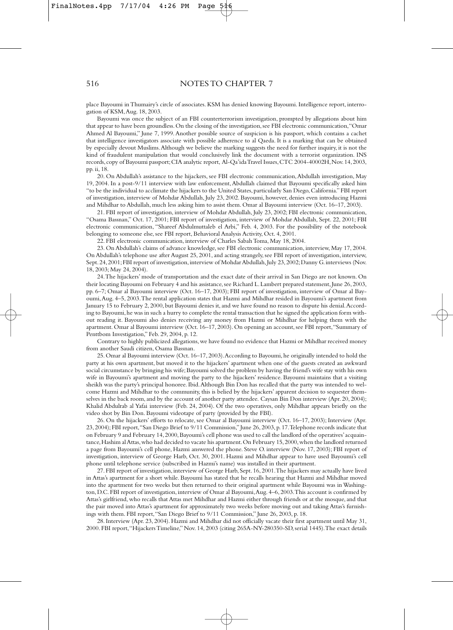place Bayoumi in Thumairy's circle of associates. KSM has denied knowing Bayoumi. Intelligence report, interrogation of KSM,Aug. 18, 2003.

Bayoumi was once the subject of an FBI counterterrorism investigation, prompted by allegations about him that appear to have been groundless.On the closing of the investigation,see FBI electronic communication,"Omar Ahmed Al Bayoumi," June 7, 1999. Another possible source of suspicion is his passport, which contains a cachet that intelligence investigators associate with possible adherence to al Qaeda. It is a marking that can be obtained by especially devout Muslims.Although we believe the marking suggests the need for further inquiry, it is not the kind of fraudulent manipulation that would conclusively link the document with a terrorist organization. INS records,copy of Bayoumi passport;CIA analytic report, Al-Qa'ida Travel Issues,CTC 2004-40002H,Nov.14,2003, pp. ii, 18.

20. On Abdullah's assistance to the hijackers, see FBI electronic communication,Abdullah investigation, May 19, 2004. In a post-9/11 interview with law enforcement,Abdullah claimed that Bayoumi specifically asked him "to be the individual to acclimate the hijackers to the United States,particularly San Diego,California."FBI report of investigation, interview of Mohdar Abdullah, July 23, 2002. Bayoumi, however, denies even introducing Hazmi and Mihdhar to Abdullah, much less asking him to assist them. Omar al Bayoumi interview (Oct. 16–17, 2003).

21. FBI report of investigation, interview of Mohdar Abdullah, July 23, 2002; FBI electronic communication, "Osama Bassnan," Oct. 17, 2001; FBI report of investigation, interview of Mohdar Abdullah, Sept. 22, 2001; FBI electronic communication, "Shareef Abdulmuttaleb el Arbi," Feb. 4, 2003. For the possibility of the notebook belonging to someone else, see FBI report, Behavioral Analysis Activity, Oct. 4, 2001.

22. FBI electronic communication, interview of Charles Sabah Toma, May 18, 2004.

23. On Abdullah's claims of advance knowledge, see FBI electronic communication, interview, May 17, 2004. On Abdullah's telephone use after August 25, 2001, and acting strangely, see FBI report of investigation, interview, Sept. 24, 2001; FBI report of investigation, interview of Mohdar Abdullah, July 23, 2002; Danny G. interviews (Nov. 18, 2003; May 24, 2004).

24.The hijackers' mode of transportation and the exact date of their arrival in San Diego are not known. On their locating Bayoumi on February 4 and his assistance, see Richard L. Lambert prepared statement, June 26, 2003, pp. 6–7; Omar al Bayoumi interview (Oct. 16–17, 2003); FBI report of investigation, interview of Omar al Bayoumi,Aug. 4–5, 2003.The rental application states that Hazmi and Mihdhar resided in Bayoumi's apartment from January 15 to February 2, 2000, but Bayoumi denies it, and we have found no reason to dispute his denial.According to Bayoumi,he was in such a hurry to complete the rental transaction that he signed the application form without reading it. Bayoumi also denies receiving any money from Hazmi or Mihdhar for helping them with the apartment. Omar al Bayoumi interview (Oct. 16–17, 2003). On opening an account, see FBI report,"Summary of Penttbom Investigation," Feb. 29, 2004, p. 12.

Contrary to highly publicized allegations,we have found no evidence that Hazmi or Mihdhar received money from another Saudi citizen, Osama Bassnan.

25.Omar al Bayoumi interview (Oct.16–17,2003).According to Bayoumi,he originally intended to hold the party at his own apartment, but moved it to the hijackers' apartment when one of the guests created an awkward social circumstance by bringing his wife;Bayoumi solved the problem by having the friend's wife stay with his own wife in Bayoumi's apartment and moving the party to the hijackers' residence. Bayoumi maintains that a visiting sheikh was the party's principal honoree. Ibid.Although Bin Don has recalled that the party was intended to welcome Hazmi and Mihdhar to the community, this is belied by the hijackers' apparent decision to sequester themselves in the back room, and by the account of another party attendee. Caysan Bin Don interview (Apr. 20, 2004); Khalid Abdulrab al Yafai interview (Feb. 24, 2004). Of the two operatives, only Mihdhar appears briefly on the video shot by Bin Don. Bayoumi videotape of party (provided by the FBI).

26. On the hijackers' efforts to relocate, see Omar al Bayoumi interview (Oct. 16–17, 2003); Interview (Apr. 23,2004);FBI report,"San Diego Brief to 9/11 Commission,"June 26,2003,p.17.Telephone records indicate that on February 9 and February 14,2000,Bayoumi's cell phone was used to call the landlord of the operatives'acquaintance,Hashim al Attas,who had decided to vacate his apartment.On February 15,2000,when the landlord returned a page from Bayoumi's cell phone, Hazmi answered the phone. Steve O. interview (Nov. 17, 2003); FBI report of investigation, interview of George Harb, Oct. 30, 2001. Hazmi and Mihdhar appear to have used Bayoumi's cell phone until telephone service (subscribed in Hazmi's name) was installed in their apartment.

27.FBI report of investigation,interview of George Harb,Sept.16,2001.The hijackers may actually have lived in Attas's apartment for a short while. Bayoumi has stated that he recalls hearing that Hazmi and Mihdhar moved into the apartment for two weeks but then returned to their original apartment while Bayoumi was in Washington, D.C. FBI report of investigation, interview of Omar al Bayoumi,Aug. 4–6, 2003.This account is confirmed by Attas's girlfriend, who recalls that Attas met Mihdhar and Hazmi either through friends or at the mosque, and that the pair moved into Attas's apartment for approximately two weeks before moving out and taking Attas's furnishings with them. FBI report,"San Diego Brief to 9/11 Commission," June 26, 2003, p. 18.

28. Interview (Apr. 23, 2004). Hazmi and Mihdhar did not officially vacate their first apartment until May 31, 2000. FBI report,"Hijackers Timeline," Nov. 14, 2003 (citing 265A-NY-280350-SD, serial 1445).The exact details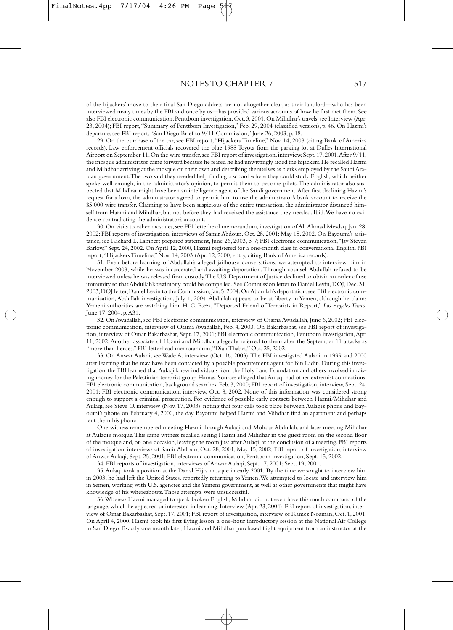of the hijackers' move to their final San Diego address are not altogether clear, as their landlord—who has been interviewed many times by the FBI and once by us—has provided various accounts of how he first met them. See also FBI electronic communication, Penttbom investigation, Oct. 3, 2001. On Mihdhar's travels, see Interview (Apr. 23, 2004); FBI report,"Summary of Penttbom Investigation," Feb. 29, 2004 (classified version), p. 46. On Hazmi's departure, see FBI report,"San Diego Brief to 9/11 Commission," June 26, 2003, p. 18.

29. On the purchase of the car, see FBI report,"Hijackers Timeline," Nov. 14, 2003 (citing Bank of America records). Law enforcement officials recovered the blue 1988 Toyota from the parking lot at Dulles International Airport on September 11.On the wire transfer,see FBI report of investigation,interview,Sept.17,2001.After 9/11, the mosque administrator came forward because he feared he had unwittingly aided the hijackers.He recalled Hazmi and Mihdhar arriving at the mosque on their own and describing themselves as clerks employed by the Saudi Arabian government.The two said they needed help finding a school where they could study English, which neither spoke well enough, in the administrator's opinion, to permit them to become pilots.The administrator also suspected that Mihdhar might have been an intelligence agent of the Saudi government.After first declining Hazmi's request for a loan, the administrator agreed to permit him to use the administrator's bank account to receive the \$5,000 wire transfer. Claiming to have been suspicious of the entire transaction, the administrator distanced himself from Hazmi and Mihdhar, but not before they had received the assistance they needed. Ibid.We have no evidence contradicting the administrator's account.

30. On visits to other mosques, see FBI letterhead memorandum, investigation of Ali Ahmad Mesdaq, Jan. 28, 2002; FBI reports of investigation, interviews of Samir Abdoun, Oct. 28, 2001; May 15, 2002. On Bayoumi's assistance, see Richard L. Lambert prepared statement, June 26, 2003, p. 7; FBI electronic communication,"Jay Steven Barlow," Sept. 24, 2002. On April 12, 2000, Hazmi registered for a one-month class in conversational English. FBI report,"Hijackers Timeline," Nov. 14, 2003 (Apr. 12, 2000, entry, citing Bank of America records).

31. Even before learning of Abdullah's alleged jailhouse conversations, we attempted to interview him in November 2003, while he was incarcerated and awaiting deportation.Through counsel, Abdullah refused to be interviewed unless he was released from custody.The U.S. Department of Justice declined to obtain an order of use immunity so that Abdullah's testimony could be compelled. See Commission letter to Daniel Levin, DOJ, Dec. 31, 2003;DOJ letter,Daniel Levin to the Commission,Jan.5,2004.On Abdullah's deportation,see FBI electronic communication, Abdullah investigation, July 1, 2004. Abdullah appears to be at liberty in Yemen, although he claims Yemeni authorities are watching him. H. G. Reza,"Deported Friend of Terrorists in Report," *Los Angeles Times*, June 17, 2004, p.A31.

32. On Awadallah, see FBI electronic communication, interview of Osama Awadallah, June 6, 2002; FBI electronic communication, interview of Osama Awadallah, Feb. 4, 2003. On Bakarbashat, see FBI report of investigation, interview of Omar Bakarbashat, Sept. 17, 2001; FBI electronic communication, Penttbom investigation,Apr. 11, 2002. Another associate of Hazmi and Mihdhar allegedly referred to them after the September 11 attacks as "more than heroes." FBI letterhead memorandum, "Diah Thabet," Oct. 25, 2002.

33. On Anwar Aulaqi, see Wade A. interview (Oct. 16, 2003).The FBI investigated Aulaqi in 1999 and 2000 after learning that he may have been contacted by a possible procurement agent for Bin Ladin. During this investigation,the FBI learned that Aulaqi knew individuals from the Holy Land Foundation and others involved in raising money for the Palestinian terrorist group Hamas. Sources alleged that Aulaqi had other extremist connections. FBI electronic communication, background searches, Feb. 3, 2000; FBI report of investigation, interview, Sept. 24, 2001; FBI electronic communication, interview, Oct. 8, 2002. None of this information was considered strong enough to support a criminal prosecution. For evidence of possible early contacts between Hazmi/Mihdhar and Aulaqi, see Steve O. interview (Nov. 17, 2003), noting that four calls took place between Aulaqi's phone and Bayoumi's phone on February 4, 2000, the day Bayoumi helped Hazmi and Mihdhar find an apartment and perhaps lent them his phone.

One witness remembered meeting Hazmi through Aulaqi and Mohdar Abdullah, and later meeting Mihdhar at Aulaqi's mosque.This same witness recalled seeing Hazmi and Mihdhar in the guest room on the second floor of the mosque and, on one occasion, leaving the room just after Aulaqi, at the conclusion of a meeting. FBI reports of investigation, interviews of Samir Abdoun, Oct. 28, 2001; May 15, 2002; FBI report of investigation, interview of Anwar Aulaqi, Sept. 25, 2001; FBI electronic communication, Penttbom investigation, Sept. 15, 2002.

34. FBI reports of investigation, interviews of Anwar Aulaqi, Sept. 17, 2001; Sept. 19, 2001.

35.Aulaqi took a position at the Dar al Hijra mosque in early 2001. By the time we sought to interview him in 2003, he had left the United States, reportedly returning to Yemen.We attempted to locate and interview him in Yemen, working with U.S. agencies and the Yemeni government, as well as other governments that might have knowledge of his whereabouts.Those attempts were unsuccessful.

36.Whereas Hazmi managed to speak broken English, Mihdhar did not even have this much command of the language, which he appeared uninterested in learning. Interview (Apr. 23, 2004); FBI report of investigation, interview of Omar Bakarbashat, Sept. 17, 2001; FBI report of investigation, interview of Ramez Noaman, Oct. 1, 2001. On April 4, 2000, Hazmi took his first flying lesson, a one-hour introductory session at the National Air College in San Diego. Exactly one month later, Hazmi and Mihdhar purchased flight equipment from an instructor at the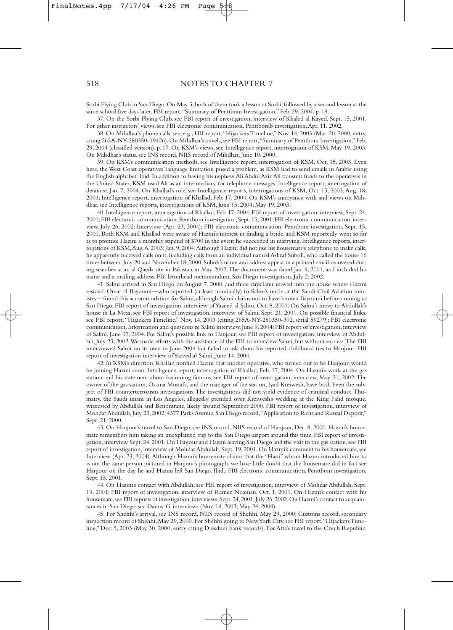Sorbi Flying Club in San Diego. On May 5, both of them took a lesson at Sorbi, followed by a second lesson at the same school five days later. FBI report,"Summary of Penttbom Investigation," Feb. 29, 2004, p. 18.

37. On the Sorbi Flying Club, see FBI report of investigation, interview of Khaled al Kayed, Sept. 15, 2001. For other instructors' views, see FBI electronic communication, Penttbomb investigation,Apr. 11, 2002.

38. On Mihdhar's phone calls, see, e.g., FBI report,"Hijackers Timeline," Nov. 14, 2003 (Mar. 20, 2000, entry, citing 265A-NY-280350-19426).On Mihdhar's travels,see FBI report,"Summary of Penttbom Investigation,"Feb. 29, 2004 (classified version), p. 17. On KSM's views, see Intelligence report, interrogation of KSM, May 19, 2003. On Mihdhar's status, see INS record, NIIS record of Mihdhar, June 10, 2000.

39. On KSM's communication methods, see Intelligence report, interrogation of KSM, Oct. 15, 2003. Even here, the West Coast operatives' language limitation posed a problem, as KSM had to send emails in Arabic using the English alphabet. Ibid. In addition to having his nephew Ali Abdul Aziz Ali transmit funds to the operatives in the United States, KSM used Ali as an intermediary for telephone messages. Intelligence report, interrogation of detainee, Jan. 7, 2004. On Khallad's role, see Intelligence reports, interrogations of KSM, Oct. 15, 2003; Aug. 18, 2003; Intelligence report, interrogation of Khallad, Feb. 17, 2004. On KSM's annoyance with and views on Mihdhar, see Intelligence reports, interrogations of KSM, June 15, 2004; May 19, 2003.

40. Intelligence report, interrogation of Khallad, Feb. 17, 2004; FBI report of investigation, interview, Sept. 24, 2001;FBI electronic communication,Penttbom investigation,Sept.15,2001;FBI electronic communication,interview, July 26, 2002; Interview (Apr. 23, 2004); FBI electronic communication, Penttbom investigation, Sept. 15, 2001. Both KSM and Khallad were aware of Hazmi's interest in finding a bride, and KSM reportedly went so far as to promise Hazmi a monthly stipend of \$700 in the event he succeeded in marrying. Intelligence reports, interrogations of KSM,Aug. 6, 2003; Jan. 9, 2004.Although Hazmi did not use his housemate's telephone to make calls, he apparently received calls on it, including calls from an individual named Ashraf Suboh, who called the house 16 times between July 20 and November 18,2000.Suboh's name and address appear in a printed email recovered during searches at an al Qaeda site in Pakistan in May 2002.The document was dated Jan. 9, 2001, and included his name and a mailing address. FBI letterhead memorandum, San Diego investigation, July 2, 2002.

41. Salmi arrived in San Diego on August 7, 2000, and three days later moved into the house where Hazmi resided. Omar al Bayoumi—who reported (at least nominally) to Salmi's uncle at the Saudi Civil Aviation ministry—found this accommodation for Salmi, although Salmi claims not to have known Bayoumi before coming to San Diego. FBI report of investigation, interview of Yazeed al Salmi, Oct. 8, 2001. On Salmi's move to Abdullah's house in La Mesa, see FBI report of investigation, interview of Salmi, Sept. 21, 2001. On possible financial links, see FBI report, "Hijackers Timeline," Nov. 14, 2003 (citing 265A-NY-280350-302, serial 59279); FBI electronic communication, Information and questions re Salmi interview, June 9, 2004; FBI report of investigation, interview of Salmi, June 17, 2004. For Salmi's possible link to Hanjour, see FBI report of investigation, interview of Abdullah, July 23, 2002.We made efforts with the assistance of the FBI to interview Salmi, but without success.The FBI interviewed Salmi on its own in June 2004 but failed to ask about his reported childhood ties to Hanjour. FBI report of investigation interview of Yazeed al Salmi, June 14, 2004.

42.At KSM's direction, Khallad notified Hazmi that another operative, who turned out to be Hanjour, would be joining Hazmi soon. Intelligence report, interrogation of Khallad, Feb. 17, 2004. On Hazmi's work at the gas station and his statement about becoming famous, see FBI report of investigation, interview, May 21, 2002.The owner of the gas station, Osama Mustafa, and the manager of the station, Iyad Kreiwesh, have both been the subject of FBI counterterrorism investigations.The investigations did not yield evidence of criminal conduct.Thumairy, the Saudi imam in Los Angeles, allegedly presided over Kreiwesh's wedding at the King Fahd mosque, witnessed by Abdullah and Benomrane, likely around September 2000. FBI report of investigation, interview of Mohdar Abdullah,July 23,2002;4377 Parks Avenue,San Diego record,"Application to Rent and Rental Deposit," Sept. 21, 2000.

43. On Hanjour's travel to San Diego, see INS record, NIIS record of Hanjour, Dec. 8, 2000. Hazmi's housemate remembers him taking an unexplained trip to the San Diego airport around this time. FBI report of investigation, interview, Sept. 24, 2001. On Hanjour and Hazmi leaving San Diego and the visit to the gas station, see FBI report of investigation, interview of Mohdar Abdullah, Sept. 19, 2001. On Hazmi's comment to his housemate, see Interview (Apr. 23, 2004).Although Hazmi's housemate claims that the "Hani" whom Hazmi introduced him to is not the same person pictured in Hanjour's photograph, we have little doubt that the housemate did in fact see Hanjour on the day he and Hazmi left San Diego. Ibid.; FBI electronic communication, Penttbom investigation, Sept. 15, 2001.

44. On Hazmi's contact with Abdullah, see FBI report of investigation, interview of Mohdar Abdullah, Sept. 19, 2001; FBI report of investigation, interview of Ramez Noaman, Oct. 1, 2001. On Hazmi's contact with his housemate, see FBI reports of investigation, interviews, Sept. 24, 2001; July 26, 2002. On Hazmi's contact to acquaintances in San Diego, see Danny G. interviews (Nov. 18, 2003; May 24, 2004).

45. For Shehhi's arrival, see INS record, NIIS record of Shehhi, May 29, 2000; Customs record, secondary inspection record of Shehhi, May 29, 2000. For Shehhi going to New York City, see FBI report, "Hijackers Timeline," Dec. 5, 2003 (May 30, 2000, entry citing Dresdner bank records). For Atta's travel to the Czech Republic,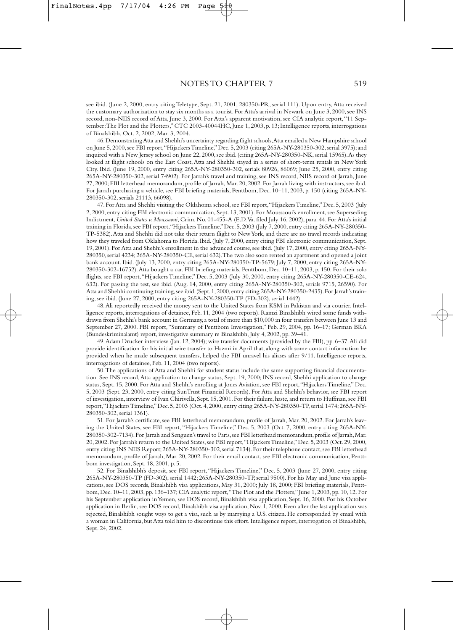see ibid. (June 2, 2000, entry citing Teletype, Sept. 21, 2001, 280350-PR, serial 111). Upon entry, Atta received the customary authorization to stay six months as a tourist. For Atta's arrival in Newark on June 3, 2000, see INS record, non-NIIS record of Atta, June 3, 2000. For Atta's apparent motivation, see CIA analytic report,"11 September: The Plot and the Plotters," CTC 2003-40044HC, June 1, 2003, p. 13; Intelligence reports, interrogations of Binalshibh, Oct. 2, 2002; Mar. 3, 2004.

46.Demonstrating Atta and Shehhi's uncertainty regarding flight schools,Atta emailed a New Hampshire school on June 5, 2000, see FBI report, "Hijackers Timeline," Dec. 5, 2003 (citing 265A-NY-280350-302, serial 3975); and inquired with a New Jersey school on June 22, 2000, see ibid. (citing 265A-NY-280350-NK, serial 15965). As they looked at flight schools on the East Coast, Atta and Shehhi stayed in a series of short-term rentals in New York City. Ibid. (June 19, 2000, entry citing 265A-NY-280350-302, serials 80926, 86069; June 25, 2000, entry citing 265A-NY-280350-302, serial 74902). For Jarrah's travel and training, see INS record, NIIS record of Jarrah, June 27, 2000; FBI letterhead memorandum, profile of Jarrah, Mar. 20, 2002. For Jarrah living with instructors, see ibid. For Jarrah purchasing a vehicle, see FBI briefing materials, Penttbom, Dec. 10–11, 2003, p. 150 (citing 265A-NY-280350-302, serials 21113, 66098).

47. For Atta and Shehhi visiting the Oklahoma school, see FBI report,"Hijackers Timeline," Dec. 5, 2003 (July 2, 2000, entry citing FBI electronic communication, Sept. 13, 2001). For Moussaoui's enrollment, see Superseding Indictment, *United States v. Moussaoui*, Crim. No. 01-455-A (E.D.Va. filed July 16, 2002), para. 44. For Atta's initial training in Florida,see FBI report,"Hijackers Timeline,"Dec.5,2003 (July 7,2000,entry citing 265A-NY-280350- TP-5382).Atta and Shehhi did not take their return flight to New York, and there are no travel records indicating how they traveled from Oklahoma to Florida. Ibid. (July 7, 2000, entry citing FBI electronic communication, Sept. 19, 2001). For Atta and Shehhi's enrollment in the advanced course, see ibid. (July 17, 2000, entry citing 265A-NY-280350, serial 4234; 265A-NY-280350-CE, serial 632).The two also soon rented an apartment and opened a joint bank account. Ibid. (July 13, 2000, entry citing 265A-NY-280350-TP-5679; July 7, 2000, entry citing 265A-NY-280350-302-16752).Atta bought a car. FBI briefing materials, Penttbom, Dec. 10–11, 2003, p. 150. For their solo flights, see FBI report,"Hijackers Timeline," Dec. 5, 2003 (July 30, 2000, entry citing 265A-NY-280350-CE-624, 632). For passing the test, see ibid. (Aug. 14, 2000, entry citing 265A-NY-280350-302, serials 9715, 26590). For Atta and Shehhi continuing training, see ibid. (Sept. 1, 2000, entry citing 265A-NY-280350-2435). For Jarrah's training, see ibid. (June 27, 2000, entry citing 265A-NY-280350-TP (FD-302), serial 1442).

48.Ali reportedly received the money sent to the United States from KSM in Pakistan and via courier. Intelligence reports, interrogations of detainee, Feb. 11, 2004 (two reports). Ramzi Binalshibh wired some funds withdrawn from Shehhi's bank account in Germany,a total of more than \$10,000 in four transfers between June 13 and September 27, 2000. FBI report,"Summary of Penttbom Investigation," Feb. 29, 2004, pp. 16–17; German BKA (Bundeskriminalamt) report, investigative summary re Binalshibh, July 4, 2002, pp. 39–41.

49.Adam Drucker interview (Jan. 12, 2004); wire transfer documents (provided by the FBI), pp. 6–37.Ali did provide identification for his initial wire transfer to Hazmi in April that, along with some contact information he provided when he made subsequent transfers, helped the FBI unravel his aliases after 9/11. Intelligence reports, interrogations of detainee, Feb. 11, 2004 (two reports).

50.The applications of Atta and Shehhi for student status include the same supporting financial documentation. See INS record,Atta application to change status, Sept. 19, 2000; INS record, Shehhi application to change status, Sept. 15, 2000. For Atta and Shehhi's enrolling at Jones Aviation, see FBI report,"Hijackers Timeline," Dec. 5, 2003 (Sept. 23, 2000, entry citing SunTrust Financial Records). For Atta and Shehhi's behavior, see FBI report of investigation, interview of Ivan Chirivella, Sept. 15, 2001. For their failure, haste, and return to Huffman, see FBI report, "Hijackers Timeline," Dec. 5, 2003 (Oct. 4, 2000, entry citing 265A-NY-280350-TP, serial 1474; 265A-NY-280350-302, serial 1361).

51. For Jarrah's certificate, see FBI letterhead memorandum, profile of Jarrah, Mar. 20, 2002. For Jarrah's leaving the United States, see FBI report, "Hijackers Timeline," Dec. 5, 2003 (Oct. 7, 2000, entry citing 265A-NY-280350-302-7134).For Jarrah and Senguen's travel to Paris,see FBI letterhead memorandum,profile of Jarrah,Mar. 20,2002.For Jarrah's return to the United States,see FBI report,"Hijackers Timeline,"Dec.5,2003 (Oct.29,2000, entry citing INS NIIS Report;265A-NY-280350-302,serial 7134).For their telephone contact,see FBI letterhead memorandum, profile of Jarrah, Mar. 20, 2002. For their email contact, see FBI electronic communication, Penttbom investigation, Sept. 18, 2001, p. 5.

52. For Binalshibh's deposit, see FBI report, "Hijackers Timeline," Dec. 5, 2003 (June 27, 2000, entry citing 265A-NY-280350-TP (FD-302), serial 1442; 265A-NY-280350-TP, serial 9500). For his May and June visa applications, see DOS records, Binalshibh visa applications, May 31, 2000; July 18, 2000; FBI briefing materials, Penttbom, Dec. 10–11, 2003, pp. 136–137; CIA analytic report,"The Plot and the Plotters," June 1, 2003, pp. 10, 12. For his September application in Yemen, see DOS record, Binalshibh visa application, Sept. 16, 2000. For his October application in Berlin, see DOS record, Binalshibh visa application, Nov. 1, 2000. Even after the last application was rejected, Binalshibh sought ways to get a visa, such as by marrying a U.S. citizen. He corresponded by email with a woman in California,but Atta told him to discontinue this effort.Intelligence report,interrogation of Binalshibh, Sept. 24, 2002.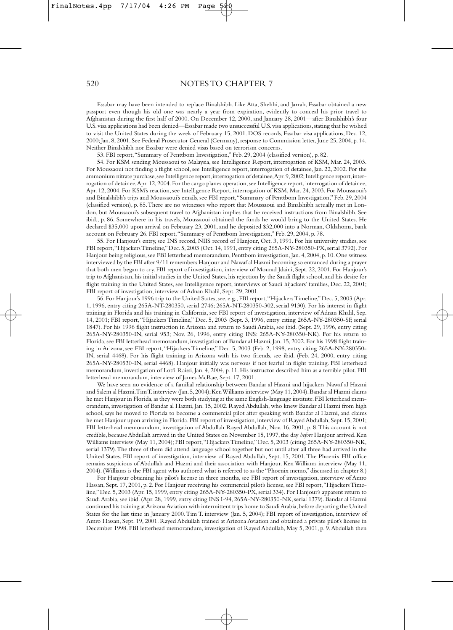Essabar may have been intended to replace Binalshibh. Like Atta, Shehhi, and Jarrah, Essabar obtained a new passport even though his old one was nearly a year from expiration, evidently to conceal his prior travel to Afghanistan during the first half of 2000. On December 12, 2000, and January 28, 2001—after Binalshibh's four U.S. visa applications had been denied—Essabar made two unsuccessful U.S. visa applications, stating that he wished to visit the United States during the week of February 15, 2001. DOS records, Essabar visa applications, Dec. 12, 2000; Jan. 8, 2001. See Federal Prosecutor General (Germany), response to Commission letter, June 25, 2004, p. 14. Neither Binalshibh nor Essabar were denied visas based on terrorism concerns.

53. FBI report,"Summary of Penttbom Investigation," Feb. 29, 2004 (classified version), p. 82.

54. For KSM sending Moussaoui to Malaysia, see Intelligence Report, interrogation of KSM, Mar. 24, 2003. For Moussaoui not finding a flight school, see Intelligence report, interrogation of detainee, Jan. 22, 2002. For the ammonium nitrate purchase, see Intelligence report, interrogation of detainee, Apr. 9, 2002; Intelligence report, interrogation of detainee,Apr.12,2004.For the cargo planes operation,see Intelligence report,interrogation of detainee, Apr. 12, 2004. For KSM's reaction, see Intelligence Report, interrogation of KSM, Mar. 24, 2003. For Moussaoui's and Binalshibh's trips and Moussaoui's emails, see FBI report,"Summary of Penttbom Investigation," Feb. 29, 2004 (classified version), p. 85.There are no witnesses who report that Moussaoui and Binalshibh actually met in London, but Moussaoui's subsequent travel to Afghanistan implies that he received instructions from Binalshibh. See ibid., p. 86. Somewhere in his travels, Moussaoui obtained the funds he would bring to the United States. He declared \$35,000 upon arrival on February 23, 2001, and he deposited \$32,000 into a Norman, Oklahoma, bank account on February 26. FBI report,"Summary of Penttbom Investigation," Feb. 29, 2004, p. 78.

55. For Hanjour's entry, see INS record, NIIS record of Hanjour, Oct. 3, 1991. For his university studies, see FBI report,"Hijackers Timeline," Dec. 5, 2003 (Oct. 14, 1991, entry citing 265A-NY-280350-PX, serial 3792). For Hanjour being religious, see FBI letterhead memorandum, Penttbom investigation, Jan. 4, 2004, p. 10. One witness interviewed by the FBI after 9/11 remembers Hanjour and Nawaf al Hazmi becoming so entranced during a prayer that both men began to cry. FBI report of investigation, interview of Mourad Jdaini, Sept. 22, 2001. For Hanjour's trip to Afghanistan, his initial studies in the United States, his rejection by the Saudi flight school, and his desire for flight training in the United States, see Intelligence report, interviews of Saudi hijackers' families, Dec. 22, 2001; FBI report of investigation, interview of Adnan Khalil, Sept. 29, 2001.

56. For Hanjour's 1996 trip to the United States, see, e.g., FBI report,"Hijackers Timeline," Dec. 5, 2003 (Apr. 1, 1996, entry citing 265A-NT-280350, serial 2746; 265A-NT-280350-302, serial 9130). For his interest in flight training in Florida and his training in California, see FBI report of investigation, interview of Adnan Khalil, Sep. 14, 2001; FBI report,"Hijackers Timeline," Dec. 5, 2003 (Sept. 3, 1996, entry citing 265A-NY-280350-SF, serial 1847). For his 1996 flight instruction in Arizona and return to Saudi Arabia, see ibid. (Sept. 29, 1996, entry citing 265A-NY-280350-IN, serial 953; Nov. 26, 1996, entry citing INS: 265A-NY-280350-NK). For his return to Florida, see FBI letterhead memorandum, investigation of Bandar al Hazmi, Jan. 15, 2002. For his 1998 flight training in Arizona, see FBI report,"Hijackers Timeline," Dec. 5, 2003 (Feb. 2, 1998, entry citing 265A-NY-280350- IN, serial 4468). For his flight training in Arizona with his two friends, see ibid. (Feb. 24, 2000, entry citing 265A-NY-280530-IN, serial 4468). Hanjour initially was nervous if not fearful in flight training. FBI letterhead memorandum, investigation of Lotfi Raissi, Jan. 4, 2004, p. 11. His instructor described him as a terrible pilot. FBI letterhead memorandum, interview of James McRae, Sept. 17, 2001.

We have seen no evidence of a familial relationship between Bandar al Hazmi and hijackers Nawaf al Hazmi and Salem al Hazmi.Tim T.interview (Jan.5,2004);Ken Williams interview (May 11,2004).Bandar al Hazmi claims he met Hanjour in Florida, as they were both studying at the same English-language institute. FBI letterhead memorandum, investigation of Bandar al Hazmi, Jan. 15, 2002. Rayed Abdullah, who knew Bandar al Hazmi from high school, says he moved to Florida to become a commercial pilot after speaking with Bandar al Hazmi, and claims he met Hanjour upon arriving in Florida. FBI report of investigation, interview of Rayed Abdullah, Sept. 15, 2001; FBI letterhead memorandum, investigation of Abdullah Rayed Abdullah, Nov. 16, 2001, p. 8.This account is not credible, because Abdullah arrived in the United States on November 15, 1997, the day *before* Hanjour arrived. Ken Williams interview (May 11, 2004); FBI report,"Hijackers Timeline," Dec. 5, 2003 (citing 265A-NY-280350-NK, serial 1379).The three of them did attend language school together but not until after all three had arrived in the United States. FBI report of investigation, interview of Rayed Abdullah, Sept. 15, 2001.The Phoenix FBI office remains suspicious of Abdullah and Hazmi and their association with Hanjour. Ken Williams interview (May 11, 2004). (Williams is the FBI agent who authored what is referred to as the "Phoenix memo," discussed in chapter 8.)

For Hanjour obtaining his pilot's license in three months, see FBI report of investigation, interview of Amro Hassan, Sept. 17, 2001, p. 2. For Hanjour receiving his commercial pilot's license, see FBI report,"Hijackers Timeline," Dec. 5, 2003 (Apr. 15, 1999, entry citing 265A-NY-280350-PX, serial 334). For Hanjour's apparent return to Saudi Arabia, see ibid. (Apr. 28, 1999, entry citing INS I-94, 265A-NY-280350-NK, serial 1379). Bandar al Hazmi continued his training at Arizona Aviation with intermittent trips home to Saudi Arabia,before departing the United States for the last time in January 2000.Tim T. interview (Jan. 5, 2004); FBI report of investigation, interview of Amro Hassan, Sept. 19, 2001. Rayed Abdullah trained at Arizona Aviation and obtained a private pilot's license in December 1998. FBI letterhead memorandum, investigation of Rayed Abdullah, May 5, 2001, p. 9.Abdullah then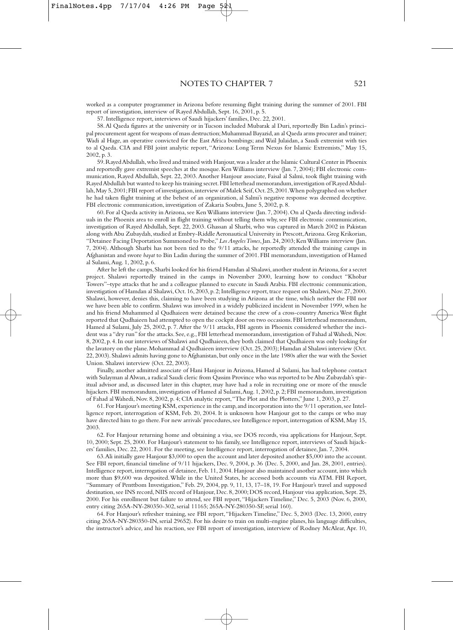worked as a computer programmer in Arizona before resuming flight training during the summer of 2001. FBI report of investigation, interview of Rayed Abdullah, Sept. 16, 2001, p. 5.

57. Intelligence report, interviews of Saudi hijackers' families, Dec. 22, 2001.

58.Al Qaeda figures at the university or in Tucson included Mubarak al Duri, reportedly Bin Ladin's principal procurement agent for weapons of mass destruction; Muhammad Bayazid, an al Qaeda arms procurer and trainer; Wadi al Hage, an operative convicted for the East Africa bombings; and Wail Julaidan, a Saudi extremist with ties to al Qaeda. CIA and FBI joint analytic report, "Arizona: Long Term Nexus for Islamic Extremists," May 15, 2002, p. 3.

59.Rayed Abdullah,who lived and trained with Hanjour,was a leader at the Islamic Cultural Center in Phoenix and reportedly gave extremist speeches at the mosque. Ken Williams interview (Jan. 7, 2004); FBI electronic communication, Rayed Abdullah, Sept. 22, 2003.Another Hanjour associate, Faisal al Salmi, took flight training with Rayed Abdullah but wanted to keep his training secret.FBI letterhead memorandum,investigation of Rayed Abdullah,May 5,2001;FBI report of investigation,interview of Malek Seif,Oct.25,2001.When polygraphed on whether he had taken flight training at the behest of an organization, al Salmi's negative response was deemed deceptive. FBI electronic communication, investigation of Zakaria Soubra, June 5, 2002, p. 8.

60. For al Qaeda activity in Arizona, see Ken Williams interview (Jan. 7, 2004). On al Qaeda directing individuals in the Phoenix area to enroll in flight training without telling them why, see FBI electronic communication, investigation of Rayed Abdullah, Sept. 22, 2003. Ghassan al Sharbi, who was captured in March 2002 in Pakistan along with Abu Zubaydah, studied at Embry-Riddle Aeronautical University in Prescott, Arizona. Greg Krikorian, "Detainee Facing Deportation Summoned to Probe,"*Los Angeles Times*, Jan. 24, 2003; Ken Williams interview (Jan. 7, 2004). Although Sharbi has not been tied to the 9/11 attacks, he reportedly attended the training camps in Afghanistan and swore *bayat* to Bin Ladin during the summer of 2001. FBI memorandum, investigation of Hamed al Sulami,Aug. 1, 2002, p. 6.

After he left the camps,Sharbi looked for his friend Hamdan al Shalawi,another student in Arizona,for a secret project. Shalawi reportedly trained in the camps in November 2000, learning how to conduct "Khobar Towers"–type attacks that he and a colleague planned to execute in Saudi Arabia. FBI electronic communication, investigation of Hamdan al Shalawi, Oct. 16, 2003, p. 2; Intelligence report, trace request on Shalawi, Nov. 27, 2000. Shalawi, however, denies this, claiming to have been studying in Arizona at the time, which neither the FBI nor we have been able to confirm. Shalawi was involved in a widely publicized incident in November 1999, when he and his friend Muhammed al Qudhaieen were detained because the crew of a cross-country America West flight reported that Qudhaieen had attempted to open the cockpit door on two occasions.FBI letterhead memorandum, Hamed al Sulami, July 25, 2002, p. 7.After the 9/11 attacks, FBI agents in Phoenix considered whether the incident was a "dry run" for the attacks. See, e.g., FBI letterhead memorandum, investigation of Fahad al Wahedi, Nov. 8, 2002, p. 4. In our interviews of Shalawi and Qudhaieen, they both claimed that Qudhaieen was only looking for the lavatory on the plane. Mohammad al Qudhaieen interview (Oct. 25, 2003); Hamdan al Shalawi interview (Oct. 22, 2003). Shalawi admits having gone to Afghanistan, but only once in the late 1980s after the war with the Soviet Union. Shalawi interview (Oct. 22, 2003).

Finally, another admitted associate of Hani Hanjour in Arizona, Hamed al Sulami, has had telephone contact with Sulayman al Alwan,a radical Saudi cleric from Qassim Province who was reported to be Abu Zubaydah's spiritual advisor and, as discussed later in this chapter, may have had a role in recruiting one or more of the muscle hijackers. FBI memorandum, investigation of Hamed al Sulami,Aug. 1, 2002, p. 2; FBI memorandum, investigation of Fahad al Wahedi, Nov. 8, 2002, p. 4; CIA analytic report,"The Plot and the Plotters," June 1, 2003, p. 27.

61.For Hanjour's meeting KSM,experience in the camp,and incorporation into the 9/11 operation,see Intelligence report, interrogation of KSM, Feb. 20, 2004. It is unknown how Hanjour got to the camps or who may have directed him to go there. For new arrivals' procedures, see Intelligence report, interrogation of KSM, May 15, 2003.

62. For Hanjour returning home and obtaining a visa, see DOS records, visa applications for Hanjour, Sept. 10, 2000; Sept. 25, 2000. For Hanjour's statement to his family, see Intelligence report, interviews of Saudi hijackers' families, Dec. 22, 2001. For the meeting, see Intelligence report, interrogation of detainee, Jan. 7, 2004.

63.Ali initially gave Hanjour \$3,000 to open the account and later deposited another \$5,000 into the account. See FBI report, financial timeline of 9/11 hijackers, Dec. 9, 2004, p. 36 (Dec. 5, 2000, and Jan. 28, 2001, entries). Intelligence report, interrogation of detainee, Feb. 11, 2004. Hanjour also maintained another account, into which more than \$9,600 was deposited.While in the United States, he accessed both accounts via ATM. FBI Report, "Summary of Penttbom Investigation," Feb. 29, 2004, pp. 9, 11, 13, 17–18, 19. For Hanjour's travel and supposed destination, see INS record, NIIS record of Hanjour, Dec. 8, 2000; DOS record, Hanjour visa application, Sept. 25, 2000. For his enrollment but failure to attend, see FBI report,"Hijackers Timeline," Dec. 5, 2003 (Nov. 6, 2000, entry citing 265A-NY-280350-302, serial 11165; 265A-NY-280350-SF, serial 160).

64. For Hanjour's refresher training, see FBI report,"Hijackers Timeline," Dec. 5, 2003 (Dec. 13, 2000, entry citing 265A-NY-280350-IN, serial 29652). For his desire to train on multi-engine planes, his language difficulties, the instructor's advice, and his reaction, see FBI report of investigation, interview of Rodney McAlear, Apr. 10,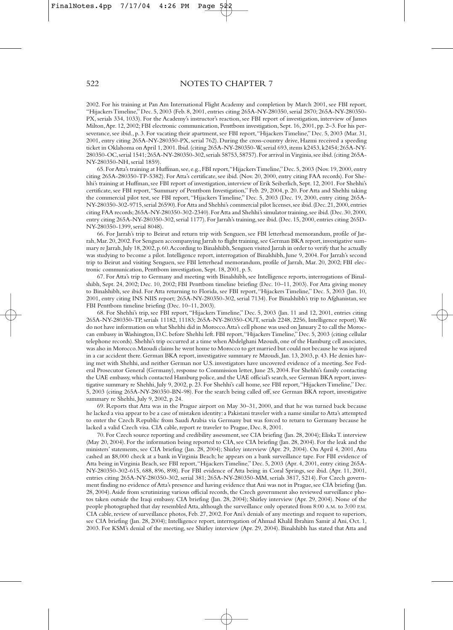2002. For his training at Pan Am International Flight Academy and completion by March 2001, see FBI report, "Hijackers Timeline," Dec. 5, 2003 (Feb. 8, 2001, entries citing 265A-NY-280350, serial 2870; 265A-NY-280350- PX, serials 334, 1033). For the Academy's instructor's reaction, see FBI report of investigation, interview of James Milton,Apr. 12, 2002; FBI electronic communication, Penttbom investigation, Sept. 16, 2001, pp. 2–3. For his perseverance, see ibid., p. 3. For vacating their apartment, see FBI report,"Hijackers Timeline," Dec. 5, 2003 (Mar. 31, 2001, entry citing 265A-NY-280350-PX, serial 762). During the cross-country drive, Hazmi received a speeding ticket in Oklahoma on April 1,2001.Ibid.(citing 265A-NY-280350-W,serial 693,items k2453,k2454;265A-NY-280350-OC,serial 1541;265A-NY-280350-302,serials 58753,58757).For arrival in Virginia,see ibid.(citing 265A-NY-280350-NH, serial 1859).

65.For Atta's training at Huffman,see,e.g.,FBI report,"Hijackers Timeline,"Dec.5,2003 (Nov.19,2000,entry citing 265A-280350-TP-5382). For Atta's certificate, see ibid. (Nov. 20, 2000, entry citing FAA records). For Shehhi's training at Huffman, see FBI report of investigation, interview of Erik Seiberlich, Sept. 12, 2001. For Shehhi's certificate, see FBI report,"Summary of Penttbom Investigation," Feb. 29, 2004, p. 20. For Atta and Shehhi taking the commercial pilot test, see FBI report,"Hijackers Timeline," Dec. 5, 2003 (Dec. 19, 2000, entry citing 265A-NY-280350-302-9715,serial 26590).For Atta and Shehhi's commercial pilot licenses,see ibid.(Dec.21,2000,entries citing FAA records;265A-NY-280350-302-2340).For Atta and Shehhi's simulator training,see ibid.(Dec.30,2000, entry citing 265A-NY-280350-302, serial 1177). For Jarrah's training, see ibid. (Dec. 15, 2000, entries citing 265D-NY-280350-1399, serial 8048).

66. For Jarrah's trip to Beirut and return trip with Senguen, see FBI letterhead memorandum, profile of Jarrah, Mar. 20, 2002. For Senguen accompanying Jarrah to flight training, see German BKA report, investigative summary re Jarrah, July 18, 2002, p.60. According to Binalshibh, Senguen visited Jarrah in order to verify that he actually was studying to become a pilot. Intelligence report, interrogation of Binalshibh, June 9, 2004. For Jarrah's second trip to Beirut and visiting Senguen, see FBI letterhead memorandum, profile of Jarrah, Mar. 20, 2002; FBI electronic communication, Penttbom investigation, Sept. 18, 2001, p. 5.

67. For Atta's trip to Germany and meeting with Binalshibh, see Intelligence reports, interrogations of Binalshibh, Sept. 24, 2002; Dec. 10, 2002; FBI Penttbom timeline briefing (Dec. 10–11, 2003). For Atta giving money to Binalshibh, see ibid. For Atta returning to Florida, see FBI report,"Hijackers Timeline," Dec. 5, 2003 (Jan. 10, 2001, entry citing INS NIIS report; 265A-NY-280350-302, serial 7134). For Binalshibh's trip to Afghanistan, see FBI Penttbom timeline briefing (Dec. 10–11, 2003).

68. For Shehhi's trip, see FBI report,"Hijackers Timeline," Dec. 5, 2003 (Jan. 11 and 12, 2001, entries citing 265A-NY-280350-TP, serials 11182, 11183; 265A-NY-280350-OUT, serials 2248, 2256, Intelligence report).We do not have information on what Shehhi did in Morocco.Atta's cell phone was used on January 2 to call the Moroccan embassy in Washington, D.C. before Shehhi left. FBI report,"Hijackers Timeline," Dec. 5, 2003 (citing cellular telephone records). Shehhi's trip occurred at a time when Abdelghani Mzoudi, one of the Hamburg cell associates, was also in Morocco.Mzoudi claims he went home to Morocco to get married but could not because he was injured in a car accident there. German BKA report, investigative summary re Mzoudi, Jan. 13, 2003, p. 43. He denies having met with Shehhi, and neither German nor U.S. investigators have uncovered evidence of a meeting. See Federal Prosecutor General (Germany), response to Commission letter, June 25, 2004. For Shehhi's family contacting the UAE embassy, which contacted Hamburg police, and the UAE official's search, see German BKA report, investigative summary re Shehhi, July 9, 2002, p. 23. For Shehhi's call home, see FBI report,"Hijackers Timeline," Dec. 5, 2003 (citing 265A-NY-280350-BN-98). For the search being called off, see German BKA report, investigative summary re Shehhi, July 9, 2002, p. 24.

69. Reports that Atta was in the Prague airport on May 30–31, 2000, and that he was turned back because he lacked a visa appear to be a case of mistaken identity:a Pakistani traveler with a name similar to Atta's attempted to enter the Czech Republic from Saudi Arabia via Germany but was forced to return to Germany because he lacked a valid Czech visa. CIA cable, report re traveler to Prague, Dec. 8, 2001.

70. For Czech source reporting and credibility assessment, see CIA briefing (Jan. 28, 2004); Eliska T. interview (May 20, 2004). For the information being reported to CIA, see CIA briefing (Jan. 28, 2004). For the leak and the ministers' statements, see CIA briefing (Jan. 28, 2004); Shirley interview (Apr. 29, 2004). On April 4, 2001, Atta cashed an \$8,000 check at a bank in Virginia Beach; he appears on a bank surveillance tape. For FBI evidence of Atta being in Virginia Beach, see FBI report,"Hijackers Timeline," Dec. 5, 2003 (Apr. 4, 2001, entry citing 265A-NY-280350-302-615, 688, 896, 898). For FBI evidence of Atta being in Coral Springs, see ibid. (Apr. 11, 2001, entries citing 265A-NY-280350-302, serial 381; 265A-NY-280350-MM, serials 3817, 5214). For Czech government finding no evidence of Atta's presence and having evidence that Ani was not in Prague, see CIA briefing (Jan. 28, 2004).Aside from scrutinizing various official records, the Czech government also reviewed surveillance photos taken outside the Iraqi embassy. CIA briefing (Jan. 28, 2004); Shirley interview (Apr. 29, 2004). None of the people photographed that day resembled Atta, although the surveillance only operated from 8:00 A.M. to 3:00 P.M. CIA cable, review of surveillance photos, Feb. 27, 2002. For Ani's denials of any meetings and request to superiors, see CIA briefing (Jan. 28, 2004); Intelligence report, interrogation of Ahmad Khalil Ibrahim Samir al Ani, Oct. 1, 2003. For KSM's denial of the meeting, see Shirley interview (Apr. 29, 2004). Binalshibh has stated that Atta and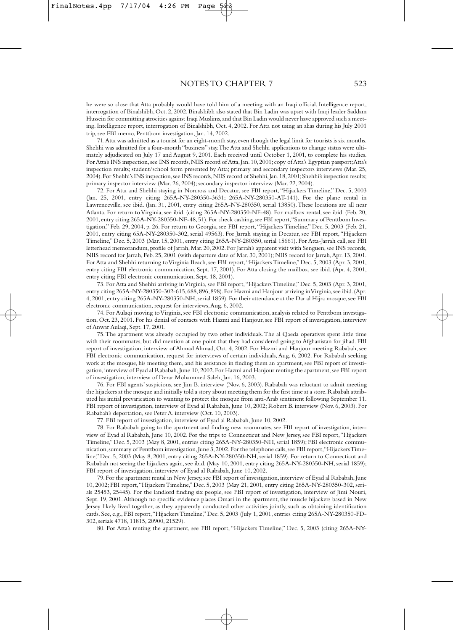he were so close that Atta probably would have told him of a meeting with an Iraqi official. Intelligence report, interrogation of Binalshibh, Oct. 2, 2002. Binalshibh also stated that Bin Ladin was upset with Iraqi leader Saddam Hussein for committing atrocities against Iraqi Muslims,and that Bin Ladin would never have approved such a meeting. Intelligence report, interrogation of Binalshibh, Oct. 4, 2002. For Atta not using an alias during his July 2001 trip, see FBI memo, Penttbom investigation, Jan. 14, 2002.

71.Atta was admitted as a tourist for an eight-month stay,even though the legal limit for tourists is six months. Shehhi was admitted for a four-month "business" stay.The Atta and Shehhi applications to change status were ultimately adjudicated on July 17 and August 9, 2001. Each received until October 1, 2001, to complete his studies. For Atta's INS inspection, see INS records, NIIS record of Atta, Jan. 10, 2001; copy of Atta's Egyptian passport;Atta's inspection results; student/school form presented by Atta; primary and secondary inspectors interviews (Mar. 25, 2004). For Shehhi's INS inspection, see INS records, NIIS record of Shehhi, Jan. 18, 2001; Shehhi's inspection results; primary inspector interview (Mar. 26, 2004); secondary inspector interview (Mar. 22, 2004).

72. For Atta and Shehhi staying in Norcross and Decatur, see FBI report,"Hijackers Timeline," Dec. 5, 2003 (Jan. 25, 2001, entry citing 265A-NY-280350-3631; 265A-NY-280350-AT-141). For the plane rental in Lawrenceville, see ibid. (Jan. 31, 2001, entry citing 265A-NY-280350, serial 13850).These locations are all near Atlanta. For return to Virginia, see ibid. (citing 265A-NY-280350-NF-48). For mailbox rental, see ibid. (Feb. 20, 2001,entry citing 265A-NY-280350-NF-48,51).For check cashing,see FBI report,"Summary of Penttbom Investigation," Feb. 29, 2004, p. 26. For return to Georgia, see FBI report,"Hijackers Timeline," Dec. 5, 2003 (Feb. 21, 2001, entry citing 65A-NY-280350-302, serial 49563). For Jarrah staying in Decatur, see FBI report,"Hijackers Timeline," Dec. 5, 2003 (Mar. 15, 2001, entry citing 265A-NY-280350, serial 15661). For Atta-Jarrah call, see FBI letterhead memorandum, profile of Jarrah, Mar. 20, 2002. For Jarrah's apparent visit with Senguen, see INS records, NIIS record for Jarrah, Feb. 25, 2001 (with departure date of Mar. 30, 2001); NIIS record for Jarrah,Apr. 13, 2001. For Atta and Shehhi returning to Virginia Beach, see FBI report,"Hijackers Timeline," Dec. 5, 2003 (Apr. 3, 2001, entry citing FBI electronic communication, Sept. 17, 2001). For Atta closing the mailbox, see ibid. (Apr. 4, 2001, entry citing FBI electronic communication, Sept. 18, 2001).

73. For Atta and Shehhi arriving in Virginia, see FBI report,"Hijackers Timeline," Dec. 5, 2003 (Apr. 3, 2001, entry citing 265A-NY-280350-302-615, 688, 896, 898). For Hazmi and Hanjour arriving in Virginia, see ibid. (Apr. 4, 2001, entry citing 265A-NY-280350-NH, serial 1859). For their attendance at the Dar al Hijra mosque, see FBI electronic communication, request for interviews,Aug. 6, 2002.

74. For Aulaqi moving to Virginia, see FBI electronic communication, analysis related to Penttbom investigation, Oct. 23, 2001. For his denial of contacts with Hazmi and Hanjour, see FBI report of investigation, interview of Anwar Aulaqi, Sept. 17, 2001.

75.The apartment was already occupied by two other individuals.The al Qaeda operatives spent little time with their roommates, but did mention at one point that they had considered going to Afghanistan for jihad. FBI report of investigation, interview of Ahmad Ahmad, Oct. 4, 2002. For Hazmi and Hanjour meeting Rababah, see FBI electronic communication, request for interviews of certain individuals, Aug. 6, 2002. For Rababah seeking work at the mosque, his meeting them, and his assistance in finding them an apartment, see FBI report of investigation, interview of Eyad al Rababah, June 10, 2002. For Hazmi and Hanjour renting the apartment, see FBI report of investigation, interview of Derar Mohammed Saleh, Jan. 16, 2003.

76. For FBI agents' suspicions, see Jim B. interview (Nov. 6, 2003). Rababah was reluctant to admit meeting the hijackers at the mosque and initially told a story about meeting them for the first time at a store.Rababah attributed his initial prevarication to wanting to protect the mosque from anti-Arab sentiment following September 11. FBI report of investigation, interview of Eyad al Rababah, June 10, 2002; Robert B. interview (Nov. 6, 2003). For Rababah's deportation, see Peter A. interview (Oct. 10, 2003).

77. FBI report of investigation, interview of Eyad al Rababah, June 10, 2002.

78. For Rababah going to the apartment and finding new roommates, see FBI report of investigation, interview of Eyad al Rababah, June 10, 2002. For the trips to Connecticut and New Jersey, see FBI report,"Hijackers Timeline," Dec. 5, 2003 (May 8, 2001, entries citing 265A-NY-280350-NH, serial 1859); FBI electronic communication, summary of Penttbom investigation, June 3, 2002. For the telephone calls, see FBI report, "Hijackers Timeline," Dec. 5, 2003 (May 8, 2001, entry citing 265A-NY-280350-NH, serial 1859). For return to Connecticut and Rababah not seeing the hijackers again, see ibid. (May 10, 2001, entry citing 265A-NY-280350-NH, serial 1859); FBI report of investigation, interview of Eyad al Rababah, June 10, 2002.

79. For the apartment rental in New Jersey, see FBI report of investigation, interview of Eyad al Rababah, June 10, 2002; FBI report,"Hijackers Timeline," Dec. 5, 2003 (May 21, 2001, entry citing 265A-NY-280350-302, serials 25453, 25445). For the landlord finding six people, see FBI report of investigation, interview of Jimi Nouri, Sept. 19, 2001.Although no specific evidence places Omari in the apartment, the muscle hijackers based in New Jersey likely lived together, as they apparently conducted other activities jointly, such as obtaining identification cards. See, e.g., FBI report,"Hijackers Timeline," Dec. 5, 2003 (July 1, 2001, entries citing 265A-NY-280350-FD-302, serials 4718, 11815, 20900, 21529).

80. For Atta's renting the apartment, see FBI report, "Hijackers Timeline," Dec. 5, 2003 (citing 265A-NY-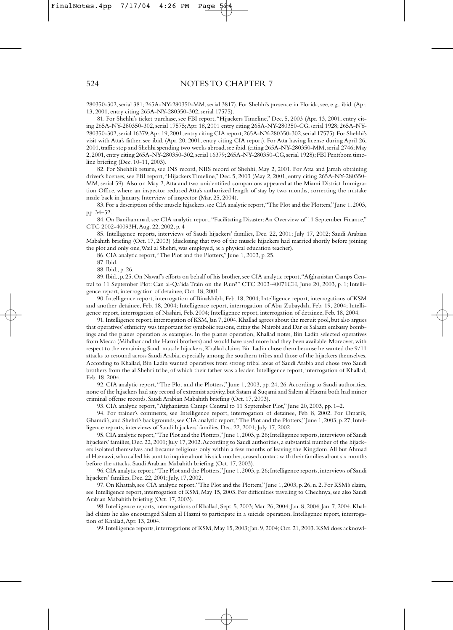280350-302, serial 381; 265A-NY-280350-MM, serial 3817). For Shehhi's presence in Florida, see, e.g., ibid. (Apr. 13, 2001, entry citing 265A-NY-280350-302, serial 17575).

81. For Shehhi's ticket purchase, see FBI report,"Hijackers Timeline," Dec. 5, 2003 (Apr. 13, 2001, entry citing 265A-NY-280350-302,serial 17575;Apr.18,2001 entry citing 265A-NY-280350-CG,serial 1928;265A-NY-280350-302,serial 16379;Apr.19,2001,entry citing CIA report;265A-NY-280350-302,serial 17575).For Shehhi's visit with Atta's father, see ibid. (Apr. 20, 2001, entry citing CIA report). For Atta having license during April 26, 2001,traffic stop and Shehhi spending two weeks abroad,see ibid.(citing 265A-NY-280350-MM,serial 2746;May 2,2001,entry citing 265A-NY-280350-302,serial 16379;265A-NY-280350-CG,serial 1928);FBI Penttbom timeline briefing (Dec. 10-11, 2003).

82. For Shehhi's return, see INS record, NIIS record of Shehhi, May 2, 2001. For Atta and Jarrah obtaining driver's licenses, see FBI report,"Hijackers Timeline," Dec. 5, 2003 (May 2, 2001, entry citing 265A-NY-280350- MM, serial 59). Also on May 2,Atta and two unidentified companions appeared at the Miami District Immigration Office, where an inspector reduced Atta's authorized length of stay by two months, correcting the mistake made back in January. Interview of inspector (Mar. 25, 2004).

83. For a description of the muscle hijackers, see CIA analytic report, "The Plot and the Plotters," June 1,2003, pp. 34–52.

84. On Banihammad, see CIA analytic report,"Facilitating Disaster:An Overview of 11 September Finance," CTC 2002-40093H,Aug. 22, 2002, p. 4

85. Intelligence reports, interviews of Saudi hijackers' families, Dec. 22, 2001; July 17, 2002; Saudi Arabian Mabahith briefing (Oct. 17, 2003) (disclosing that two of the muscle hijackers had married shortly before joining the plot and only one,Wail al Shehri, was employed, as a physical education teacher).

86. CIA analytic report,"The Plot and the Plotters," June 1, 2003, p. 25.

87. Ibid.

88. Ibid., p. 26.

89. Ibid., p. 25. On Nawaf's efforts on behalf of his brother, see CIA analytic report,"Afghanistan Camps Central to 11 September Plot: Can al-Qa'ida Train on the Run?" CTC 2003-40071CH, June 20, 2003, p. 1; Intelligence report, interrogation of detainee, Oct. 18, 2001.

90. Intelligence report, interrogation of Binalshibh, Feb. 18, 2004; Intelligence report, interrogations of KSM and another detainee, Feb. 18, 2004; Intelligence report, interrogation of Abu Zubaydah, Feb. 19, 2004; Intelligence report, interrogation of Nashiri, Feb. 2004; Intelligence report, interrogation of detainee, Feb. 18, 2004.

91.Intelligence report,interrogation of KSM,Jan 7,2004.Khallad agrees about the recruit pool,but also argues that operatives'ethnicity was important for symbolic reasons,citing the Nairobi and Dar es Salaam embassy bombings and the planes operation as examples. In the planes operation, Khallad notes, Bin Ladin selected operatives from Mecca (Mihdhar and the Hazmi brothers) and would have used more had they been available. Moreover, with respect to the remaining Saudi muscle hijackers, Khallad claims Bin Ladin chose them because he wanted the 9/11 attacks to resound across Saudi Arabia, especially among the southern tribes and those of the hijackers themselves. According to Khallad, Bin Ladin wanted operatives from strong tribal areas of Saudi Arabia and chose two Saudi brothers from the al Shehri tribe, of which their father was a leader. Intelligence report, interrogation of Khallad, Feb. 18, 2004.

92. CIA analytic report,"The Plot and the Plotters," June 1, 2003, pp. 24, 26.According to Saudi authorities, none of the hijackers had any record of extremist activity,but Satam al Suqami and Salem al Hazmi both had minor criminal offense records. Saudi Arabian Mabahith briefing (Oct. 17, 2003).

93. CIA analytic report,"Afghanistan Camps Central to 11 September Plot," June 20, 2003, pp. 1–2.

94. For trainer's comments, see Intelligence report, interrogation of detainee, Feb. 8, 2002. For Omari's, Ghamdi's, and Shehri's backgrounds, see CIA analytic report,"The Plot and the Plotters," June 1, 2003, p. 27; Intelligence reports, interviews of Saudi hijackers' families, Dec. 22, 2001; July 17, 2002.

95.CIA analytic report,"The Plot and the Plotters,"June 1,2003,p.26;Intelligence reports,interviews of Saudi hijackers' families, Dec. 22, 2001; July 17, 2002.According to Saudi authorities, a substantial number of the hijackers isolated themselves and became religious only within a few months of leaving the Kingdom.All but Ahmad al Haznawi, who called his aunt to inquire about his sick mother, ceased contact with their families about six months before the attacks. Saudi Arabian Mabahith briefing (Oct. 17, 2003).

96.CIA analytic report,"The Plot and the Plotters,"June 1,2003,p.26;Intelligence reports,interviews of Saudi hijackers' families, Dec. 22, 2001; July, 17, 2002.

97.On Khattab,see CIA analytic report,"The Plot and the Plotters,"June 1,2003,p.26,n.2.For KSM's claim, see Intelligence report, interrogation of KSM, May 15, 2003. For difficulties traveling to Chechnya, see also Saudi Arabian Mabahith briefing (Oct. 17, 2003).

98. Intelligence reports, interrogations of Khallad, Sept. 5, 2003; Mar. 26, 2004; Jan. 8, 2004; Jan. 7, 2004. Khallad claims he also encouraged Salem al Hazmi to participate in a suicide operation. Intelligence report, interrogation of Khallad,Apr. 13, 2004.

99. Intelligence reports, interrogations of KSM, May 15, 2003; Jan. 9, 2004; Oct. 21, 2003. KSM does acknowl-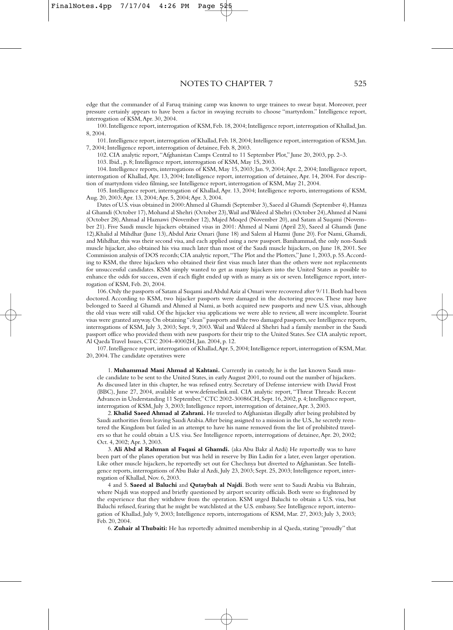edge that the commander of al Faruq training camp was known to urge trainees to swear bayat. Moreover, peer pressure certainly appears to have been a factor in swaying recruits to choose "martyrdom." Intelligence report, interrogation of KSM,Apr. 30, 2004.

100. Intelligence report, interrogation of KSM, Feb. 18, 2004; Intelligence report, interrogation of Khallad, Jan. 8, 2004.

101.Intelligence report,interrogation of Khallad,Feb.18,2004;Intelligence report,interrogation of KSM,Jan. 7, 2004; Intelligence report, interrogation of detainee, Feb. 8, 2003.

102. CIA analytic report,"Afghanistan Camps Central to 11 September Plot," June 20, 2003, pp. 2–3.

103. Ibid., p. 8; Intelligence report, interrogation of KSM, May 15, 2003.

104. Intelligence reports, interrogations of KSM, May 15, 2003; Jan. 9, 2004;Apr. 2, 2004; Intelligence report, interrogation of Khallad,Apr. 13, 2004; Intelligence report, interrogation of detainee,Apr. 14, 2004. For description of martyrdom video filming, see Intelligence report, interrogation of KSM, May 21, 2004.

105. Intelligence report, interrogation of Khallad,Apr. 13, 2004; Intelligence reports, interrogations of KSM, Aug. 20, 2003;Apr. 13, 2004;Apr. 5, 2004;Apr. 3, 2004.

Dates of U.S.visas obtained in 2000:Ahmed al Ghamdi (September 3),Saeed al Ghamdi (September 4),Hamza al Ghamdi (October 17), Mohand al Shehri (October 23), Wail and Waleed al Shehri (October 24), Ahmed al Nami (October 28),Ahmad al Haznawi (November 12), Majed Moqed (November 20), and Satam al Suqami (November 21). Five Saudi muscle hijackers obtained visas in 2001: Ahmed al Nami (April 23), Saeed al Ghamdi (June 12),Khalid al Mihdhar (June 13),Abdul Aziz Omari (June 18) and Salem al Hazmi (June 20). For Nami, Ghamdi, and Mihdhar, this was their second visa, and each applied using a new passport. Banihammad, the only non-Saudi muscle hijacker, also obtained his visa much later than most of the Saudi muscle hijackers, on June 18, 2001. See Commission analysis of DOS records;CIA analytic report,"The Plot and the Plotters,"June 1,2003,p.55.According to KSM, the three hijackers who obtained their first visas much later than the others were not replacements for unsuccessful candidates. KSM simply wanted to get as many hijackers into the United States as possible to enhance the odds for success, even if each flight ended up with as many as six or seven. Intelligence report, interrogation of KSM, Feb. 20, 2004.

106.Only the passports of Satam al Suqami and Abdul Aziz al Omari were recovered after 9/11.Both had been doctored. According to KSM, two hijacker passports were damaged in the doctoring process. These may have belonged to Saeed al Ghamdi and Ahmed al Nami, as both acquired new passports and new U.S. visas, although the old visas were still valid. Of the hijacker visa applications we were able to review, all were incomplete.Tourist visas were granted anyway. On obtaining "clean" passports and the two damaged passports, see Intelligence reports, interrogations of KSM, July 3, 2003; Sept. 9, 2003.Wail and Waleed al Shehri had a family member in the Saudi passport office who provided them with new passports for their trip to the United States. See CIA analytic report, Al Qaeda Travel Issues, CTC 2004-40002H, Jan. 2004, p. 12.

107. Intelligence report, interrogation of Khallad,Apr. 5, 2004; Intelligence report, interrogation of KSM, Mar. 20, 2004. The candidate operatives were

1. **Muhammad Mani Ahmad al Kahtani.** Currently in custody, he is the last known Saudi muscle candidate to be sent to the United States, in early August 2001, to round out the number of hijackers. As discussed later in this chapter, he was refused entry. Secretary of Defense interview with David Frost (BBC), June 27, 2004, available at www.defenselink.mil. CIA analytic report, "Threat Threads: Recent Advances in Understanding 11 September,"CTC 2002-30086CH,Sept.16,2002,p.4;Intelligence report, interrogation of KSM, July 3, 2003; Intelligence report, interrogation of detainee,Apr. 3, 2003.

2. **Khalid Saeed Ahmad al Zahrani.** He traveled to Afghanistan illegally after being prohibited by Saudi authorities from leaving Saudi Arabia. After being assigned to a mission in the U.S., he secretly reentered the Kingdom but failed in an attempt to have his name removed from the list of prohibited travelers so that he could obtain a U.S. visa. See Intelligence reports, interrogations of detainee,Apr. 20, 2002; Oct. 4, 2002; Apr. 3, 2003.

3. **Ali Abd al Rahman al Faqasi al Ghamdi.** (aka Abu Bakr al Azdi) He reportedly was to have been part of the planes operation but was held in reserve by Bin Ladin for a later, even larger operation. Like other muscle hijackers, he reportedly set out for Chechnya but diverted to Afghanistan. See Intelligence reports, interrogations of Abu Bakr al Azdi, July 23, 2003; Sept. 25, 2003; Intelligence report, interrogation of Khallad, Nov. 6, 2003.

4 and 5. **Saeed al Baluchi** and **Qutaybah al Najdi**. Both were sent to Saudi Arabia via Bahrain, where Najdi was stopped and briefly questioned by airport security officials. Both were so frightened by the experience that they withdrew from the operation. KSM urged Baluchi to obtain a U.S. visa, but Baluchi refused, fearing that he might be watchlisted at the U.S. embassy. See Intelligence report, interrogation of Khallad, July 9, 2003; Intelligence reports, interrogations of KSM, Mar. 27, 2003; July 3, 2003; Feb. 20, 2004.

6. **Zuhair al Thubaiti:** He has reportedly admitted membership in al Qaeda, stating "proudly" that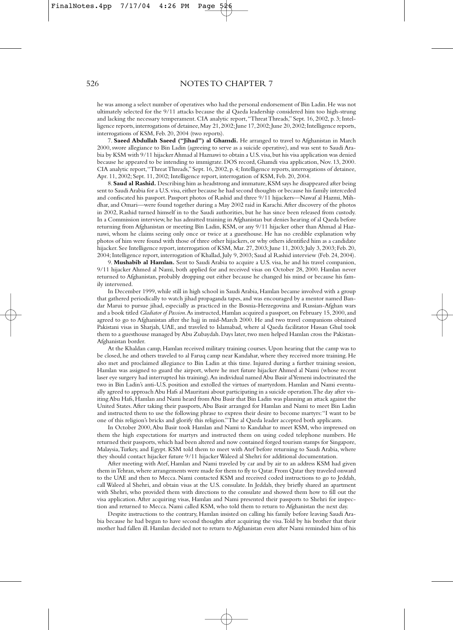he was among a select number of operatives who had the personal endorsement of Bin Ladin. He was not ultimately selected for the 9/11 attacks because the al Qaeda leadership considered him too high-strung and lacking the necessary temperament. CIA analytic report,"Threat Threads," Sept. 16, 2002, p. 3; Intelligence reports, interrogations of detainee, May 21, 2002; June 17, 2002; June 20, 2002; Intelligence reports, interrogations of KSM, Feb. 20, 2004 (two reports).

7. **Saeed Abdullah Saeed ("Jihad") al Ghamdi.** He arranged to travel to Afghanistan in March 2000, swore allegiance to Bin Ladin (agreeing to serve as a suicide operative), and was sent to Saudi Arabia by KSM with 9/11 hijacker Ahmad al Haznawi to obtain a U.S. visa, but his visa application was denied because he appeared to be intending to immigrate. DOS record, Ghamdi visa application, Nov. 13, 2000. CIA analytic report,"Threat Threads," Sept. 16, 2002, p. 4; Intelligence reports, interrogations of detainee, Apr. 11, 2002; Sept. 11, 2002; Intelligence report, interrogation of KSM, Feb. 20, 2004.

8. Saud al Rashid. Describing him as headstrong and immature, KSM says he disappeared after being sent to Saudi Arabia for a U.S. visa, either because he had second thoughts or because his family interceded and confiscated his passport. Passport photos of Rashid and three 9/11 hijackers—Nawaf al Hazmi, Mihdhar, and Omari—were found together during a May 2002 raid in Karachi.After discovery of the photos in 2002, Rashid turned himself in to the Saudi authorities, but he has since been released from custody. In a Commission interview, he has admitted training in Afghanistan but denies hearing of al Qaeda before returning from Afghanistan or meeting Bin Ladin, KSM, or any 9/11 hijacker other than Ahmad al Haznawi, whom he claims seeing only once or twice at a guesthouse. He has no credible explanation why photos of him were found with those of three other hijackers, or why others identified him as a candidate hijacker. See Intelligence report, interrogation of KSM, Mar. 27, 2003; June 11, 2003; July 3, 2003; Feb. 20, 2004; Intelligence report, interrogation of Khallad, July 9, 2003; Saud al Rashid interview (Feb. 24, 2004).

9. **Mushabib al Hamlan.** Sent to Saudi Arabia to acquire a U.S. visa, he and his travel companion, 9/11 hijacker Ahmed al Nami, both applied for and received visas on October 28, 2000. Hamlan never returned to Afghanistan, probably dropping out either because he changed his mind or because his family intervened.

In December 1999, while still in high school in Saudi Arabia, Hamlan became involved with a group that gathered periodically to watch jihad propaganda tapes, and was encouraged by a mentor named Bandar Marui to pursue jihad, especially as practiced in the Bosnia-Herzegovina and Russian-Afghan wars and a book titled *Gladiator of Passion*. As instructed, Hamlan acquired a passport, on February 15, 2000, and agreed to go to Afghanistan after the hajj in mid-March 2000. He and two travel companions obtained Pakistani visas in Sharjah, UAE, and traveled to Islamabad, where al Qaeda facilitator Hassan Ghul took them to a guesthouse managed by Abu Zubaydah. Days later, two men helped Hamlan cross the Pakistan-Afghanistan border.

At the Khaldan camp, Hamlan received military training courses. Upon hearing that the camp was to be closed, he and others traveled to al Faruq camp near Kandahar, where they received more training. He also met and proclaimed allegiance to Bin Ladin at this time. Injured during a further training session, Hamlan was assigned to guard the airport, where he met future hijacker Ahmed al Nami (whose recent laser eye surgery had interrupted his training).An individual named Abu Basir al Yemeni indoctrinated the two in Bin Ladin's anti-U.S. position and extolled the virtues of martyrdom. Hamlan and Nami eventually agreed to approach Abu Hafs al Mauritani about participating in a suicide operation.The day after visiting Abu Hafs, Hamlan and Nami heard from Abu Basir that Bin Ladin was planning an attack against the United States.After taking their passports,Abu Basir arranged for Hamlan and Nami to meet Bin Ladin and instructed them to use the following phrase to express their desire to become martyrs:"I want to be one of this religion's bricks and glorify this religion."The al Qaeda leader accepted both applicants.

In October 2000,Abu Basir took Hamlan and Nami to Kandahar to meet KSM, who impressed on them the high expectations for martyrs and instructed them on using coded telephone numbers. He returned their passports, which had been altered and now contained forged tourism stamps for Singapore, Malaysia,Turkey, and Egypt. KSM told them to meet with Atef before returning to Saudi Arabia, where they should contact hijacker future 9/11 hijacker Waleed al Shehri for additional documentation.

After meeting with Atef, Hamlan and Nami traveled by car and by air to an address KSM had given them in Tehran,where arrangements were made for them to fly to Qatar.From Qatar they traveled onward to the UAE and then to Mecca. Nami contacted KSM and received coded instructions to go to Jeddah, call Waleed al Shehri, and obtain visas at the U.S. consulate. In Jeddah, they briefly shared an apartment with Shehri, who provided them with directions to the consulate and showed them how to fill out the visa application.After acquiring visas, Hamlan and Nami presented their passports to Shehri for inspection and returned to Mecca. Nami called KSM, who told them to return to Afghanistan the next day.

Despite instructions to the contrary, Hamlan insisted on calling his family before leaving Saudi Arabia because he had begun to have second thoughts after acquiring the visa.Told by his brother that their mother had fallen ill. Hamlan decided not to return to Afghanistan even after Nami reminded him of his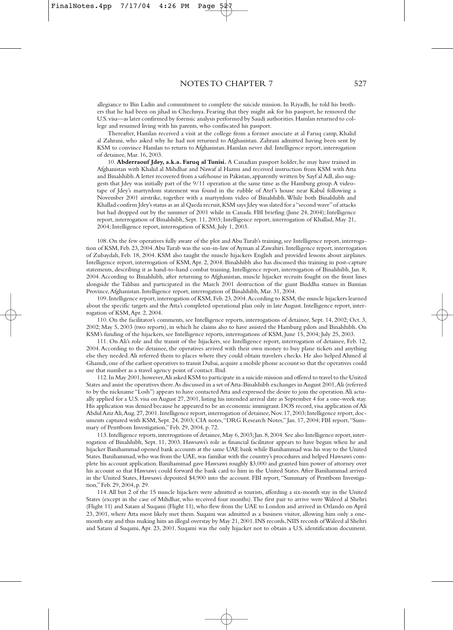allegiance to Bin Ladin and commitment to complete the suicide mission. In Riyadh, he told his brothers that he had been on jihad in Chechnya. Fearing that they might ask for his passport, he removed the U.S.visa—as later confirmed by forensic analysis performed by Saudi authorities.Hamlan returned to college and resumed living with his parents, who confiscated his passport.

Thereafter, Hamlan received a visit at the college from a former associate at al Faruq camp, Khalid al Zahrani, who asked why he had not returned to Afghanistan. Zahrani admitted having been sent by KSM to convince Hamlan to return to Afghanistan. Hamlan never did. Intelligence report, interrogation of detainee, Mar. 16, 2003.

10. **Abderraouf Jdey, a.k.a. Faruq al Tunisi.** A Canadian passport holder, he may have trained in Afghanistan with Khalid al Mihdhar and Nawaf al Hazmi and received instruction from KSM with Atta and Binalshibh. A letter recovered from a safehouse in Pakistan, apparently written by Sayf al Adl, also suggests that Jdey was initially part of the 9/11 operation at the same time as the Hamburg group.A videotape of Jdey's martyrdom statement was found in the rubble of Atef's house near Kabul following a November 2001 airstrike, together with a martyrdom video of Binalshibh.While both Binalshibh and Khallad confirm Jdey's status as an al Qaeda recruit,KSM says Jdey was slated for a "second wave"of attacks but had dropped out by the summer of 2001 while in Canada. FBI briefing (June 24, 2004); Intelligence report, interrogation of Binalshibh, Sept. 11, 2003; Intelligence report, interrogation of Khallad, May 21, 2004; Intelligence report, interrogation of KSM, July 1, 2003.

108. On the few operatives fully aware of the plot and Abu Turab's training, see Intelligence report, interrogation of KSM, Feb. 23, 2004.Abu Turab was the son-in-law of Ayman al Zawahiri. Intelligence report, interrogation of Zubaydah, Feb. 18, 2004. KSM also taught the muscle hijackers English and provided lessons about airplanes. Intelligence report, interrogation of KSM,Apr. 2, 2004. Binalshibh also has discussed this training in post-capture statements, describing it as hand-to-hand combat training. Intelligence report, interrogation of Binalshibh, Jan. 8, 2004. According to Binalshibh, after returning to Afghanistan, muscle hijacker recruits fought on the front lines alongside the Taliban and participated in the March 2001 destruction of the giant Buddha statues in Bamian Province,Afghanistan. Intelligence report, interrogation of Binalshibh, Mar. 31, 2004.

109. Intelligence report, interrogation of KSM, Feb. 23, 2004.According to KSM, the muscle hijackers learned about the specific targets and the Atta's completed operational plan only in late August. Intelligence report, interrogation of KSM,Apr. 2, 2004.

110. On the facilitator's comments, see Intelligence reports, interrogations of detainee, Sept. 14, 2002; Oct. 3, 2002; May 5, 2003 (two reports), in which he claims also to have assisted the Hamburg pilots and Binalshibh. On KSM's funding of the hijackers, see Intelligence reports, interrogations of KSM, June 15, 2004; July 25, 2003.

111. On Ali's role and the transit of the hijackers, see Intelligence report, interrogation of detainee, Feb. 12, 2004.According to the detainee, the operatives arrived with their own money to buy plane tickets and anything else they needed.Ali referred them to places where they could obtain travelers checks. He also helped Ahmed al Ghamdi, one of the earliest operatives to transit Dubai, acquire a mobile phone account so that the operatives could use that number as a travel agency point of contact. Ibid.

112.In May 2001,however,Ali asked KSM to participate in a suicide mission and offered to travel to the United States and assist the operatives there.As discussed in a set of Atta-Binalshibh exchanges in August 2001,Ali (referred to by the nickname "Losh") appears to have contacted Atta and expressed the desire to join the operation.Ali actually applied for a U.S. visa on August 27, 2001, listing his intended arrival date as September 4 for a one-week stay. His application was denied because he appeared to be an economic immigrant. DOS record, visa application of Ali Abdul Aziz Ali,Aug.27,2001.Intelligence report,interrogation of detainee,Nov.17,2003;Intelligence report,documents captured with KSM, Sept. 24, 2003; CIA notes,"DRG Research Notes," Jan. 17, 2004; FBI report,"Summary of Penttbom Investigation," Feb. 29, 2004, p. 72.

113. Intelligence reports, interrogations of detainee, May 6, 2003; Jan. 8, 2004. See also Intelligence report, interrogation of Binalshibh, Sept. 11, 2003. Hawsawi's role as financial facilitator appears to have begun when he and hijacker Banihammad opened bank accounts at the same UAE bank while Banihammad was his way to the United States.Banihammad,who was from the UAE,was familiar with the country's procedures and helped Hawsawi complete his account application. Banihammad gave Hawsawi roughly \$3,000 and granted him power of attorney over his account so that Hawsawi could forward the bank card to him in the United States.After Banihammad arrived in the United States, Hawsawi deposited \$4,900 into the account. FBI report,"Summary of Penttbom Investigation," Feb. 29, 2004, p. 29.

114.All but 2 of the 15 muscle hijackers were admitted as tourists, affording a six-month stay in the United States (except in the case of Mihdhar, who received four months).The first pair to arrive were Waleed al Shehri (Flight 11) and Satam al Suqami (Flight 11), who flew from the UAE to London and arrived in Orlando on April 23, 2001, where Atta most likely met them. Suqami was admitted as a business visitor, allowing him only a onemonth stay and thus making him an illegal overstay by May 21,2001.INS records,NIIS records of Waleed al Shehri and Satam al Suqami,Apr. 23, 2001. Suqami was the only hijacker not to obtain a U.S. identification document.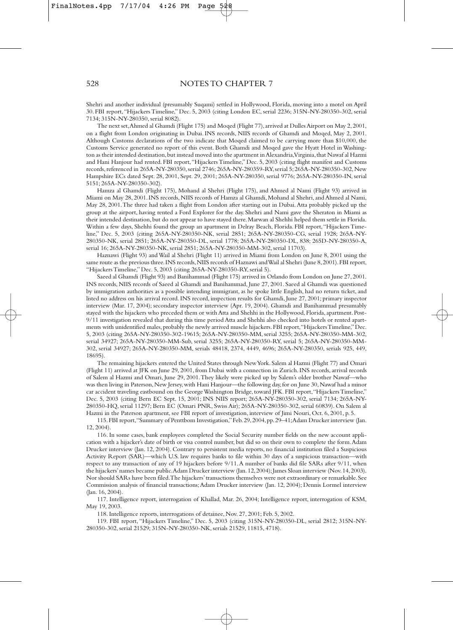Shehri and another individual (presumably Suqami) settled in Hollywood, Florida, moving into a motel on April 30. FBI report,"Hijackers Timeline," Dec. 5, 2003 (citing London EC, serial 2236; 315N-NY-280350-302, serial 7134; 315N-NY-280350, serial 8082).

The next set, Ahmed al Ghamdi (Flight 175) and Moqed (Flight 77), arrived at Dulles Airport on May 2, 2001, on a flight from London originating in Dubai. INS records, NIIS records of Ghamdi and Moqed, May 2, 2001. Although Customs declarations of the two indicate that Moqed claimed to be carrying more than \$10,000, the Customs Service generated no report of this event. Both Ghamdi and Moqed gave the Hyatt Hotel in Washington as their intended destination, but instead moved into the apartment in Alexandria, Virginia, that Nawaf al Hazmi and Hani Hanjour had rented. FBI report,"Hijackers Timeline," Dec. 5, 2003 (citing flight manifest and Customs records,referenced in 265A-NY-280350,serial 2746;265A-NY-280359-RY,serial 5;265A-NY-280350-302,New Hampshire ECs dated Sept. 28, 2001, Sept. 29, 2001; 265A-NY-280350, serial 9776; 265A-NY-280350-IN, serial 5151; 265A-NY-280350-302).

Hamza al Ghamdi (Flight 175), Mohand al Shehri (Flight 175), and Ahmed al Nami (Flight 93) arrived in Miami on May 28, 2001.INS records, NIIS records of Hamza al Ghamdi, Mohand al Shehri, and Ahmed al Nami, May 28, 2001.The three had taken a flight from London after starting out in Dubai. Atta probably picked up the group at the airport, having rented a Ford Explorer for the day. Shehri and Nami gave the Sheraton in Miami as their intended destination, but do not appear to have stayed there.Marwan al Shehhi helped them settle in Florida. Within a few days, Shehhi found the group an apartment in Delray Beach, Florida. FBI report, "Hijackers Timeline," Dec. 5, 2003 (citing 265A-NY-280350-NK, serial 2851; 265A-NY-280350-CG, serial 1928; 265A-NY-280350-NK, serial 2851; 265A-NY-280350-DL, serial 1778; 265A-NY-280350-DL, 838; 265D-NY-280350-A, serial 16; 265A-NY-280350-NK, serial 2851; 265A-NY-280350-MM-302, serial 11703).

Haznawi (Flight 93) and Wail al Shehri (Flight 11) arrived in Miami from London on June 8, 2001 using the same route as the previous three. INS records, NIIS records of Haznawi and Wail al Shehri (June 8, 2001). FBI report, "Hijackers Timeline," Dec. 5, 2003 (citing 265A-NY-280350-RY, serial 5).

Saeed al Ghamdi (Flight 93) and Banihammad (Flight 175) arrived in Orlando from London on June 27,2001. INS records, NIIS records of Saeed al Ghamdi and Banihammad, June 27, 2001. Saeed al Ghamdi was questioned by immigration authorities as a possible intending immigrant, as he spoke little English, had no return ticket, and listed no address on his arrival record. INS record, inspection results for Ghamdi, June 27, 2001; primary inspector interview (Mar. 17, 2004); secondary inspector interview (Apr. 19, 2004). Ghamdi and Banihammad presumably stayed with the hijackers who preceded them or with Atta and Shehhi in the Hollywood, Florida, apartment.Post-9/11 investigation revealed that during this time period Atta and Shehhi also checked into hotels or rented apartments with unidentified males, probably the newly arrived muscle hijackers. FBI report, "Hijackers Timeline," Dec. 5, 2003 (citing 265A-NY-280350-302-19615; 265A-NY-280350-MM, serial 3255; 265A-NY-280350-MM-302, serial 34927; 265A-NY-280350-MM-Sub, serial 3255; 265A-NY-280350-RY, serial 5; 265A-NY-280350-MM-302, serial 34927; 265A-NY-280350-MM, serials 48418, 2374, 4449, 4696; 265A-NY-280350, serials 925, 449, 18695).

The remaining hijackers entered the United States through New York. Salem al Hazmi (Flight 77) and Omari (Flight 11) arrived at JFK on June 29, 2001, from Dubai with a connection in Zurich.INS records, arrival records of Salem al Hazmi and Omari, June 29, 2001.They likely were picked up by Salem's older brother Nawaf—who was then living in Paterson, New Jersey, with Hani Hanjour—the following day, for on June 30, Nawaf had a minor car accident traveling eastbound on the George Washington Bridge, toward JFK. FBI report,"Hijackers Timeline," Dec. 5, 2003 (citing Bern EC Sept. 15, 2001; INS NIIS report; 265A-NY-280350-302, serial 7134; 265A-NY-280350-HQ, serial 11297; Bern EC (Omari PNR, Swiss Air); 265A-NY-280350-302, serial 60839). On Salem al Hazmi in the Paterson apartment, see FBI report of investigation, interview of Jimi Nouri, Oct. 6, 2001, p. 5.

115.FBI report,"Summary of Penttbom Investigation,"Feb.29,2004,pp.29–41;Adam Drucker interview (Jan. 12, 2004).

116. In some cases, bank employees completed the Social Security number fields on the new account application with a hijacker's date of birth or visa control number, but did so on their own to complete the form.Adam Drucker interview (Jan. 12, 2004). Contrary to persistent media reports, no financial institution filed a Suspicious Activity Report (SAR)—which U.S. law requires banks to file within 30 days of a suspicious transaction—with respect to any transaction of any of 19 hijackers before 9/11.A number of banks did file SARs after 9/11, when the hijackers' names became public.Adam Drucker interview (Jan. 12, 2004); James Sloan interview (Nov. 14, 2003). Nor should SARs have been filed.The hijackers'transactions themselves were not extraordinary or remarkable.See Commission analysis of financial transactions;Adam Drucker interview (Jan. 12, 2004); Dennis Lormel interview (Jan. 16, 2004).

117. Intelligence report, interrogation of Khallad, Mar. 26, 2004; Intelligence report, interrogation of KSM, May 19, 2003.

118. Intelligence reports, interrogations of detainee, Nov. 27, 2001; Feb. 5, 2002.

119. FBI report, "Hijackers Timeline," Dec. 5, 2003 (citing 315N-NY-280350-DL, serial 2812; 315N-NY-280350-302, serial 21529; 315N-NY-280350-NK, serials 21529, 11815, 4718).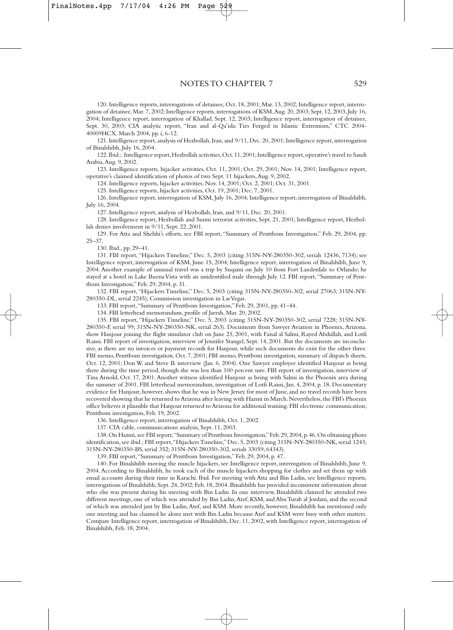120. Intelligence reports, interrogations of detainee, Oct. 18, 2001; Mar. 13, 2002; Intelligence report, interrogation of detainee, Mar. 7, 2002; Intelligence reports, interrogations of KSM,Aug. 20, 2003; Sept. 12, 2003, July 16, 2004; Intelligence report, interrogation of Khallad, Sept. 12, 2003; Intelligence report, interrogation of detainee, Sept. 30, 2003; CIA analytic report, "Iran and al-Qa'ida: Ties Forged in Islamic Extremism," CTC 2004- 40009HCX, March 2004, pp. i, 6-12.

121. Intelligence report, analysis of Hezbollah, Iran, and 9/11, Dec. 20, 2001; Intelligence report, interrogation of Binalshibh, July 16, 2004.

122.Ibid.; Intelligence report,Hezbollah activities,Oct.11,2001;Intelligence report,operative's travel to Saudi Arabia,Aug. 9, 2002.

123. Intelligence reports, hijacker activities, Oct. 11, 2001; Oct. 29, 2001; Nov. 14, 2001; Intelligence report, operative's claimed identification of photos of two Sept. 11 hijackers,Aug. 9, 2002.

124. Intelligence reports, hijacker activities, Nov. 14, 2001; Oct. 2, 2001; Oct. 31, 2001.

125. Intelligence reports, hijacker activities, Oct. 19, 2001; Dec. 7, 2001.

126. Intelligence report, interrogation of KSM, July 16, 2004; Intelligence report; interrogation of Binalshibh, July 16, 2004.

127. Intelligence report, analysis of Hezbollah, Iran, and 9/11, Dec. 20, 2001.

128. Intelligence report, Hezbollah and Sunni terrorist activities, Sept. 21, 2001; Intelligence report, Hezbollah denies involvement in 9/11, Sept. 22, 2001.

129. For Atta and Shehhi's efforts, see FBI report,"Summary of Penttbom Investigation," Feb. 29, 2004, pp. 25–37.

130. Ibid., pp. 29–41.

131. FBI report,"Hijackers Timeline," Dec. 5, 2003 (citing 315N-NY-280350-302, serials 12436, 7134); see Intelligence report, interrogation of KSM, June 15, 2004; Intelligence report, interrogation of Binalshibh, June 9, 2004. Another example of unusual travel was a trip by Suqami on July 10 from Fort Lauderdale to Orlando; he stayed at a hotel in Lake Buena Vista with an unidentified male through July 12. FBI report,"Summary of Penttbom Investigation," Feb. 29, 2004, p. 31.

132. FBI report,"Hijackers Timeline," Dec. 5, 2003 (citing 315N-NY-280350-302, serial 27063; 315N-NY-280350-DL, serial 2245); Commission investigation in Las Vegas.

133. FBI report,"Summary of Penttbom Investigation," Feb. 29, 2001, pp. 41–44.

134. FBI letterhead memorandum, profile of Jarrah, Mar. 20, 2002.

135. FBI report, "Hijackers Timeline," Dec. 5, 2003 (citing 315N-NY-280350-302, serial 7228; 315N-NY-280350-F, serial 99; 315N-NY-280350-NK, serial 263). Documents from Sawyer Aviation in Phoenix, Arizona, show Hanjour joining the flight simulator club on June 23, 2001, with Faisal al Salmi, Rayed Abdullah, and Lotfi Raissi. FBI report of investigation, interview of Jennifer Stangel, Sept. 14, 2001. But the documents are inconclusive, as there are no invoices or payment records for Hanjour, while such documents do exist for the other three. FBI memo, Penttbom investigation, Oct. 7, 2001; FBI memo, Penttbom investigation, summary of dispatch sheets, Oct. 12, 2001; Don W. and Steve B. interview (Jan. 6, 2004). One Sawyer employee identified Hanjour as being there during the time period, though she was less than 100 percent sure. FBI report of investigation, interview of Tina Arnold, Oct. 17, 2001.Another witness identified Hanjour as being with Salmi in the Phoenix area during the summer of 2001. FBI letterhead memorandum, investigation of Lotfi Raissi, Jan. 4, 2004, p. 18. Documentary evidence for Hanjour, however, shows that he was in New Jersey for most of June, and no travel records have been recovered showing that he returned to Arizona after leaving with Hazmi in March.Nevertheless,the FBI's Phoenix office believes it plausible that Hanjour returned to Arizona for additional training.FBI electronic communication, Penttbom investigation, Feb. 19, 2002.

136. Intelligence report, interrogation of Binalshibh, Oct. 1, 2002.

137. CIA cable, communications analysis, Sept. 11, 2003.

138.On Hazmi,see FBI report,"Summary of Penttbom Investigation,"Feb.29,2004,p.46.On obtaining photo identification, see ibid.; FBI report,"Hijackers Timeline," Dec. 5, 2003 (citing 315N-NY-280350-NK, serial 1243; 315N-NY-280350-BS, serial 352; 315N-NY-280350-302, serials 33059, 64343).

139. FBI report,"Summary of Penttbom Investigation," Feb. 29, 2004, p. 47.

140. For Binalshibh moving the muscle hijackers, see Intelligence report, interrogation of Binalshibh, June 9, 2004. According to Binalshibh, he took each of the muscle hijackers shopping for clothes and set them up with email accounts during their time in Karachi. Ibid. For meeting with Atta and Bin Ladin, see Intelligence reports, interrogations of Binalshibh, Sept. 24, 2002; Feb. 18, 2004. Binalshibh has provided inconsistent information about who else was present during his meeting with Bin Ladin. In one interview, Binalshibh claimed he attended two different meetings, one of which was attended by Bin Ladin,Atef, KSM, and Abu Turab al Jordani, and the second of which was attended just by Bin Ladin,Atef, and KSM. More recently, however, Binalshibh has mentioned only one meeting and has claimed he alone met with Bin Ladin because Atef and KSM were busy with other matters. Compare Intelligence report, interrogation of Binalshibh, Dec. 11, 2002, with Intelligence report, interrogation of Binalshibh, Feb. 18, 2004.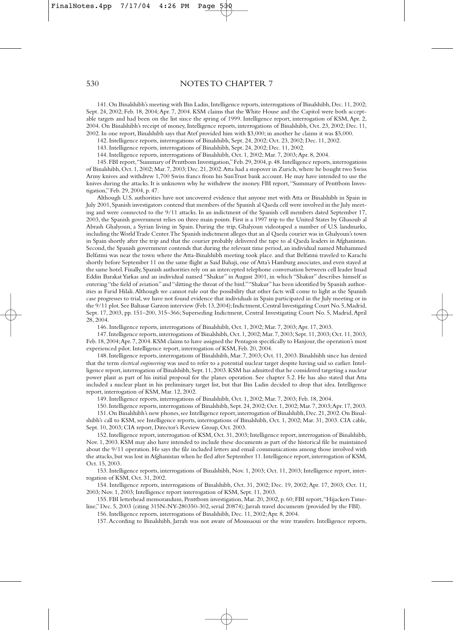141.On Binalshibh's meeting with Bin Ladin,Intelligence reports,interrogations of Binalshibh,Dec.11,2002; Sept. 24, 2002; Feb. 18, 2004;Apr. 7, 2004. KSM claims that the White House and the Capitol were both acceptable targets and had been on the list since the spring of 1999. Intelligence report, interrogation of KSM, Apr. 2, 2004. On Binalshibh's receipt of money, Intelligence reports, interrogations of Binalshibh, Oct. 23, 2002; Dec. 11, 2002. In one report, Binalshibh says that Atef provided him with \$3,000; in another he claims it was \$5,000.

142. Intelligence reports, interrogations of Binalshibh, Sept. 24, 2002; Oct. 23, 2002; Dec. 11, 2002.

143. Intelligence reports, interrogations of Binalshibh, Sept. 24, 2002; Dec. 11, 2002.

144. Intelligence reports, interrogations of Binalshibh, Oct. 1, 2002; Mar. 7, 2003;Apr. 8, 2004.

145.FBI report,"Summary of Penttbom Investigation,"Feb.29,2004,p.48.Intelligence reports,interrogations of Binalshibh, Oct. 1, 2002; Mar. 7, 2003; Dec. 21, 2002.Atta had a stopover in Zurich, where he bought two Swiss Army knives and withdrew 1,700 Swiss francs from his SunTrust bank account. He may have intended to use the knives during the attacks. It is unknown why he withdrew the money. FBI report,"Summary of Penttbom Investigation," Feb. 29, 2004, p. 47.

Although U.S. authorities have not uncovered evidence that anyone met with Atta or Binalshibh in Spain in July 2001,Spanish investigators contend that members of the Spanish al Qaeda cell were involved in the July meeting and were connected to the 9/11 attacks. In an indictment of the Spanish cell members dated September 17, 2003, the Spanish government relies on three main points. First is a 1997 trip to the United States by Ghasoub al Abrash Ghalyoun, a Syrian living in Spain. During the trip, Ghalyoun videotaped a number of U.S. landmarks, including the World Trade Center.The Spanish indictment alleges that an al Qaeda courier was in Ghalyoun's town in Spain shortly after the trip and that the courier probably delivered the tape to al Qaeda leaders in Afghanistan. Second, the Spanish government contends that during the relevant time period, an individual named Muhammed Belfatmi was near the town where the Atta-Binalshibh meeting took place. and that Belfatmi traveled to Karachi shortly before September 11 on the same flight as Said Bahaji, one of Atta's Hamburg associates, and even stayed at the same hotel. Finally, Spanish authorities rely on an intercepted telephone conversation between cell leader Imad Eddin Barakat Yarkas and an individual named "Shakur" in August 2001, in which "Shakur" describes himself as entering "the field of aviation"and "slitting the throat of the bird.""Shakur"has been identified by Spanish authorities as Farid Hilali.Although we cannot rule out the possibility that other facts will come to light as the Spanish case progresses to trial, we have not found evidence that individuals in Spain participated in the July meeting or in the 9/11 plot. See Baltasar Garzon interview (Feb. 13, 2004); Indictment, Central Investigating Court No. 5, Madrid, Sept. 17, 2003, pp. 151–200, 315–366; Superseding Indictment, Central Investigating Court No. 5, Madrid,April 28, 2004.

146. Intelligence reports, interrogations of Binalshibh, Oct. 1, 2002; Mar. 7, 2003;Apr. 17, 2003.

147.Intelligence reports,interrogations of Binalshibh,Oct.1,2002;Mar.7,2003;Sept.11,2003;Oct.11,2003; Feb. 18, 2004;Apr. 7, 2004. KSM claims to have assigned the Pentagon specifically to Hanjour, the operation's most experienced pilot. Intelligence report, interrogation of KSM, Feb. 20, 2004.

148. Intelligence reports, interrogations of Binalshibh, Mar. 7, 2003; Oct. 11, 2003. Binalshibh since has denied that the term *electrical engineering* was used to refer to a potential nuclear target despite having said so earlier. Intelligence report,interrogation of Binalshibh,Sept.11,2003.KSM has admitted that he considered targeting a nuclear power plant as part of his initial proposal for the planes operation. See chapter 5.2. He has also stated that Atta included a nuclear plant in his preliminary target list, but that Bin Ladin decided to drop that idea. Intelligence report, interrogation of KSM, Mar. 12, 2002.

149. Intelligence reports, interrogations of Binalshibh, Oct. 1, 2002; Mar. 7, 2003; Feb. 18, 2004.

150. Intelligence reports, interrogations of Binalshibh, Sept. 24, 2002; Oct. 1, 2002; Mar. 7, 2003;Apr. 17, 2003. 151.On Binalshibh's new phones,see Intelligence report,interrogation of Binalshibh,Dec.21,2002.On Binalshibh's call to KSM, see Intelligence reports, interrogations of Binalshibh, Oct. 1, 2002; Mar. 31, 2003. CIA cable, Sept. 10, 2003; CIA report, Director's Review Group, Oct. 2003.

152. Intelligence report, interrogation of KSM, Oct. 31, 2003; Intelligence report, interrogation of Binalshibh, Nov. 1, 2003. KSM may also have intended to include these documents as part of the historical file he maintained about the 9/11 operation. He says the file included letters and email communications among those involved with the attacks, but was lost in Afghanistan when he fled after September 11. Intelligence report, interrogation of KSM, Oct. 15, 2003.

153. Intelligence reports, interrogations of Binalshibh, Nov. 1, 2003; Oct. 11, 2003; Intelligence report, interrogation of KSM, Oct. 31, 2002.

154. Intelligence reports, interrogations of Binalshibh, Oct. 31, 2002; Dec. 19, 2002; Apr. 17, 2003; Oct. 11, 2003; Nov. 1, 2003; Intelligence report interrogation of KSM, Sept. 11, 2003.

155. FBI letterhead memorandum, Penttbom investigation, Mar. 20, 2002, p. 60; FBI report,"Hijackers Timeline," Dec. 5, 2003 (citing 315N-NY-280350-302, serial 20874); Jarrah travel documents (provided by the FBI).

156. Intelligence reports, interrogations of Binalshibh, Dec. 11, 2002;Apr. 8, 2004.

157. According to Binalshibh, Jarrah was not aware of Moussaoui or the wire transfers. Intelligence reports,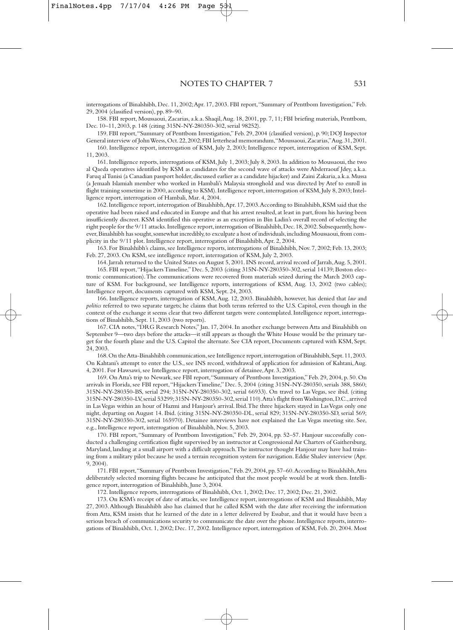interrogations of Binalshibh, Dec. 11, 2002;Apr. 17, 2003. FBI report,"Summary of Penttbom Investigation," Feb. 29, 2004 (classified version), pp. 89–90.

158. FBI report, Moussaoui, Zacarias, a.k.a. Shaqil,Aug. 18, 2001, pp. 7, 11; FBI briefing materials, Penttbom, Dec. 10–11, 2003, p. 148 (citing 315N-NY-280350-302, serial 98252).

159. FBI report,"Summary of Penttbom Investigation," Feb. 29, 2004 (classified version), p. 90; DOJ Inspector General interview of John Weess,Oct.22,2002;FBI letterhead memorandum,"Moussaoui,Zacarias,"Aug.31,2001.

160. Intelligence report, interrogation of KSM, July 2, 2003; Intelligence report, interrogation of KSM, Sept. 11, 2003.

161. Intelligence reports, interrogations of KSM, July 1, 2003; July 8, 2003. In addition to Moussaoui, the two al Qaeda operatives identified by KSM as candidates for the second wave of attacks were Abderraouf Jdey, a.k.a. Faruq al Tunisi (a Canadian passport holder, discussed earlier as a candidate hijacker) and Zaini Zakaria, a.k.a. Mussa (a Jemaah Islamiah member who worked in Hambali's Malaysia stronghold and was directed by Atef to enroll in flight training sometime in 2000, according to KSM). Intelligence report, interrogation of KSM, July 8, 2003; Intelligence report, interrogation of Hambali, Mar. 4, 2004.

162. Intelligence report, interrogation of Binalshibh, Apr. 17, 2003. According to Binalshibh, KSM said that the operative had been raised and educated in Europe and that his arrest resulted, at least in part, from his having been insufficiently discreet. KSM identified this operative as an exception in Bin Ladin's overall record of selecting the right people for the 9/11 attacks. Intelligence report, interrogation of Binalshibh, Dec. 18, 2002. Subsequently, however, Binalshibh has sought, somewhat incredibly, to exculpate a host of individuals, including Moussaoui, from complicity in the 9/11 plot. Intelligence report, interrogation of Binalshibh, Apr. 2, 2004.

163. For Binalshibh's claims, see Intelligence reports, interrogations of Binalshibh, Nov. 7, 2002; Feb. 13, 2003; Feb. 27, 2003. On KSM, see intelligence report, interrogation of KSM, July 2, 2003.

164. Jarrah returned to the United States on August 5, 2001. INS record, arrival record of Jarrah,Aug. 5, 2001.

165. FBI report,"Hijackers Timeline," Dec. 5, 2003 (citing 315N-NY-280350-302, serial 14139; Boston electronic communication).The communications were recovered from materials seized during the March 2003 capture of KSM. For background, see Intelligence reports, interrogations of KSM, Aug. 13, 2002 (two cables); Intelligence report, documents captured with KSM, Sept. 24, 2003.

166. Intelligence reports, interrogation of KSM,Aug. 12, 2003. Binalshibh, however, has denied that *law* and *politics* referred to two separate targets; he claims that both terms referred to the U.S. Capitol, even though in the context of the exchange it seems clear that two different targets were contemplated. Intelligence report, interrogations of Binalshibh, Sept. 11, 2003 (two reports).

167. CIA notes,"DRG Research Notes," Jan. 17, 2004. In another exchange between Atta and Binalshibh on September 9—two days before the attacks—it still appears as though the White House would be the primary target for the fourth plane and the U.S. Capitol the alternate. See CIA report, Documents captured with KSM, Sept. 24, 2003.

168. On the Atta-Binalshibh communication, see Intelligence report, interrogation of Binalshibh, Sept. 11, 2003. On Kahtani's attempt to enter the U.S., see INS record, withdrawal of application for admission of Kahtani,Aug. 4, 2001. For Hawsawi, see Intelligence report, interrogation of detainee,Apr. 3, 2003.

169. On Atta's trip to Newark, see FBI report,"Summary of Penttbom Investigation," Feb. 29, 2004, p. 50. On arrivals in Florida, see FBI report,"Hijackers Timeline," Dec. 5, 2004 (citing 315N-NY-280350, serials 388, 5860; 315N-NY-280350-BS, serial 294; 315N-NY-280350-302, serial 66933). On travel to Las Vegas, see ibid. (citing 315N-NY-280350-LV,serial 53299;315N-NY-280350-302,serial 110).Atta's flight from Washington,D.C.,arrived in Las Vegas within an hour of Hazmi and Hanjour's arrival. Ibid.The three hijackers stayed in Las Vegas only one night, departing on August 14. Ibid. (citing 315N-NY-280350-DL, serial 829; 315N-NY-280350-SD, serial 569; 315N-NY-280350-302, serial 165970). Detainee interviews have not explained the Las Vegas meeting site. See, e.g., Intelligence report, interrogation of Binalshibh, Nov. 5, 2003.

170. FBI report,"Summary of Penttbom Investigation," Feb. 29, 2004, pp. 52–57. Hanjour successfully conducted a challenging certification flight supervised by an instructor at Congressional Air Charters of Gaithersburg, Maryland, landing at a small airport with a difficult approach.The instructor thought Hanjour may have had training from a military pilot because he used a terrain recognition system for navigation. Eddie Shalev interview (Apr. 9, 2004).

171.FBI report,"Summary of Penttbom Investigation,"Feb.29,2004,pp.57–60.According to Binalshibh,Atta deliberately selected morning flights because he anticipated that the most people would be at work then. Intelligence report, interrogation of Binalshibh, June 3, 2004.

172. Intelligence reports, interrogations of Binalshibh, Oct. 1, 2002; Dec. 17, 2002; Dec. 21, 2002.

173. On KSM's receipt of date of attacks, see Intelligence report, interrogations of KSM and Binalshibh, May 27, 2003.Although Binalshibh also has claimed that he called KSM with the date after receiving the information from Atta, KSM insists that he learned of the date in a letter delivered by Essabar, and that it would have been a serious breach of communications security to communicate the date over the phone. Intelligence reports, interrogations of Binalshibh, Oct. 1, 2002; Dec. 17, 2002. Intelligence report, interrogation of KSM, Feb. 20, 2004. Most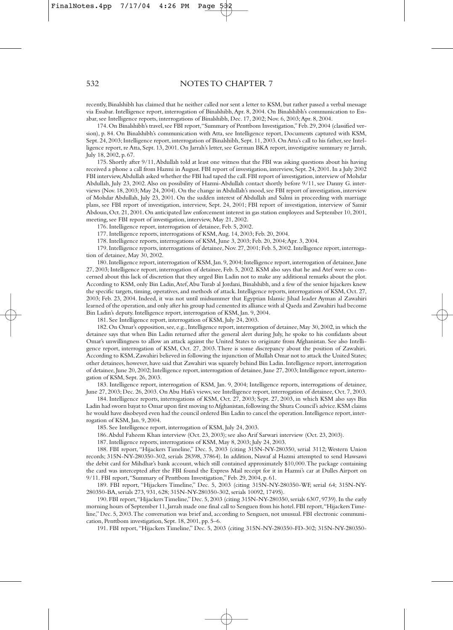recently, Binalshibh has claimed that he neither called nor sent a letter to KSM, but rather passed a verbal message via Essabar. Intelligence report, interrogation of Binalshibh,Apr. 8, 2004. On Binalshibh's communication to Essabar, see Intelligence reports, interrogations of Binalshibh, Dec. 17, 2002; Nov. 6, 2003;Apr. 8, 2004.

174.On Binalshibh's travel,see FBI report,"Summary of Penttbom Investigation,"Feb.29,2004 (classified version), p. 84. On Binalshibh's communication with Atta, see Intelligence report, Documents captured with KSM, Sept. 24, 2003; Intelligence report, interrogation of Binalshibh, Sept. 11, 2003. On Atta's call to his father, see Intelligence report, re Atta, Sept. 13, 2001. On Jarrah's letter, see German BKA report, investigative summary re Jarrah, July 18, 2002, p. 67.

175. Shortly after 9/11,Abdullah told at least one witness that the FBI was asking questions about his having received a phone a call from Hazmi in August. FBI report of investigation, interview, Sept. 24, 2001. In a July 2002 FBI interview, Abdullah asked whether the FBI had taped the call. FBI report of investigation, interview of Mohdar Abdullah, July 23, 2002.Also on possibility of Hazmi-Abdullah contact shortly before 9/11, see Danny G. interviews (Nov. 18, 2003; May 24, 2004). On the change in Abdullah's mood, see FBI report of investigation, interview of Mohdar Abdullah, July 23, 2001. On the sudden interest of Abdullah and Salmi in proceeding with marriage plans, see FBI report of investigation, interview, Sept. 24, 2001; FBI report of investigation, interview of Samir Abdoun, Oct. 21, 2001. On anticipated law enforcement interest in gas station employees and September 10, 2001, meeting, see FBI report of investigation, interview, May 21, 2002.

176. Intelligence report, interrogation of detainee, Feb. 5, 2002.

177. Intelligence reports, interrogations of KSM,Aug. 14, 2003; Feb. 20, 2004.

178. Intelligence reports, interrogations of KSM, June 3, 2003; Feb. 20, 2004;Apr. 3, 2004.

179. Intelligence reports, interrogations of detainee, Nov. 27, 2001; Feb. 5, 2002. Intelligence report, interrogation of detainee, May 30, 2002.

180. Intelligence report, interrogation of KSM, Jan. 9, 2004; Intelligence report, interrogation of detainee, June 27, 2003; Intelligence report, interrogation of detainee, Feb. 5, 2002. KSM also says that he and Atef were so concerned about this lack of discretion that they urged Bin Ladin not to make any additional remarks about the plot. According to KSM, only Bin Ladin,Atef,Abu Turab al Jordani, Binalshibh, and a few of the senior hijackers knew the specific targets, timing, operatives, and methods of attack. Intelligence reports, interrogations of KSM, Oct. 27, 2003; Feb. 23, 2004. Indeed, it was not until midsummer that Egyptian Islamic Jihad leader Ayman al Zawahiri learned of the operation,and only after his group had cemented its alliance with al Qaeda and Zawahiri had become Bin Ladin's deputy. Intelligence report, interrogation of KSM, Jan. 9, 2004.

181. See Intelligence report, interrogation of KSM, July 24, 2003.

182.On Omar's opposition,see,e.g.,Intelligence report,interrogation of detainee,May 30,2002,in which the detainee says that when Bin Ladin returned after the general alert during July, he spoke to his confidants about Omar's unwillingness to allow an attack against the United States to originate from Afghanistan. See also Intelligence report, interrogation of KSM, Oct. 27, 2003. There is some discrepancy about the position of Zawahiri. According to KSM,Zawahiri believed in following the injunction of Mullah Omar not to attack the United States; other detainees, however, have said that Zawahiri was squarely behind Bin Ladin. Intelligence report, interrogation of detainee, June 20, 2002; Intelligence report, interrogation of detainee, June 27, 2003; Intelligence report, interrogation of KSM, Sept. 26, 2003.

183. Intelligence report, interrogation of KSM, Jan. 9, 2004; Intelligence reports, interrogations of detainee, June 27, 2003; Dec. 26, 2003. On Abu Hafs's views, see Intelligence report, interrogation of detainee, Oct. 7, 2003.

184. Intelligence reports, interrogations of KSM, Oct. 27, 2003; Sept. 27, 2003, in which KSM also says Bin Ladin had sworn bayat to Omar upon first moving to Afghanistan,following the Shura Council's advice.KSM claims he would have disobeyed even had the council ordered Bin Ladin to cancel the operation. Intelligence report, interrogation of KSM, Jan. 9, 2004.

185. See Intelligence report, interrogation of KSM, July 24, 2003.

186.Abdul Faheem Khan interview (Oct. 23, 2003); see also Arif Sarwari interview (Oct. 23, 2003).

187. Intelligence reports, interrogations of KSM, May 8, 2003; July 24, 2003.

188. FBI report, "Hijackers Timeline," Dec. 5, 2003 (citing 315N-NY-280350, serial 3112; Western Union records; 315N-NY-280350-302, serials 28398, 37864). In addition, Nawaf al Hazmi attempted to send Hawsawi the debit card for Mihdhar's bank account, which still contained approximately \$10,000.The package containing the card was intercepted after the FBI found the Express Mail receipt for it in Hazmi's car at Dulles Airport on 9/11. FBI report,"Summary of Penttbom Investigation," Feb. 29, 2004, p. 61.

189. FBI report, "Hijackers Timeline," Dec. 5, 2003 (citing 315N-NY-280350-WF, serial 64; 315N-NY-280350-BA, serials 273, 931, 628; 315N-NY-280350-302, serials 10092, 17495).

190. FBI report,"Hijackers Timeline," Dec. 5, 2003 (citing 315N-NY-280350, serials 6307, 9739). In the early morning hours of September 11,Jarrah made one final call to Senguen from his hotel.FBI report,"Hijackers Timeline," Dec. 5, 2003.The conversation was brief and, according to Senguen, not unusual. FBI electronic communication, Penttbom investigation, Sept. 18, 2001, pp. 5–6.

191. FBI report,"Hijackers Timeline," Dec. 5, 2003 (citing 315N-NY-280350-FD-302; 315N-NY-280350-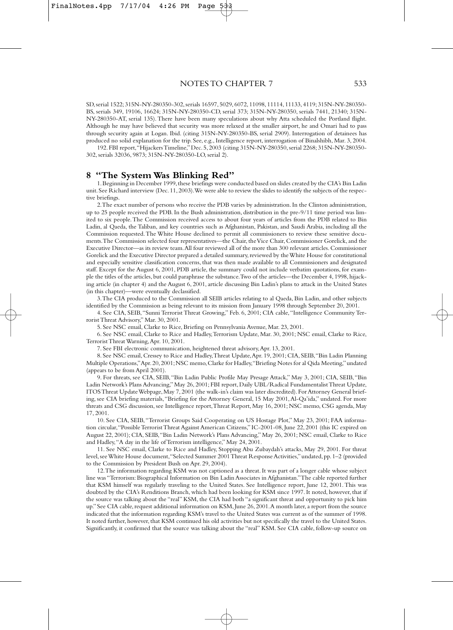SD, serial 1522; 315N-NY-280350-302, serials 16597, 5029, 6072, 11098, 11114, 11133, 4119; 315N-NY-280350- BS, serials 349, 19106, 16624; 315N-NY-280350-CD, serial 373; 315N-NY-280350, serials 7441, 21340; 315N-NY-280350-AT, serial 135). There have been many speculations about why Atta scheduled the Portland flight. Although he may have believed that security was more relaxed at the smaller airport, he and Omari had to pass through security again at Logan. Ibid. (citing 315N-NY-280350-BS, serial 2909). Interrogation of detainees has produced no solid explanation for the trip. See, e.g., Intelligence report, interrogation of Binalshibh, Mar. 3, 2004.

192.FBI report,"Hijackers Timeline,"Dec.5,2003 (citing 315N-NY-280350,serial 2268;315N-NY-280350- 302, serials 32036, 9873; 315N-NY-280350-LO, serial 2).

## **8 "The System Was Blinking Red"**

1. Beginning in December 1999, these briefings were conducted based on slides created by the CIA's Bin Ladin unit.See Richard interview (Dec.11,2003).We were able to review the slides to identify the subjects of the respective briefings.

2.The exact number of persons who receive the PDB varies by administration. In the Clinton administration, up to 25 people received the PDB. In the Bush administration, distribution in the pre-9/11 time period was limited to six people.The Commission received access to about four years of articles from the PDB related to Bin Ladin, al Qaeda, the Taliban, and key countries such as Afghanistan, Pakistan, and Saudi Arabia, including all the Commission requested.The White House declined to permit all commissioners to review these sensitive documents.The Commission selected four representatives—the Chair, the Vice Chair, Commissioner Gorelick, and the Executive Director—as its review team.All four reviewed all of the more than 300 relevant articles. Commissioner Gorelick and the Executive Director prepared a detailed summary,reviewed by the White House for constitutional and especially sensitive classification concerns, that was then made available to all Commissioners and designated staff. Except for the August 6, 2001, PDB article, the summary could not include verbatim quotations, for example the titles of the articles, but could paraphrase the substance.Two of the articles—the December 4, 1998, hijacking article (in chapter 4) and the August 6, 2001, article discussing Bin Ladin's plans to attack in the United States (in this chapter)—were eventually declassified.

3.The CIA produced to the Commission all SEIB articles relating to al Qaeda, Bin Ladin, and other subjects identified by the Commission as being relevant to its mission from January 1998 through September 20, 2001.

4. See CIA, SEIB,"Sunni Terrorist Threat Growing," Feb. 6, 2001; CIA cable,"Intelligence Community Terrorist Threat Advisory," Mar. 30, 2001.

5. See NSC email, Clarke to Rice, Briefing on Pennsylvania Avenue, Mar. 23, 2001.

6. See NSC email, Clarke to Rice and Hadley,Terrorism Update, Mar. 30, 2001; NSC email, Clarke to Rice, Terrorist Threat Warning,Apr. 10, 2001.

7. See FBI electronic communication, heightened threat advisory,Apr. 13, 2001.

8. See NSC email, Cressey to Rice and Hadley,Threat Update,Apr. 19, 2001; CIA, SEIB,"Bin Ladin Planning Multiple Operations,"Apr.20,2001;NSC memo,Clarke for Hadley,"Briefing Notes for al Qida Meeting,"undated (appears to be from April 2001).

9. For threats, see CIA, SEIB,"Bin Ladin Public Profile May Presage Attack," May 3, 2001; CIA, SEIB,"Bin Ladin Network's Plans Advancing," May 26, 2001; FBI report, Daily UBL/Radical Fundamentalist Threat Update, ITOS Threat Update Webpage,May 7,2001 (the walk-in's claim was later discredited).For Attorney General briefing, see CIA briefing materials,"Briefing for the Attorney General, 15 May 2001,Al-Qa'ida," undated. For more threats and CSG discussion, see Intelligence report,Threat Report, May 16, 2001; NSC memo, CSG agenda, May 17, 2001.

10. See CIA, SEIB,"Terrorist Groups Said Cooperating on US Hostage Plot," May 23, 2001; FAA information circular,"Possible Terrorist Threat Against American Citizens," IC-2001-08, June 22, 2001 (this IC expired on August 22, 2001); CIA, SEIB,"Bin Ladin Network's Plans Advancing," May 26, 2001; NSC email, Clarke to Rice and Hadley,"A day in the life of Terrorism intelligence," May 24, 2001.

11. See NSC email, Clarke to Rice and Hadley, Stopping Abu Zubaydah's attacks, May 29, 2001. For threat level, see White House document, "Selected Summer 2001 Threat Response Activities," undated, pp. 1-2 (provided to the Commission by President Bush on Apr. 29, 2004).

12.The information regarding KSM was not captioned as a threat. It was part of a longer cable whose subject line was "Terrorism: Biographical Information on Bin Ladin Associates in Afghanistan."The cable reported further that KSM himself was regularly traveling to the United States. See Intelligence report, June 12, 2001.This was doubted by the CIA's Renditions Branch, which had been looking for KSM since 1997. It noted, however, that if the source was talking about the "real" KSM, the CIA had both "a significant threat and opportunity to pick him up." See CIA cable, request additional information on KSM, June 26, 2001.A month later, a report from the source indicated that the information regarding KSM's travel to the United States was current as of the summer of 1998. It noted further, however, that KSM continued his old activities but not specifically the travel to the United States. Significantly, it confirmed that the source was talking about the "real" KSM. See CIA cable, follow-up source on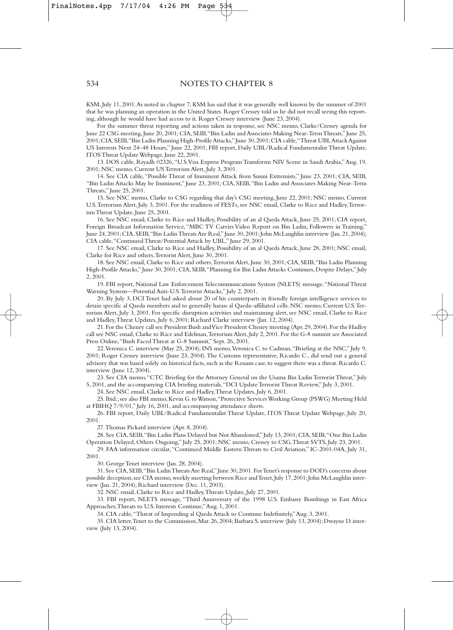KSM, July 11, 2001.As noted in chapter 7, KSM has said that it was generally well known by the summer of 2001 that he was planning an operation in the United States. Roger Cressey told us he did not recall seeing this reporting, although he would have had access to it. Roger Cressey interview (June 23, 2004).

For the summer threat reporting and actions taken in response, see NSC memo, Clarke/Cressey agenda for June 22 CSG meeting, June 20, 2001; CIA, SEIB,"Bin Ladin and Associates Making Near-Term Threats," June 25, 2001;CIA,SEIB,"Bin Ladin Planning High-Profile Attacks,"June 30,2001;CIA cable,"Threat UBL Attack Against US Interests Next 24–48 Hours," June 22, 2001; FBI report, Daily UBL/Radical Fundamentalist Threat Update, ITOS Threat Update Webpage, June 22, 2001.

13. DOS cable, Riyadh 02326,"U.S.Visa Express Program Transforms NIV Scene in Saudi Arabia,"Aug. 19, 2001; NSC memo, Current US Terrorism Alert, July 3, 2001.

14. See CIA cable,"Possible Threat of Imminent Attack from Sunni Extremists," June 23, 2001; CIA, SEIB, "Bin Ladin Attacks May be Imminent," June 23, 2001; CIA, SEIB,"Bin Ladin and Associates Making Near-Term Threats," June 25, 2001.

15. See NSC memo, Clarke to CSG regarding that day's CSG meeting, June 22, 2001; NSC memo, Current U.S.Terrorism Alert, July 3, 2001. For the readiness of FESTs, see NSC email, Clarke to Rice and Hadley,Terrorism Threat Update, June 25, 2001.

16. See NSC email, Clarke to Rice and Hadley, Possibility of an al Qaeda Attack, June 25, 2001; CIA report, Foreign Broadcast Information Service, "MBC TV Carries Video Report on Bin Ladin, Followers in Training," June 24,2001;CIA,SEIB,"Bin Ladin Threats Are Real,"June 30,2001;John McLaughlin interview (Jan.21,2004); CIA cable,"Continued Threat/Potential Attack by UBL," June 29, 2001.

17. See NSC email, Clarke to Rice and Hadley, Possibility of an al Qaeda Attack, June 28, 2001; NSC email, Clarke for Rice and others,Terrorist Alert, June 30, 2001.

18. See NSC email, Clarke to Rice and others,Terrorist Alert, June 30, 2001; CIA, SEIB,"Bin Ladin Planning High-Profile Attacks," June 30, 2001; CIA, SEIB,"Planning for Bin Ladin Attacks Continues, Despite Delays," July 2, 2001.

19. FBI report, National Law Enforcement Telecommunications System (NLETS) message,"National Threat Warning System—Potential Anti-U.S.Terrorist Attacks," July 2, 2001.

20. By July 3, DCI Tenet had asked about 20 of his counterparts in friendly foreign intelligence services to detain specific al Qaeda members and to generally harass al Qaeda–affiliated cells. NSC memo, Current U.S.Terrorism Alert, July 3, 2001. For specific disruption activities and maintaining alert, see NSC email, Clarke to Rice and Hadley,Threat Updates, July 6, 2001; Richard Clarke interview (Jan. 12, 2004).

21.For the Cheney call see President Bush and Vice President Cheney meeting (Apr.29,2004).For the Hadley call see NSC email, Clarke to Rice and Edelman,Terrorism Alert, July 2, 2001. For the G-8 summit see Associated Press Online,"Bush Faced Threat at G-8 Summit," Sept. 26, 2001.

22.Veronica C. interview (May 25, 2004); INS memo,Veronica C. to Cadman,"Briefing at the NSC," July 9, 2001; Roger Cressey interview (June 23, 2004).The Customs representative, Ricardo C., did send out a general advisory that was based solely on historical facts, such as the Ressam case, to suggest there was a threat. Ricardo C. interview (June 12, 2004).

23. See CIA memo,"CTC Briefing for the Attorney General on the Usama Bin Ladin Terrorist Threat," July 5, 2001, and the accompanying CIA briefing materials,"DCI Update Terrorist Threat Review," July 3, 2001.

24. See NSC email, Clarke to Rice and Hadley,Threat Updates, July 6, 2001.

25.Ibid.;see also FBI memo,Kevin G.to Watson,"Protective Services Working Group (PSWG) Meeting Held at FBIHQ 7/9/01," July 16, 2001, and accompanying attendance sheets.

26. FBI report, Daily UBL/Radical Fundamentalist Threat Update, ITOS Threat Update Webpage, July 20, 2001.

27.Thomas Pickard interview (Apr. 8, 2004).

28. See CIA, SEIB,"Bin Ladin Plans Delayed but Not Abandoned," July 13, 2001; CIA, SEIB,"One Bin Ladin Operation Delayed, Others Ongoing," July 25, 2001; NSC memo, Cressey to CSG,Threat SVTS, July 23, 2001.

29. FAA information circular,"Continued Middle Eastern Threats to Civil Aviation," IC-2001-04A, July 31, 2001.

30. George Tenet interview (Jan. 28, 2004).

31.See CIA,SEIB,"Bin Ladin Threats Are Real,"June 30,2001.For Tenet's response to DOD's concerns about possible deception, see CIA memo, weekly meeting between Rice and Tenet, July 17, 2001; John McLaughlin interview (Jan. 21, 2004); Richard interview (Dec. 11, 2003).

32. NSC email, Clarke to Rice and Hadley,Threats Update, July 27, 2001.

33. FBI report, NLETS message, "Third Anniversary of the 1998 U.S. Embassy Bombings in East Africa Approaches;Threats to U.S. Interests Continue,"Aug. 1, 2001.

34. CIA cable,"Threat of Impending al Qaeda Attack to Continue Indefinitely,"Aug. 3, 2001.

35. CIA letter,Tenet to the Commission, Mar. 26, 2004; Barbara S. interview (July 13, 2004); Dwayne D. interview (July 13, 2004).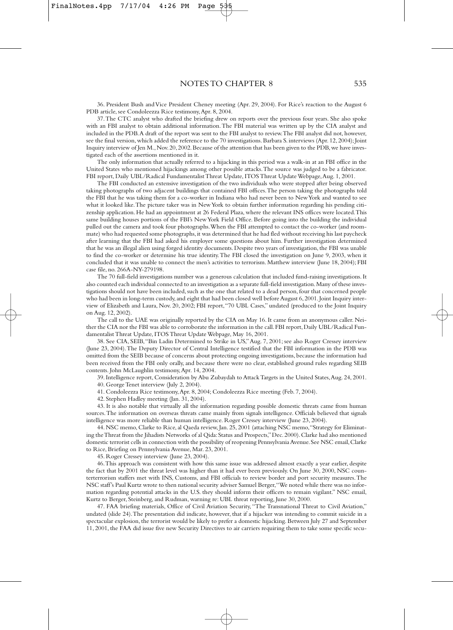36. President Bush and Vice President Cheney meeting (Apr. 29, 2004). For Rice's reaction to the August 6 PDB article, see Condoleezza Rice testimony,Apr. 8, 2004.

37.The CTC analyst who drafted the briefing drew on reports over the previous four years. She also spoke with an FBI analyst to obtain additional information.The FBI material was written up by the CIA analyst and included in the PDB.A draft of the report was sent to the FBI analyst to review.The FBI analyst did not, however, see the final version, which added the reference to the 70 investigations. Barbara S. interviews (Apr. 12, 2004); Joint Inquiry interview of Jen M.,Nov.20,2002.Because of the attention that has been given to the PDB,we have investigated each of the assertions mentioned in it.

The only information that actually referred to a hijacking in this period was a walk-in at an FBI office in the United States who mentioned hijackings among other possible attacks.The source was judged to be a fabricator. FBI report, Daily UBL/Radical Fundamentalist Threat Update, ITOS Threat Update Webpage, Aug. 1, 2001.

The FBI conducted an extensive investigation of the two individuals who were stopped after being observed taking photographs of two adjacent buildings that contained FBI offices.The person taking the photographs told the FBI that he was taking them for a co-worker in Indiana who had never been to New York and wanted to see what it looked like.The picture taker was in New York to obtain further information regarding his pending citizenship application. He had an appointment at 26 Federal Plaza, where the relevant INS offices were located.This same building houses portions of the FBI's New York Field Office. Before going into the building the individual pulled out the camera and took four photographs.When the FBI attempted to contact the co-worker (and roommate) who had requested some photographs, it was determined that he had fled without receiving his last paycheck after learning that the FBI had asked his employer some questions about him. Further investigation determined that he was an illegal alien using forged identity documents. Despite two years of investigation, the FBI was unable to find the co-worker or determine his true identity.The FBI closed the investigation on June 9, 2003, when it concluded that it was unable to connect the men's activities to terrorism. Matthew interview (June 18, 2004); FBI case file, no. 266A-NY-279198.

The 70 full-field investigations number was a generous calculation that included fund-raising investigations. It also counted each individual connected to an investigation as a separate full-field investigation.Many of these investigations should not have been included, such as the one that related to a dead person, four that concerned people who had been in long-term custody, and eight that had been closed well before August 6, 2001. Joint Inquiry interview of Elizabeth and Laura, Nov. 20, 2002; FBI report,"70 UBL Cases," undated (produced to the Joint Inquiry on Aug. 12, 2002).

The call to the UAE was originally reported by the CIA on May 16. It came from an anonymous caller. Neither the CIA nor the FBI was able to corroborate the information in the call.FBI report,Daily UBL/Radical Fundamentalist Threat Update, ITOS Threat Update Webpage, May 16, 2001.

38. See CIA, SEIB,"Bin Ladin Determined to Strike in US,"Aug. 7, 2001; see also Roger Cressey interview (June 23, 2004).The Deputy Director of Central Intelligence testified that the FBI information in the PDB was omitted from the SEIB because of concerns about protecting ongoing investigations, because the information had been received from the FBI only orally, and because there were no clear, established ground rules regarding SEIB contents. John McLaughlin testimony,Apr. 14, 2004.

39. Intelligence report, Consideration by Abu Zubaydah to Attack Targets in the United States,Aug. 24, 2001.

40. George Tenet interview (July 2, 2004).

41. Condoleezza Rice testimony,Apr. 8, 2004; Condoleezza Rice meeting (Feb. 7, 2004).

42. Stephen Hadley meeting (Jan. 31, 2004).

43. It is also notable that virtually all the information regarding possible domestic threats came from human sources.The information on overseas threats came mainly from signals intelligence. Officials believed that signals intelligence was more reliable than human intelligence. Roger Cressey interview (June 23, 2004).

44. NSC memo, Clarke to Rice, al Qaeda review, Jan. 25, 2001 (attaching NSC memo,"Strategy for Eliminating the Threat from the Jihadists Networks of al Qida:Status and Prospects,"Dec.2000).Clarke had also mentioned domestic terrorist cells in connection with the possibility of reopening Pennsylvania Avenue. See NSC email, Clarke to Rice, Briefing on Pennsylvania Avenue, Mar. 23, 2001.

45. Roger Cressey interview (June 23, 2004).

46.This approach was consistent with how this same issue was addressed almost exactly a year earlier, despite the fact that by 2001 the threat level was higher than it had ever been previously. On June 30, 2000, NSC counterterrorism staffers met with INS, Customs, and FBI officials to review border and port security measures.The NSC staff's Paul Kurtz wrote to then national security adviser Samuel Berger,"We noted while there was no information regarding potential attacks in the U.S. they should inform their officers to remain vigilant." NSC email, Kurtz to Berger, Steinberg, and Rudman, warning re: UBL threat reporting, June 30, 2000.

47. FAA briefing materials, Office of Civil Aviation Security, "The Transnational Threat to Civil Aviation," undated (slide 24).The presentation did indicate, however, that if a hijacker was intending to commit suicide in a spectacular explosion, the terrorist would be likely to prefer a domestic hijacking. Between July 27 and September 11, 2001, the FAA did issue five new Security Directives to air carriers requiring them to take some specific secu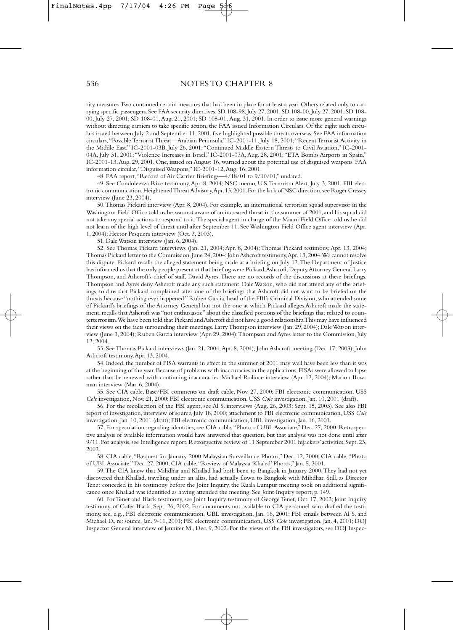rity measures.Two continued certain measures that had been in place for at least a year. Others related only to carrying specific passengers.See FAA security directives,SD 108-98,July 27,2001;SD 108-00,July 27,2001;SD 108- 00, July 27, 2001; SD 108-01,Aug. 21, 2001; SD 108-01, Aug. 31, 2001. In order to issue more general warnings without directing carriers to take specific action, the FAA issued Information Circulars. Of the eight such circulars issued between July 2 and September 11, 2001, five highlighted possible threats overseas. See FAA information circulars,"Possible Terrorist Threat—Arabian Peninsula," IC-2001-11, July 18, 2001;"Recent Terrorist Activity in the Middle East," IC-2001-03B, July 26, 2001;"Continued Middle Eastern Threats to Civil Aviation," IC-2001- 04A, July 31, 2001;"Violence Increases in Israel," IC-2001-07A,Aug. 28, 2001;"ETA Bombs Airports in Spain," IC-2001-13,Aug. 29, 2001. One, issued on August 16, warned about the potential use of disguised weapons. FAA information circular,"Disguised Weapons," IC-2001-12,Aug. 16, 2001.

48. FAA report,"Record of Air Carrier Briefings—4/18/01 to 9/10/01," undated.

49. See Condoleezza Rice testimony,Apr. 8, 2004; NSC memo, U.S.Terrorism Alert, July 3, 2001; FBI electronic communication,Heightened Threat Advisory,Apr.13,2001.For the lack of NSC direction,see Roger Cressey interview (June 23, 2004).

50.Thomas Pickard interview (Apr. 8, 2004). For example, an international terrorism squad supervisor in the Washington Field Office told us he was not aware of an increased threat in the summer of 2001, and his squad did not take any special actions to respond to it.The special agent in charge of the Miami Field Office told us he did not learn of the high level of threat until after September 11. See Washington Field Office agent interview (Apr. 1, 2004); Hector Pesquera interview (Oct. 3, 2003).

51. Dale Watson interview (Jan. 6, 2004).

52. See Thomas Pickard interviews (Jan. 21, 2004; Apr. 8, 2004); Thomas Pickard testimony, Apr. 13, 2004; Thomas Pickard letter to the Commission,June 24,2004;John Ashcroft testimony,Apr.13,2004.We cannot resolve this dispute. Pickard recalls the alleged statement being made at a briefing on July 12.The Department of Justice has informed us that the only people present at that briefing were Pickard,Ashcroft,Deputy Attorney General Larry Thompson, and Ashcroft's chief of staff, David Ayres.There are no records of the discussions at these briefings. Thompson and Ayres deny Ashcroft made any such statement. Dale Watson, who did not attend any of the briefings, told us that Pickard complained after one of the briefings that Ashcroft did not want to be briefed on the threats because "nothing ever happened." Ruben Garcia, head of the FBI's Criminal Division, who attended some of Pickard's briefings of the Attorney General but not the one at which Pickard alleges Ashcroft made the statement, recalls that Ashcroft was "not enthusiastic" about the classified portions of the briefings that related to counterterrorism.We have been told that Pickard and Ashcroft did not have a good relationship.This may have influenced their views on the facts surrounding their meetings. Larry Thompson interview (Jan. 29, 2004); Dale Watson interview (June 3, 2004); Ruben Garcia interview (Apr. 29, 2004);Thompson and Ayres letter to the Commission, July 12, 2004.

53. See Thomas Pickard interviews (Jan. 21, 2004;Apr. 8, 2004); John Ashcroft meeting (Dec. 17, 2003); John Ashcroft testimony,Apr. 13, 2004.

54. Indeed, the number of FISA warrants in effect in the summer of 2001 may well have been less than it was at the beginning of the year.Because of problems with inaccuracies in the applications,FISAs were allowed to lapse rather than be renewed with continuing inaccuracies. Michael Rolince interview (Apr. 12, 2004); Marion Bowman interview (Mar. 6, 2004).

55. See CIA cable, Base/FBI comments on draft cable, Nov. 27, 2000; FBI electronic communication, USS *Cole* investigation, Nov. 21, 2000; FBI electronic communication, USS *Cole* investigation, Jan. 10, 2001 (draft).

56. For the recollection of the FBI agent, see Al S. interviews (Aug. 26, 2003; Sept. 15, 2003). See also FBI report of investigation, interview of source, July 18, 2000; attachment to FBI electronic communication, USS *Cole* investigation, Jan. 10, 2001 (draft); FBI electronic communication, UBL investigation, Jan. 16, 2001.

57. For speculation regarding identities, see CIA cable,"Photo of UBL Associate," Dec. 27, 2000. Retrospective analysis of available information would have answered that question, but that analysis was not done until after 9/11.For analysis,see Intelligence report,Retrospective review of 11 September 2001 hijackers'activities,Sept.23, 2002.

58. CIA cable,"Request for January 2000 Malaysian Surveillance Photos," Dec. 12, 2000; CIA cable,"Photo of UBL Associate," Dec. 27, 2000; CIA cable,"Review of Malaysia 'Khaled' Photos," Jan. 5, 2001.

59.The CIA knew that Mihdhar and Khallad had both been to Bangkok in January 2000.They had not yet discovered that Khallad, traveling under an alias, had actually flown to Bangkok with Mihdhar. Still, as Director Tenet conceded in his testimony before the Joint Inquiry, the Kuala Lumpur meeting took on additional significance once Khallad was identified as having attended the meeting. See Joint Inquiry report, p. 149.

60. For Tenet and Black testimony, see Joint Inquiry testimony of George Tenet, Oct. 17, 2002; Joint Inquiry testimony of Cofer Black, Sept. 26, 2002. For documents not available to CIA personnel who drafted the testimony, see, e.g., FBI electronic communication, UBL investigation, Jan. 16, 2001; FBI emails between Al S. and Michael D., re: source, Jan. 9-11, 2001; FBI electronic communication, USS *Cole* investigation, Jan. 4, 2001; DOJ Inspector General interview of Jennifer M., Dec. 9, 2002. For the views of the FBI investigators, see DOJ Inspec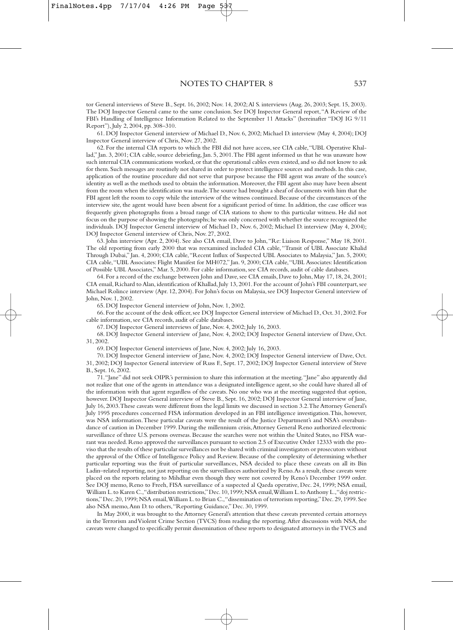tor General interviews of Steve B., Sept. 16, 2002; Nov. 14, 2002;Al S. interviews (Aug. 26, 2003; Sept. 15, 2003). The DOJ Inspector General came to the same conclusion. See DOJ Inspector General report,"A Review of the FBI's Handling of Intelligence Information Related to the September 11 Attacks" (hereinafter "DOJ IG 9/11 Report"), July 2, 2004, pp. 308–310.

61. DOJ Inspector General interview of Michael D., Nov. 6, 2002; Michael D. interview (May 4, 2004); DOJ Inspector General interview of Chris, Nov. 27, 2002.

62. For the internal CIA reports to which the FBI did not have access, see CIA cable,"UBL Operative Khallad," Jan. 3, 2001; CIA cable, source debriefing, Jan. 5, 2001.The FBI agent informed us that he was unaware how such internal CIA communications worked, or that the operational cables even existed, and so did not know to ask for them. Such messages are routinely not shared in order to protect intelligence sources and methods. In this case, application of the routine procedure did not serve that purpose because the FBI agent was aware of the source's identity as well as the methods used to obtain the information. Moreover, the FBI agent also may have been absent from the room when the identification was made.The source had brought a sheaf of documents with him that the FBI agent left the room to copy while the interview of the witness continued. Because of the circumstances of the interview site, the agent would have been absent for a significant period of time. In addition, the case officer was frequently given photographs from a broad range of CIA stations to show to this particular witness. He did not focus on the purpose of showing the photographs;he was only concerned with whether the source recognized the individuals. DOJ Inspector General interview of Michael D., Nov. 6, 2002; Michael D. interview (May 4, 2004); DOJ Inspector General interview of Chris, Nov. 27, 2002.

63. John interview (Apr. 2, 2004). See also CIA email, Dave to John,"Re: Liaison Response," May 18, 2001. The old reporting from early 2000 that was reexamined included CIA cable, "Transit of UBL Associate Khalid Through Dubai," Jan. 4, 2000; CIA cable,"Recent Influx of Suspected UBL Associates to Malaysia," Jan. 5, 2000; CIA cable,"UBL Associates: Flight Manifest for MH072," Jan. 9, 2000; CIA cable,"UBL Associates: Identification of Possible UBL Associates," Mar. 5, 2000. For cable information, see CIA records, audit of cable databases.

64. For a record of the exchange between John and Dave, see CIA emails, Dave to John, May 17, 18, 24, 2001; CIA email, Richard to Alan, identification of Khallad, July 13, 2001. For the account of John's FBI counterpart, see Michael Rolince interview (Apr. 12, 2004). For John's focus on Malaysia, see DOJ Inspector General interview of John, Nov. 1, 2002.

65. DOJ Inspector General interview of John, Nov. 1, 2002.

66. For the account of the desk officer, see DOJ Inspector General interview of Michael D., Oct. 31, 2002. For cable information, see CIA records, audit of cable databases.

67. DOJ Inspector General interviews of Jane, Nov. 4, 2002; July 16, 2003.

68. DOJ Inspector General interview of Jane, Nov. 4, 2002; DOJ Inspector General interview of Dave, Oct. 31, 2002.

69. DOJ Inspector General interviews of Jane, Nov. 4, 2002; July 16, 2003.

70. DOJ Inspector General interview of Jane, Nov. 4, 2002; DOJ Inspector General interview of Dave, Oct. 31, 2002; DOJ Inspector General interview of Russ F., Sept. 17, 2002; DOJ Inspector General interview of Steve B., Sept. 16, 2002.

71."Jane" did not seek OIPR's permission to share this information at the meeting."Jane" also apparently did not realize that one of the agents in attendance was a designated intelligence agent, so she could have shared all of the information with that agent regardless of the caveats. No one who was at the meeting suggested that option, however. DOJ Inspector General interview of Steve B., Sept. 16, 2002; DOJ Inspector General interview of Jane, July 16, 2003.These caveats were different from the legal limits we discussed in section 3.2.The Attorney General's July 1995 procedures concerned FISA information developed in an FBI intelligence investigation.This, however, was NSA information.These particular caveats were the result of the Justice Department's and NSA's overabundance of caution in December 1999. During the millennium crisis,Attorney General Reno authorized electronic surveillance of three U.S. persons overseas. Because the searches were not within the United States, no FISA warrant was needed. Reno approved the surveillances pursuant to section 2.5 of Executive Order 12333 with the proviso that the results of these particular surveillances not be shared with criminal investigators or prosecutors without the approval of the Office of Intelligence Policy and Review. Because of the complexity of determining whether particular reporting was the fruit of particular surveillances, NSA decided to place these caveats on all its Bin Ladin–related reporting, not just reporting on the surveillances authorized by Reno.As a result, these caveats were placed on the reports relating to Mihdhar even though they were not covered by Reno's December 1999 order. See DOJ memo, Reno to Freeh, FISA surveillance of a suspected al Qaeda operative, Dec. 24, 1999; NSA email, William L.to Karen C.,"distribution restrictions,"Dec.10,1999;NSA email,William L.to Anthony L.,"doj restrictions,"Dec.20,1999;NSA email,William L.to Brian C.,"dissemination of terrorism reporting,"Dec.29,1999.See also NSA memo,Ann D. to others,"Reporting Guidance," Dec. 30, 1999.

In May 2000, it was brought to the Attorney General's attention that these caveats prevented certain attorneys in the Terrorism and Violent Crime Section (TVCS) from reading the reporting.After discussions with NSA, the caveats were changed to specifically permit dissemination of these reports to designated attorneys in the TVCS and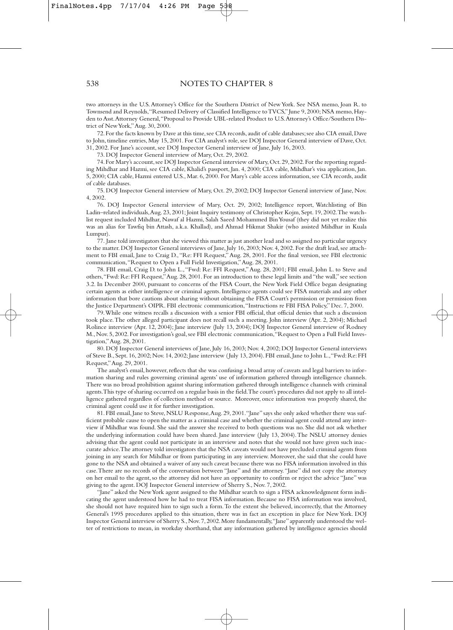two attorneys in the U.S. Attorney's Office for the Southern District of New York. See NSA memo, Joan R. to Townsend and Reynolds,"Resumed Delivery of Classified Intelligence to TVCS," June 9, 2000; NSA memo, Hayden to Asst.Attorney General,"Proposal to Provide UBL-related Product to U.S.Attorney's Office/Southern District of New York,"Aug. 30, 2000.

72. For the facts known by Dave at this time, see CIA records, audit of cable databases; see also CIA email, Dave to John, timeline entries, May 15, 2001. For CIA analyst's role, see DOJ Inspector General interview of Dave, Oct. 31, 2002. For Jane's account, see DOJ Inspector General interview of Jane, July 16, 2003.

73. DOJ Inspector General interview of Mary, Oct. 29, 2002.

74.For Mary's account,see DOJ Inspector General interview of Mary,Oct.29,2002.For the reporting regarding Mihdhar and Hazmi, see CIA cable, Khalid's passport, Jan. 4, 2000; CIA cable, Mihdhar's visa application, Jan. 5, 2000; CIA cable, Hazmi entered U.S., Mar. 6, 2000. For Mary's cable access information, see CIA records, audit of cable databases.

75. DOJ Inspector General interview of Mary, Oct. 29, 2002; DOJ Inspector General interview of Jane, Nov. 4, 2002.

76. DOJ Inspector General interview of Mary, Oct. 29, 2002; Intelligence report, Watchlisting of Bin Ladin–related individuals,Aug. 23, 2001; Joint Inquiry testimony of Christopher Kojm, Sept. 19, 2002.The watchlist request included Mihdhar, Nawaf al Hazmi, Salah Saeed Mohammed Bin Yousaf (they did not yet realize this was an alias for Tawfiq bin Attash, a.k.a. Khallad), and Ahmad Hikmat Shakir (who assisted Mihdhar in Kuala Lumpur).

77. Jane told investigators that she viewed this matter as just another lead and so assigned no particular urgency to the matter. DOJ Inspector General interviews of Jane, July 16, 2003; Nov. 4, 2002. For the draft lead, see attachment to FBI email, Jane to Craig D.,"Re: FFI Request," Aug. 28, 2001. For the final version, see FBI electronic communication,"Request to Open a Full Field Investigation,"Aug. 28, 2001.

78. FBI email, Craig D. to John L.,"Fwd: Re: FFI Request," Aug. 28, 2001; FBI email, John L. to Steve and others,"Fwd: Re: FFI Request,"Aug. 28, 2001. For an introduction to these legal limits and "the wall," see section 3.2. In December 2000, pursuant to concerns of the FISA Court, the New York Field Office began designating certain agents as either intelligence or criminal agents. Intelligence agents could see FISA materials and any other information that bore cautions about sharing without obtaining the FISA Court's permission or permission from the Justice Department's OIPR. FBI electronic communication,"Instructions re FBI FISA Policy," Dec. 7, 2000.

79.While one witness recalls a discussion with a senior FBI official, that official denies that such a discussion took place.The other alleged participant does not recall such a meeting. John interview (Apr. 2, 2004); Michael Rolince interview (Apr. 12, 2004); Jane interview (July 13, 2004); DOJ Inspector General interview of Rodney M., Nov. 5, 2002. For investigation's goal, see FBI electronic communication,"Request to Open a Full Field Investigation,"Aug. 28, 2001.

80. DOJ Inspector General interviews of Jane, July 16, 2003; Nov. 4, 2002; DOJ Inspector General interviews of Steve B., Sept. 16, 2002; Nov. 14, 2002; Jane interview ( July 13, 2004). FBI email, Jane to John L.,"Fwd: Re: FFI Request,"Aug. 29, 2001.

The analyst's email, however, reflects that she was confusing a broad array of caveats and legal barriers to information sharing and rules governing criminal agents' use of information gathered through intelligence channels. There was no broad prohibition against sharing information gathered through intelligence channels with criminal agents.This type of sharing occurred on a regular basis in the field.The court's procedures did not apply to all intelligence gathered regardless of collection method or source. Moreover, once information was properly shared, the criminal agent could use it for further investigation.

81. FBI email, Jane to Steve, NSLU Response,Aug. 29, 2001."Jane" says she only asked whether there was sufficient probable cause to open the matter as a criminal case and whether the criminal agent could attend any interview if Mihdhar was found. She said the answer she received to both questions was no. She did not ask whether the underlying information could have been shared. Jane interview (July 13, 2004).The NSLU attorney denies advising that the agent could not participate in an interview and notes that she would not have given such inaccurate advice.The attorney told investigators that the NSA caveats would not have precluded criminal agents from joining in any search for Mihdhar or from participating in any interview. Moreover, she said that she could have gone to the NSA and obtained a waiver of any such caveat because there was no FISA information involved in this case.There are no records of the conversation between "Jane" and the attorney."Jane" did not copy the attorney on her email to the agent, so the attorney did not have an opportunity to confirm or reject the advice "Jane" was giving to the agent. DOJ Inspector General interview of Sherry S., Nov. 7, 2002.

"Jane" asked the New York agent assigned to the Mihdhar search to sign a FISA acknowledgment form indicating the agent understood how he had to treat FISA information. Because no FISA information was involved, she should not have required him to sign such a form.To the extent she believed, incorrectly, that the Attorney General's 1995 procedures applied to this situation, there was in fact an exception in place for New York. DOJ Inspector General interview of Sherry S.,Nov.7,2002.More fundamentally,"Jane"apparently understood the welter of restrictions to mean, in workday shorthand, that any information gathered by intelligence agencies should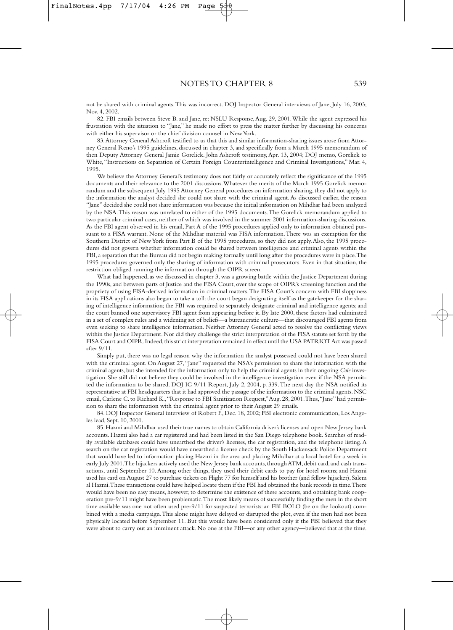not be shared with criminal agents.This was incorrect. DOJ Inspector General interviews of Jane, July 16, 2003; Nov. 4, 2002.

82. FBI emails between Steve B. and Jane, re: NSLU Response,Aug. 29, 2001.While the agent expressed his frustration with the situation to "Jane," he made no effort to press the matter further by discussing his concerns with either his supervisor or the chief division counsel in New York.

83.Attorney General Ashcroft testified to us that this and similar information-sharing issues arose from Attorney General Reno's 1995 guidelines, discussed in chapter 3, and specifically from a March 1995 memorandum of then Deputy Attorney General Jamie Gorelick. John Ashcroft testimony, Apr. 13, 2004; DOJ memo, Gorelick to White,"Instructions on Separation of Certain Foreign Counterintelligence and Criminal Investigations," Mar. 4, 1995.

We believe the Attorney General's testimony does not fairly or accurately reflect the significance of the 1995 documents and their relevance to the 2001 discussions.Whatever the merits of the March 1995 Gorelick memorandum and the subsequent July 1995 Attorney General procedures on information sharing, they did not apply to the information the analyst decided she could not share with the criminal agent. As discussed earlier, the reason "Jane" decided she could not share information was because the initial information on Mihdhar had been analyzed by the NSA.This reason was unrelated to either of the 1995 documents.The Gorelick memorandum applied to two particular criminal cases, neither of which was involved in the summer 2001 information-sharing discussions. As the FBI agent observed in his email, Part A of the 1995 procedures applied only to information obtained pursuant to a FISA warrant. None of the Mihdhar material was FISA information.There was an exemption for the Southern District of New York from Part B of the 1995 procedures, so they did not apply.Also, the 1995 procedures did not govern whether information could be shared between intelligence and criminal agents within the FBI, a separation that the Bureau did not begin making formally until long after the procedures were in place.The 1995 procedures governed only the sharing of information with criminal prosecutors. Even in that situation, the restriction obliged running the information through the OIPR screen.

What had happened, as we discussed in chapter 3, was a growing battle within the Justice Department during the 1990s, and between parts of Justice and the FISA Court, over the scope of OIPR's screening function and the propriety of using FISA-derived information in criminal matters.The FISA Court's concern with FBI sloppiness in its FISA applications also began to take a toll: the court began designating itself as the gatekeeper for the sharing of intelligence information; the FBI was required to separately designate criminal and intelligence agents; and the court banned one supervisory FBI agent from appearing before it. By late 2000, these factors had culminated in a set of complex rules and a widening set of beliefs—a bureaucratic culture—that discouraged FBI agents from even seeking to share intelligence information. Neither Attorney General acted to resolve the conflicting views within the Justice Department. Nor did they challenge the strict interpretation of the FISA statute set forth by the FISA Court and OIPR.Indeed,this strict interpretation remained in effect until the USA PATRIOT Act was passed after 9/11.

Simply put, there was no legal reason why the information the analyst possessed could not have been shared with the criminal agent. On August 27, "Jane" requested the NSA's permission to share the information with the criminal agents, but she intended for the information only to help the criminal agents in their ongoing *Cole* investigation. She still did not believe they could be involved in the intelligence investigation even if the NSA permitted the information to be shared. DOJ IG 9/11 Report, July 2, 2004, p. 339.The next day the NSA notified its representative at FBI headquarters that it had approved the passage of the information to the criminal agents. NSC email, Carlene C. to Richard K.,"Response to FBI Sanitization Request,"Aug. 28, 2001.Thus,"Jane" had permission to share the information with the criminal agent prior to their August 29 emails.

84. DOJ Inspector General interview of Robert F., Dec. 18, 2002; FBI electronic communication, Los Angeles lead, Sept. 10, 2001.

85.Hazmi and Mihdhar used their true names to obtain California driver's licenses and open New Jersey bank accounts. Hazmi also had a car registered and had been listed in the San Diego telephone book. Searches of readily available databases could have unearthed the driver's licenses, the car registration, and the telephone listing.A search on the car registration would have unearthed a license check by the South Hackensack Police Department that would have led to information placing Hazmi in the area and placing Mihdhar at a local hotel for a week in early July 2001. The hijackers actively used the New Jersey bank accounts, through ATM, debit card, and cash transactions, until September 10. Among other things, they used their debit cards to pay for hotel rooms; and Hazmi used his card on August 27 to purchase tickets on Flight 77 for himself and his brother (and fellow hijacker), Salem al Hazmi.These transactions could have helped locate them if the FBI had obtained the bank records in time.There would have been no easy means, however, to determine the existence of these accounts, and obtaining bank cooperation pre-9/11 might have been problematic.The most likely means of successfully finding the men in the short time available was one not often used pre-9/11 for suspected terrorists: an FBI BOLO (be on the lookout) combined with a media campaign.This alone might have delayed or disrupted the plot, even if the men had not been physically located before September 11. But this would have been considered only if the FBI believed that they were about to carry out an imminent attack. No one at the FBI—or any other agency—believed that at the time.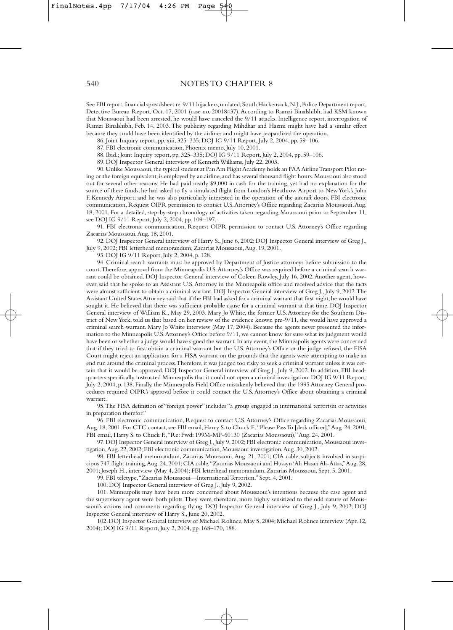See FBI report, financial spreadsheet re: 9/11 hijackers, undated; South Hackensack, N.J., Police Department report, Detective Bureau Report, Oct. 17, 2001 (case no. 20018437).According to Ramzi Binalshibh, had KSM known that Moussaoui had been arrested, he would have canceled the 9/11 attacks. Intelligence report, interrogation of Ramzi Binalshibh, Feb. 14, 2003. The publicity regarding Mihdhar and Hazmi might have had a similar effect because they could have been identified by the airlines and might have jeopardized the operation.

86. Joint Inquiry report, pp. xiii, 325–335; DOJ IG 9/11 Report, July 2, 2004, pp. 59–106.

87. FBI electronic communication, Phoenix memo, July 10, 2001.

88. Ibid.; Joint Inquiry report, pp. 325–335; DOJ IG 9/11 Report, July 2, 2004, pp. 59–106.

89. DOJ Inspector General interview of Kenneth Williams, July 22, 2003.

90. Unlike Moussaoui, the typical student at Pan Am Flight Academy holds an FAA Airline Transport Pilot rating or the foreign equivalent, is employed by an airline, and has several thousand flight hours. Moussaoui also stood out for several other reasons. He had paid nearly \$9,000 in cash for the training, yet had no explanation for the source of these funds; he had asked to fly a simulated flight from London's Heathrow Airport to New York's John F. Kennedy Airport; and he was also particularly interested in the operation of the aircraft doors. FBI electronic communication, Request OIPR permission to contact U.S.Attorney's Office regarding Zacarias Moussaoui,Aug. 18, 2001. For a detailed, step-by-step chronology of activities taken regarding Moussaoui prior to September 11, see DOJ IG 9/11 Report, July 2, 2004, pp. 109–197.

91. FBI electronic communication, Request OIPR permission to contact U.S. Attorney's Office regarding Zacarias Moussaoui,Aug. 18, 2001.

92. DOJ Inspector General interview of Harry S., June 6, 2002; DOJ Inspector General interview of Greg J., July 9, 2002; FBI letterhead memorandum, Zacarias Moussaoui,Aug. 19, 2001.

93. DOJ IG 9/11 Report, July 2, 2004, p. 128.

94. Criminal search warrants must be approved by Department of Justice attorneys before submission to the court.Therefore, approval from the Minneapolis U.S.Attorney's Office was required before a criminal search warrant could be obtained. DOJ Inspector General interview of Coleen Rowley, July 16, 2002.Another agent, however, said that he spoke to an Assistant U.S.Attorney in the Minneapolis office and received advice that the facts were almost sufficient to obtain a criminal warrant. DOJ Inspector General interview of Greg J., July 9, 2002.The Assistant United States Attorney said that if the FBI had asked for a criminal warrant that first night, he would have sought it. He believed that there was sufficient probable cause for a criminal warrant at that time. DOJ Inspector General interview of William K., May 29, 2003. Mary Jo White, the former U.S.Attorney for the Southern District of New York, told us that based on her review of the evidence known pre-9/11, she would have approved a criminal search warrant. Mary Jo White interview (May 17, 2004). Because the agents never presented the information to the Minneapolis U.S.Attorney's Office before 9/11, we cannot know for sure what its judgment would have been or whether a judge would have signed the warrant.In any event,the Minneapolis agents were concerned that if they tried to first obtain a criminal warrant but the U.S. Attorney's Office or the judge refused, the FISA Court might reject an application for a FISA warrant on the grounds that the agents were attempting to make an end run around the criminal process. Therefore, it was judged too risky to seek a criminal warrant unless it was certain that it would be approved. DOJ Inspector General interview of Greg J., July 9, 2002. In addition, FBI headquarters specifically instructed Minneapolis that it could not open a criminal investigation. DOJ IG 9/11 Report, July 2, 2004, p. 138. Finally, the Minneapolis Field Office mistakenly believed that the 1995 Attorney General procedures required OIPR's approval before it could contact the U.S. Attorney's Office about obtaining a criminal warrant.

95.The FISA definition of "foreign power" includes "a group engaged in international terrorism or activities in preparation therefor."

96. FBI electronic communication, Request to contact U.S.Attorney's Office regarding Zacarias Moussaoui, Aug.18,2001.For CTC contact,see FBI email,Harry S.to Chuck F.,"Please Pass To [desk officer],"Aug.24,2001; FBI email, Harry S. to Chuck F.,"Re: Fwd: 199M-MP-60130 (Zacarias Moussaoui),"Aug. 24, 2001.

97. DOJ Inspector General interview of Greg J., July 9, 2002; FBI electronic communication, Moussaoui investigation,Aug. 22, 2002; FBI electronic communication, Moussaoui investigation,Aug. 30, 2002.

98. FBI letterhead memorandum, Zacarias Moussaoui, Aug. 21, 2001; CIA cable, subjects involved in suspicious 747 flight training,Aug.24,2001;CIA cable,"Zacarias Moussaoui and Husayn 'Ali Hasan Ali-Attas,"Aug.28, 2001; Joseph H., interview (May 4, 2004); FBI letterhead memorandum, Zacarias Moussaoui, Sept. 5, 2001.

99. FBI teletype,"Zacarias Moussaoui—International Terrorism," Sept. 4, 2001.

100. DOJ Inspector General interview of Greg J., July 9, 2002.

101. Minneapolis may have been more concerned about Moussaoui's intentions because the case agent and the supervisory agent were both pilots.They were, therefore, more highly sensitized to the odd nature of Moussaoui's actions and comments regarding flying. DOJ Inspector General interview of Greg J., July 9, 2002; DOJ Inspector General interview of Harry S., June 20, 2002.

102. DOJ Inspector General interview of Michael Rolince, May 5, 2004; Michael Rolince interview (Apr. 12, 2004); DOJ IG 9/11 Report, July 2, 2004, pp. 168–170, 188.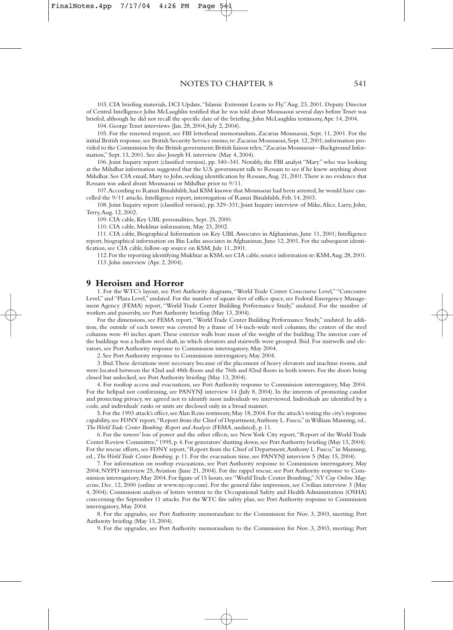103. CIA briefing materials, DCI Update,"Islamic Extremist Learns to Fly,"Aug. 23, 2001. Deputy Director of Central Intelligence John McLaughlin testified that he was told about Moussaoui several days before Tenet was briefed, although he did not recall the specific date of the briefing. John McLaughlin testimony,Apr. 14, 2004.

104. George Tenet interviews (Jan. 28, 2004; July 2, 2004).

105. For the renewed request, see FBI letterhead memorandum, Zacarias Moussaoui, Sept. 11, 2001. For the initial British response, see British Security Service memo, re: Zacarias Moussaoui, Sept. 12, 2001; information provided to the Commission by the British government;British liaison telex,"Zacarias Moussaoui—Background Information," Sept. 13, 2001. See also Joseph H. interview (May 4, 2004).

106. Joint Inquiry report (classified version), pp. 340–341. Notably, the FBI analyst "Mary" who was looking at the Mihdhar information suggested that the U.S. government talk to Ressam to see if he knew anything about Mihdhar. See CIA email, Mary to John, seeking identification by Ressam,Aug. 21, 2001.There is no evidence that Ressam was asked about Moussaoui or Mihdhar prior to 9/11.

107.According to Ramzi Binalshibh, had KSM known that Moussaoui had been arrested, he would have cancelled the 9/11 attacks. Intelligence report, interrogation of Ramzi Binalshibh, Feb. 14, 2003.

108. Joint Inquiry report (classified version), pp. 329–331; Joint Inquiry interview of Mike,Alice, Larry, John, Terry,Aug. 12, 2002.

109. CIA cable, Key UBL personalities, Sept. 25, 2000.

110. CIA cable, Mukhtar information, May 23, 2002.

111. CIA cable, Biographical Information on Key UBL Associates in Afghanistan, June 11, 2001; Intelligence report, biographical information on Bin Ladin associates in Afghanistan, June 12, 2001. For the subsequent identification, see CIA cable, follow-up source on KSM, July 11, 2001.

112.For the reporting identifying Mukhtar as KSM,see CIA cable,source information re:KSM,Aug.28,2001. 113. John interview (Apr. 2, 2004).

## **9 Heroism and Horror**

1. For the WTC's layout, see Port Authority diagrams,"World Trade Center Concourse Level,""Concourse Level," and "Plaza Level," undated. For the number of square feet of office space, see Federal Emergency Management Agency (FEMA) report, "World Trade Center Building Performance Study," undated. For the number of workers and passersby, see Port Authority briefing (May 13, 2004).

For the dimensions, see FEMA report,"World Trade Center Building Performance Study," undated. In addition, the outside of each tower was covered by a frame of 14-inch-wide steel columns; the centers of the steel columns were 40 inches apart.These exterior walls bore most of the weight of the building.The interior core of the buildings was a hollow steel shaft, in which elevators and stairwells were grouped. Ibid. For stairwells and elevators, see Port Authority response to Commission interrogatory, May 2004.

2. See Port Authority response to Commission interrogatory, May 2004.

3. Ibid.These deviations were necessary because of the placement of heavy elevators and machine rooms, and were located between the 42nd and 48th floors and the 76th and 82nd floors in both towers. For the doors being closed but unlocked, see Port Authority briefing (May 13, 2004).

4. For rooftop access and evacuations, see Port Authority response to Commission interrogatory, May 2004. For the helipad not conforming, see PANYNJ interview 14 (July 8, 2004). In the interests of promoting candor and protecting privacy, we agreed not to identify most individuals we interviewed. Individuals are identified by a code, and individuals' ranks or units are disclosed only in a broad manner.

5.For the 1993 attack's effect,see Alan Reiss testimony,May 18,2004.For the attack's testing the city's response capability, see FDNY report,"Report from the Chief of Department,Anthony L. Fusco," in William Manning, ed., *The World Trade Center Bombing: Report and Analysis* (FEMA, undated), p. 11.

6. For the towers' loss of power and the other effects, see New York City report,"Report of the World Trade Center Review Committee,"1995,p.4.For generators'shutting down,see Port Authority briefing (May 13,2004). For the rescue efforts, see FDNY report, "Report from the Chief of Department, Anthony L. Fusco," in Manning, ed., *The World Trade Center Bombing*, p. 11. For the evacuation time, see PANYNJ interview 5 (May 15, 2004).

7. For information on rooftop evacuations, see Port Authority response to Commission interrogatory, May 2004; NYPD interview 25,Aviation (June 21, 2004). For the rappel rescue, see Port Authority response to Commission interrogatory, May 2004. For figure of 15 hours, see "World Trade Center Bombing,"*NY Cop Online Magazine*, Dec. 12, 2000 (online at www.nycop.com). For the general false impression, see Civilian interview 3 (May 4, 2004); Commission analysis of letters written to the Occupational Safety and Health Administration (OSHA) concerning the September 11 attacks. For the WTC fire safety plan, see Port Authority response to Commission interrogatory, May 2004.

8. For the upgrades, see Port Authority memorandum to the Commission for Nov. 3, 2003, meeting; Port Authority briefing (May 13, 2004).

9. For the upgrades, see Port Authority memorandum to the Commission for Nov. 3, 2003, meeting; Port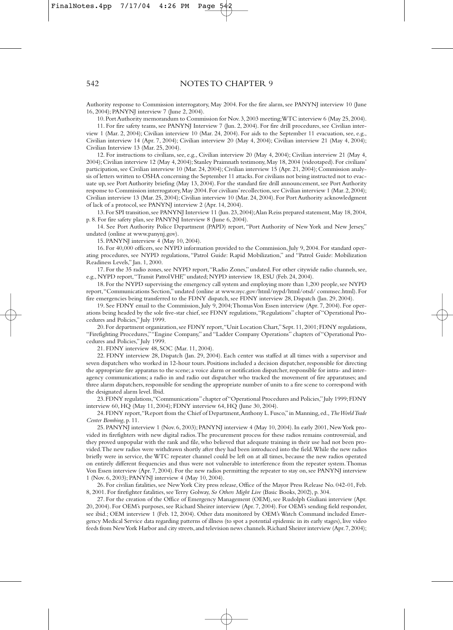Authority response to Commission interrogatory, May 2004. For the fire alarm, see PANYNJ interview 10 (June 16, 2004); PANYNJ interview 7 (June 2, 2004).

10.Port Authority memorandum to Commission for Nov.3,2003 meeting;WTC interview 6 (May 25,2004).

11. For fire safety teams, see PANYNJ Interview 7 (Jun. 2, 2004). For fire drill procedures, see Civilian interview 1 (Mar. 2, 2004); Civilian interview 10 (Mar. 24, 2004). For aids to the September 11 evacuation, see, e.g., Civilian interview 14 (Apr. 7, 2004); Civilian interview 20 (May 4, 2004); Civilian interview 21 (May 4, 2004); Civilian Interview 13 (Mar. 25, 2004).

12. For instructions to civilians, see, e.g., Civilian interview 20 (May 4, 2004); Civilian interview 21 (May 4, 2004); Civilian interview 12 (May 4, 2004); Stanley Praimnath testimony, May 18, 2004 (videotaped). For civilians' participation, see Civilian interview 10 (Mar. 24, 2004); Civilian interview 15 (Apr. 21, 2004); Commission analysis of letters written to OSHA concerning the September 11 attacks. For civilians not being instructed not to evacuate up, see Port Authority briefing (May 13, 2004). For the standard fire drill announcement, see Port Authority response to Commission interrogatory, May 2004. For civilians' recollection, see Civilian interview 1 (Mar. 2, 2004); Civilian interview 13 (Mar. 25, 2004); Civilian interview 10 (Mar. 24, 2004). For Port Authority acknowledgment of lack of a protocol, see PANYNJ interview 2 (Apr. 14, 2004).

13.For SPI transition,see PANYNJ Interview 11 (Jun.23,2004);Alan Reiss prepared statement,May 18,2004, p. 8. For fire safety plan, see PANYNJ Interview 8 (June 6, 2004).

14. See Port Authority Police Department (PAPD) report, "Port Authority of New York and New Jersey," undated (online at www.panynj.gov).

15. PANYNJ interview 4 (May 10, 2004).

16. For 40,000 officers, see NYPD information provided to the Commission, July 9, 2004. For standard operating procedures, see NYPD regulations, "Patrol Guide: Rapid Mobilization," and "Patrol Guide: Mobilization Readiness Levels," Jan. 1, 2000.

17. For the 35 radio zones, see NYPD report,"Radio Zones," undated. For other citywide radio channels, see, e.g., NYPD report, "Transit Patrol VHF," undated; NYPD interview 18, ESU (Feb. 24, 2004).

18. For the NYPD supervising the emergency call system and employing more than 1,200 people, see NYPD report,"Communications Section," undated (online at www.nyc.gov/html/nypd/html/otsd/ commsec.html). For fire emergencies being transferred to the FDNY dispatch, see FDNY interview 28, Dispatch (Jan. 29, 2004).

19. See FDNY email to the Commission, July 9, 2004;Thomas Von Essen interview (Apr. 7, 2004). For operations being headed by the sole five-star chief, see FDNY regulations,"Regulations" chapter of "Operational Procedures and Policies," July 1999.

20.For department organization,see FDNY report,"Unit Location Chart,"Sept.11,2001;FDNY regulations, "Firefighting Procedures,""Engine Company," and "Ladder Company Operations" chapters of "Operational Procedures and Policies," July 1999.

21. FDNY interview 48, SOC (Mar. 11, 2004).

22. FDNY interview 28, Dispatch (Jan. 29, 2004). Each center was staffed at all times with a supervisor and seven dispatchers who worked in 12-hour tours. Positions included a decision dispatcher, responsible for directing the appropriate fire apparatus to the scene; a voice alarm or notification dispatcher, responsible for intra- and interagency communications; a radio in and radio out dispatcher who tracked the movement of fire apparatuses; and three alarm dispatchers, responsible for sending the appropriate number of units to a fire scene to correspond with the designated alarm level. Ibid.

23.FDNY regulations,"Communications"chapter of "Operational Procedures and Policies,"July 1999;FDNY interview 60, HQ (May 11, 2004); FDNY interview 64, HQ (June 30, 2004).

24.FDNY report,"Report from the Chief of Department,Anthony L.Fusco,"in Manning,ed.,*The World Trade Center Bombing*, p. 11.

25. PANYNJ interview 1 (Nov. 6, 2003); PANYNJ interview 4 (May 10, 2004). In early 2001, New York provided its firefighters with new digital radios.The procurement process for these radios remains controversial, and they proved unpopular with the rank and file, who believed that adequate training in their use had not been provided.The new radios were withdrawn shortly after they had been introduced into the field.While the new radios briefly were in service, the WTC repeater channel could be left on at all times, because the new radios operated on entirely different frequencies and thus were not vulnerable to interference from the repeater system.Thomas Von Essen interview (Apr. 7, 2004). For the new radios permitting the repeater to stay on, see PANYNJ interview 1 (Nov. 6, 2003); PANYNJ interview 4 (May 10, 2004).

26. For civilian fatalities, see New York City press release, Office of the Mayor Press Release No. 042-01, Feb. 8, 2001. For firefighter fatalities, see Terry Golway, *So Others Might Live* (Basic Books, 2002), p. 304.

27. For the creation of the Office of Emergency Management (OEM), see Rudolph Giuliani interview (Apr. 20, 2004). For OEM's purposes, see Richard Sheirer interview (Apr. 7, 2004). For OEM's sending field responder, see ibid.; OEM interview 1 (Feb. 12, 2004). Other data monitored by OEM's Watch Command included Emergency Medical Service data regarding patterns of illness (to spot a potential epidemic in its early stages), live video feeds from New York Harbor and city streets, and television news channels. Richard Sheirer interview (Apr. 7, 2004);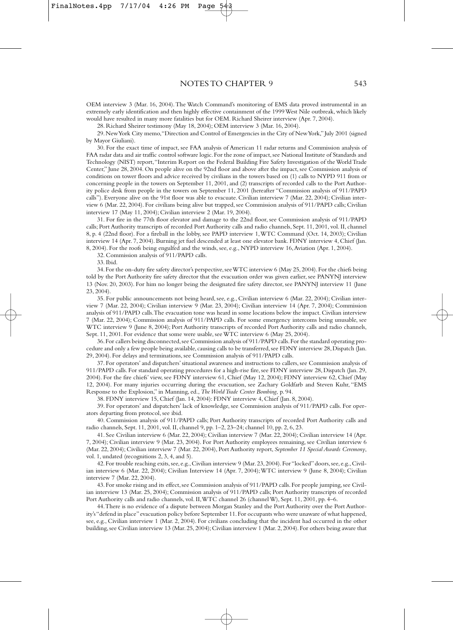OEM interview 3 (Mar. 16, 2004).The Watch Command's monitoring of EMS data proved instrumental in an extremely early identification and then highly effective containment of the 1999 West Nile outbreak, which likely would have resulted in many more fatalities but for OEM. Richard Sheirer interview (Apr. 7, 2004).

28. Richard Sheirer testimony (May 18, 2004); OEM interview 3 (Mar. 16, 2004).

29.New York City memo,"Direction and Control of Emergencies in the City of New York,"July 2001 (signed by Mayor Giuliani).

30. For the exact time of impact, see FAA analysis of American 11 radar returns and Commission analysis of FAA radar data and air traffic control software logic. For the zone of impact, see National Institute of Standards and Technology (NIST) report,"Interim Report on the Federal Building Fire Safety Investigation of the World Trade Center," June 28, 2004. On people alive on the 92nd floor and above after the impact, see Commission analysis of conditions on tower floors and advice received by civilians in the towers based on (1) calls to NYPD 911 from or concerning people in the towers on September 11, 2001, and (2) transcripts of recorded calls to the Port Authority police desk from people in the towers on September 11, 2001 (hereafter "Commission analysis of 911/PAPD calls"). Everyone alive on the 91st floor was able to evacuate. Civilian interview 7 (Mar. 22, 2004); Civilian interview 6 (Mar. 22, 2004). For civilians being alive but trapped, see Commission analysis of 911/PAPD calls; Civilian interview 17 (May 11, 2004); Civilian interview 2 (Mar. 19, 2004).

31. For fire in the 77th floor elevator and damage to the 22nd floor, see Commission analysis of 911/PAPD calls; Port Authority transcripts of recorded Port Authority calls and radio channels, Sept. 11, 2001, vol. II, channel 8, p. 4 (22nd floor). For a fireball in the lobby, see PAPD interview 1,WTC Command (Oct. 14, 2003); Civilian interview 14 (Apr. 7, 2004). Burning jet fuel descended at least one elevator bank. FDNY interview 4, Chief (Jan. 8, 2004). For the roofs being engulfed and the winds, see, e.g., NYPD interview 16,Aviation (Apr. 1, 2004).

32. Commission analysis of 911/PAPD calls.

33. Ibid.

34.For the on-duty fire safety director's perspective,see WTC interview 6 (May 25,2004).For the chiefs being told by the Port Authority fire safety director that the evacuation order was given earlier, see PANYNJ interview 13 (Nov. 20, 2003). For him no longer being the designated fire safety director, see PANYNJ interview 11 (June 23, 2004).

35. For public announcements not being heard, see, e.g., Civilian interview 6 (Mar. 22, 2004); Civilian interview 7 (Mar. 22, 2004); Civilian interview 9 (Mar. 23, 2004); Civilian interview 14 (Apr. 7, 2004); Commission analysis of 911/PAPD calls.The evacuation tone was heard in some locations below the impact. Civilian interview 7 (Mar. 22, 2004); Commission analysis of 911/PAPD calls. For some emergency intercoms being unusable, see WTC interview 9 (June 8, 2004); Port Authority transcripts of recorded Port Authority calls and radio channels, Sept. 11, 2001. For evidence that some were usable, see WTC interview 6 (May 25, 2004).

36.For callers being disconnected,see Commission analysis of 911/PAPD calls.For the standard operating procedure and only a few people being available, causing calls to be transferred, see FDNY interview 28, Dispatch (Jan. 29, 2004). For delays and terminations, see Commission analysis of 911/PAPD calls.

37. For operators' and dispatchers' situational awareness and instructions to callers, see Commission analysis of 911/PAPD calls. For standard operating procedures for a high-rise fire, see FDNY interview 28, Dispatch (Jan. 29, 2004). For the fire chiefs' view, see FDNY interview 61, Chief (May 12, 2004); FDNY interview 62, Chief (May 12, 2004). For many injuries occurring during the evacuation, see Zachary Goldfarb and Steven Kuhr, "EMS Response to the Explosion," in Manning, ed., *The World Trade Center Bombing*, p. 94.

38. FDNY interview 15, Chief (Jan. 14, 2004): FDNY interview 4, Chief (Jan. 8, 2004).

39. For operators' and dispatchers' lack of knowledge, see Commission analysis of 911/PAPD calls. For operators departing from protocol, see ibid.

40. Commission analysis of 911/PAPD calls; Port Authority transcripts of recorded Port Authority calls and radio channels, Sept. 11, 2001, vol. II, channel 9, pp. 1–2, 23–24; channel 10, pp. 2, 6, 23.

41. See Civilian interview 6 (Mar. 22, 2004); Civilian interview 7 (Mar. 22, 2004); Civilian interview 14 (Apr. 7, 2004); Civilian interview 9 (Mar. 23, 2004). For Port Authority employees remaining, see Civilian interview 6 (Mar. 22, 2004); Civilian interview 7 (Mar. 22, 2004), Port Authority report, *September 11 Special Awards Ceremony*, vol. 1, undated (recognitions 2, 3, 4, and 5).

42. For trouble reaching exits, see, e.g., Civilian interview 9 (Mar. 23, 2004). For "locked" doors, see, e.g., Civilian interview 6 (Mar. 22, 2004); Civilian Interview 14 (Apr. 7, 2004);WTC interview 9 (June 8, 2004); Civilian interview 7 (Mar. 22, 2004).

43. For smoke rising and its effect, see Commission analysis of 911/PAPD calls. For people jumping, see Civilian interview 13 (Mar. 25, 2004); Commission analysis of 911/PAPD calls; Port Authority transcripts of recorded Port Authority calls and radio channels, vol. II,WTC channel 26 (channel W), Sept. 11, 2001, pp. 4–6.

44.There is no evidence of a dispute between Morgan Stanley and the Port Authority over the Port Authority's "defend in place"evacuation policy before September 11.For occupants who were unaware of what happened, see, e.g., Civilian interview 1 (Mar. 2, 2004). For civilians concluding that the incident had occurred in the other building, see Civilian interview 13 (Mar. 25, 2004); Civilian interview 1 (Mar. 2, 2004). For others being aware that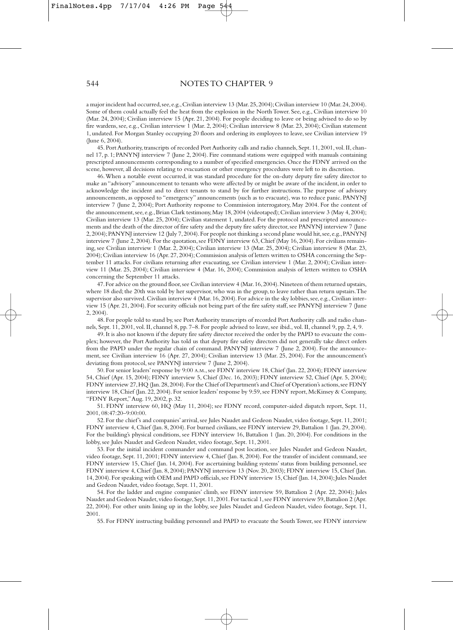a major incident had occurred,see,e.g.,Civilian interview 13 (Mar.25,2004);Civilian interview 10 (Mar.24,2004). Some of them could actually feel the heat from the explosion in the North Tower. See, e.g., Civilian interview 10 (Mar. 24, 2004); Civilian interview 15 (Apr. 21, 2004). For people deciding to leave or being advised to do so by fire wardens, see, e.g., Civilian interview 1 (Mar. 2, 2004); Civilian interview 8 (Mar. 23, 2004); Civilian statement 1, undated. For Morgan Stanley occupying 20 floors and ordering its employees to leave, see Civilian interview 19 (June 6, 2004).

45. Port Authority, transcripts of recorded Port Authority calls and radio channels, Sept. 11, 2001, vol. II, channel 17, p. 1; PANYNJ interview 7 (June 2, 2004). Fire command stations were equipped with manuals containing prescripted announcements corresponding to a number of specified emergencies. Once the FDNY arrived on the scene, however, all decisions relating to evacuation or other emergency procedures were left to its discretion.

46.When a notable event occurred, it was standard procedure for the on-duty deputy fire safety director to make an "advisory" announcement to tenants who were affected by or might be aware of the incident, in order to acknowledge the incident and to direct tenants to stand by for further instructions. The purpose of advisory announcements, as opposed to "emergency" announcements (such as to evacuate), was to reduce panic. PANYNJ interview 7 (June 2, 2004); Port Authority response to Commission interrogatory, May 2004. For the content of the announcement, see, e.g., Brian Clark testimony, May 18, 2004 (videotaped); Civilian interview 3 (May 4, 2004); Civilian interview 13 (Mar. 25, 2004); Civilian statement 1, undated. For the protocol and prescripted announcements and the death of the director of fire safety and the deputy fire safety director,see PANYNJ interview 7 (June 2,2004);PANYNJ interview 12 (July 7,2004).For people not thinking a second plane would hit,see,e.g.,PANYNJ interview 7 (June 2, 2004). For the quotation, see FDNY interview 63, Chief (May 16, 2004). For civilians remaining, see Civilian interview 1 (Mar. 2, 2004); Civilian interview 13 (Mar. 25, 2004); Civilian interview 8 (Mar. 23, 2004);Civilian interview 16 (Apr.27,2004);Commission analysis of letters written to OSHA concerning the September 11 attacks. For civilians returning after evacuating, see Civilian interview 1 (Mar. 2, 2004); Civilian interview 11 (Mar. 25, 2004); Civilian interview 4 (Mar. 16, 2004); Commission analysis of letters written to OSHA concerning the September 11 attacks.

47.For advice on the ground floor,see Civilian interview 4 (Mar.16,2004).Nineteen of them returned upstairs, where 18 died; the 20th was told by her supervisor, who was in the group, to leave rather than return upstairs.The supervisor also survived. Civilian interview 4 (Mar. 16, 2004). For advice in the sky lobbies, see, e.g., Civilian interview 15 (Apr. 21, 2004). For security officials not being part of the fire safety staff, see PANYNJ interview 7 (June 2, 2004).

48. For people told to stand by, see Port Authority transcripts of recorded Port Authority calls and radio channels, Sept. 11, 2001, vol. II, channel 8, pp. 7–8. For people advised to leave, see ibid., vol. II, channel 9, pp. 2, 4, 9.

49. It is also not known if the deputy fire safety director received the order by the PAPD to evacuate the complex; however, the Port Authority has told us that deputy fire safety directors did not generally take direct orders from the PAPD under the regular chain of command. PANYNJ interview 7 (June 2, 2004). For the announcement, see Civilian interview 16 (Apr. 27, 2004); Civilian interview 13 (Mar. 25, 2004). For the announcement's deviating from protocol, see PANYNJ interview 7 (June 2, 2004).

50. For senior leaders' response by 9:00 A.M., see FDNY interview 18, Chief (Jan. 22, 2004); FDNY interview 54, Chief (Apr. 15, 2004); FDNY interview 5, Chief (Dec. 16, 2003); FDNY interview 52, Chief (Apr. 5, 2004); FDNY interview 27,HQ (Jan.28,2004).For the Chief of Department's and Chief of Operation's actions,see FDNY interview 18, Chief (Jan. 22, 2004). For senior leaders' response by 9:59, see FDNY report, McKinsey & Company, "FDNY Report,"Aug. 19, 2002, p. 32.

51. FDNY interview 60, HQ (May 11, 2004); see FDNY record, computer-aided dispatch report, Sept. 11, 2001, 08:47:20–9:00:00.

52. For the chief's and companies' arrival, see Jules Naudet and Gedeon Naudet, video footage, Sept. 11, 2001; FDNY interview 4, Chief (Jan. 8, 2004). For burned civilians, see FDNY interview 29, Battalion 1 (Jan. 29, 2004). For the building's physical conditions, see FDNY interview 16, Battalion 1 (Jan. 20, 2004). For conditions in the lobby, see Jules Naudet and Gedeon Naudet, video footage, Sept. 11, 2001.

53. For the initial incident commander and command post location, see Jules Naudet and Gedeon Naudet, video footage, Sept. 11, 2001; FDNY interview 4, Chief (Jan. 8, 2004). For the transfer of incident command, see FDNY interview 15, Chief (Jan. 14, 2004). For ascertaining building systems' status from building personnel, see FDNY interview 4, Chief (Jan. 8, 2004); PANYNJ interview 13 (Nov. 20, 2003); FDNY interview 15, Chief (Jan. 14, 2004). For speaking with OEM and PAPD officials, see FDNY interview 15, Chief (Jan. 14, 2004); Jules Naudet and Gedeon Naudet, video footage, Sept. 11, 2001.

54. For the ladder and engine companies' climb, see FDNY interview 59, Battalion 2 (Apr. 22, 2004); Jules Naudet and Gedeon Naudet, video footage, Sept. 11, 2001. For tactical 1, see FDNY interview 59, Battalion 2 (Apr. 22, 2004). For other units lining up in the lobby, see Jules Naudet and Gedeon Naudet, video footage, Sept. 11, 2001.

55. For FDNY instructing building personnel and PAPD to evacuate the South Tower, see FDNY interview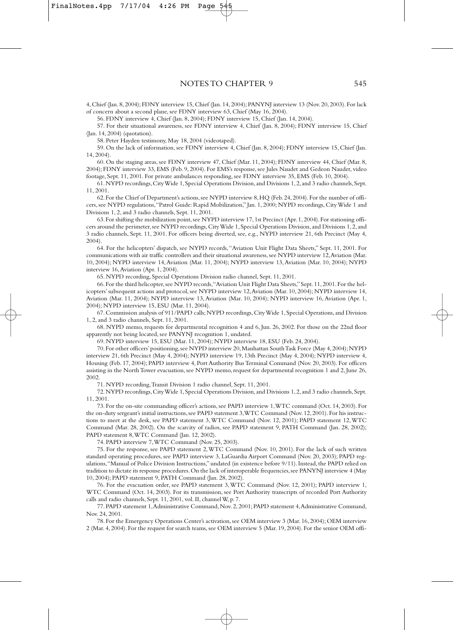4, Chief (Jan. 8, 2004); FDNY interview 15, Chief (Jan. 14, 2004); PANYNJ interview 13 (Nov. 20, 2003). For lack of concern about a second plane, see FDNY interview 63, Chief (May 16, 2004).

56. FDNY interview 4, Chief (Jan. 8, 2004); FDNY interview 15, Chief (Jan. 14, 2004).

57. For their situational awareness, see FDNY interview 4, Chief (Jan. 8, 2004); FDNY interview 15, Chief (Jan. 14, 2004) (quotation).

58. Peter Hayden testimony, May 18, 2004 (videotaped).

59. On the lack of information, see FDNY interview 4, Chief (Jan. 8, 2004); FDNY interview 15, Chief (Jan. 14, 2004).

60. On the staging areas, see FDNY interview 47, Chief (Mar. 11, 2004); FDNY interview 44, Chief (Mar. 8, 2004); FDNY interview 33, EMS (Feb. 9, 2004). For EMS's response, see Jules Naudet and Gedeon Naudet, video footage, Sept. 11, 2001. For private ambulances responding, see FDNY interview 35, EMS (Feb. 10, 2004).

61. NYPD recordings, City Wide 1, Special Operations Division, and Divisions 1, 2, and 3 radio channels, Sept. 11, 2001.

62.For the Chief of Department's actions,see NYPD interview 8,HQ (Feb.24,2004).For the number of officers, see NYPD regulations,"Patrol Guide: Rapid Mobilization," Jan. 1, 2000; NYPD recordings, City Wide 1 and Divisions 1, 2, and 3 radio channels, Sept. 11, 2001.

63.For shifting the mobilization point,see NYPD interview 17,1st Precinct (Apr.1,2004).For stationing officers around the perimeter, see NYPD recordings, City Wide 1, Special Operations Division, and Divisions 1, 2, and 3 radio channels, Sept. 11, 2001. For officers being diverted, see, e.g., NYPD interview 21, 6th Precinct (May 4, 2004).

64. For the helicopters' dispatch, see NYPD records,"Aviation Unit Flight Data Sheets," Sept. 11, 2001. For communications with air traffic controllers and their situational awareness,see NYPD interview 12,Aviation (Mar. 10, 2004); NYPD interview 14,Aviation (Mar. 11, 2004); NYPD interview 13,Aviation (Mar. 10, 2004); NYPD interview 16,Aviation (Apr. 1, 2004).

65. NYPD recording, Special Operations Division radio channel, Sept. 11, 2001.

66.For the third helicopter,see NYPD records,"Aviation Unit Flight Data Sheets,"Sept.11,2001.For the helicopters' subsequent actions and protocol, see NYPD interview 12,Aviation (Mar. 10, 2004); NYPD interview 14, Aviation (Mar. 11, 2004); NYPD interview 13, Aviation (Mar. 10, 2004); NYPD interview 16, Aviation (Apr. 1, 2004); NYPD interview 15, ESU (Mar. 11, 2004).

67. Commission analysis of 911/PAPD calls; NYPD recordings, City Wide 1, Special Operations, and Division 1, 2, and 3 radio channels, Sept. 11, 2001.

68. NYPD memo, requests for departmental recognition 4 and 6, Jun. 26, 2002. For those on the 22nd floor apparently not being located, see PANYNJ recognition 1, undated.

69. NYPD interview 15, ESU (Mar. 11, 2004); NYPD interview 18, ESU (Feb. 24, 2004).

70.For other officers'positioning,see NYPD interview 20,Manhattan South Task Force (May 4,2004);NYPD interview 21, 6th Precinct (May 4, 2004); NYPD interview 19, 13th Precinct (May 4, 2004); NYPD interview 4, Housing (Feb. 17, 2004); PAPD interview 4, Port Authority Bus Terminal Command (Nov. 20, 2003). For officers assisting in the North Tower evacuation, see NYPD memo, request for departmental recognition 1 and 2, June 26, 2002.

71. NYPD recording,Transit Division 1 radio channel, Sept. 11, 2001.

72. NYPD recordings, City Wide 1, Special Operations Division, and Divisions 1, 2, and 3 radio channels, Sept. 11, 2001.

73. For the on-site commanding officer's actions, see PAPD interview 1,WTC command (Oct. 14, 2003). For the on-duty sergeant's initial instructions, see PAPD statement 3, WTC Command (Nov. 12, 2001). For his instructions to meet at the desk, see PAPD statement 3,WTC Command (Nov. 12, 2001); PAPD statement 12,WTC Command (Mar. 28, 2002). On the scarcity of radios, see PAPD statement 9, PATH Command (Jan. 28, 2002); PAPD statement 8,WTC Command (Jan. 12, 2002).

74. PAPD interview 7,WTC Command (Nov. 25, 2003).

75. For the response, see PAPD statement 2,WTC Command (Nov. 10, 2001). For the lack of such written standard operating procedures, see PAPD interview 3, LaGuardia Airport Command (Nov. 20, 2003); PAPD regulations,"Manual of Police Division Instructions," undated (in existence before 9/11). Instead, the PAPD relied on tradition to dictate its response procedures. On the lack of interoperable frequencies, see PANYNJ interview 4 (May 10, 2004); PAPD statement 9, PATH Command (Jan. 28, 2002).

76. For the evacuation order, see PAPD statement 3,WTC Command (Nov. 12, 2001); PAPD interview 1, WTC Command (Oct. 14, 2003). For its transmission, see Port Authority transcripts of recorded Port Authority calls and radio channels, Sept. 11, 2001, vol. II, channel W, p. 7.

77. PAPD statement 1, Administrative Command, Nov. 2, 2001; PAPD statement 4, Administrative Command, Nov. 24, 2001.

78. For the Emergency Operations Center's activation, see OEM interview 3 (Mar. 16, 2004); OEM interview 2 (Mar. 4, 2004). For the request for search teams, see OEM interview 5 (Mar. 19, 2004). For the senior OEM offi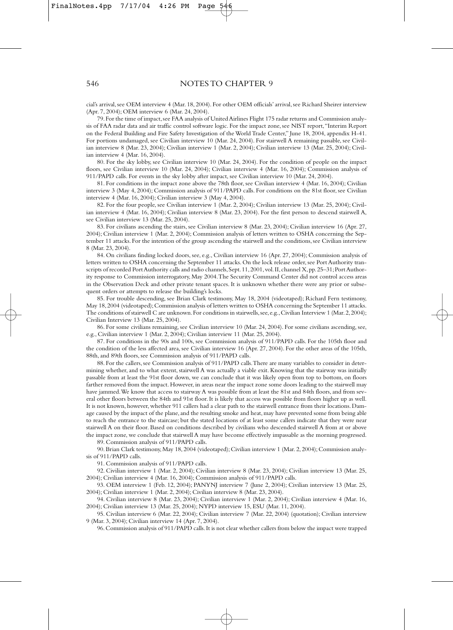cial's arrival, see OEM interview 4 (Mar. 18, 2004). For other OEM officials' arrival, see Richard Sheirer interview (Apr. 7, 2004); OEM interview 6 (Mar. 24, 2004).

79.For the time of impact,see FAA analysis of United Airlines Flight 175 radar returns and Commission analysis of FAA radar data and air traffic control software logic. For the impact zone, see NIST report,"Interim Report on the Federal Building and Fire Safety Investigation of the World Trade Center," June 18, 2004, appendix H-41. For portions undamaged, see Civilian interview 10 (Mar. 24, 2004). For stairwell A remaining passable, see Civilian interview 8 (Mar. 23, 2004); Civilian interview 1 (Mar. 2, 2004); Civilian interview 13 (Mar. 25, 2004); Civilian interview 4 (Mar. 16, 2004).

80. For the sky lobby, see Civilian interview 10 (Mar. 24, 2004). For the condition of people on the impact floors, see Civilian interview 10 (Mar. 24, 2004); Civilian interview 4 (Mar. 16, 2004); Commission analysis of 911/PAPD calls. For events in the sky lobby after impact, see Civilian interview 10 (Mar. 24, 2004).

81. For conditions in the impact zone above the 78th floor, see Civilian interview 4 (Mar. 16, 2004); Civilian interview 3 (May 4, 2004); Commission analysis of 911/PAPD calls. For conditions on the 81st floor, see Civilian interview 4 (Mar. 16, 2004); Civilian interview 3 (May 4, 2004).

82. For the four people, see Civilian interview 1 (Mar. 2, 2004); Civilian interview 13 (Mar. 25, 2004); Civilian interview 4 (Mar. 16, 2004); Civilian interview 8 (Mar. 23, 2004). For the first person to descend stairwell A, see Civilian interview 13 (Mar. 25, 2004).

83. For civilians ascending the stairs, see Civilian interview 8 (Mar. 23, 2004); Civilian interview 16 (Apr. 27, 2004); Civilian interview 1 (Mar. 2, 2004); Commission analysis of letters written to OSHA concerning the September 11 attacks. For the intention of the group ascending the stairwell and the conditions, see Civilian interview 8 (Mar. 23, 2004).

84. On civilians finding locked doors, see, e.g., Civilian interview 16 (Apr. 27, 2004); Commission analysis of letters written to OSHA concerning the September 11 attacks. On the lock release order, see Port Authority transcripts of recorded Port Authority calls and radio channels, Sept. 11, 2001, vol. II, channel X, pp. 25-31; Port Authority response to Commission interrogatory, May 2004.The Security Command Center did not control access areas in the Observation Deck and other private tenant spaces. It is unknown whether there were any prior or subsequent orders or attempts to release the building's locks.

85. For trouble descending, see Brian Clark testimony, May 18, 2004 (videotaped); Richard Fern testimony, May 18,2004 (videotaped);Commission analysis of letters written to OSHA concerning the September 11 attacks. The conditions of stairwell C are unknown. For conditions in stairwells, see, e.g., Civilian Interview 1 (Mar. 2, 2004); Civilian Interview 13 (Mar. 25, 2004).

86. For some civilians remaining, see Civilian interview 10 (Mar. 24, 2004). For some civilians ascending, see, e.g., Civilian interview 1 (Mar. 2, 2004); Civilian interview 11 (Mar. 25, 2004).

87. For conditions in the 90s and 100s, see Commission analysis of 911/PAPD calls. For the 105th floor and the condition of the less affected area, see Civilian interview 16 (Apr. 27, 2004). For the other areas of the 105th, 88th, and 89th floors, see Commission analysis of 911/PAPD calls.

88. For the callers, see Commission analysis of 911/PAPD calls.There are many variables to consider in determining whether, and to what extent, stairwell A was actually a viable exit. Knowing that the stairway was initially passable from at least the 91st floor down, we can conclude that it was likely open from top to bottom, on floors farther removed from the impact. However, in areas near the impact zone some doors leading to the stairwell may have jammed.We know that access to stairway A was possible from at least the 81st and 84th floors, and from several other floors between the 84th and 91st floor. It is likely that access was possible from floors higher up as well. It is not known, however, whether 911 callers had a clear path to the stairwell entrance from their locations. Damage caused by the impact of the plane, and the resulting smoke and heat, may have prevented some from being able to reach the entrance to the staircase; but the stated locations of at least some callers indicate that they were near stairwell A on their floor. Based on conditions described by civilians who descended stairwell A from at or above the impact zone, we conclude that stairwell A may have become effectively impassable as the morning progressed.

89. Commission analysis of 911/PAPD calls.

90.Brian Clark testimony,May 18,2004 (videotaped);Civilian interview 1 (Mar.2,2004);Commission analysis of 911/PAPD calls.

91. Commission analysis of 911/PAPD calls.

92. Civilian interview 1 (Mar. 2, 2004); Civilian interview 8 (Mar. 23, 2004); Civilian interview 13 (Mar. 25, 2004); Civilian interview 4 (Mar. 16, 2004); Commission analysis of 911/PAPD calls.

93. OEM interview 1 (Feb. 12, 2004); PANYNJ interview 7 (June 2, 2004); Civilian interview 13 (Mar. 25, 2004); Civilian interview 1 (Mar. 2, 2004); Civilian interview 8 (Mar. 23, 2004).

94. Civilian interview 8 (Mar. 23, 2004); Civilian interview 1 (Mar. 2, 2004); Civilian interview 4 (Mar. 16, 2004); Civilian interview 13 (Mar. 25, 2004); NYPD interview 15, ESU (Mar. 11, 2004).

95. Civilian interview 6 (Mar. 22, 2004); Civilian interview 7 (Mar. 22, 2004) (quotation); Civilian interview 9 (Mar. 3, 2004); Civilian interview 14 (Apr. 7, 2004).

96.Commission analysis of 911/PAPD calls.It is not clear whether callers from below the impact were trapped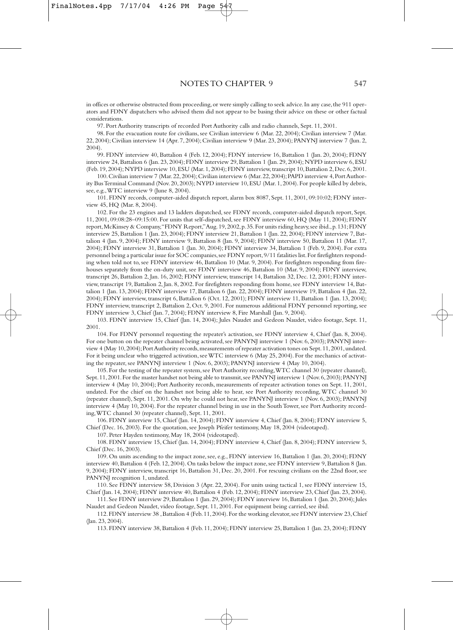in offices or otherwise obstructed from proceeding, or were simply calling to seek advice. In any case, the 911 operators and FDNY dispatchers who advised them did not appear to be basing their advice on these or other factual considerations.

97. Port Authority transcripts of recorded Port Authority calls and radio channels, Sept. 11, 2001.

98. For the evacuation route for civilians, see Civilian interview 6 (Mar. 22, 2004); Civilian interview 7 (Mar. 22, 2004); Civilian interview 14 (Apr. 7, 2004); Civilian interview 9 (Mar. 23, 2004); PANYNJ interview 7 (Jun. 2, 2004).

99. FDNY interview 40, Battalion 4 (Feb. 12, 2004); FDNY interview 16, Battalion 1 (Jan. 20, 2004); FDNY interview 24, Battalion 6 (Jan. 23, 2004); FDNY interview 29, Battalion 1 (Jan. 29, 2004); NYPD interview 6, ESU (Feb.19,2004);NYPD interview 10,ESU (Mar.1,2004);FDNY interview,transcript 10,Battalion 2,Dec.6,2001.

100.Civilian interview 7 (Mar.22,2004);Civilian interview 6 (Mar.22,2004);PAPD interview 4,Port Authority Bus Terminal Command (Nov. 20, 2003); NYPD interview 10, ESU (Mar. 1, 2004). For people killed by debris, see, e.g., WTC interview 9 (June 8, 2004).

101. FDNY records, computer-aided dispatch report, alarm box 8087, Sept. 11, 2001, 09:10:02; FDNY interview 45, HQ (Mar. 8, 2004).

102. For the 23 engines and 13 ladders dispatched, see FDNY records, computer-aided dispatch report, Sept. 11, 2001, 09:08:28–09:15:00. For units that self-dispatched, see FDNY interview 60, HQ (May 11, 2004); FDNY report,McKinsey & Company,"FDNY Report,"Aug.19,2002,p.35.For units riding heavy,see ibid.,p.131;FDNY interview 25, Battalion 1 (Jan. 23, 2004); FDNY interview 21, Battalion 1 (Jan. 22, 2004); FDNY interview 7, Battalion 4 (Jan. 9, 2004); FDNY interview 9, Battalion 8 (Jan. 9, 2004); FDNY interview 50, Battalion 11 (Mar. 17, 2004); FDNY interview 31, Battalion 1 (Jan. 30, 2004); FDNY interview 34, Battalion 1 (Feb. 9, 2004). For extra personnel being a particular issue for SOC companies,see FDNY report,9/11 fatalities list.For firefighters responding when told not to, see FDNY interview 46, Battalion 10 (Mar. 9, 2004). For firefighters responding from firehouses separately from the on-duty unit, see FDNY interview 46, Battalion 10 (Mar. 9, 2004); FDNY interview, transcript 26, Battalion 2, Jan. 16, 2002; FDNY interview, transcript 14, Battalion 32, Dec. 12, 2001; FDNY interview, transcript 19, Battalion 2, Jan. 8, 2002. For firefighters responding from home, see FDNY interview 14, Battalion 1 (Jan. 13, 2004); FDNY interview 17, Battalion 6 (Jan. 22, 2004); FDNY interview 19, Battalion 4 (Jan. 22, 2004); FDNY interview, transcript 6, Battalion 6 (Oct. 12, 2001); FDNY interview 11, Battalion 1 (Jan. 13, 2004); FDNY interview, transcript 2, Battalion 2, Oct. 9, 2001. For numerous additional FDNY personnel reporting, see FDNY interview 3, Chief (Jan. 7, 2004); FDNY interview 8, Fire Marshall (Jan. 9, 2004).

103. FDNY interview 15, Chief (Jan. 14, 2004); Jules Naudet and Gedeon Naudet, video footage, Sept. 11, 2001.

104. For FDNY personnel requesting the repeater's activation, see FDNY interview 4, Chief (Jan. 8, 2004). For one button on the repeater channel being activated, see PANYNJ interview 1 (Nov. 6, 2003); PANYNJ interview 4 (May 10,2004);Port Authority records,measurements of repeater activation tones on Sept.11,2001,undated. For it being unclear who triggered activation, see WTC interview 6 (May 25, 2004). For the mechanics of activating the repeater, see PANYNJ interview 1 (Nov. 6, 2003); PANYNJ interview 4 (May 10, 2004).

105. For the testing of the repeater system, see Port Authority recording,WTC channel 30 (repeater channel), Sept. 11, 2001. For the master handset not being able to transmit, see PANYNJ interview 1 (Nov. 6, 2003); PANYNJ interview 4 (May 10, 2004); Port Authority records, measurements of repeater activation tones on Sept. 11, 2001, undated. For the chief on the handset not being able to hear, see Port Authority recording, WTC channel 30 (repeater channel), Sept. 11, 2001. On why he could not hear, see PANYNJ interview 1 (Nov. 6, 2003); PANYNJ interview 4 (May 10, 2004). For the repeater channel being in use in the South Tower, see Port Authority recording,WTC channel 30 (repeater channel), Sept. 11, 2001.

106. FDNY interview 15, Chief (Jan. 14, 2004); FDNY interview 4, Chief (Jan. 8, 2004); FDNY interview 5, Chief (Dec. 16, 2003). For the quotation, see Joseph Pfeifer testimony, May 18, 2004 (videotaped).

107. Peter Hayden testimony, May 18, 2004 (videotaped).

108. FDNY interview 15, Chief (Jan. 14, 2004); FDNY interview 4, Chief (Jan. 8, 2004); FDNY interview 5, Chief (Dec. 16, 2003).

109. On units ascending to the impact zone, see, e.g., FDNY interview 16, Battalion 1 (Jan. 20, 2004); FDNY interview 40, Battalion 4 (Feb.12, 2004). On tasks below the impact zone,see FDNY interview 9, Battalion 8 (Jan. 9, 2004); FDNY interview, transcript 16, Battalion 31, Dec. 20, 2001. For rescuing civilians on the 22nd floor, see PANYNJ recognition 1, undated.

110. See FDNY interview 58, Division 3 (Apr. 22, 2004). For units using tactical 1, see FDNY interview 15, Chief (Jan. 14, 2004); FDNY interview 40, Battalion 4 (Feb. 12, 2004); FDNY interview 23, Chief (Jan. 23, 2004).

111. See FDNY interview 29, Battalion 1 (Jan. 29, 2004); FDNY interview 16, Battalion 1 (Jan. 20, 2004); Jules Naudet and Gedeon Naudet, video footage, Sept. 11, 2001. For equipment being carried, see ibid.

112.FDNY interview 38 ,Battalion 4 (Feb.11,2004).For the working elevator,see FDNY interview 23,Chief (Jan. 23, 2004).

113. FDNY interview 38, Battalion 4 (Feb. 11, 2004); FDNY interview 25, Battalion 1 (Jan. 23, 2004); FDNY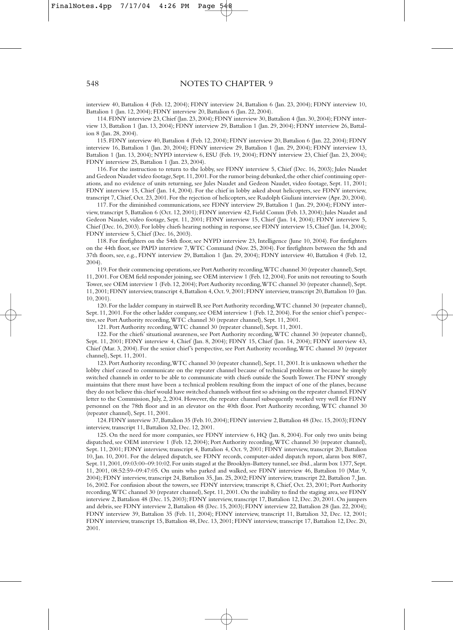interview 40, Battalion 4 (Feb. 12, 2004); FDNY interview 24, Battalion 6 (Jan. 23, 2004); FDNY interview 10, Battalion 1 (Jan. 12, 2004); FDNY interview 20, Battalion 6 (Jan. 22, 2004).

114. FDNY interview 23, Chief (Jan. 23, 2004); FDNY interview 30, Battalion 4 (Jan. 30, 2004); FDNY interview 13, Battalion 1 (Jan. 13, 2004); FDNY interview 29, Battalion 1 (Jan. 29, 2004); FDNY interview 26, Battalion 8 (Jan. 28, 2004).

115. FDNY interview 40, Battalion 4 (Feb. 12, 2004); FDNY interview 20, Battalion 6 (Jan. 22, 2004); FDNY interview 16, Battalion 1 (Jan. 20, 2004); FDNY interview 29, Battalion 1 (Jan. 29, 2004); FDNY interview 13, Battalion 1 (Jan. 13, 2004); NYPD interview 6, ESU (Feb. 19, 2004); FDNY interview 23, Chief (Jan. 23, 2004); FDNY interview 25, Battalion 1 (Jan. 23, 2004).

116. For the instruction to return to the lobby, see FDNY interview 5, Chief (Dec. 16, 2003); Jules Naudet and Gedeon Naudet video footage, Sept. 11, 2001. For the rumor being debunked, the other chief continuing operations, and no evidence of units returning, see Jules Naudet and Gedeon Naudet, video footage, Sept. 11, 2001; FDNY interview 15, Chief (Jan. 14, 2004). For the chief in lobby asked about helicopters, see FDNY interview, transcript 7, Chief, Oct. 23, 2001. For the rejection of helicopters, see Rudolph Giuliani interview (Apr. 20, 2004).

117. For the diminished communications, see FDNY interview 29, Battalion 1 (Jan. 29, 2004); FDNY interview, transcript 5, Battalion 6 (Oct. 12, 2001); FDNY interview 42, Field Comm (Feb. 13, 2004); Jules Naudet and Gedeon Naudet, video footage, Sept. 11, 2001; FDNY interview 15, Chief (Jan. 14, 2004); FDNY interview 5, Chief (Dec. 16, 2003). For lobby chiefs hearing nothing in response, see FDNY interview 15, Chief (Jan. 14, 2004); FDNY interview 5, Chief (Dec. 16, 2003).

118. For firefighters on the 54th floor, see NYPD interview 23, Intelligence (June 10, 2004). For firefighters on the 44th floor, see PAPD interview 7,WTC Command (Nov. 25, 2004). For firefighters between the 5th and 37th floors, see, e.g., FDNY interview 29, Battalion 1 (Jan. 29, 2004); FDNY interview 40, Battalion 4 (Feb. 12, 2004).

119.For their commencing operations,see Port Authority recording,WTC channel 30 (repeater channel),Sept. 11,2001.For OEM field responder joining,see OEM interview 1 (Feb.12,2004).For units not rerouting to South Tower, see OEM interview 1 (Feb. 12, 2004); Port Authority recording,WTC channel 30 (repeater channel), Sept. 11,2001;FDNY interview,transcript 4,Battalion 4,Oct.9,2001;FDNY interview,transcript 20,Battalion 10 (Jan. 10, 2001).

120. For the ladder company in stairwell B, see Port Authority recording,WTC channel 30 (repeater channel), Sept. 11, 2001. For the other ladder company, see OEM interview 1 (Feb. 12, 2004). For the senior chief's perspective, see Port Authority recording,WTC channel 30 (repeater channel), Sept. 11, 2001.

121. Port Authority recording,WTC channel 30 (repeater channel), Sept. 11, 2001.

122. For the chiefs' situational awareness, see Port Authority recording,WTC channel 30 (repeater channel), Sept. 11, 2001; FDNY interview 4, Chief (Jan. 8, 2004); FDNY 15, Chief (Jan. 14, 2004); FDNY interview 43, Chief (Mar. 3, 2004). For the senior chief's perspective, see Port Authority recording,WTC channel 30 (repeater channel), Sept. 11, 2001.

123.Port Authority recording,WTC channel 30 (repeater channel),Sept.11,2001.It is unknown whether the lobby chief ceased to communicate on the repeater channel because of technical problems or because he simply switched channels in order to be able to communicate with chiefs outside the South Tower.The FDNY strongly maintains that there must have been a technical problem resulting from the impact of one of the planes, because they do not believe this chief would have switched channels without first so advising on the repeater channel.FDNY letter to the Commission, July, 2, 2004. However, the repeater channel subsequently worked very well for FDNY personnel on the 78th floor and in an elevator on the 40th floor. Port Authority recording, WTC channel 30 (repeater channel), Sept. 11, 2001.

124.FDNY interview 37,Battalion 35 (Feb.10,2004);FDNY interview 2,Battalion 48 (Dec.15,2003);FDNY interview, transcript 11, Battalion 32, Dec. 12, 2001.

125. On the need for more companies, see FDNY interview 6, HQ (Jan. 8, 2004). For only two units being dispatched, see OEM interview 1 (Feb. 12, 2004); Port Authority recording,WTC channel 30 (repeater channel), Sept. 11, 2001; FDNY interview, transcript 4, Battalion 4, Oct. 9, 2001; FDNY interview, transcript 20, Battalion 10, Jan. 10, 2001. For the delayed dispatch, see FDNY records, computer-aided dispatch report, alarm box 8087, Sept. 11, 2001, 09:03:00-09:10:02. For units staged at the Brooklyn-Battery tunnel, see ibid., alarm box 1377, Sept. 11, 2001, 08:52:59–09:47:05. On units who parked and walked, see FDNY interview 46, Battalion 10 (Mar. 9, 2004); FDNY interview, transcript 24, Battalion 35, Jan. 25, 2002; FDNY interview, transcript 22, Battalion 7, Jan. 16, 2002. For confusion about the towers, see FDNY interview, transcript 8, Chief, Oct. 23, 2001; Port Authority recording,WTC channel 30 (repeater channel), Sept. 11, 2001. On the inability to find the staging area, see FDNY interview 2, Battalion 48 (Dec. 15, 2003); FDNY interview, transcript 17, Battalion 12, Dec. 20, 2001. On jumpers and debris, see FDNY interview 2, Battalion 48 (Dec. 15, 2003); FDNY interview 22, Battalion 28 (Jan. 22, 2004); FDNY interview 39, Battalion 35 (Feb. 11, 2004); FDNY interview, transcript 11, Battalion 32, Dec. 12, 2001; FDNY interview, transcript 15, Battalion 48, Dec. 13, 2001; FDNY interview, transcript 17, Battalion 12, Dec. 20, 2001.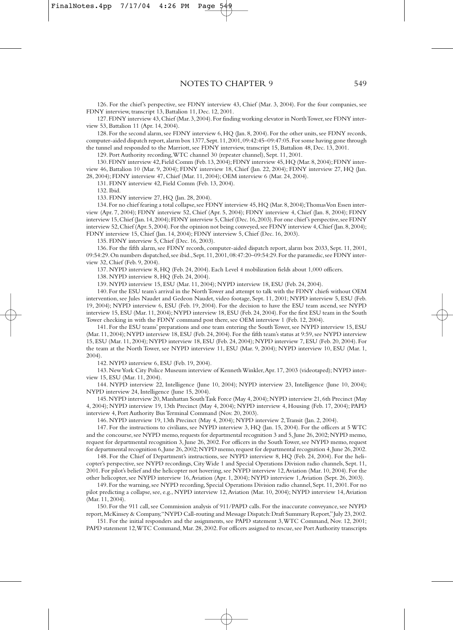126. For the chief's perspective, see FDNY interview 43, Chief (Mar. 3, 2004). For the four companies, see FDNY interview, transcript 13, Battalion 11, Dec. 12, 2001.

127.FDNY interview 43,Chief (Mar.3,2004).For finding working elevator in North Tower,see FDNY interview 53, Battalion 11 (Apr. 14, 2004).

128. For the second alarm, see FDNY interview 6, HQ (Jan. 8, 2004). For the other units, see FDNY records, computer-aided dispatch report,alarm box 1377,Sept.11,2001,09:42:45–09:47:05.For some having gone through the tunnel and responded to the Marriott, see FDNY interview, transcript 15, Battalion 48, Dec. 13, 2001.

129. Port Authority recording,WTC channel 30 (repeater channel), Sept. 11, 2001.

130.FDNY interview 42,Field Comm (Feb.13,2004);FDNY interview 45,HQ (Mar.8,2004);FDNY interview 46, Battalion 10 (Mar. 9, 2004); FDNY interview 18, Chief (Jan. 22, 2004); FDNY interview 27, HQ (Jan. 28, 2004); FDNY interview 47, Chief (Mar. 11, 2004); OEM interview 6 (Mar. 24, 2004).

131. FDNY interview 42, Field Comm (Feb. 13, 2004).

132. Ibid.

133. FDNY interview 27, HQ (Jan. 28, 2004).

134. For no chief fearing a total collapse, see FDNY interview 45, HQ (Mar. 8, 2004);Thomas Von Essen interview (Apr. 7, 2004); FDNY interview 52, Chief (Apr. 5, 2004); FDNY interview 4, Chief (Jan. 8, 2004); FDNY interview 15,Chief (Jan.14,2004);FDNY interview 5,Chief (Dec.16,2003).For one chief's perspective,see FDNY interview 52,Chief (Apr.5,2004).For the opinion not being conveyed,see FDNY interview 4,Chief (Jan.8,2004); FDNY interview 15, Chief (Jan. 14, 2004); FDNY interview 5, Chief (Dec. 16, 2003).

135. FDNY interview 5, Chief (Dec. 16, 2003).

136. For the fifth alarm, see FDNY records, computer-aided dispatch report, alarm box 2033, Sept. 11, 2001, 09:54:29.On numbers dispatched,see ibid.,Sept.11,2001,08:47:20–09:54:29.For the paramedic,see FDNY interview 32, Chief (Feb. 9, 2004).

137. NYPD interview 8, HQ (Feb. 24, 2004). Each Level 4 mobilization fields about 1,000 officers.

138. NYPD interview 8, HQ (Feb. 24, 2004).

139. NYPD interview 15, ESU (Mar. 11, 2004); NYPD interview 18, ESU (Feb. 24, 2004).

140. For the ESU team's arrival in the North Tower and attempt to talk with the FDNY chiefs without OEM intervention, see Jules Naudet and Gedeon Naudet, video footage, Sept. 11, 2001; NYPD interview 5, ESU (Feb. 19, 2004); NYPD interview 6, ESU (Feb. 19, 2004). For the decision to have the ESU team ascend, see NYPD interview 15, ESU (Mar. 11, 2004); NYPD interview 18, ESU (Feb. 24, 2004). For the first ESU team in the South Tower checking in with the FDNY command post there, see OEM interview 1 (Feb. 12, 2004).

141. For the ESU teams' preparations and one team entering the South Tower, see NYPD interview 15, ESU (Mar. 11, 2004); NYPD interview 18, ESU (Feb. 24, 2004). For the fifth team's status at 9:59, see NYPD interview 15, ESU (Mar. 11, 2004); NYPD interview 18, ESU (Feb. 24, 2004); NYPD interview 7, ESU (Feb. 20, 2004). For the team at the North Tower, see NYPD interview 11, ESU (Mar. 9, 2004); NYPD interview 10, ESU (Mar. 1, 2004).

142. NYPD interview 6, ESU (Feb. 19, 2004).

143. New York City Police Museum interview of Kenneth Winkler,Apr. 17, 2003 (videotaped); NYPD interview 15, ESU (Mar. 11, 2004).

144. NYPD interview 22, Intelligence (June 10, 2004); NYPD interview 23, Intelligence (June 10, 2004); NYPD interview 24, Intelligence (June 15, 2004).

145.NYPD interview 20,Manhattan South Task Force (May 4,2004);NYPD interview 21,6th Precinct (May 4, 2004); NYPD interview 19, 13th Precinct (May 4, 2004); NYPD interview 4, Housing (Feb. 17, 2004); PAPD interview 4, Port Authority Bus Terminal Command (Nov. 20, 2003).

146. NYPD interview 19, 13th Precinct (May 4, 2004); NYPD interview 2,Transit (Jan. 2, 2004).

147. For the instructions to civilians, see NYPD interview 3, HQ (Jan. 15, 2004). For the officers at 5 WTC and the concourse, see NYPD memo, requests for departmental recognition 3 and 5, June 26, 2002; NYPD memo, request for departmental recognition 3, June 26, 2002. For officers in the South Tower, see NYPD memo, request for departmental recognition 6, June 26, 2002; NYPD memo, request for departmental recognition 4, June 26, 2002.

148. For the Chief of Department's instructions, see NYPD interview 8, HQ (Feb. 24, 2004). For the helicopter's perspective, see NYPD recordings, City Wide 1 and Special Operations Division radio channels, Sept. 11, 2001. For pilot's belief and the helicopter not hovering, see NYPD interview 12,Aviation (Mar. 10, 2004). For the other helicopter, see NYPD interview 16,Aviation (Apr. 1, 2004); NYPD interview 1,Aviation (Sept. 26, 2003).

149. For the warning, see NYPD recording, Special Operations Division radio channel, Sept. 11, 2001. For no pilot predicting a collapse, see, e.g., NYPD interview 12,Aviation (Mar. 10, 2004); NYPD interview 14,Aviation (Mar. 11, 2004).

150. For the 911 call, see Commission analysis of 911/PAPD calls. For the inaccurate conveyance, see NYPD report,McKinsey & Company,"NYPD Call-routing and Message Dispatch:Draft Summary Report,"July 23,2002.

151. For the initial responders and the assignments, see PAPD statement 3,WTC Command, Nov. 12, 2001; PAPD statement 12,WTC Command, Mar. 28, 2002. For officers assigned to rescue, see Port Authority transcripts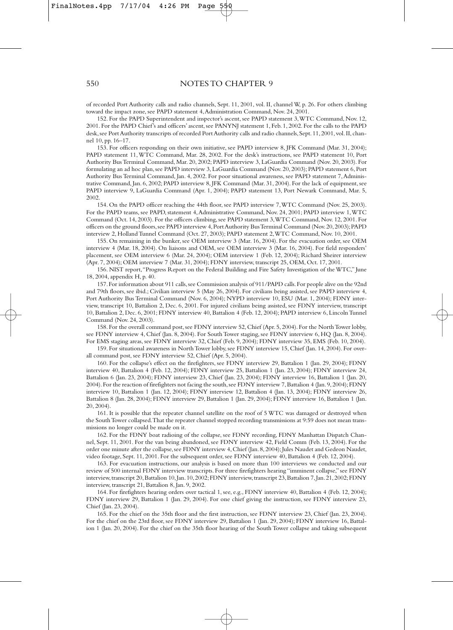of recorded Port Authority calls and radio channels, Sept. 11, 2001, vol. II, channel W, p. 26. For others climbing toward the impact zone, see PAPD statement 4,Administration Command, Nov. 24, 2001.

152. For the PAPD Superintendent and inspector's ascent, see PAPD statement 3,WTC Command, Nov. 12, 2001. For the PAPD Chief's and officers' ascent, see PANYNJ statement 1, Feb. 1, 2002. For the calls to the PAPD desk, see Port Authority transcripts of recorded Port Authority calls and radio channels, Sept. 11, 2001, vol. II, channel 10, pp. 16–17.

153. For officers responding on their own initiative, see PAPD interview 8, JFK Command (Mar. 31, 2004); PAPD statement 11,WTC Command, Mar. 28, 2002. For the desk's instructions, see PAPD statement 10, Port Authority Bus Terminal Command, Mar. 20, 2002; PAPD interview 3, LaGuardia Command (Nov. 20, 2003). For formulating an ad hoc plan, see PAPD interview 3, LaGuardia Command (Nov. 20, 2003); PAPD statement 6, Port Authority Bus Terminal Command, Jan. 4, 2002. For poor situational awareness, see PAPD statement 7,Administrative Command, Jan. 6, 2002; PAPD interview 8, JFK Command (Mar. 31, 2004). For the lack of equipment, see PAPD interview 9, LaGuardia Command (Apr. 1, 2004); PAPD statement 13, Port Newark Command, Mar. 5, 2002.

154. On the PAPD officer reaching the 44th floor, see PAPD interview 7,WTC Command (Nov. 25, 2003). For the PAPD teams, see PAPD, statement 4,Administrative Command, Nov. 24, 2001; PAPD interview 1,WTC Command (Oct. 14, 2003). For the officers climbing, see PAPD statement 3,WTC Command, Nov. 12, 2001. For officers on the ground floors,see PAPD interview 4,Port Authority Bus Terminal Command (Nov.20,2003);PAPD interview 2, Holland Tunnel Command (Oct. 27, 2003); PAPD statement 2,WTC Command, Nov. 10, 2001.

155. On remaining in the bunker, see OEM interview 3 (Mar. 16, 2004). For the evacuation order, see OEM interview 4 (Mar. 18, 2004). On liaisons and OEM, see OEM interview 3 (Mar. 16, 2004). For field responders' placement, see OEM interview 6 (Mar. 24, 2004); OEM interview 1 (Feb. 12, 2004); Richard Sheirer interview (Apr. 7, 2004); OEM interview 7 (Mar. 31, 2004); FDNY interview, transcript 25, OEM, Oct. 17, 2001.

156. NIST report,"Progress Report on the Federal Building and Fire Safety Investigation of the WTC," June 18, 2004, appendix H, p. 40.

157.For information about 911 calls,see Commission analysis of 911/PAPD calls.For people alive on the 92nd and 79th floors, see ibid.; Civilian interview 5 (May 26, 2004). For civilians being assisted, see PAPD interview 4, Port Authority Bus Terminal Command (Nov. 6, 2004); NYPD interview 10, ESU (Mar. 1, 2004); FDNY interview, transcript 10, Battalion 2, Dec. 6, 2001. For injured civilians being assisted, see FDNY interview, transcript 10, Battalion 2, Dec. 6, 2001; FDNY interview 40, Battalion 4 (Feb. 12, 2004); PAPD interview 6, Lincoln Tunnel Command (Nov. 24, 2003).

158. For the overall command post, see FDNY interview 52, Chief (Apr. 5, 2004). For the North Tower lobby, see FDNY interview 4, Chief (Jan. 8, 2004). For South Tower staging, see FDNY interview 6, HQ (Jan. 8, 2004). For EMS staging areas, see FDNY interview 32, Chief (Feb. 9, 2004); FDNY interview 35, EMS (Feb. 10, 2004).

159. For situational awareness in North Tower lobby, see FDNY interview 15, Chief (Jan. 14, 2004). For overall command post, see FDNY interview 52, Chief (Apr. 5, 2004).

160. For the collapse's effect on the firefighters, see FDNY interview 29, Battalion 1 (Jan. 29, 2004); FDNY interview 40, Battalion 4 (Feb. 12, 2004); FDNY interview 25, Battalion 1 (Jan. 23, 2004); FDNY interview 24, Battalion 6 (Jan. 23, 2004); FDNY interview 23, Chief (Jan. 23, 2004); FDNY interview 16, Battalion 1 (Jan. 20, 2004).For the reaction of firefighters not facing the south,see FDNY interview 7,Battalion 4 (Jan.9,2004);FDNY interview 10, Battalion 1 (Jan. 12, 2004); FDNY interview 12, Battalion 4 (Jan. 13, 2004); FDNY interview 26, Battalion 8 (Jan. 28, 2004); FDNY interview 29, Battalion 1 (Jan. 29, 2004); FDNY interview 16, Battalion 1 (Jan. 20, 2004).

161. It is possible that the repeater channel satellite on the roof of 5 WTC was damaged or destroyed when the South Tower collapsed.That the repeater channel stopped recording transmissions at 9:59 does not mean transmissions no longer could be made on it.

162. For the FDNY boat radioing of the collapse, see FDNY recording, FDNY Manhattan Dispatch Channel, Sept. 11, 2001. For the van being abandoned, see FDNY interview 42, Field Comm (Feb. 13, 2004). For the order one minute after the collapse,see FDNY interview 4,Chief (Jan.8,2004);Jules Naudet and Gedeon Naudet, video footage, Sept. 11, 2001. For the subsequent order, see FDNY interview 40, Battalion 4 (Feb. 12, 2004).

163. For evacuation instructions, our analysis is based on more than 100 interviews we conducted and our review of 500 internal FDNY interview transcripts. For three firefighters hearing "imminent collapse," see FDNY interview, transcript 20, Battalion 10, Jan. 10, 2002; FDNY interview, transcript 23, Battalion 7, Jan. 21, 2002; FDNY interview, transcript 21, Battalion 8, Jan. 9, 2002.

164. For firefighters hearing orders over tactical 1, see, e.g., FDNY interview 40, Battalion 4 (Feb. 12, 2004); FDNY interview 29, Battalion 1 (Jan. 29, 2004). For one chief giving the instruction, see FDNY interview 23, Chief (Jan. 23, 2004).

165. For the chief on the 35th floor and the first instruction, see FDNY interview 23, Chief (Jan. 23, 2004). For the chief on the 23rd floor, see FDNY interview 29, Battalion 1 (Jan. 29, 2004); FDNY interview 16, Battalion 1 (Jan. 20, 2004). For the chief on the 35th floor hearing of the South Tower collapse and taking subsequent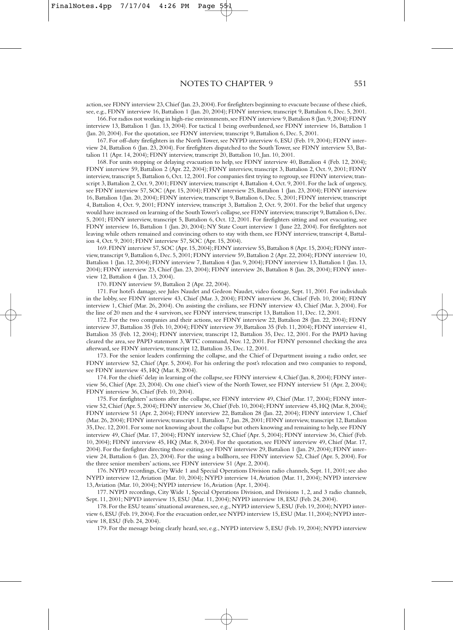action,see FDNY interview 23,Chief (Jan.23,2004).For firefighters beginning to evacuate because of these chiefs, see, e.g., FDNY interview 16, Battalion 1 (Jan. 20, 2004); FDNY interview, transcript 9, Battalion 6, Dec. 5, 2001.

166.For radios not working in high-rise environments,see FDNY interview 9,Battalion 8 (Jan.9,2004);FDNY interview 13, Battalion 1 (Jan. 13, 2004). For tactical 1 being overburdened, see FDNY interview 16, Battalion 1 (Jan. 20, 2004). For the quotation, see FDNY interview, transcript 9, Battalion 6, Dec. 5, 2001.

167. For off-duty firefighters in the North Tower, see NYPD interview 6, ESU (Feb. 19, 2004); FDNY interview 24, Battalion 6 (Jan. 23, 2004). For firefighters dispatched to the South Tower, see FDNY interview 53, Battalion 11 (Apr. 14, 2004); FDNY interview, transcript 20, Battalion 10, Jan. 10, 2001.

168. For units stopping or delaying evacuation to help, see FDNY interview 40, Battalion 4 (Feb. 12, 2004); FDNY interview 59, Battalion 2 (Apr. 22, 2004); FDNY interview, transcript 3, Battalion 2, Oct. 9, 2001; FDNY interview, transcript 5, Battalion 6, Oct. 12, 2001. For companies first trying to regroup, see FDNY interview, transcript 3, Battalion 2, Oct. 9, 2001; FDNY interview, transcript 4, Battalion 4, Oct. 9, 2001. For the lack of urgency, see FDNY interview 57, SOC (Apr. 15, 2004); FDNY interview 25, Battalion 1 (Jan. 23, 2004); FDNY interview 16, Battalion 1(Jan. 20, 2004); FDNY interview, transcript 9, Battalion 6, Dec. 5, 2001; FDNY interview, transcript 4, Battalion 4, Oct. 9, 2001; FDNY interview, transcript 3, Battalion 2, Oct. 9, 2001. For the belief that urgency would have increased on learning of the South Tower's collapse, see FDNY interview, transcript 9, Battalion 6, Dec. 5, 2001; FDNY interview, transcript 5, Battalion 6, Oct. 12, 2001. For firefighters sitting and not evacuating, see FDNY interview 16, Battalion 1 (Jan. 20, 2004); NY State Court interview 1 (June 22, 2004). For firefighters not leaving while others remained and convincing others to stay with them, see FDNY interview, transcript 4, Battalion 4, Oct. 9, 2001; FDNY interview 57, SOC (Apr. 15, 2004).

169.FDNY interview 57,SOC (Apr.15,2004);FDNY interview 55,Battalion 8 (Apr.15,2004);FDNY interview, transcript 9, Battalion 6, Dec. 5, 2001; FDNY interview 59, Battalion 2 (Apr. 22, 2004); FDNY interview 10, Battalion 1 (Jan. 12, 2004); FDNY interview 7, Battalion 4 (Jan. 9, 2004); FDNY interview 13, Battalion 1 (Jan. 13, 2004); FDNY interview 23, Chief (Jan. 23, 2004); FDNY interview 26, Battalion 8 (Jan. 28, 2004); FDNY interview 12, Battalion 4 (Jan. 13, 2004).

170. FDNY interview 59, Battalion 2 (Apr. 22, 2004).

171. For hotel's damage, see Jules Naudet and Gedeon Naudet, video footage, Sept. 11, 2001. For individuals in the lobby, see FDNY interview 43, Chief (Mar. 3, 2004); FDNY interview 36, Chief (Feb. 10, 2004); FDNY interview 1, Chief (Mar. 26, 2004). On assisting the civilians, see FDNY interview 43, Chief (Mar. 3, 2004). For the line of 20 men and the 4 survivors, see FDNY interview, transcript 13, Battalion 11, Dec. 12, 2001.

172. For the two companies and their actions, see FDNY interview 22, Battalion 28 (Jan. 22, 2004); FDNY interview 37, Battalion 35 (Feb. 10, 2004); FDNY interview 39, Battalion 35 (Feb. 11, 2004); FDNY interview 41, Battalion 35 (Feb. 12, 2004); FDNY interview, transcript 12, Battalion 35, Dec. 12, 2001. For the PAPD having cleared the area, see PAPD statement 3,WTC command, Nov. 12, 2001. For FDNY personnel checking the area afterward, see FDNY interview, transcript 12, Battalion 35, Dec. 12, 2001.

173. For the senior leaders confirming the collapse, and the Chief of Department issuing a radio order, see FDNY interview 52, Chief (Apr. 5, 2004). For his ordering the post's relocation and two companies to respond, see FDNY interview 45, HQ (Mar. 8, 2004).

174. For the chiefs' delay in learning of the collapse, see FDNY interview 4, Chief (Jan. 8, 2004); FDNY interview 56, Chief (Apr. 23, 2004). On one chief's view of the North Tower, see FDNY interview 51 (Apr. 2, 2004); FDNY interview 36, Chief (Feb. 10, 2004).

175. For firefighters' actions after the collapse, see FDNY interview 49, Chief (Mar. 17, 2004); FDNY interview 52,Chief (Apr.5,2004);FDNY interview 36,Chief (Feb.10,2004);FDNY interview 45,HQ (Mar.8,2004); FDNY interview 51 (Apr. 2, 2004); FDNY interview 22, Battalion 28 (Jan. 22, 2004); FDNY interview 1, Chief (Mar. 26, 2004); FDNY interview, transcript 1, Battalion 7, Jan. 28, 2001; FDNY interview, transcript 12, Battalion 35,Dec.12,2001.For some not knowing about the collapse but others knowing and remaining to help,see FDNY interview 49, Chief (Mar. 17, 2004); FDNY interview 52, Chief (Apr. 5, 2004); FDNY interview 36, Chief (Feb. 10, 2004); FDNY interview 45, HQ (Mar. 8, 2004). For the quotation, see FDNY interview 49, Chief (Mar. 17, 2004).For the firefighter directing those exiting,see FDNY interview 29,Battalion 1 (Jan.29,2004);FDNY interview 24, Battalion 6 (Jan. 23, 2004). For the using a bullhorn, see FDNY interview 52, Chief (Apr. 5, 2004). For the three senior members' actions, see FDNY interview 51 (Apr. 2, 2004).

176. NYPD recordings, City Wide 1 and Special Operations Division radio channels, Sept. 11, 2001; see also NYPD interview 12,Aviation (Mar. 10, 2004); NYPD interview 14,Aviation (Mar. 11, 2004); NYPD interview 13,Aviation (Mar. 10, 2004); NYPD interview 16,Aviation (Apr. 1, 2004).

177. NYPD recordings, City Wide 1, Special Operations Division, and Divisions 1, 2, and 3 radio channels, Sept. 11, 2001; NPYD interview 15, ESU (Mar. 11, 2004); NYPD interview 18, ESU (Feb. 24, 2004).

178. For the ESU teams' situational awareness, see, e.g., NYPD interview 5, ESU (Feb. 19, 2004); NYPD interview 6,ESU (Feb.19,2004).For the evacuation order,see NYPD interview 15,ESU (Mar.11,2004);NYPD interview 18, ESU (Feb. 24, 2004).

179. For the message being clearly heard, see, e.g., NYPD interview 5, ESU (Feb. 19, 2004); NYPD interview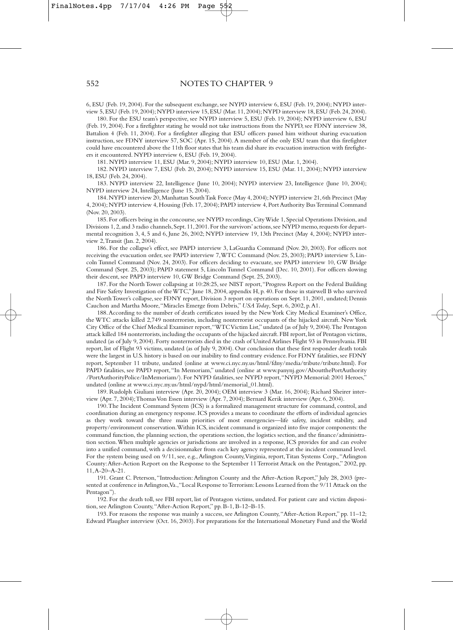6, ESU (Feb. 19, 2004). For the subsequent exchange, see NYPD interview 6, ESU (Feb. 19, 2004); NYPD interview 5,ESU (Feb.19,2004);NYPD interview 15,ESU (Mar.11,2004);NYPD interview 18,ESU (Feb.24,2004).

180. For the ESU team's perspective, see NYPD interview 5, ESU (Feb. 19, 2004); NYPD interview 6, ESU (Feb. 19, 2004). For a firefighter stating he would not take instructions from the NYPD, see FDNY interview 38, Battalion 4 (Feb. 11, 2004). For a firefighter alleging that ESU officers passed him without sharing evacuation instruction, see FDNY interview 57, SOC (Apr. 15, 2004).A member of the only ESU team that this firefighter could have encountered above the 11th floor states that his team did share its evacuation instruction with firefighters it encountered. NYPD interview 6, ESU (Feb. 19, 2004).

181. NYPD interview 11, ESU (Mar. 9, 2004); NYPD interview 10, ESU (Mar. 1, 2004).

182. NYPD interview 7, ESU (Feb. 20, 2004); NYPD interview 15, ESU (Mar. 11, 2004); NYPD interview 18, ESU (Feb. 24, 2004).

183. NYPD interview 22, Intelligence (June 10, 2004); NYPD interview 23, Intelligence (June 10, 2004); NYPD interview 24, Intelligence (June 15, 2004).

184. NYPD interview 20, Manhattan South Task Force (May 4, 2004); NYPD interview 21, 6th Precinct (May 4, 2004); NYPD interview 4, Housing (Feb. 17, 2004); PAPD interview 4, Port Authority Bus Terminal Command (Nov. 20, 2003).

185. For officers being in the concourse, see NYPD recordings, City Wide 1, Special Operations Division, and Divisions 1,2,and 3 radio channels,Sept.11,2001.For the survivors'actions,see NYPD memo,requests for departmental recognition 3, 4, 5 and 6, June 26, 2002; NYPD interview 19, 13th Precinct (May 4, 2004); NYPD interview 2,Transit (Jan. 2, 2004).

186. For the collapse's effect, see PAPD interview 3, LaGuardia Command (Nov. 20, 2003). For officers not receiving the evacuation order, see PAPD interview 7,WTC Command (Nov. 25, 2003); PAPD interview 5, Lincoln Tunnel Command (Nov. 24, 2003). For officers deciding to evacuate, see PAPD interview 10, GW Bridge Command (Sept. 25, 2003); PAPD statement 5, Lincoln Tunnel Command (Dec. 10, 2001). For officers slowing their descent, see PAPD interview 10, GW Bridge Command (Sept. 25, 2003).

187. For the North Tower collapsing at 10:28:25, see NIST report,"Progress Report on the Federal Building and Fire Safety Investigation of the WTC," June 18, 2004, appendix H, p. 40. For those in stairwell B who survived the North Tower's collapse, see FDNY report, Division 3 report on operations on Sept. 11, 2001, undated; Dennis Cauchon and Martha Moore,"Miracles Emerge from Debris," *USA Today*, Sept. 6, 2002, p.A1.

188.According to the number of death certificates issued by the New York City Medical Examiner's Office, the WTC attacks killed 2,749 nonterrorists, including nonterrorist occupants of the hijacked aircraft. New York City Office of the Chief Medical Examiner report,"WTC Victim List," undated (as of July 9, 2004).The Pentagon attack killed 184 nonterrorists, including the occupants of the hijacked aircraft. FBI report, list of Pentagon victims, undated (as of July 9, 2004). Forty nonterrorists died in the crash of United Airlines Flight 93 in Pennsylvania. FBI report, list of Flight 93 victims, undated (as of July 9, 2004). Our conclusion that these first responder death totals were the largest in U.S. history is based on our inability to find contrary evidence. For FDNY fatalities, see FDNY report, September 11 tribute, undated (online at www.ci.nyc.ny.us/html/fdny/media/tribute/tribute.html). For PAPD fatalities, see PAPD report,"In Memoriam," undated (online at www.panynj.gov/AboutthePortAuthority /PortAuthorityPolice/InMemoriam/). For NYPD fatalities, see NYPD report,"NYPD Memorial: 2001 Heroes," undated (online at www.ci.nyc.ny.us/html/nypd/html/memorial\_01.html).

189. Rudolph Giuliani interview (Apr. 20, 2004); OEM interview 3 (Mar. 16, 2004); Richard Sheirer interview (Apr. 7, 2004);Thomas Von Essen interview (Apr. 7, 2004); Bernard Kerik interview (Apr. 6, 2004).

190.The Incident Command System (ICS) is a formalized management structure for command, control, and coordination during an emergency response. ICS provides a means to coordinate the efforts of individual agencies as they work toward the three main priorities of most emergencies—life safety, incident stability, and property/environment conservation.Within ICS, incident command is organized into five major components: the command function, the planning section, the operations section, the logistics section, and the finance/administration section.When multiple agencies or jurisdictions are involved in a response, ICS provides for and can evolve into a unified command, with a decisionmaker from each key agency represented at the incident command level. For the system being used on 9/11, see, e.g.,Arlington County,Virginia, report,Titan Systems Corp.,"Arlington County:After-Action Report on the Response to the September 11 Terrorist Attack on the Pentagon," 2002, pp. 11,A-20–A-21.

191. Grant C. Peterson,"Introduction: Arlington County and the After-Action Report," July 28, 2003 (presented at conference in Arlington,Va.,"Local Response to Terrorism: Lessons Learned from the 9/11 Attack on the Pentagon").

192. For the death toll, see FBI report, list of Pentagon victims, undated. For patient care and victim disposition, see Arlington County,"After-Action Report," pp. B-1, B-12–B-15.

193. For reasons the response was mainly a success, see Arlington County,"After-Action Report," pp. 11–12; Edward Plaugher interview (Oct. 16, 2003). For preparations for the International Monetary Fund and the World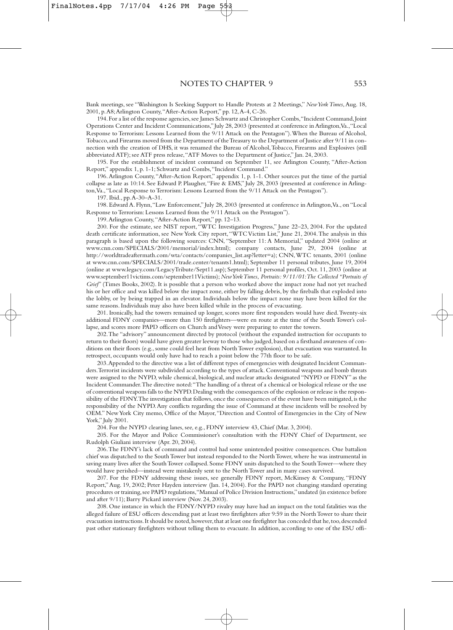Bank meetings, see "Washington Is Seeking Support to Handle Protests at 2 Meetings," *New York Times*,Aug. 18, 2001, p.A8;Arlington County,"After-Action Report," pp. 12,A-4, C-26.

194.For a list of the response agencies,see James Schwartz and Christopher Combs,"Incident Command,Joint Operations Center and Incident Communications,"July 28,2003 (presented at conference in Arlington,Va.,"Local Response to Terrorism: Lessons Learned from the 9/11 Attack on the Pentagon").When the Bureau of Alcohol, Tobacco,and Firearms moved from the Department of the Treasury to the Department of Justice after 9/11 in connection with the creation of DHS, it was renamed the Bureau of Alcohol,Tobacco, Firearms and Explosives (still abbreviated ATF); see ATF press release,"ATF Moves to the Department of Justice," Jan. 24, 2003.

195. For the establishment of incident command on September 11, see Arlington County, "After-Action Report," appendix 1, p. 1-1; Schwartz and Combs,"Incident Command."

196.Arlington County,"After-Action Report," appendix 1, p. 1-1. Other sources put the time of the partial collapse as late as 10:14. See Edward P. Plaugher,"Fire & EMS," July 28, 2003 (presented at conference in Arlington,Va.,"Local Response to Terrorism: Lessons Learned from the 9/11 Attack on the Pentagon").

197. Ibid., pp.A-30–A-31.

198. Edward A. Flynn,"Law Enforcement," July 28, 2003 (presented at conference in Arlington,Va., on "Local Response to Terrorism: Lessons Learned from the 9/11 Attack on the Pentagon").

199.Arlington County,"After-Action Report," pp. 12–13.

200. For the estimate, see NIST report,"WTC Investigation Progress," June 22–23, 2004. For the updated death certificate information, see New York City report,"WTC Victim List," June 21, 2004.The analysis in this paragraph is based upon the following sources: CNN, "September 11: A Memorial," updated 2004 (online at www.cnn.com/SPECIALS/2001/memorial/index.html); company contacts, June 29, 2004 (online at http://worldtradeaftermath.com/wta/contacts/companies\_list.asp?letter=a); CNN,WTC tenants, 2001 (online at www.cnn.com/SPECIALS/2001/trade.center/tenants1.html); September 11 personal tributes, June 19, 2004 (online at www.legacy.com/LegacyTribute/Sept11.asp); September 11 personal profiles, Oct. 11, 2003 (online at www.september11victims.com/september11Victims);*New York Times*, *Portraits: 9/11/01:The Collected "Portraits of Grief*" (Times Books, 2002). It is possible that a person who worked above the impact zone had not yet reached his or her office and was killed below the impact zone, either by falling debris, by the fireballs that exploded into the lobby, or by being trapped in an elevator. Individuals below the impact zone may have been killed for the same reasons. Individuals may also have been killed while in the process of evacuating.

201. Ironically, had the towers remained up longer, scores more first responders would have died.Twenty-six additional FDNY companies—more than 150 firefighters—were en route at the time of the South Tower's collapse, and scores more PAPD officers on Church and Vesey were preparing to enter the towers.

202.The "advisory" announcement directed by protocol (without the expanded instruction for occupants to return to their floors) would have given greater leeway to those who judged, based on a firsthand awareness of conditions on their floors (e.g., some could feel heat from North Tower explosion), that evacuation was warranted. In retrospect, occupants would only have had to reach a point below the 77th floor to be safe.

203.Appended to the directive was a list of different types of emergencies with designated Incident Commanders.Terrorist incidents were subdivided according to the types of attack. Conventional weapons and bomb threats were assigned to the NYPD, while chemical, biological, and nuclear attacks designated "NYPD or FDNY" as the Incident Commander.The directive noted:"The handling of a threat of a chemical or biological release or the use of conventional weapons falls to the NYPD.Dealing with the consequences of the explosion or release is the responsibility of the FDNY. The investigation that follows, once the consequences of the event have been mitigated, is the responsibility of the NYPD.Any conflicts regarding the issue of Command at these incidents will be resolved by OEM." New York City memo, Office of the Mayor,"Direction and Control of Emergencies in the City of New York," July 2001.

204. For the NYPD clearing lanes, see, e.g., FDNY interview 43, Chief (Mar. 3, 2004).

205. For the Mayor and Police Commissioner's consultation with the FDNY Chief of Department, see Rudolph Giuliani interview (Apr. 20, 2004).

206.The FDNY's lack of command and control had some unintended positive consequences. One battalion chief was dispatched to the South Tower but instead responded to the North Tower, where he was instrumental in saving many lives after the South Tower collapsed. Some FDNY units dispatched to the South Tower—where they would have perished—instead were mistakenly sent to the North Tower and in many cases survived.

207. For the FDNY addressing these issues, see generally FDNY report, McKinsey & Company, "FDNY Report,"Aug. 19, 2002; Peter Hayden interview (Jan. 14, 2004). For the PAPD not changing standard operating procedures or training,see PAPD regulations,"Manual of Police Division Instructions,"undated (in existence before and after 9/11); Barry Pickard interview (Nov. 24, 2003).

208. One instance in which the FDNY/NYPD rivalry may have had an impact on the total fatalities was the alleged failure of ESU officers descending past at least two firefighters after 9:59 in the North Tower to share their evacuation instructions. It should be noted, however, that at least one firefighter has conceded that he, too, descended past other stationary firefighters without telling them to evacuate. In addition, according to one of the ESU offi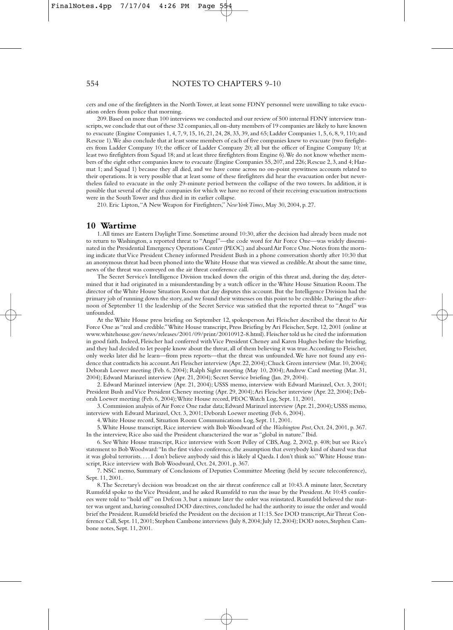cers and one of the firefighters in the North Tower, at least some FDNY personnel were unwilling to take evacuation orders from police that morning.

209. Based on more than 100 interviews we conducted and our review of 500 internal FDNY interview transcripts, we conclude that out of these 32 companies, all on-duty members of 19 companies are likely to have known to evacuate (Engine Companies 1, 4, 7, 9, 15, 16, 21, 24, 28, 33, 39, and 65; Ladder Companies 1, 5, 6, 8, 9, 110; and Rescue 1).We also conclude that at least some members of each of five companies knew to evacuate (two firefighters from Ladder Company 10; the officer of Ladder Company 20; all but the officer of Engine Company 10; at least two firefighters from Squad 18; and at least three firefighters from Engine 6).We do not know whether members of the eight other companies knew to evacuate (Engine Companies 55, 207, and 226; Rescue 2, 3, and 4; Hazmat 1; and Squad 1) because they all died, and we have come across no on-point eyewitness accounts related to their operations. It is very possible that at least some of these firefighters did hear the evacuation order but nevertheless failed to evacuate in the only 29-minute period between the collapse of the two towers. In addition, it is possible that several of the eight companies for which we have no record of their receiving evacuation instructions were in the South Tower and thus died in its earlier collapse.

210. Eric Lipton,"A New Weapon for Firefighters," *New York Times*, May 30, 2004, p. 27.

## **10 Wartime**

1.All times are Eastern Daylight Time. Sometime around 10:30, after the decision had already been made not to return to Washington, a reported threat to "Angel"—the code word for Air Force One—was widely disseminated in the Presidential Emergency Operations Center (PEOC) and aboard Air Force One. Notes from the morning indicate that Vice President Cheney informed President Bush in a phone conversation shortly after 10:30 that an anonymous threat had been phoned into the White House that was viewed as credible.At about the same time, news of the threat was conveyed on the air threat conference call.

The Secret Service's Intelligence Division tracked down the origin of this threat and, during the day, determined that it had originated in a misunderstanding by a watch officer in the White House Situation Room.The director of the White House Situation Room that day disputes this account. But the Intelligence Division had the primary job of running down the story, and we found their witnesses on this point to be credible. During the afternoon of September 11 the leadership of the Secret Service was satisfied that the reported threat to "Angel" was unfounded.

At the White House press briefing on September 12, spokesperson Ari Fleischer described the threat to Air Force One as "real and credible."White House transcript, Press Briefing by Ari Fleischer, Sept. 12, 2001 (online at www.whitehouse.gov/news/releases/2001/09/print/20010912-8.html).Fleischer told us he cited the information in good faith. Indeed, Fleischer had conferred with Vice President Cheney and Karen Hughes before the briefing, and they had decided to let people know about the threat, all of them believing it was true.According to Fleischer, only weeks later did he learn—from press reports—that the threat was unfounded.We have not found any evidence that contradicts his account. Ari Fleischer interview (Apr. 22, 2004); Chuck Green interview (Mar. 10, 2004); Deborah Loewer meeting (Feb. 6, 2004); Ralph Sigler meeting (May 10, 2004); Andrew Card meeting (Mar. 31, 2004); Edward Marinzel interview (Apr. 21, 2004); Secret Service briefing (Jan. 29, 2004).

2. Edward Marinzel interview (Apr. 21, 2004); USSS memo, interview with Edward Marinzel, Oct. 3, 2001; President Bush and Vice President Cheney meeting (Apr. 29, 2004); Ari Fleischer interview (Apr. 22, 2004); Deborah Loewer meeting (Feb. 6, 2004);White House record, PEOC Watch Log, Sept. 11, 2001.

3. Commission analysis of Air Force One radar data; Edward Marinzel interview (Apr. 21, 2004); USSS memo, interview with Edward Marinzel, Oct. 3, 2001; Deborah Loewer meeting (Feb. 6, 2004).

4.White House record, Situation Room Communications Log, Sept. 11, 2001.

5.White House transcript, Rice interview with Bob Woodward of the *Washington Post*, Oct. 24, 2001, p. 367. In the interview, Rice also said the President characterized the war as "global in nature." Ibid.

6. See White House transcript, Rice interview with Scott Pelley of CBS,Aug. 2, 2002, p. 408; but see Rice's statement to Bob Woodward:"In the first video conference, the assumption that everybody kind of shared was that it was global terrorists. . . . I don't believe anybody said this is likely al Qaeda. I don't think so." White House transcript, Rice interview with Bob Woodward, Oct. 24, 2001, p. 367.

7. NSC memo, Summary of Conclusions of Deputies Committee Meeting (held by secure teleconference), Sept. 11, 2001.

8.The Secretary's decision was broadcast on the air threat conference call at 10:43.A minute later, Secretary Rumsfeld spoke to the Vice President, and he asked Rumsfeld to run the issue by the President. At 10:45 conferees were told to "hold off" on Defcon 3, but a minute later the order was reinstated. Rumsfeld believed the matter was urgent and,having consulted DOD directives,concluded he had the authority to issue the order and would brief the President. Rumsfeld briefed the President on the decision at 11:15. See DOD transcript,Air Threat Conference Call, Sept. 11, 2001; Stephen Cambone interviews (July 8, 2004; July 12, 2004); DOD notes, Stephen Cambone notes, Sept. 11, 2001.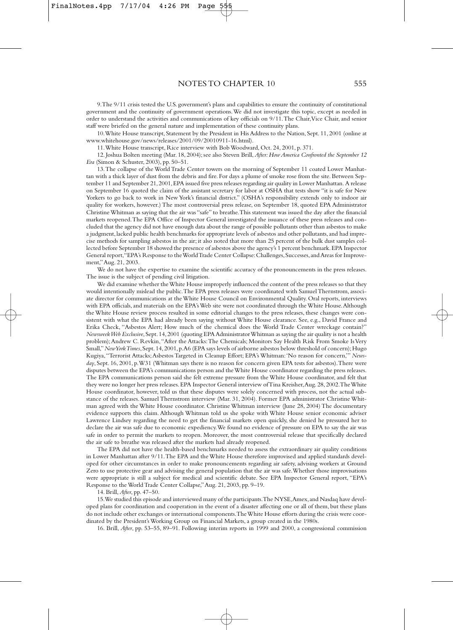9.The 9/11 crisis tested the U.S. government's plans and capabilities to ensure the continuity of constitutional government and the continuity of government operations.We did not investigate this topic, except as needed in order to understand the activities and communications of key officials on 9/11.The Chair,Vice Chair, and senior staff were briefed on the general nature and implementation of these continuity plans.

10.White House transcript, Statement by the President in His Address to the Nation, Sept. 11, 2001 (online at www.whitehouse.gov/news/releases/2001/09/20010911-16.html).

11.White House transcript, Rice interview with Bob Woodward, Oct. 24, 2001, p. 371.

12. Joshua Bolten meeting (Mar. 18, 2004); see also Steven Brill,*After: How America Confronted the September 12 Era* (Simon & Schuster, 2003), pp. 50–51.

13.The collapse of the World Trade Center towers on the morning of September 11 coated Lower Manhattan with a thick layer of dust from the debris and fire. For days a plume of smoke rose from the site. Between September 11 and September 21,2001,EPA issued five press releases regarding air quality in Lower Manhattan. A release on September 16 quoted the claim of the assistant secretary for labor at OSHA that tests show "it is safe for New Yorkers to go back to work in New York's financial district." (OSHA's responsibility extends only to indoor air quality for workers, however.) The most controversial press release, on September 18, quoted EPA Administrator Christine Whitman as saying that the air was "safe" to breathe.This statement was issued the day after the financial markets reopened.The EPA Office of Inspector General investigated the issuance of these press releases and concluded that the agency did not have enough data about the range of possible pollutants other than asbestos to make a judgment, lacked public health benchmarks for appropriate levels of asbestos and other pollutants, and had imprecise methods for sampling asbestos in the air; it also noted that more than 25 percent of the bulk dust samples collected before September 18 showed the presence of asbestos above the agency's 1 percent benchmark.EPA Inspector General report, "EPA's Response to the World Trade Center Collapse: Challenges, Successes, and Areas for Improvement,"Aug. 21, 2003.

We do not have the expertise to examine the scientific accuracy of the pronouncements in the press releases. The issue is the subject of pending civil litigation.

We did examine whether the White House improperly influenced the content of the press releases so that they would intentionally mislead the public.The EPA press releases were coordinated with Samuel Thernstrom, associate director for communications at the White House Council on Environmental Quality. Oral reports, interviews with EPA officials, and materials on the EPA's Web site were not coordinated through the White House.Although the White House review process resulted in some editorial changes to the press releases, these changes were consistent with what the EPA had already been saying without White House clearance. See, e.g., David France and Erika Check, "Asbestos Alert; How much of the chemical does the World Trade Center wreckage contain?" *Newsweek Web Exclusive*,Sept.14,2001 (quoting EPA Administrator Whitman as saying the air quality is not a health problem);Andrew C. Revkin,"After the Attacks:The Chemicals; Monitors Say Health Risk From Smoke Is Very Small," New York Times, Sept. 14, 2001, p. A6 (EPA says levels of airborne asbestos below threshold of concern); Hugo Kugiya,"Terrorist Attacks;Asbestos Targeted in Cleanup Effort; EPA's Whitman:'No reason for concern,'" *Newsday*, Sept. 16, 2001, p.W31 (Whitman says there is no reason for concern given EPA tests for asbestos).There were disputes between the EPA's communications person and the White House coordinator regarding the press releases. The EPA communications person said she felt extreme pressure from the White House coordinator, and felt that they were no longer her press releases. EPA Inspector General interview of Tina Kreisher, Aug. 28, 2002. The White House coordinator, however, told us that these disputes were solely concerned with process, not the actual substance of the releases. Samuel Thernstrom interview (Mar. 31, 2004). Former EPA administrator Christine Whitman agreed with the White House coordinator. Christine Whitman interview (June 28, 2004) The documentary evidence supports this claim. Although Whitman told us she spoke with White House senior economic adviser Lawrence Lindsey regarding the need to get the financial markets open quickly, she denied he pressured her to declare the air was safe due to economic expediency.We found no evidence of pressure on EPA to say the air was safe in order to permit the markets to reopen. Moreover, the most controversial release that specifically declared the air safe to breathe was released after the markets had already reopened.

The EPA did not have the health-based benchmarks needed to assess the extraordinary air quality conditions in Lower Manhattan after 9/11.The EPA and the White House therefore improvised and applied standards developed for other circumstances in order to make pronouncements regarding air safety, advising workers at Ground Zero to use protective gear and advising the general population that the air was safe.Whether those improvisations were appropriate is still a subject for medical and scientific debate. See EPA Inspector General report, "EPA's Response to the World Trade Center Collapse,"Aug. 21, 2003, pp. 9–19.

14. Brill, *After*, pp. 47–50.

15.We studied this episode and interviewed many of the participants.The NYSE,Amex,and Nasdaq have developed plans for coordination and cooperation in the event of a disaster affecting one or all of them, but these plans do not include other exchanges or international components.The White House efforts during the crisis were coordinated by the President's Working Group on Financial Markets, a group created in the 1980s.

16. Brill, *After*, pp. 53–55, 89–91. Following interim reports in 1999 and 2000, a congressional commission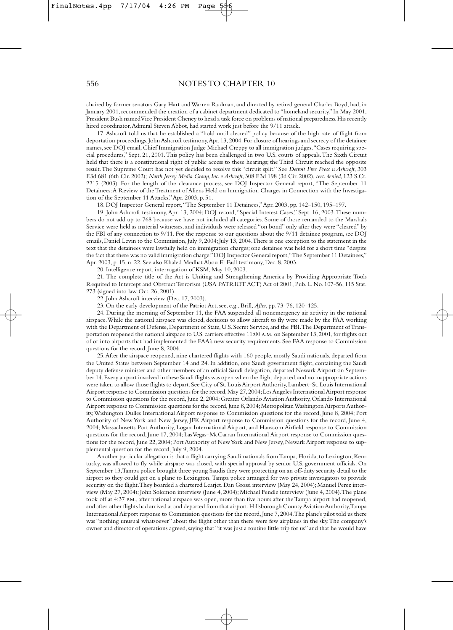chaired by former senators Gary Hart and Warren Rudman, and directed by retired general Charles Boyd, had, in January 2001, recommended the creation of a cabinet department dedicated to "homeland security." In May 2001, President Bush named Vice President Cheney to head a task force on problems of national preparedness.His recently hired coordinator, Admiral Steven Abbot, had started work just before the 9/11 attack.

17. Ashcroft told us that he established a "hold until cleared" policy because of the high rate of flight from deportation proceedings.John Ashcroft testimony,Apr.13,2004.For closure of hearings and secrecy of the detainee names, see DOJ email, Chief Immigration Judge Michael Creppy to all immigration judges,"Cases requiring special procedures," Sept. 21, 2001.This policy has been challenged in two U.S. courts of appeals.The Sixth Circuit held that there is a constitutional right of public access to these hearings; the Third Circuit reached the opposite result.The Supreme Court has not yet decided to resolve this "circuit split." See *Detroit Free Press v.Ashcroft*, 303 F.3d 681 (6th Cir. 2002); *North Jersey Media Group, Inc. v.Ashcroft*, 308 F.3d 198 (3d Cir. 2002), *cert. denied*, 123 S.Ct. 2215 (2003). For the length of the clearance process, see DOJ Inspector General report, "The September 11 Detainees:A Review of the Treatment of Aliens Held on Immigration Charges in Connection with the Investigation of the September 11 Attacks,"Apr. 2003, p. 51.

18. DOJ Inspector General report,"The September 11 Detainees,"Apr. 2003, pp. 142–150, 195–197.

19. John Ashcroft testimony,Apr. 13, 2004; DOJ record,"Special Interest Cases," Sept. 16, 2003.These numbers do not add up to 768 because we have not included all categories. Some of those remanded to the Marshals Service were held as material witnesses, and individuals were released "on bond" only after they were "cleared" by the FBI of any connection to 9/11. For the response to our questions about the 9/11 detainee program, see DOJ emails, Daniel Levin to the Commission, July 9, 2004; July 13, 2004.There is one exception to the statement in the text that the detainees were lawfully held on immigration charges; one detainee was held for a short time "despite the fact that there was no valid immigration charge."DOJ Inspector General report,"The September 11 Detainees," Apr. 2003, p. 15, n. 22. See also Khaled Medhat Abou El Fadl testimony, Dec. 8, 2003.

20. Intelligence report, interrogation of KSM, May 10, 2003.

21. The complete title of the Act is Uniting and Strengthening America by Providing Appropriate Tools Required to Intercept and Obstruct Terrorism (USA PATRIOT ACT) Act of 2001, Pub. L. No. 107-56, 115 Stat. 273 (signed into law Oct. 26, 2001).

22. John Ashcroft interview (Dec. 17, 2003).

23. On the early development of the Patriot Act, see, e.g., Brill, *After*, pp. 73–76, 120–125.

24. During the morning of September 11, the FAA suspended all nonemergency air activity in the national airspace.While the national airspace was closed, decisions to allow aircraft to fly were made by the FAA working with the Department of Defense, Department of State, U.S. Secret Service, and the FBI.The Department of Transportation reopened the national airspace to U.S.carriers effective 11:00 A.M. on September 13,2001,for flights out of or into airports that had implemented the FAA's new security requirements. See FAA response to Commission questions for the record, June 8, 2004.

25.After the airspace reopened, nine chartered flights with 160 people, mostly Saudi nationals, departed from the United States between September 14 and 24. In addition, one Saudi government flight, containing the Saudi deputy defense minister and other members of an official Saudi delegation, departed Newark Airport on September 14.Every airport involved in these Saudi flights was open when the flight departed,and no inappropriate actions were taken to allow those flights to depart. See City of St. Louis Airport Authority, Lambert–St. Louis International Airport response to Commission questions for the record,May 27,2004;Los Angeles International Airport response to Commission questions for the record, June 2, 2004; Greater Orlando Aviation Authority, Orlando International Airport response to Commission questions for the record, June 8, 2004; Metropolitan Washington Airports Authority,Washington Dulles International Airport response to Commission questions for the record, June 8, 2004; Port Authority of New York and New Jersey, JFK Airport response to Commission questions for the record, June 4, 2004; Massachusetts Port Authority, Logan International Airport, and Hanscom Airfield response to Commission questions for the record, June 17, 2004; Las Vegas–McCarran International Airport response to Commission questions for the record, June 22, 2004; Port Authority of New York and New Jersey, Newark Airport response to supplemental question for the record, July 9, 2004.

Another particular allegation is that a flight carrying Saudi nationals from Tampa, Florida, to Lexington, Kentucky, was allowed to fly while airspace was closed, with special approval by senior U.S. government officials. On September 13,Tampa police brought three young Saudis they were protecting on an off-duty security detail to the airport so they could get on a plane to Lexington. Tampa police arranged for two private investigators to provide security on the flight.They boarded a chartered Learjet. Dan Grossi interview (May 24, 2004); Manuel Perez interview (May 27, 2004); John Solomon interview (June 4, 2004); Michael Fendle interview (June 4, 2004).The plane took off at 4:37 P.M., after national airspace was open, more than five hours after the Tampa airport had reopened, and after other flights had arrived at and departed from that airport.Hillsborough County Aviation Authority,Tampa International Airport response to Commission questions for the record,June 7,2004.The plane's pilot told us there was "nothing unusual whatsoever" about the flight other than there were few airplanes in the sky.The company's owner and director of operations agreed, saying that "it was just a routine little trip for us" and that he would have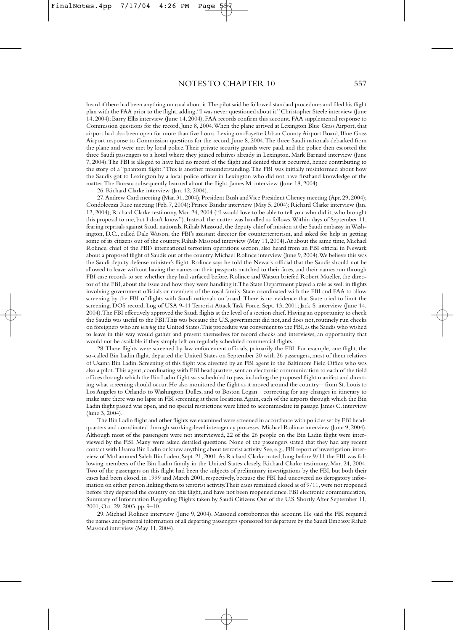heard if there had been anything unusual about it.The pilot said he followed standard procedures and filed his flight plan with the FAA prior to the flight, adding, "I was never questioned about it." Christopher Steele interview (June 14, 2004); Barry Ellis interview (June 14, 2004). FAA records confirm this account. FAA supplemental response to Commission questions for the record, June 8, 2004.When the plane arrived at Lexington Blue Grass Airport, that airport had also been open for more than five hours. Lexington-Fayette Urban County Airport Board, Blue Grass Airport response to Commission questions for the record, June 8, 2004.The three Saudi nationals debarked from the plane and were met by local police.Their private security guards were paid, and the police then escorted the three Saudi passengers to a hotel where they joined relatives already in Lexington. Mark Barnard interview (June 7, 2004).The FBI is alleged to have had no record of the flight and denied that it occurred, hence contributing to the story of a "phantom flight."This is another misunderstanding.The FBI was initially misinformed about how the Saudis got to Lexington by a local police officer in Lexington who did not have firsthand knowledge of the matter.The Bureau subsequently learned about the flight. James M. interview (June 18, 2004).

26. Richard Clarke interview (Jan. 12, 2004).

27.Andrew Card meeting (Mar.31,2004);President Bush and Vice President Cheney meeting (Apr.29,2004); Condoleezza Rice meeting (Feb. 7, 2004); Prince Bandar interview (May 5, 2004); Richard Clarke interview (Jan. 12, 2004); Richard Clarke testimony, Mar. 24, 2004 ("I would love to be able to tell you who did it, who brought this proposal to me, but I don't know"). Instead, the matter was handled as follows.Within days of September 11, fearing reprisals against Saudi nationals, Rihab Massoud, the deputy chief of mission at the Saudi embassy in Washington, D.C., called Dale Watson, the FBI's assistant director for counterterrorism, and asked for help in getting some of its citizens out of the country. Rihab Massoud interview (May 11, 2004).At about the same time, Michael Rolince, chief of the FBI's international terrorism operations section, also heard from an FBI official in Newark about a proposed flight of Saudis out of the country.Michael Rolince interview (June 9,2004).We believe this was the Saudi deputy defense minister's flight. Rolince says he told the Newark official that the Saudis should not be allowed to leave without having the names on their passports matched to their faces, and their names run through FBI case records to see whether they had surfaced before. Rolince and Watson briefed Robert Mueller, the director of the FBI, about the issue and how they were handling it.The State Department played a role as well in flights involving government officials or members of the royal family. State coordinated with the FBI and FAA to allow screening by the FBI of flights with Saudi nationals on board. There is no evidence that State tried to limit the screening. DOS record, Log of USA 9-11 Terrorist Attack Task Force, Sept. 13, 2001; Jack S. interview (June 14, 2004).The FBI effectively approved the Saudi flights at the level of a section chief. Having an opportunity to check the Saudis was useful to the FBI. This was because the U.S. government did not, and does not, routinely run checks on foreigners who are *leaving* the United States.This procedure was convenient to the FBI,as the Saudis who wished to leave in this way would gather and present themselves for record checks and interviews, an opportunity that would not be available if they simply left on regularly scheduled commercial flights.

28.These flights were screened by law enforcement officials, primarily the FBI. For example, one flight, the so-called Bin Ladin flight, departed the United States on September 20 with 26 passengers, most of them relatives of Usama Bin Ladin. Screening of this flight was directed by an FBI agent in the Baltimore Field Office who was also a pilot. This agent, coordinating with FBI headquarters, sent an electronic communication to each of the field offices through which the Bin Ladin flight was scheduled to pass,including the proposed flight manifest and directing what screening should occur. He also monitored the flight as it moved around the country—from St. Louis to Los Angeles to Orlando to Washington Dulles, and to Boston Logan—correcting for any changes in itinerary to make sure there was no lapse in FBI screening at these locations.Again, each of the airports through which the Bin Ladin flight passed was open, and no special restrictions were lifted to accommodate its passage. James C. interview (June 3, 2004).

The Bin Ladin flight and other flights we examined were screened in accordance with policies set by FBI headquarters and coordinated through working-level interagency processes. Michael Rolince interview (June 9, 2004). Although most of the passengers were not interviewed, 22 of the 26 people on the Bin Ladin flight were interviewed by the FBI. Many were asked detailed questions. None of the passengers stated that they had any recent contact with Usama Bin Ladin or knew anything about terrorist activity. See, e.g., FBI report of investigation, interview of Mohammed Saleh Bin Laden, Sept. 21, 2001.As Richard Clarke noted, long before 9/11 the FBI was following members of the Bin Ladin family in the United States closely. Richard Clarke testimony, Mar. 24, 2004. Two of the passengers on this flight had been the subjects of preliminary investigations by the FBI, but both their cases had been closed, in 1999 and March 2001, respectively, because the FBI had uncovered no derogatory information on either person linking them to terrorist activity. Their cases remained closed as of 9/11, were not reopened before they departed the country on this flight, and have not been reopened since. FBI electronic communication, Summary of Information Regarding Flights taken by Saudi Citizens Out of the U.S. Shortly After September 11, 2001, Oct. 29, 2003, pp. 9–10.

29. Michael Rolince interview (June 9, 2004). Massoud corroborates this account. He said the FBI required the names and personal information of all departing passengers sponsored for departure by the Saudi Embassy.Rihab Massoud interview (May 11, 2004).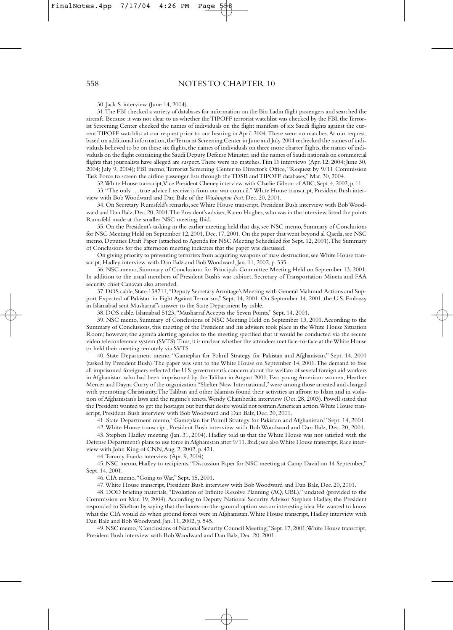30. Jack S. interview (June 14, 2004).

31.The FBI checked a variety of databases for information on the Bin Ladin flight passengers and searched the aircraft. Because it was not clear to us whether the TIPOFF terrorist watchlist was checked by the FBI, the Terrorist Screening Center checked the names of individuals on the flight manifests of six Saudi flights against the current TIPOFF watchlist at our request prior to our hearing in April 2004.There were no matches.At our request, based on additional information,the Terrorist Screening Center in June and July 2004 rechecked the names of individuals believed to be on these six flights, the names of individuals on three more charter flights, the names of individuals on the flight containing the Saudi Deputy Defense Minister,and the names of Saudi nationals on commercial flights that journalists have alleged are suspect.There were no matches.Tim D. interviews (Apr. 12, 2004; June 30, 2004; July 9, 2004); FBI memo, Terrorist Screening Center to Director's Office, "Request by 9/11 Commission Task Force to screen the airline passenger lists through the TDSB and TIPOFF databases," Mar. 30, 2004.

32.White House transcript,Vice President Cheney interview with Charlie Gibson of ABC, Sept. 4, 2002, p. 11.

33."The only . . . true advice I receive is from our war council." White House transcript, President Bush interview with Bob Woodward and Dan Balz of the *Washington Post*, Dec. 20, 2001.

34. On Secretary Rumsfeld's remarks, see White House transcript, President Bush interview with Bob Woodward and Dan Balz, Dec. 20, 2001. The President's adviser, Karen Hughes, who was in the interview, listed the points Rumsfeld made at the smaller NSC meeting. Ibid.

35. On the President's tasking in the earlier meeting held that day, see NSC memo, Summary of Conclusions for NSC Meeting Held on September 12, 2001, Dec. 17, 2001. On the paper that went beyond al Qaeda, see NSC memo, Deputies Draft Paper (attached to Agenda for NSC Meeting Scheduled for Sept. 12, 2001).The Summary of Conclusions for the afternoon meeting indicates that the paper was discussed.

On giving priority to preventing terrorists from acquiring weapons of mass destruction, see White House transcript, Hadley interview with Dan Balz and Bob Woodward, Jan. 11, 2002, p. 535.

36. NSC memo, Summary of Conclusions for Principals Committee Meeting Held on September 13, 2001. In addition to the usual members of President Bush's war cabinet, Secretary of Transportation Mineta and FAA security chief Canavan also attended.

37.DOS cable,State 158711,"Deputy Secretary Armitage's Meeting with General Mahmud:Actions and Support Expected of Pakistan in Fight Against Terrorism," Sept. 14, 2001. On September 14, 2001, the U.S. Embassy in Islamabad sent Musharraf's answer to the State Department by cable.

38. DOS cable, Islamabad 5123,"Musharraf Accepts the Seven Points," Sept. 14, 2001.

39. NSC memo, Summary of Conclusions of NSC Meeting Held on September 13, 2001.According to the Summary of Conclusions, this meeting of the President and his advisers took place in the White House Situation Room; however, the agenda alerting agencies to the meeting specified that it would be conducted via the secure video teleconference system (SVTS).Thus,it is unclear whether the attendees met face-to-face at the White House or held their meeting remotely via SVTS.

40. State Department memo, "Gameplan for Polmil Strategy for Pakistan and Afghanistan," Sept. 14, 2001 (tasked by President Bush).The paper was sent to the White House on September 14, 2001.The demand to free all imprisoned foreigners reflected the U.S. government's concern about the welfare of several foreign aid workers in Afghanistan who had been imprisoned by the Taliban in August 2001.Two young American women, Heather Mercer and Dayna Curry of the organization "Shelter Now International,"were among those arrested and charged with promoting Christianity.The Taliban and other Islamists found their activities an affront to Islam and in violation of Afghanistan's laws and the regime's tenets.Wendy Chamberlin interview (Oct. 28, 2003). Powell stated that the President wanted to get the hostages out but that desire would not restrain American action.White House transcript, President Bush interview with Bob Woodward and Dan Balz, Dec. 20, 2001.

41. State Department memo,"Gameplan for Polmil Strategy for Pakistan and Afghanistan," Sept. 14, 2001.

42.White House transcript, President Bush interview with Bob Woodward and Dan Balz, Dec. 20, 2001.

43. Stephen Hadley meeting (Jan. 31, 2004). Hadley told us that the White House was not satisfied with the Defense Department's plans to use force in Afghanistan after 9/11. Ibid.; see also White House transcript, Rice interview with John King of CNN,Aug. 2, 2002, p. 421.

44.Tommy Franks interview (Apr. 9, 2004).

45. NSC memo, Hadley to recipients,"Discussion Paper for NSC meeting at Camp David on 14 September," Sept. 14, 2001.

46. CIA memo,"Going to War," Sept. 15, 2001.

47.White House transcript, President Bush interview with Bob Woodward and Dan Balz, Dec. 20, 2001.

48. DOD briefing materials,"Evolution of Infinite Resolve Planning (AQ, UBL)," undated (provided to the Commission on Mar. 19, 2004). According to Deputy National Security Advisor Stephen Hadley, the President responded to Shelton by saying that the boots-on-the-ground option was an interesting idea. He wanted to know what the CIA would do when ground forces were in Afghanistan.White House transcript, Hadley interview with Dan Balz and Bob Woodward, Jan. 11, 2002, p. 545.

49.NSC memo,"Conclusions of National Security Council Meeting,"Sept.17,2001;White House transcript, President Bush interview with Bob Woodward and Dan Balz, Dec. 20, 2001.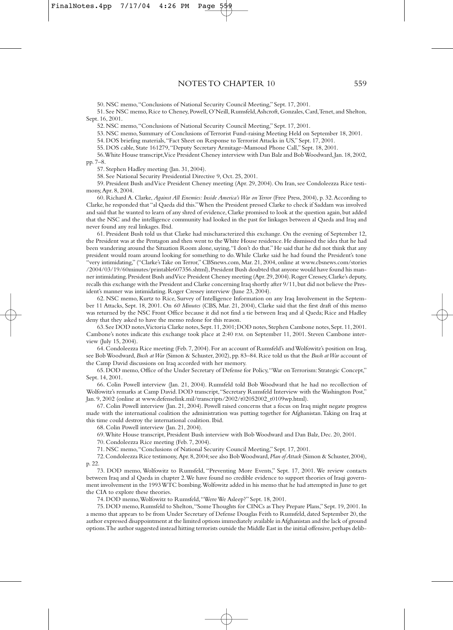50. NSC memo,"Conclusions of National Security Council Meeting," Sept. 17, 2001.

51. See NSC memo, Rice to Cheney, Powell, O'Neill, Rumsfeld,Ashcroft, Gonzales, Card,Tenet, and Shelton, Sept. 16, 2001.

52. NSC memo,"Conclusions of National Security Council Meeting," Sept. 17, 2001.

53. NSC memo, Summary of Conclusions of Terrorist Fund-raising Meeting Held on September 18, 2001.

54. DOS briefing materials,"Fact Sheet on Response to Terrorist Attacks in US," Sept. 17, 2001.

55. DOS cable, State 161279,"Deputy Secretary Armitage–Mamoud Phone Call," Sept. 18, 2001.

56.White House transcript,Vice President Cheney interview with Dan Balz and Bob Woodward,Jan.18,2002, pp. 7–8.

57. Stephen Hadley meeting (Jan. 31, 2004).

58. See National Security Presidential Directive 9, Oct. 25, 2001.

59. President Bush and Vice President Cheney meeting (Apr. 29, 2004). On Iran, see Condoleezza Rice testimony,Apr. 8, 2004.

60. Richard A. Clarke, *Against All Enemies: Inside America's War on Terror* (Free Press, 2004), p. 32.According to Clarke, he responded that "al Qaeda did this."When the President pressed Clarke to check if Saddam was involved and said that he wanted to learn of any shred of evidence, Clarke promised to look at the question again, but added that the NSC and the intelligence community had looked in the past for linkages between al Qaeda and Iraq and never found any real linkages. Ibid.

61. President Bush told us that Clarke had mischaracterized this exchange. On the evening of September 12, the President was at the Pentagon and then went to the White House residence. He dismissed the idea that he had been wandering around the Situation Room alone, saying,"I don't do that." He said that he did not think that any president would roam around looking for something to do.While Clarke said he had found the President's tone "very intimidating," ("Clarke's Take on Terror," CBSnews.com, Mar. 21, 2004, online at www.cbsnews.com/stories /2004/03/19/60minutes/printable607356.shtml),President Bush doubted that anyone would have found his manner intimidating.President Bush and Vice President Cheney meeting (Apr.29,2004).Roger Cressey,Clarke's deputy, recalls this exchange with the President and Clarke concerning Iraq shortly after 9/11,but did not believe the President's manner was intimidating. Roger Cressey interview (June 23, 2004).

62. NSC memo, Kurtz to Rice, Survey of Intelligence Information on any Iraq Involvement in the September 11 Attacks, Sept. 18, 2001. On *60 Minutes* (CBS, Mar. 21, 2004), Clarke said that the first draft of this memo was returned by the NSC Front Office because it did not find a tie between Iraq and al Qaeda; Rice and Hadley deny that they asked to have the memo redone for this reason.

63.See DOD notes,Victoria Clarke notes,Sept.11,2001;DOD notes,Stephen Cambone notes,Sept.11,2001. Cambone's notes indicate this exchange took place at 2:40 P.M. on September 11, 2001. Steven Cambone interview (July 15, 2004).

64. Condoleezza Rice meeting (Feb. 7, 2004). For an account of Rumsfeld's and Wolfowitz's position on Iraq, see Bob Woodward, *Bush at War* (Simon & Schuster, 2002), pp. 83–84. Rice told us that the *Bush at War* account of the Camp David discussions on Iraq accorded with her memory.

65. DOD memo, Office of the Under Secretary of Defense for Policy,"War on Terrorism: Strategic Concept," Sept. 14, 2001.

66. Colin Powell interview (Jan. 21, 2004). Rumsfeld told Bob Woodward that he had no recollection of Wolfowitz's remarks at Camp David. DOD transcript,"Secretary Rumsfeld Interview with the Washington Post," Jan. 9, 2002 (online at www.defenselink.mil/transcripts/2002/t02052002\_t0109wp.html).

67. Colin Powell interview (Jan. 21, 2004). Powell raised concerns that a focus on Iraq might negate progress made with the international coalition the administration was putting together for Afghanistan.Taking on Iraq at this time could destroy the international coalition. Ibid.

68. Colin Powell interview (Jan. 21, 2004).

69.White House transcript, President Bush interview with Bob Woodward and Dan Balz, Dec. 20, 2001.

70. Condoleezza Rice meeting (Feb. 7, 2004).

71. NSC memo,"Conclusions of National Security Council Meeting," Sept. 17, 2001.

72.Condoleezza Rice testimony, Apr.8,2004;see also Bob Woodward,*Plan of Attack* (Simon & Schuster,2004), p. 22.

73. DOD memo, Wolfowitz to Rumsfeld, "Preventing More Events," Sept. 17, 2001. We review contacts between Iraq and al Qaeda in chapter 2.We have found no credible evidence to support theories of Iraqi government involvement in the 1993 WTC bombing.Wolfowitz added in his memo that he had attempted in June to get the CIA to explore these theories.

74. DOD memo,Wolfowitz to Rumsfeld,"Were We Asleep?" Sept. 18, 2001.

75. DOD memo, Rumsfeld to Shelton,"Some Thoughts for CINCs as They Prepare Plans," Sept. 19, 2001. In a memo that appears to be from Under Secretary of Defense Douglas Feith to Rumsfeld, dated September 20, the author expressed disappointment at the limited options immediately available in Afghanistan and the lack of ground options.The author suggested instead hitting terrorists outside the Middle East in the initial offensive,perhaps delib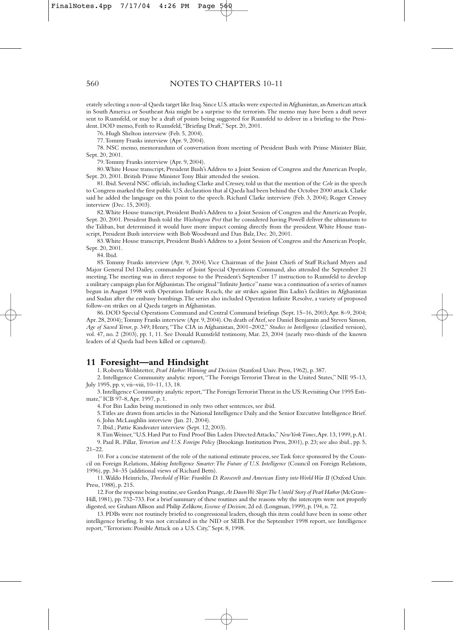erately selecting a non–al Qaeda target like Iraq.Since U.S.attacks were expected in Afghanistan,an American attack in South America or Southeast Asia might be a surprise to the terrorists.The memo may have been a draft never sent to Rumsfeld, or may be a draft of points being suggested for Rumsfeld to deliver in a briefing to the President. DOD memo, Feith to Rumsfeld,"Briefing Draft," Sept. 20, 2001.

76. Hugh Shelton interview (Feb. 5, 2004).

77.Tommy Franks interview (Apr. 9, 2004).

78. NSC memo, memorandum of conversation from meeting of President Bush with Prime Minister Blair, Sept. 20, 2001.

79.Tommy Franks interview (Apr. 9, 2004).

80.White House transcript, President Bush's Address to a Joint Session of Congress and the American People, Sept. 20, 2001. British Prime Minister Tony Blair attended the session.

81.Ibid.Several NSC officials,including Clarke and Cressey,told us that the mention of the *Cole* in the speech to Congress marked the first public U.S.declaration that al Qaeda had been behind the October 2000 attack.Clarke said he added the language on this point to the speech. Richard Clarke interview (Feb. 3, 2004); Roger Cressey interview (Dec. 15, 2003).

82.White House transcript, President Bush's Address to a Joint Session of Congress and the American People, Sept. 20, 2001. President Bush told the *Washington Post* that he considered having Powell deliver the ultimatum to the Taliban, but determined it would have more impact coming directly from the president.White House transcript, President Bush interview with Bob Woodward and Dan Balz, Dec. 20, 2001.

83.White House transcript, President Bush's Address to a Joint Session of Congress and the American People, Sept. 20, 2001.

84. Ibid.

85.Tommy Franks interview (Apr. 9, 2004).Vice Chairman of the Joint Chiefs of Staff Richard Myers and Major General Del Dailey, commander of Joint Special Operations Command, also attended the September 21 meeting.The meeting was in direct response to the President's September 17 instruction to Rumsfeld to develop a military campaign plan for Afghanistan.The original "Infinite Justice"name was a continuation of a series of names begun in August 1998 with Operation Infinite Reach, the air strikes against Bin Ladin's facilities in Afghanistan and Sudan after the embassy bombings.The series also included Operation Infinite Resolve, a variety of proposed follow-on strikes on al Qaeda targets in Afghanistan.

86. DOD Special Operations Command and Central Command briefings (Sept. 15–16, 2003;Apr. 8–9, 2004; Apr. 28, 2004);Tommy Franks interview (Apr. 9, 2004). On death of Atef, see Daniel Benjamin and Steven Simon, *Age of Sacred Terror*, p. 349; Henry,"The CIA in Afghanistan, 2001–2002," *Studies in Intelligence* (classified version), vol. 47, no. 2 (2003), pp. 1, 11. See Donald Rumsfeld testimony, Mar. 23, 2004 (nearly two-thirds of the known leaders of al Qaeda had been killed or captured).

## **11 Foresight—and Hindsight**

1. Roberta Wohlstetter, *Pearl Harbor:Warning and Decision* (Stanford Univ. Press, 1962), p. 387.

2. Intelligence Community analytic report,"The Foreign Terrorist Threat in the United States," NIE 95-13, July 1995, pp. v, vii–viii, 10–11, 13, 18.

3.Intelligence Community analytic report,"The Foreign Terrorist Threat in the US:Revisiting Our 1995 Estimate," ICB 97-8,Apr. 1997, p. 1.

4. For Bin Ladin being mentioned in only two other sentences, see ibid.

5.Titles are drawn from articles in the National Intelligence Daily and the Senior Executive Intelligence Brief.

6. John McLaughlin interview (Jan. 21, 2004).

7. Ibid.; Pattie Kindsvater interview (Sept. 12, 2003).

8.Tim Weiner,"U.S. Hard Put to Find Proof Bin Laden Directed Attacks,"*New York Times*,Apr. 13, 1999, p.A1. 9. Paul R. Pillar, *Terrorism and U.S. Foreign Policy* (Brookings Institution Press, 2001), p. 23; see also ibid., pp. 5, 21–22.

10. For a concise statement of the role of the national estimate process, see Task force sponsored by the Council on Foreign Relations, *Making Intelligence Smarter: The Future of U.S. Intelligence* (Council on Foreign Relations, 1996), pp. 34–35 (additional views of Richard Betts).

11. Waldo Heinrichs, *Threshold of War: Franklin D. Roosevelt and American Entry into World War II* (Oxford Univ. Press, 1988), p. 215.

12.For the response being routine,see Gordon Prange,*At Dawn We Slept:The Untold Story of Pearl Harbor* (McGraw-Hill, 1981), pp. 732–733. For a brief summary of these routines and the reasons why the intercepts were not properly digested, see Graham Allison and Philip Zelikow,*Essence of Decision*, 2d ed. (Longman, 1999), p. 194, n. 72.

13. PDBs were not routinely briefed to congressional leaders, though this item could have been in some other intelligence briefing. It was not circulated in the NID or SEIB. For the September 1998 report, see Intelligence report,"Terrorism: Possible Attack on a U.S. City," Sept. 8, 1998.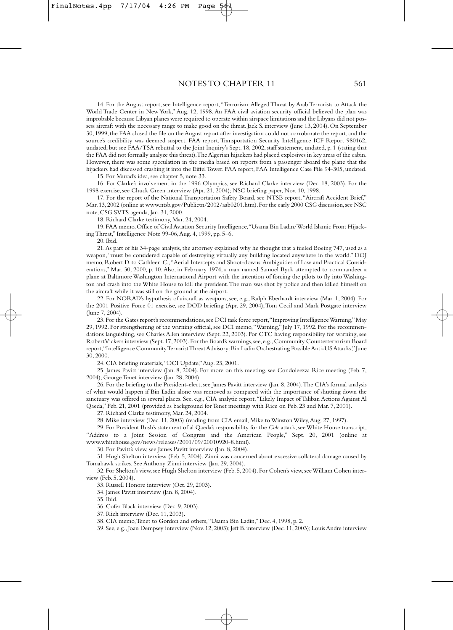14. For the August report, see Intelligence report,"Terrorism:Alleged Threat by Arab Terrorists to Attack the World Trade Center in New York," Aug. 12, 1998. An FAA civil aviation security official believed the plan was improbable because Libyan planes were required to operate within airspace limitations and the Libyans did not possess aircraft with the necessary range to make good on the threat. Jack S. interview (June 13, 2004). On September 30, 1999, the FAA closed the file on the August report after investigation could not corroborate the report, and the source's credibility was deemed suspect. FAA report, Transportation Security Intelligence ICF Report 980162, undated; but see FAA/TSA rebuttal to the Joint Inquiry's Sept. 18, 2002, staff statement, undated, p. 1 (stating that the FAA did not formally analyze this threat).The Algerian hijackers had placed explosives in key areas of the cabin. However, there was some speculation in the media based on reports from a passenger aboard the plane that the hijackers had discussed crashing it into the Eiffel Tower. FAA report, FAA Intelligence Case File 94-305, undated.

15. For Murad's idea, see chapter 5, note 33.

16. For Clarke's involvement in the 1996 Olympics, see Richard Clarke interview (Dec. 18, 2003). For the 1998 exercise, see Chuck Green interview (Apr. 21, 2004); NSC briefing paper, Nov. 10, 1998.

17. For the report of the National Transportation Safety Board, see NTSB report,"Aircraft Accident Brief," Mar.13,2002 (online at www.ntsb.gov/Publictn/2002/aab0201.htm).For the early 2000 CSG discussion,see NSC note, CSG SVTS agenda, Jan. 31, 2000.

18. Richard Clarke testimony, Mar. 24, 2004.

19.FAA memo,Office of Civil Aviation Security Intelligence,"Usama Bin Ladin/World Islamic Front Hijacking Threat," Intelligence Note 99-06,Aug. 4, 1999, pp. 5–6.

20. Ibid.

21.As part of his 34-page analysis, the attorney explained why he thought that a fueled Boeing 747, used as a weapon,"must be considered capable of destroying virtually any building located anywhere in the world." DOJ memo, Robert D. to Cathleen C.,"Aerial Intercepts and Shoot-downs:Ambiguities of Law and Practical Considerations," Mar. 30, 2000, p. 10. Also, in February 1974, a man named Samuel Byck attempted to commandeer a plane at Baltimore Washington International Airport with the intention of forcing the pilots to fly into Washington and crash into the White House to kill the president.The man was shot by police and then killed himself on the aircraft while it was still on the ground at the airport.

22. For NORAD's hypothesis of aircraft as weapons, see, e.g., Ralph Eberhardt interview (Mar. 1, 2004). For the 2001 Positive Force 01 exercise, see DOD briefing (Apr. 29, 2004); Tom Cecil and Mark Postgate interview (June 7, 2004).

23.For the Gates report's recommendations,see DCI task force report,"Improving Intelligence Warning,"May 29, 1992. For strengthening of the warning official, see DCI memo,"Warning," July 17, 1992. For the recommendations languishing, see Charles Allen interview (Sept. 22, 2003). For CTC having responsibility for warning, see Robert Vickers interview (Sept.17,2003).For the Board's warnings,see,e.g.,Community Counterterrorism Board report,"Intelligence Community Terrorist Threat Advisory:Bin Ladin Orchestrating Possible Anti-US Attacks,"June 30, 2000.

24. CIA briefing materials,"DCI Update,"Aug. 23, 2001.

25. James Pavitt interview (Jan. 8, 2004). For more on this meeting, see Condoleezza Rice meeting (Feb. 7, 2004); George Tenet interview (Jan. 28, 2004).

26. For the briefing to the President-elect, see James Pavitt interview (Jan. 8, 2004).The CIA's formal analysis of what would happen if Bin Ladin alone was removed as compared with the importance of shutting down the sanctuary was offered in several places. See, e.g., CIA analytic report,"Likely Impact of Taliban Actions Against Al Qaeda," Feb. 21, 2001 (provided as background for Tenet meetings with Rice on Feb. 23 and Mar. 7, 2001).

27. Richard Clarke testimony, Mar. 24, 2004.

28. Mike interview (Dec. 11, 2003) (reading from CIA email, Mike to Winston Wiley,Aug. 27, 1997).

29. For President Bush's statement of al Qaeda's responsibility for the *Cole* attack, see White House transcript, "Address to a Joint Session of Congress and the American People," Sept. 20, 2001 (online at www.whitehouse.gov/news/releases/2001/09/20010920-8.html).

30. For Pavitt's view, see James Pavitt interview (Jan. 8, 2004).

31. Hugh Shelton interview (Feb. 5, 2004). Zinni was concerned about excessive collateral damage caused by Tomahawk strikes. See Anthony Zinni interview (Jan. 29, 2004).

32.For Shelton's view,see Hugh Shelton interview (Feb.5,2004).For Cohen's view,see William Cohen interview (Feb. 5, 2004).

33. Russell Honore interview (Oct. 29, 2003).

34. James Pavitt interview (Jan. 8, 2004).

35. Ibid.

36. Cofer Black interview (Dec. 9, 2003).

37. Rich interview (Dec. 11, 2003).

38. CIA memo,Tenet to Gordon and others,"Usama Bin Ladin," Dec. 4, 1998, p. 2.

39. See, e.g., Joan Dempsey interview (Nov. 12, 2003); Jeff B. interview (Dec. 11, 2003); Louis Andre interview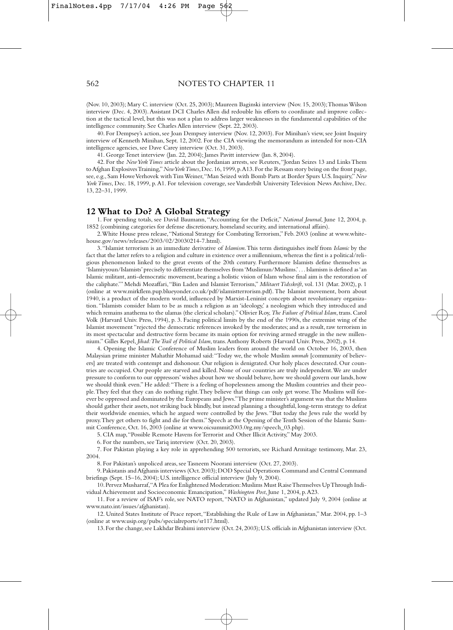(Nov. 10, 2003); Mary C. interview (Oct. 25, 2003); Maureen Baginski interview (Nov. 15, 2003);Thomas Wilson interview (Dec. 4, 2003).Assistant DCI Charles Allen did redouble his efforts to coordinate and improve collection at the tactical level, but this was not a plan to address larger weaknesses in the fundamental capabilities of the intelligence community. See Charles Allen interview (Sept. 22, 2003).

40. For Dempsey's action, see Joan Dempsey interview (Nov. 12, 2003). For Minihan's view, see Joint Inquiry interview of Kenneth Minihan, Sept. 12, 2002. For the CIA viewing the memorandum as intended for non-CIA intelligence agencies, see Dave Carey interview (Oct. 31, 2003).

41. George Tenet interview (Jan. 22, 2004); James Pavitt interview (Jan. 8, 2004).

42. For the *New York Times* article about the Jordanian arrests, see Reuters,"Jordan Seizes 13 and Links Them to Afghan Explosives Training,"*New York Times*,Dec.16,1999,p.A13.For the Ressam story being on the front page, see, e.g., Sam Howe Verhovek with Tim Weiner,"Man Seized with Bomb Parts at Border Spurs U.S. Inquiry," *New York Times*, Dec. 18, 1999, p.A1. For television coverage, see Vanderbilt University Television News Archive, Dec. 13, 22–31, 1999.

## **12 What to Do? A Global Strategy**

1. For spending totals, see David Baumann, "Accounting for the Deficit," *National Journal*, June 12, 2004, p. 1852 (combining categories for defense discretionary, homeland security, and international affairs).

2.White House press release,"National Strategy for Combating Terrorism," Feb. 2003 (online at www.whitehouse.gov/news/releases/2003/02/20030214-7.html).

3."Islamist terrorism is an immediate derivative of *Islamism*.This term distinguishes itself from *Islamic* by the fact that the latter refers to a religion and culture in existence over a millennium, whereas the first is a political/religious phenomenon linked to the great events of the 20th century. Furthermore Islamists define themselves as 'Islamiyyoun/Islamists'precisely to differentiate themselves from 'Muslimun/Muslims.'...Islamism is defined as 'an Islamic militant, anti-democratic movement, bearing a holistic vision of Islam whose final aim is the restoration of the caliphate.'" Mehdi Mozaffari,"Bin Laden and Islamist Terrorism," *Militaert Tidsskrift*, vol. 131 (Mar. 2002), p. 1 (online at www.mirkflem.pup.blueyonder.co.uk/pdf/islamistterrorism.pdf). The Islamist movement, born about 1940, is a product of the modern world, influenced by Marxist-Leninist concepts about revolutionary organization."Islamists consider Islam to be as much a religion as an 'ideology,' a neologism which they introduced and which remains anathema to the ulamas (the clerical scholars)." Olivier Roy,*The Failure of Political Islam*, trans. Carol Volk (Harvard Univ. Press, 1994), p. 3. Facing political limits by the end of the 1990s, the extremist wing of the Islamist movement "rejected the democratic references invoked by the moderates; and as a result, raw terrorism in its most spectacular and destructive form became its main option for reviving armed struggle in the new millennium." Gilles Kepel, *Jihad:The Trail of Political Islam*, trans.Anthony Roberts (Harvard Univ. Press, 2002), p. 14.

4. Opening the Islamic Conference of Muslim leaders from around the world on October 16, 2003, then Malaysian prime minister Mahathir Mohamad said:"Today we, the whole Muslim *ummah* [community of believers] are treated with contempt and dishonour. Our religion is denigrated. Our holy places desecrated. Our countries are occupied. Our people are starved and killed. None of our countries are truly independent.We are under pressure to conform to our oppressors' wishes about how we should behave, how we should govern our lands, how we should think even." He added:"There is a feeling of hopelessness among the Muslim countries and their people.They feel that they can do nothing right.They believe that things can only get worse.The Muslims will forever be oppressed and dominated by the Europeans and Jews."The prime minister's argument was that the Muslims should gather their assets, not striking back blindly, but instead planning a thoughtful, long-term strategy to defeat their worldwide enemies, which he argued were controlled by the Jews."But today the Jews rule the world by proxy.They get others to fight and die for them." Speech at the Opening of the Tenth Session of the Islamic Summit Conference, Oct. 16, 2003 (online at www.oicsummit2003.0rg.my/speech\_03.php).

5. CIA map,"Possible Remote Havens for Terrorist and Other Illicit Activity," May 2003.

6. For the numbers, see Tariq interview (Oct. 20, 2003).

7. For Pakistan playing a key role in apprehending 500 terrorists, see Richard Armitage testimony, Mar. 23, 2004.

8. For Pakistan's unpoliced areas, see Tasneem Noorani interview (Oct. 27, 2003).

9.Pakistanis and Afghanis interviews (Oct.2003);DOD Special Operations Command and Central Command briefings (Sept. 15–16, 2004); U.S. intelligence official interview (July 9, 2004).

10. Pervez Musharraf, "A Plea for Enlightened Moderation: Muslims Must Raise Themselves Up Through Individual Achievement and Socioeconomic Emancipation," *Washington Post*, June 1, 2004, p.A23.

11. For a review of ISAF's role, see NATO report,"NATO in Afghanistan," updated July 9, 2004 (online at www.nato.int/issues/afghanistan).

12. United States Institute of Peace report,"Establishing the Rule of Law in Afghanistan," Mar. 2004, pp. 1–3 (online at www.usip.org/pubs/specialreports/sr117.html).

13.For the change,see Lakhdar Brahimi interview (Oct.24,2003);U.S.officials in Afghanistan interview (Oct.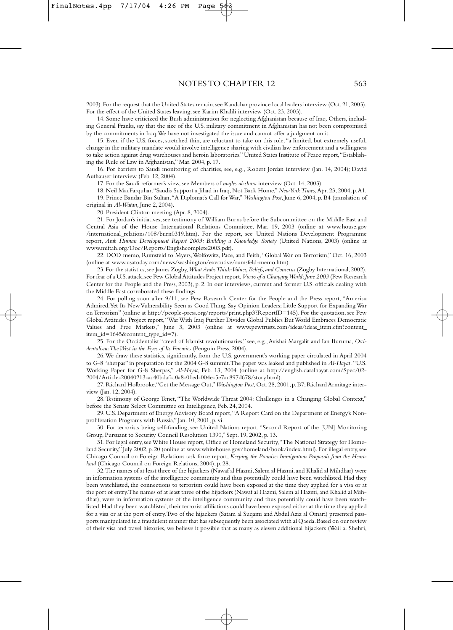2003).For the request that the United States remain,see Kandahar province local leaders interview (Oct.21,2003). For the effect of the United States leaving, see Karim Khalili interview (Oct. 23, 2003).

14. Some have criticized the Bush administration for neglecting Afghanistan because of Iraq. Others, including General Franks, say that the size of the U.S. military commitment in Afghanistan has not been compromised by the commitments in Iraq.We have not investigated the issue and cannot offer a judgment on it.

15. Even if the U.S. forces, stretched thin, are reluctant to take on this role,"a limited, but extremely useful, change in the military mandate would involve intelligence sharing with civilian law enforcement and a willingness to take action against drug warehouses and heroin laboratories." United States Institute of Peace report,"Establishing the Rule of Law in Afghanistan," Mar. 2004, p. 17.

16. For barriers to Saudi monitoring of charities, see, e.g., Robert Jordan interview (Jan. 14, 2004); David Aufhauser interview (Feb. 12, 2004).

17. For the Saudi reformer's view, see Members of *majles al-shura* interview (Oct. 14, 2003).

18. Neil MacFarquhar,"Saudis Support a Jihad in Iraq, Not Back Home," *New York Times,*Apr. 23, 2004, p.A1. 19. Prince Bandar Bin Sultan,"A Diplomat's Call for War," *Washington Post*, June 6, 2004, p. B4 (translation of original in *Al-Watan,* June 2, 2004).

20. President Clinton meeting (Apr. 8, 2004).

21. For Jordan's initiatives, see testimony of William Burns before the Subcommittee on the Middle East and Central Asia of the House International Relations Committee, Mar. 19, 2003 (online at www.house.gov /international\_relations/108/burn0319.htm). For the report, see United Nations Development Programme report, *Arab Human Development Report 2003: Building a Knowledge Society* (United Nations, 2003) (online at www.miftah.org/Doc/Reports/Englishcomplete2003.pdf).

22. DOD memo, Rumsfeld to Myers,Wolfowitz, Pace, and Feith,"Global War on Terrorism," Oct. 16, 2003 (online at www.usatoday.com/news/washington/executive/rumsfeld-memo.htm).

23.For the statistics,see James Zogby,*What Arabs Think:Values,Beliefs,and Concerns* (Zogby International,2002). For fear of a U.S. attack, see Pew Global Attitudes Project report, Views of a Changing World: June 2003 (Pew Research Center for the People and the Press, 2003), p. 2. In our interviews, current and former U.S. officials dealing with the Middle East corroborated these findings.

24. For polling soon after 9/11, see Pew Research Center for the People and the Press report, "America Admired,Yet Its New Vulnerability Seen as Good Thing, Say Opinion Leaders; Little Support for Expanding War on Terrorism" (online at http://people-press.org/reports/print.php3?ReportID=145). For the quotation, see Pew Global Attitudes Project report,"War With Iraq Further Divides Global Publics But World Embraces Democratic Values and Free Markets," June 3, 2003 (online at www.pewtrusts.com/ideas/ideas\_item.cfm?content\_ item\_id=1645&content\_type\_id=7).

25. For the Occidentalist "creed of Islamist revolutionaries," see, e.g.,Avishai Margalit and Ian Buruma, *Occidentalism:The West in the Eyes of Its Enemies* (Penguin Press, 2004).

26.We draw these statistics, significantly, from the U.S. government's working paper circulated in April 2004 to G-8 "sherpas" in preparation for the 2004 G-8 summit.The paper was leaked and published in *Al-Hayat.* "U.S. Working Paper for G-8 Sherpas," *Al-Hayat*, Feb. 13, 2004 (online at http://english.daralhayat.com/Spec/02- 2004/Article-20040213-ac40bdaf-c0a8-01ed-004e-5e7ac897d678/story.html).

27.Richard Holbrooke,"Get the Message Out,"*Washington Post*,Oct.28,2001,p.B7;Richard Armitage interview (Jan. 12, 2004).

28.Testimony of George Tenet, "The Worldwide Threat 2004: Challenges in a Changing Global Context," before the Senate Select Committee on Intelligence, Feb. 24, 2004.

29. U.S. Department of Energy Advisory Board report,"A Report Card on the Department of Energy's Nonproliferation Programs with Russia," Jan. 10, 2001, p. vi.

30. For terrorists being self-funding, see United Nations report, "Second Report of the [UN] Monitoring Group, Pursuant to Security Council Resolution 1390," Sept. 19, 2002, p. 13.

31. For legal entry, see White House report, Office of Homeland Security,"The National Strategy for Homeland Security," July 2002, p. 20 (online at www.whitehouse.gov/homeland/book/index.html). For illegal entry, see Chicago Council on Foreign Relations task force report, *Keeping the Promise: Immigration Proposals from the Heartland* (Chicago Council on Foreign Relations, 2004), p. 28.

32. The names of at least three of the hijackers (Nawaf al Hazmi, Salem al Hazmi, and Khalid al Mihdhar) were in information systems of the intelligence community and thus potentially could have been watchlisted. Had they been watchlisted, the connections to terrorism could have been exposed at the time they applied for a visa or at the port of entry.The names of at least three of the hijackers (Nawaf al Hazmi, Salem al Hazmi, and Khalid al Mihdhar), were in information systems of the intelligence community and thus potentially could have been watchlisted. Had they been watchlisted, their terrorist affiliations could have been exposed either at the time they applied for a visa or at the port of entry.Two of the hijackers (Satam al Suqami and Abdul Aziz al Omari) presented passports manipulated in a fraudulent manner that has subsequently been associated with al Qaeda. Based on our review of their visa and travel histories, we believe it possible that as many as eleven additional hijackers (Wail al Shehri,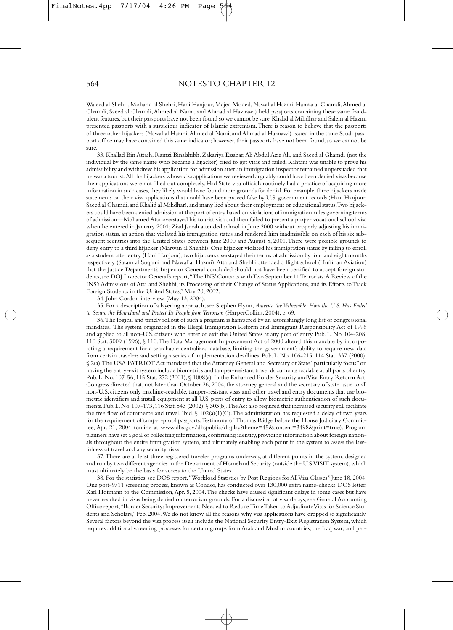Waleed al Shehri, Mohand al Shehri, Hani Hanjour, Majed Moqed, Nawaf al Hazmi, Hamza al Ghamdi,Ahmed al Ghamdi, Saeed al Ghamdi,Ahmed al Nami, and Ahmad al Haznawi) held passports containing these same fraudulent features,but their passports have not been found so we cannot be sure.Khalid al Mihdhar and Salem al Hazmi presented passports with a suspicious indicator of Islamic extremism.There is reason to believe that the passports of three other hijackers (Nawaf al Hazmi,Ahmed al Nami, and Ahmad al Haznawi) issued in the same Saudi passport office may have contained this same indicator; however, their passports have not been found, so we cannot be sure.

33. Khallad Bin Attash, Ramzi Binalshibh, Zakariya Essabar,Ali Abdul Aziz Ali, and Saeed al Ghamdi (not the individual by the same name who became a hijacker) tried to get visas and failed. Kahtani was unable to prove his admissibility and withdrew his application for admission after an immigration inspector remained unpersuaded that he was a tourist.All the hijackers whose visa applications we reviewed arguably could have been denied visas because their applications were not filled out completely. Had State visa officials routinely had a practice of acquiring more information in such cases, they likely would have found more grounds for denial. For example, three hijackers made statements on their visa applications that could have been proved false by U.S. government records (Hani Hanjour, Saeed al Ghamdi, and Khalid al Mihdhar), and many lied about their employment or educational status. Two hijackers could have been denied admission at the port of entry based on violations of immigration rules governing terms of admission—Mohamed Atta overstayed his tourist visa and then failed to present a proper vocational school visa when he entered in January 2001; Ziad Jarrah attended school in June 2000 without properly adjusting his immigration status, an action that violated his immigration status and rendered him inadmissible on each of his six subsequent reentries into the United States between June 2000 and August 5, 2001.There were possible grounds to deny entry to a third hijacker (Marwan al Shehhi). One hijacker violated his immigration status by failing to enroll as a student after entry (Hani Hanjour);two hijackers overstayed their terms of admission by four and eight months respectively (Satam al Suqami and Nawaf al Hazmi).Atta and Shehhi attended a flight school (Huffman Aviation) that the Justice Department's Inspector General concluded should not have been certified to accept foreign students, see DOJ Inspector General's report,"The INS' Contacts with Two September 11 Terrorists:A Review of the INS's Admissions of Atta and Shehhi, its Processing of their Change of Status Applications, and its Efforts to Track Foreign Students in the United States," May 20, 2002.

34. John Gordon interview (May 13, 2004).

35. For a description of a layering approach, see Stephen Flynn,*America the Vulnerable: How the U.S. Has Failed to Secure the Homeland and Protect Its People from Terrorism* (HarperCollins, 2004), p. 69.

36.The logical and timely rollout of such a program is hampered by an astonishingly long list of congressional mandates. The system originated in the Illegal Immigration Reform and Immigrant Responsibility Act of 1996 and applied to all non-U.S. citizens who enter or exit the United States at any port of entry. Pub. L. No. 104-208, 110 Stat. 3009 (1996), § 110.The Data Management Improvement Act of 2000 altered this mandate by incorporating a requirement for a searchable centralized database, limiting the government's ability to require new data from certain travelers and setting a series of implementation deadlines. Pub. L. No. 106-215, 114 Stat. 337 (2000), § 2(a).The USA PATRIOT Act mandated that the Attorney General and Secretary of State "particularly focus" on having the entry-exit system include biometrics and tamper-resistant travel documents readable at all ports of entry. Pub. L. No. 107-56, 115 Stat. 272 (2001), § 1008(a). In the Enhanced Border Security and Visa Entry Reform Act, Congress directed that, not later than October 26, 2004, the attorney general and the secretary of state issue to all non-U.S. citizens only machine-readable, tamper-resistant visas and other travel and entry documents that use biometric identifiers and install equipment at all U.S. ports of entry to allow biometric authentication of such documents.Pub.L.No.107-173,116 Stat.543 (2002),§ 303(b).The Act also required that increased security still facilitate the free flow of commerce and travel. Ibid.  $\S 102(a)(1)(C)$ . The administration has requested a delay of two years for the requirement of tamper-proof passports.Testimony of Thomas Ridge before the House Judiciary Committee, Apr. 21, 2004 (online at www.dhs.gov/dhspublic/display?theme=45&content=3498&print=true). Program planners have set a goal of collecting information, confirming identity, providing information about foreign nationals throughout the entire immigration system, and ultimately enabling each point in the system to assess the lawfulness of travel and any security risks.

37.There are at least three registered traveler programs underway, at different points in the system, designed and run by two different agencies in the Department of Homeland Security (outside the U.S.VISIT system), which must ultimately be the basis for access to the United States.

38. For the statistics, see DOS report,"Workload Statistics by Post Regions for All Visa Classes*"* June 18, 2004. One post-9/11 screening process, known as Condor, has conducted over 130,000 extra name-checks. DOS letter, Karl Hofmann to the Commission,Apr. 5, 2004.The checks have caused significant delays in some cases but have never resulted in visas being denied on terrorism grounds. For a discussion of visa delays, see General Accounting Office report,"Border Security:Improvements Needed to Reduce Time Taken to Adjudicate Visas for Science Students and Scholars," Feb. 2004.We do not know all the reasons why visa applications have dropped so significantly. Several factors beyond the visa process itself include the National Security Entry-Exit Registration System, which requires additional screening processes for certain groups from Arab and Muslim countries; the Iraq war; and per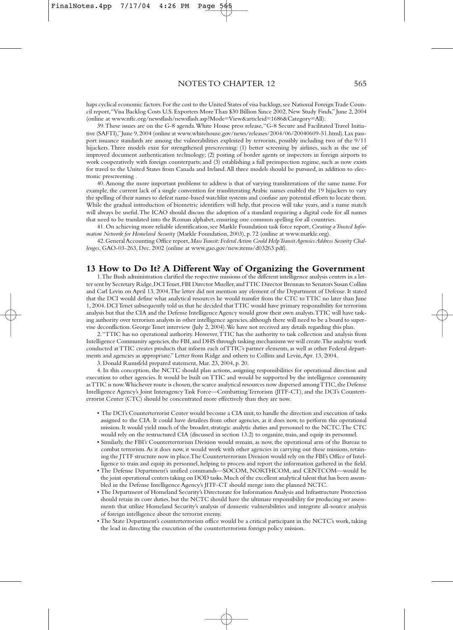haps cyclical economic factors. For the cost to the United States of visa backlogs, see National Foreign Trade Council report,"Visa Backlog Costs U.S. Exporters More Than \$30 Billion Since 2002, New Study Finds," June 2, 2004 (online at www.nftc.org/newsflash/newsflash.asp?Mode=View&articleid=1686&Category=All).

39.These issues are on the G-8 agenda.White House press release,"G-8 Secure and Facilitated Travel Initiative (SAFTI),"June 9,2004 (online at www.whitehouse.gov/news/releases/2004/06/20040609-51.html).Lax passport issuance standards are among the vulnerabilities exploited by terrorists, possibly including two of the 9/11 hijackers. Three models exist for strengthened prescreening: (1) better screening by airlines, such as the use of improved document authentication technology; (2) posting of border agents or inspectors in foreign airports to work cooperatively with foreign counterparts; and (3) establishing a full preinspection regime, such as now exists for travel to the United States from Canada and Ireland.All three models should be pursued, in addition to electronic prescreening .

40.Among the more important problems to address is that of varying transliterations of the same name. For example, the current lack of a single convention for transliterating Arabic names enabled the 19 hijackers to vary the spelling of their names to defeat name-based watchlist systems and confuse any potential efforts to locate them. While the gradual introduction of biometric identifiers will help, that process will take years, and a name match will always be useful.The ICAO should discuss the adoption of a standard requiring a digital code for all names that need to be translated into the Roman alphabet, ensuring one common spelling for all countries.

41. On achieving more reliable identification, see Markle Foundation task force report, *Creating a Trusted Information Network for Homeland Security* (Markle Foundation, 2003), p. 72 (online at www.markle.org).

42. General Accounting Office report, Mass Transit: Federal Action Could Help Transit Agencies Address Security Chal*lenges*, GAO-03-263, Dec. 2002 (online at www.gao.gov/new.items/d03263.pdf).

## **13 How to Do It? A Different Way of Organizing the Government**

1.The Bush administration clarified the respective missions of the different intelligence analysis centers in a letter sent by Secretary Ridge,DCI Tenet,FBI Director Mueller,and TTIC Director Brennan to Senators Susan Collins and Carl Levin on April 13, 2004.The letter did not mention any element of the Department of Defense. It stated that the DCI would define what analytical resources he would transfer from the CTC to TTIC no later than June 1, 2004. DCI Tenet subsequently told us that he decided that TTIC would have primary responsibility for terrorism analysis but that the CIA and the Defense Intelligence Agency would grow their own analysts.TTIC will have tasking authority over terrorism analysts in other intelligence agencies, although there will need to be a board to supervise deconfliction. George Tenet interview (July 2, 2004).We have not received any details regarding this plan.

2."TTIC has no operational authority. However,TTIC has the authority to task collection and analysis from Intelligence Community agencies, the FBI, and DHS through tasking mechanisms we will create. The analytic work conducted at TTIC creates products that inform each of TTIC's partner elements, as well as other Federal departments and agencies as appropriate." Letter from Ridge and others to Collins and Levin,Apr. 13, 2004.

3. Donald Rumsfeld prepared statement, Mar. 23, 2004, p. 20.

4. In this conception, the NCTC should plan actions, assigning responsibilities for operational direction and execution to other agencies. It would be built on TTIC and would be supported by the intelligence community as TTIC is now. Whichever route is chosen, the scarce analytical resources now dispersed among TTIC, the Defense Intelligence Agency's Joint Interagency Task Force—Combatting Terrorism (JITF-CT), and the DCI's Counterterrorist Center (CTC) should be concentrated more effectively than they are now.

- The DCI's Counterterrorist Center would become a CIA unit,to handle the direction and execution of tasks assigned to the CIA. It could have detailees from other agencies, as it does now, to perform this operational mission. It would yield much of the broader, strategic analytic duties and personnel to the NCTC.The CTC would rely on the restructured CIA (discussed in section 13.2) to organize, train, and equip its personnel.
- Similarly, the FBI's Counterterrorism Division would remain, as now, the operational arm of the Bureau to combat terrorism.As it does now, it would work with other agencies in carrying out these missions, retaining the JTTF structure now in place.The Counterterrorism Division would rely on the FBI's Office of Intelligence to train and equip its personnel, helping to process and report the information gathered in the field.
- The Defense Department's unified commands—SOCOM, NORTHCOM, and CENTCOM—would be the joint operational centers taking on DOD tasks.Much of the excellent analytical talent that has been assembled in the Defense Intelligence Agency's JITF-CT should merge into the planned NCTC.
- The Department of Homeland Security's Directorate for Information Analysis and Infrastructure Protection should retain its core duties, but the NCTC should have the ultimate responsibility for producing *net* assessments that utilize Homeland Security's analysis of domestic vulnerabilities and integrate all-source analysis of foreign intelligence about the terrorist enemy.
- The State Department's counterterrorism office would be a critical participant in the NCTC's work, taking the lead in directing the execution of the counterterrorism foreign policy mission.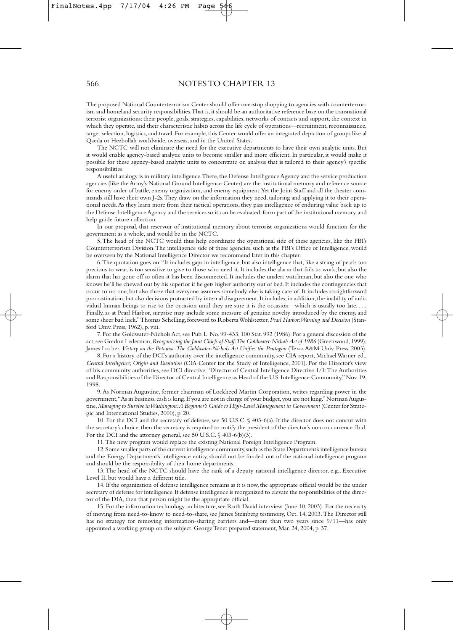The proposed National Counterterrorism Center should offer one-stop shopping to agencies with counterterrorism and homeland security responsibilities.That is, it should be an authoritative reference base on the transnational terrorist organizations: their people, goals, strategies, capabilities, networks of contacts and support, the context in which they operate, and their characteristic habits across the life cycle of operations—recruitment, reconnaissance, target selection, logistics, and travel. For example, this Center would offer an integrated depiction of groups like al Qaeda or Hezbollah worldwide, overseas, and in the United States.

The NCTC will not eliminate the need for the executive departments to have their own analytic units. But it would enable agency-based analytic units to become smaller and more efficient. In particular, it would make it possible for these agency-based analytic units to concentrate on analysis that is tailored to their agency's specific responsibilities.

A useful analogy is in military intelligence.There, the Defense Intelligence Agency and the service production agencies (like the Army's National Ground Intelligence Center) are the institutional memory and reference source for enemy order of battle, enemy organization, and enemy equipment.Yet the Joint Staff and all the theater commands still have their own J-2s.They draw on the information they need, tailoring and applying it to their operational needs.As they learn more from their tactical operations, they pass intelligence of enduring value back up to the Defense Intelligence Agency and the services so it can be evaluated, form part of the institutional memory, and help guide future collection.

In our proposal, that reservoir of institutional memory about terrorist organizations would function for the government as a whole, and would be in the NCTC.

5.The head of the NCTC would thus help coordinate the operational side of these agencies, like the FBI's Counterterrorism Division.The intelligence side of these agencies, such as the FBI's Office of Intelligence, would be overseen by the National Intelligence Director we recommend later in this chapter.

6.The quotation goes on:"It includes gaps in intelligence, but also intelligence that, like a string of pearls too precious to wear, is too sensitive to give to those who need it. It includes the alarm that fails to work, but also the alarm that has gone off so often it has been disconnected. It includes the unalert watchman, but also the one who knows he'll be chewed out by his superior if he gets higher authority out of bed. It includes the contingencies that occur to no one, but also those that everyone assumes somebody else is taking care of. It includes straightforward procrastination, but also decisions protracted by internal disagreement. It includes, in addition, the inability of individual human beings to rise to the occasion until they are sure it is the occasion—which is usually too late. . . . Finally, as at Pearl Harbor, surprise may include some measure of genuine novelty introduced by the enemy, and some sheer bad luck." Thomas Schelling, foreword to Roberta Wohlstetter, Pearl Harbor: Warning and Decision (Stanford Univ. Press, 1962), p. viii.

7. For the Goldwater-Nichols Act, see Pub. L. No. 99-433, 100 Stat. 992 (1986). For a general discussion of the act,see Gordon Lederman,*Reorganizing the Joint Chiefs of Staff:The Goldwater-Nichols Act of 1986* (Greenwood,1999); James Locher,*Victory on the Potomac:The Goldwater-Nichols Act Unifies the Pentagon* (Texas A&M Univ. Press, 2003).

8. For a history of the DCI's authority over the intelligence community, see CIA report, Michael Warner ed., *Central Intelligence; Origin and Evolution* (CIA Center for the Study of Intelligence, 2001). For the Director's view of his community authorities, see DCI directive,"Director of Central Intelligence Directive 1/1:The Authorities and Responsibilities of the Director of Central Intelligence as Head of the U.S. Intelligence Community," Nov. 19, 1998.

9.As Norman Augustine, former chairman of Lockheed Martin Corporation, writes regarding power in the government,"As in business,cash is king.If you are not in charge of your budget,you are not king."Norman Augustine, Managing to Survive in Washington: A Beginner's Guide to High-Level Management in Government (Center for Strategic and International Studies, 2000), p. 20.

10. For the DCI and the secretary of defense, see 50 U.S.C. § 403-6(a). If the director does not concur with the secretary's choice, then the secretary is required to notify the president of the director's nonconcurrence. Ibid. For the DCI and the attorney general, see 50 U.S.C. § 403-6(b)(3).

11.The new program would replace the existing National Foreign Intelligence Program.

12.Some smaller parts of the current intelligence community,such as the State Department's intelligence bureau and the Energy Department's intelligence entity, should not be funded out of the national intelligence program and should be the responsibility of their home departments.

13.The head of the NCTC should have the rank of a deputy national intelligence director, e.g., Executive Level II, but would have a different title.

14. If the organization of defense intelligence remains as it is now, the appropriate official would be the under secretary of defense for intelligence.If defense intelligence is reorganized to elevate the responsibilities of the director of the DIA, then that person might be the appropriate official.

15. For the information technology architecture, see Ruth David interview (June 10, 2003). For the necessity of moving from need-to-know to need-to-share, see James Steinberg testimony, Oct. 14, 2003. The Director still has no strategy for removing information-sharing barriers and—more than two years since 9/11—has only appointed a working group on the subject. George Tenet prepared statement, Mar. 24, 2004, p. 37.